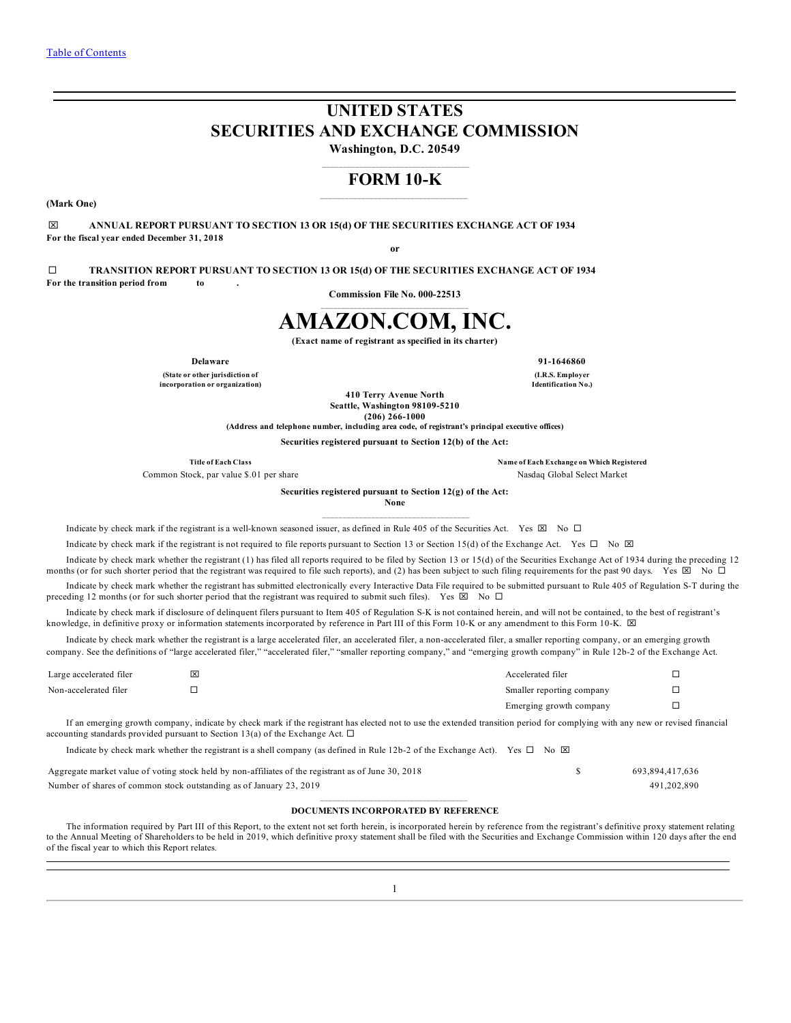# **UNITED STATES SECURITIES AND EXCHANGE COMMISSION**

**Washington, D.C. 20549**

# **FORM 10-K**

### **(Mark One)**

x **ANNUAL REPORT PURSUANT TO SECTION 13 OR 15(d) OF THE SECURITIES EXCHANGE ACT OF 1934 For the fiscal year ended December 31, 2018**

**or**

¨ **TRANSITION REPORT PURSUANT TO SECTION 13 OR 15(d) OF THE SECURITIES EXCHANGE ACT OF 1934**

**For the transition period from to .**

**Commission File No. 000-22513** \_\_\_\_\_\_\_\_\_\_\_\_\_\_\_\_\_\_\_\_\_\_\_\_\_\_\_\_\_\_\_\_\_\_\_\_

# **AMAZON.COM, INC.**

**(Exact name of registrant as specified in its charter)**

**(State or other jurisdiction of incorporation or organization)** **Identification No.)**

**Seattle, Washington 98109-5210 (206) 266-1000**

**(Address and telephone number, including area code, of registrant's principal executive offices)**

**410 Terry Avenue North**

**Securities registered pursuant to Section 12(b) of the Act:**

Common Stock, par value \$.01 per share Nasdaq Global Select Market

**Title of Each Class Name of Each Exchange onWhich Registered**

**Securities registered pursuant to Section 12(g) of the Act: None**

Indicate by check mark if the registrant is a well-known seasoned issuer, as defined in Rule 405 of the Securities Act. Yes  $\boxtimes$  No  $\Box$ 

Indicate by check mark if the registrant is not required to file reports pursuant to Section 13 or Section 15(d) of the Exchange Act. Yes  $\Box$  No  $\boxtimes$ 

Indicate by check mark whether the registrant (1) has filed all reports required to be filed by Section 13 or 15(d) of the Securities Exchange Act of 1934 during the preceding 12 months (or for such shorter period that the registrant was required to file such reports), and (2) has been subject to such filing requirements for the past 90 days. Yes  $\boxtimes$  No  $\Box$ 

Indicate by check mark whether the registrant has submitted electronically every Interactive Data File required to be submitted pursuant to Rule 405 of Regulation S-T during the preceding 12 months (or for such shorter period that the registrant was required to submit such files). Yes  $\boxtimes$  No  $\square$ 

Indicate by check mark if disclosure of delinquent filers pursuant to Item 405 of Regulation S-K is not contained herein, and will not be contained, to the best of registrant's knowledge, in definitive proxy or information statements incorporated by reference in Part III of this Form 10-K or any amendment to this Form 10-K.  $\boxtimes$ 

Indicate by check mark whether the registrant is a large accelerated filer, an accelerated filer, a non-accelerated filer, a smaller reporting company, or an emerging growth company. See the definitions of "large accelerated filer," "accelerated filer," "smaller reporting company," and "emerging growth company" in Rule 12b-2 of the Exchange Act.

| Large accelerated filer | X | Accelerated filer         |  |
|-------------------------|---|---------------------------|--|
| Non-accelerated filer   |   | Smaller reporting company |  |
|                         |   | Emerging growth company   |  |

If an emerging growth company, indicate by check mark if the registrant has elected not to use the extended transition period for complying with any new or revised financial accounting standards provided pursuant to Section 13(a) of the Exchange Act.  $\Box$ 

Indicate by check mark whether the registrant is a shell company (as defined in Rule 12b-2 of the Exchange Act). Yes  $\Box$  No  $\boxtimes$ 

| Aggregate market value of voting stock held by non-affiliates of the registrant as of June 30, 2018 | 693.894.417.636 |
|-----------------------------------------------------------------------------------------------------|-----------------|
| Number of shares of common stock outstanding as of January 23, 2019                                 | 491.202.890     |

### **DOCUMENTS INCORPORATED BY REFERENCE**

The information required by Part III of this Report, to the extent not set forth herein, is incorporated herein by reference from the registrant's definitive proxy statement relating to the Annual Meeting of Shareholders to be held in 2019, which definitive proxy statement shall be filed with the Securities and Exchange Commission within 120 days after the end of the fiscal year to which this Report relates.

1

**Delaware 91-1646860 (I.R.S. Employer**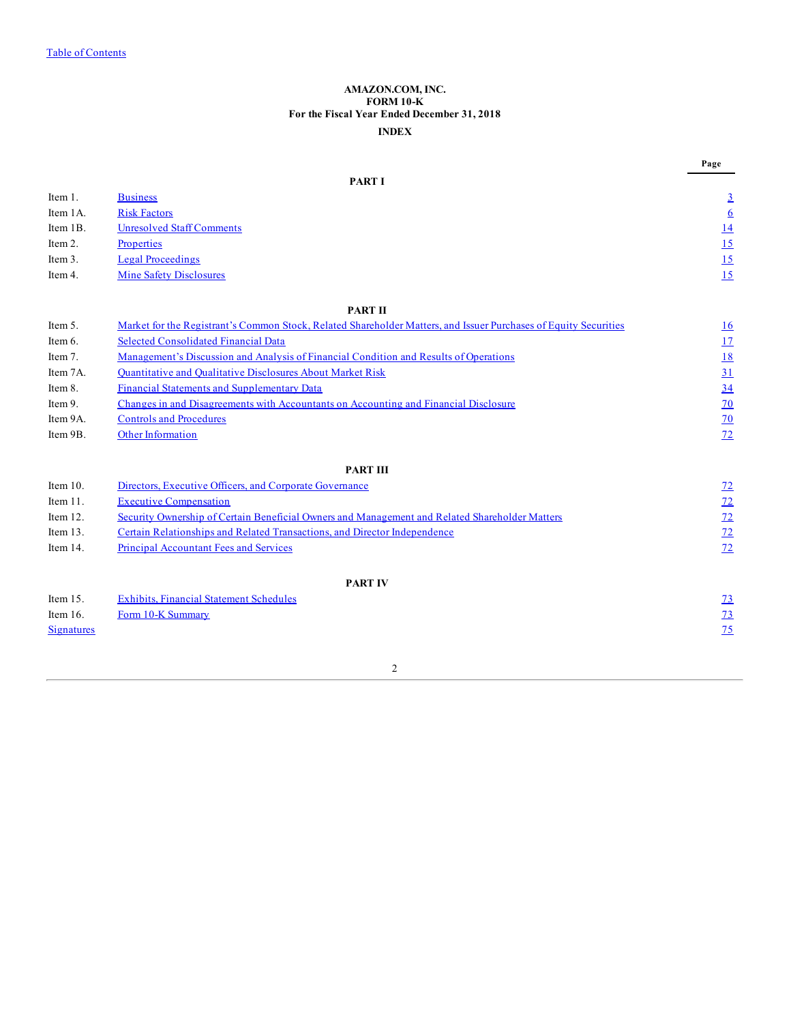# **AMAZON.COM, INC. FORM 10-K For the Fiscal Year Ended December 31, 2018 INDEX**

<span id="page-1-0"></span>

|                   |                                                                                                                  | Page            |
|-------------------|------------------------------------------------------------------------------------------------------------------|-----------------|
|                   | <b>PART I</b>                                                                                                    |                 |
| Item 1.           | <b>Business</b>                                                                                                  | <u>3</u>        |
| Item 1A.          | <b>Risk Factors</b>                                                                                              | $\underline{6}$ |
| Item 1B.          | <b>Unresolved Staff Comments</b>                                                                                 | <u>14</u>       |
| Item 2.           | Properties                                                                                                       | <u>15</u>       |
| Item 3.           | <b>Legal Proceedings</b>                                                                                         | 15              |
| Item 4.           | <b>Mine Safety Disclosures</b>                                                                                   | 15              |
|                   | <b>PART II</b>                                                                                                   |                 |
| Item 5.           | Market for the Registrant's Common Stock, Related Shareholder Matters, and Issuer Purchases of Equity Securities | <u>16</u>       |
| Item 6.           | <b>Selected Consolidated Financial Data</b>                                                                      | <u>17</u>       |
| Item 7.           | Management's Discussion and Analysis of Financial Condition and Results of Operations                            | 18              |
| Item 7A.          | Quantitative and Qualitative Disclosures About Market Risk                                                       | 31              |
| Item 8.           | <b>Financial Statements and Supplementary Data</b>                                                               | <u>34</u>       |
| Item 9.           | Changes in and Disagreements with Accountants on Accounting and Financial Disclosure                             | 70              |
| Item 9A.          | <b>Controls and Procedures</b>                                                                                   | $\overline{20}$ |
| Item 9B.          | Other Information                                                                                                | 72              |
|                   | <b>PART III</b>                                                                                                  |                 |
| Item 10.          | Directors, Executive Officers, and Corporate Governance                                                          | <u>72</u>       |
| Item 11.          | <b>Executive Compensation</b>                                                                                    | 72              |
| Item 12.          | Security Ownership of Certain Beneficial Owners and Management and Related Shareholder Matters                   | 72              |
| Item 13.          | Certain Relationships and Related Transactions, and Director Independence                                        | 72              |
| Item 14.          | <b>Principal Accountant Fees and Services</b>                                                                    | 72              |
|                   | <b>PART IV</b>                                                                                                   |                 |
| Item 15.          | <b>Exhibits, Financial Statement Schedules</b>                                                                   | <u>73</u>       |
| Item 16.          | Form 10-K Summary                                                                                                | 73              |
| <b>Signatures</b> |                                                                                                                  | 75              |
|                   |                                                                                                                  |                 |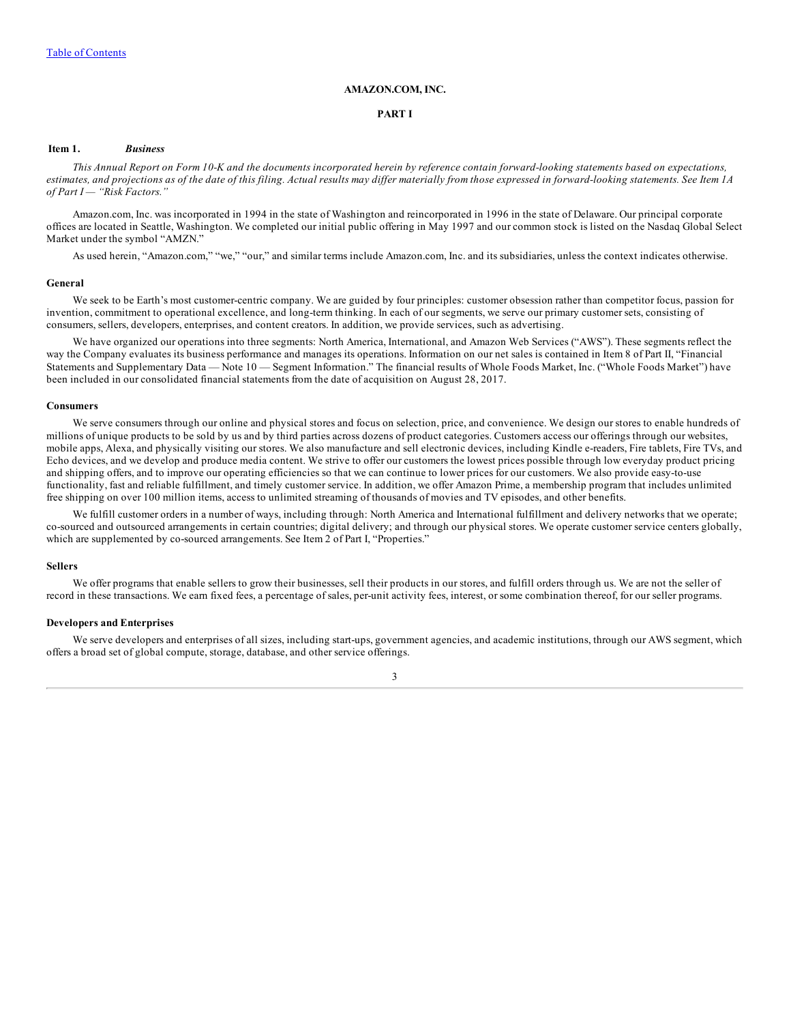## **AMAZON.COM, INC.**

### **PART I**

### <span id="page-2-0"></span>**Item 1.** *Business*

This Annual Report on Form 10-K and the documents incorporated herein by reference contain forward-looking statements based on expectations, estimates, and projections as of the date of this filing. Actual results may differ materially from those expressed in forward-looking statements. See Item 1A *of Part I — "Risk Factors."*

Amazon.com, Inc. was incorporated in 1994 in the state of Washington and reincorporated in 1996 in the state of Delaware. Our principal corporate offices are located in Seattle, Washington. We completed our initial public offering in May 1997 and our common stock is listed on the Nasdaq Global Select Market under the symbol "AMZN."

As used herein, "Amazon.com," "we," "our," and similar terms include Amazon.com, Inc. and its subsidiaries, unless the context indicates otherwise.

## **General**

We seek to be Earth's most customer-centric company. We are guided by four principles: customer obsession rather than competitor focus, passion for invention, commitment to operational excellence, and long-term thinking. In each of our segments, we serve our primary customer sets, consisting of consumers, sellers, developers, enterprises, and content creators. In addition, we provide services, such as advertising.

We have organized our operations into three segments: North America, International, and Amazon Web Services ("AWS"). These segments reflect the way the Company evaluates its business performance and manages its operations. Information on our net sales is contained in Item 8 of Part II, "Financial Statements and Supplementary Data — Note 10 — Segment Information." The financial results of Whole Foods Market, Inc. ("Whole Foods Market") have been included in our consolidated financial statements from the date of acquisition on August 28, 2017.

### **Consumers**

We serve consumers through our online and physical stores and focus on selection, price, and convenience. We design our stores to enable hundreds of millions of unique products to be sold by us and by third parties across dozens of product categories. Customers access our offerings through our websites, mobile apps, Alexa, and physically visiting our stores. We also manufacture and sell electronic devices, including Kindle e-readers, Fire tablets, Fire TVs, and Echo devices, and we develop and produce media content. We strive to offer our customers the lowest prices possible through low everyday product pricing and shipping offers, and to improve our operating efficiencies so that we can continue to lower prices for our customers. We also provide easy-to-use functionality, fast and reliable fulfillment, and timely customer service. In addition, we offer Amazon Prime, a membership program that includes unlimited free shipping on over 100 million items, access to unlimited streaming of thousands of movies and TV episodes, and other benefits.

We fulfill customer orders in a number of ways, including through: North America and International fulfillment and delivery networks that we operate; co-sourced and outsourced arrangements in certain countries; digital delivery; and through our physical stores. We operate customer service centers globally, which are supplemented by co-sourced arrangements. See Item 2 of Part I, "Properties."

### **Sellers**

We offer programs that enable sellers to grow their businesses, sell their products in our stores, and fulfill orders through us. We are not the seller of record in these transactions. We earn fixed fees, a percentage of sales, per-unit activity fees, interest, or some combination thereof, for our seller programs.

### **Developers and Enterprises**

We serve developers and enterprises of all sizes, including start-ups, government agencies, and academic institutions, through our AWS segment, which offers a broad set of global compute, storage, database, and other service offerings.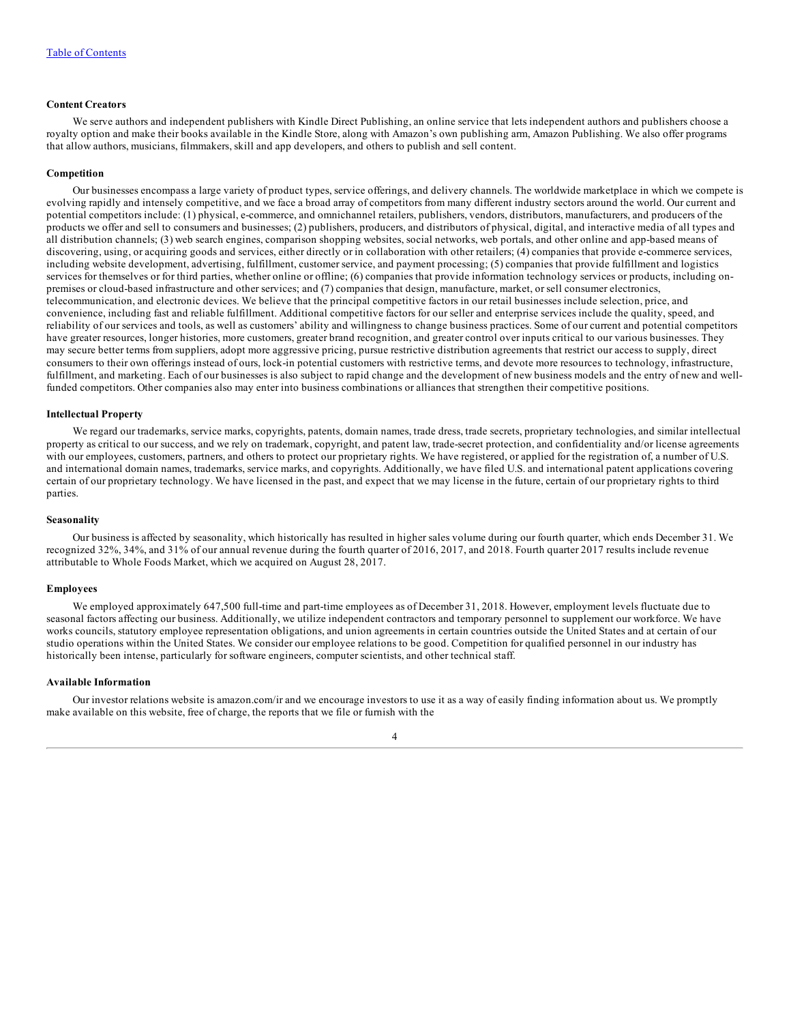### **Content Creators**

We serve authors and independent publishers with Kindle Direct Publishing, an online service that lets independent authors and publishers choose a royalty option and make their books available in the Kindle Store, along with Amazon's own publishing arm, Amazon Publishing. We also offer programs that allow authors, musicians, filmmakers, skill and app developers, and others to publish and sell content.

## **Competition**

Our businesses encompass a large variety of product types, service offerings, and delivery channels. The worldwide marketplace in which we compete is evolving rapidly and intensely competitive, and we face a broad array of competitors from many different industry sectors around the world. Our current and potential competitors include: (1) physical, e-commerce, and omnichannel retailers, publishers, vendors, distributors, manufacturers, and producers of the products we offer and sell to consumers and businesses; (2) publishers, producers, and distributors of physical, digital, and interactive media of all types and all distribution channels; (3) web search engines, comparison shopping websites, social networks, web portals, and other online and app-based means of discovering, using, or acquiring goods and services, either directly or in collaboration with other retailers; (4) companies that provide e-commerce services, including website development, advertising, fulfillment, customer service, and payment processing; (5) companies that provide fulfillment and logistics services for themselves or for third parties, whether online or offline; (6) companies that provide information technology services or products, including onpremises or cloud-based infrastructure and other services; and (7) companies that design, manufacture, market, or sell consumer electronics, telecommunication, and electronic devices. We believe that the principal competitive factors in our retail businesses include selection, price, and convenience, including fast and reliable fulfillment. Additional competitive factors for our seller and enterprise services include the quality, speed, and reliability of our services and tools, as well as customers' ability and willingness to change business practices. Some of our current and potential competitors have greater resources, longer histories, more customers, greater brand recognition, and greater control over inputs critical to our various businesses. They may secure better terms from suppliers, adopt more aggressive pricing, pursue restrictive distribution agreements that restrict our access to supply, direct consumers to their own offerings instead of ours, lock-in potential customers with restrictive terms, and devote more resources to technology, infrastructure, fulfillment, and marketing. Each of our businesses is also subject to rapid change and the development of new business models and the entry of new and wellfunded competitors. Other companies also may enter into business combinations or alliances that strengthen their competitive positions.

### **Intellectual Property**

We regard our trademarks, service marks, copyrights, patents, domain names, trade dress, trade secrets, proprietary technologies, and similar intellectual property as critical to our success, and we rely on trademark, copyright, and patent law, trade-secret protection, and confidentiality and/or license agreements with our employees, customers, partners, and others to protect our proprietary rights. We have registered, or applied for the registration of, a number of U.S. and international domain names, trademarks, service marks, and copyrights. Additionally, we have filed U.S. and international patent applications covering certain of our proprietary technology. We have licensed in the past, and expect that we may license in the future, certain of our proprietary rights to third parties.

### **Seasonality**

Our business is affected by seasonality, which historically has resulted in higher sales volume during our fourth quarter, which ends December 31. We recognized 32%, 34%, and 31% of our annual revenue during the fourth quarter of 2016, 2017, and 2018. Fourth quarter 2017 results include revenue attributable to Whole Foods Market, which we acquired on August 28, 2017.

### **Employees**

We employed approximately 647,500 full-time and part-time employees as of December 31, 2018. However, employment levels fluctuate due to seasonal factors affecting our business. Additionally, we utilize independent contractors and temporary personnel to supplement our workforce. We have works councils, statutory employee representation obligations, and union agreements in certain countries outside the United States and at certain of our studio operations within the United States. We consider our employee relations to be good. Competition for qualified personnel in our industry has historically been intense, particularly for software engineers, computer scientists, and other technical staff.

# **Available Information**

Our investor relations website is amazon.com/ir and we encourage investors to use it as a way of easily finding information about us. We promptly make available on this website, free of charge, the reports that we file or furnish with the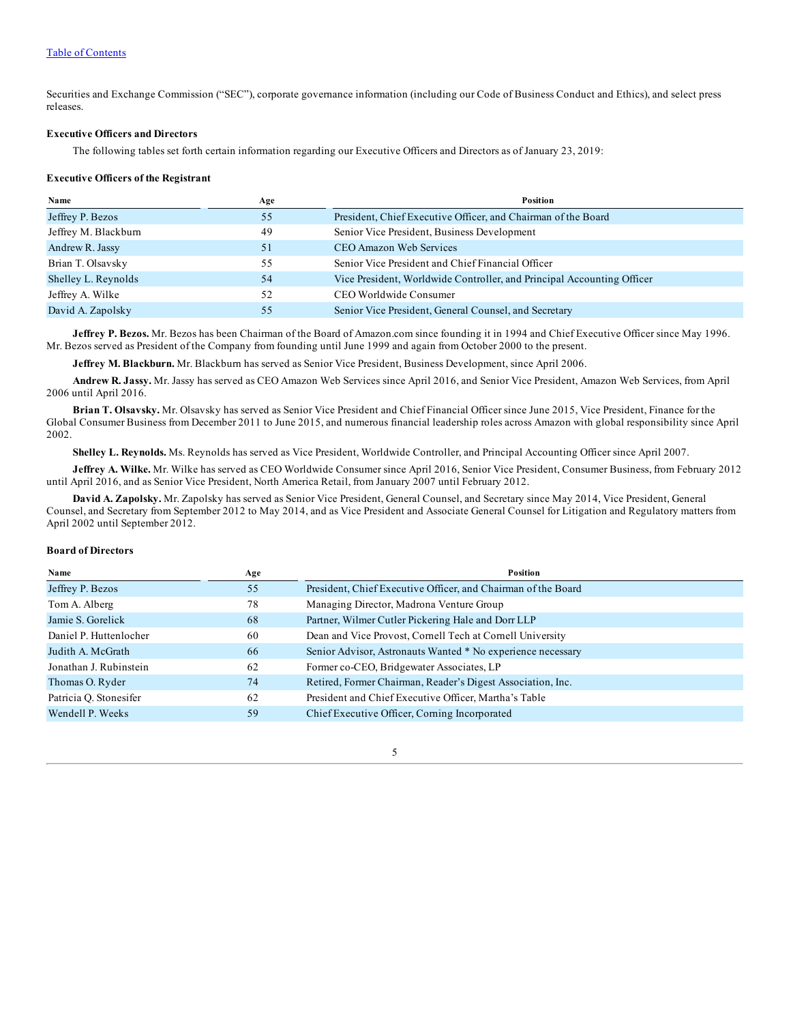Securities and Exchange Commission ("SEC"), corporate governance information (including our Code of Business Conduct and Ethics), and select press releases.

# **Executive Officers and Directors**

The following tables set forth certain information regarding our Executive Officers and Directors as of January 23, 2019:

# **Executive Officers of the Registrant**

| Name                 | Age | Position                                                               |
|----------------------|-----|------------------------------------------------------------------------|
| Jeffrey P. Bezos     | 55  | President, Chief Executive Officer, and Chairman of the Board          |
| Jeffrey M. Blackburn | 49  | Senior Vice President, Business Development                            |
| Andrew R. Jassy      | 51  | CEO Amazon Web Services                                                |
| Brian T. Olsavsky    | 55  | Senior Vice President and Chief Financial Officer                      |
| Shelley L. Reynolds  | 54  | Vice President, Worldwide Controller, and Principal Accounting Officer |
| Jeffrey A. Wilke     | 52  | CEO Worldwide Consumer                                                 |
| David A. Zapolsky    | 55  | Senior Vice President, General Counsel, and Secretary                  |

**Jeffrey P. Bezos.** Mr. Bezos has been Chairman of the Board of Amazon.com since founding it in 1994 and Chief Executive Officer since May 1996. Mr. Bezos served as President of the Company from founding until June 1999 and again from October 2000 to the present.

**Jeffrey M. Blackburn.** Mr. Blackburn has served as Senior Vice President, Business Development, since April 2006.

**Andrew R. Jassy.** Mr. Jassy has served as CEO Amazon Web Services since April 2016, and Senior Vice President, Amazon Web Services, from April 2006 until April 2016.

**Brian T. Olsavsky.** Mr. Olsavsky has served as Senior Vice President and Chief Financial Officer since June 2015, Vice President, Finance for the Global Consumer Business from December 2011 to June 2015, and numerous financial leadership roles across Amazon with global responsibility since April 2002.

**Shelley L. Reynolds.** Ms. Reynolds has served as Vice President, Worldwide Controller, and Principal Accounting Officer since April 2007.

**Jeffrey A. Wilke.** Mr. Wilke has served as CEO Worldwide Consumer since April 2016, Senior Vice President, Consumer Business, from February 2012 until April 2016, and as Senior Vice President, North America Retail, from January 2007 until February 2012.

**David A. Zapolsky.** Mr. Zapolsky has served as Senior Vice President, General Counsel, and Secretary since May 2014, Vice President, General Counsel, and Secretary from September 2012 to May 2014, and as Vice President and Associate General Counsel for Litigation and Regulatory matters from April 2002 until September 2012.

### **Board of Directors**

| Name                   | Age | Position                                                      |
|------------------------|-----|---------------------------------------------------------------|
| Jeffrey P. Bezos       | 55  | President, Chief Executive Officer, and Chairman of the Board |
| Tom A. Alberg          | 78  | Managing Director, Madrona Venture Group                      |
| Jamie S. Gorelick      | 68  | Partner, Wilmer Cutler Pickering Hale and Dorr LLP            |
| Daniel P. Huttenlocher | 60  | Dean and Vice Provost, Cornell Tech at Cornell University     |
| Judith A. McGrath      | 66  | Senior Advisor, Astronauts Wanted * No experience necessary   |
| Jonathan J. Rubinstein | 62  | Former co-CEO, Bridgewater Associates, LP                     |
| Thomas O. Ryder        | 74  | Retired, Former Chairman, Reader's Digest Association, Inc.   |
| Patricia O. Stonesifer | 62  | President and Chief Executive Officer, Martha's Table         |
| Wendell P. Weeks       | 59  | Chief Executive Officer, Corning Incorporated                 |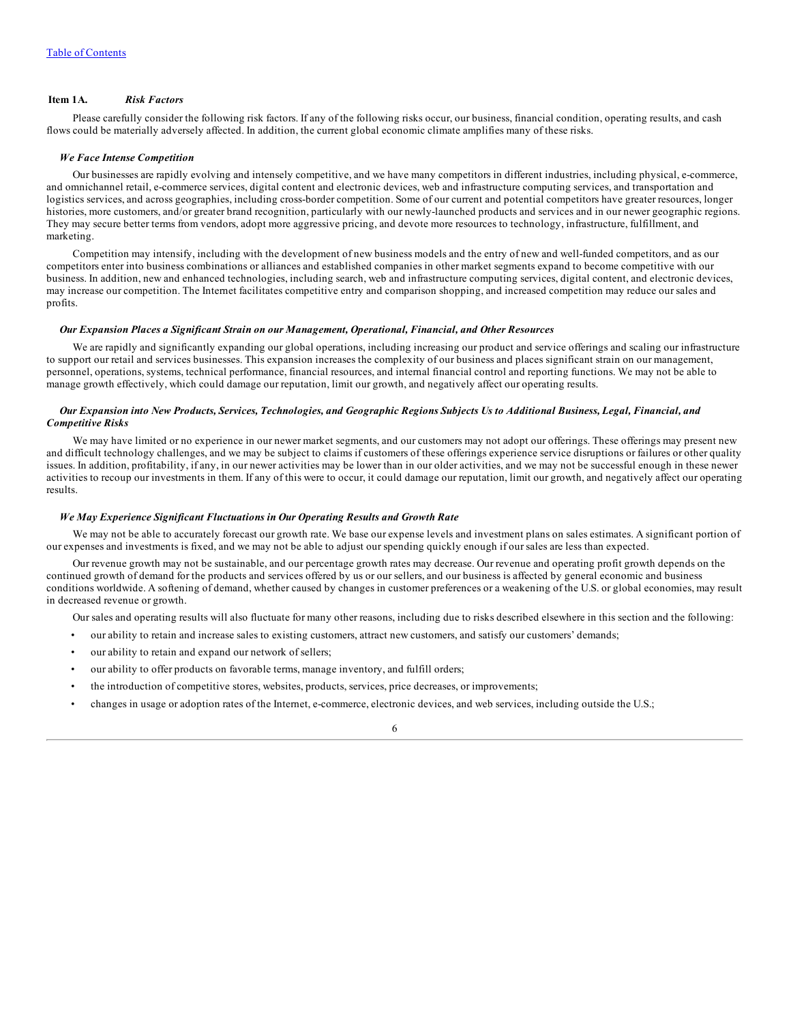# <span id="page-5-0"></span>**Item 1A.** *Risk Factors*

Please carefully consider the following risk factors. If any of the following risks occur, our business, financial condition, operating results, and cash flows could be materially adversely affected. In addition, the current global economic climate amplifies many of these risks.

## *We Face Intense Competition*

Our businesses are rapidly evolving and intensely competitive, and we have many competitors in different industries, including physical, e-commerce, and omnichannel retail, e-commerce services, digital content and electronic devices, web and infrastructure computing services, and transportation and logistics services, and across geographies, including cross-border competition. Some of our current and potential competitors have greater resources, longer histories, more customers, and/or greater brand recognition, particularly with our newly-launched products and services and in our newer geographic regions. They may secure better terms from vendors, adopt more aggressive pricing, and devote more resources to technology, infrastructure, fulfillment, and marketing.

Competition may intensify, including with the development of new business models and the entry of new and well-funded competitors, and as our competitors enter into business combinations or alliances and established companies in other market segments expand to become competitive with our business. In addition, new and enhanced technologies, including search, web and infrastructure computing services, digital content, and electronic devices, may increase our competition. The Internet facilitates competitive entry and comparison shopping, and increased competition may reduce our sales and profits.

### *Our Expansion Places a Significant Strain on our Management, Operational, Financial, and Other Resources*

We are rapidly and significantly expanding our global operations, including increasing our product and service offerings and scaling our infrastructure to support our retail and services businesses. This expansion increases the complexity of our business and places significant strain on our management, personnel, operations, systems, technical performance, financial resources, and internal financial control and reporting functions. We may not be able to manage growth effectively, which could damage our reputation, limit our growth, and negatively affect our operating results.

## Our Expansion into New Products, Services, Technologies, and Geographic Regions Subjects Us to Additional Business, Legal, Financial, and *Competitive Risks*

We may have limited or no experience in our newer market segments, and our customers may not adopt our offerings. These offerings may present new and difficult technology challenges, and we may be subject to claims if customers of these offerings experience service disruptions or failures or other quality issues. In addition, profitability, if any, in our newer activities may be lower than in our older activities, and we may not be successful enough in these newer activities to recoup our investments in them. If any of this were to occur, it could damage our reputation, limit our growth, and negatively affect our operating results.

### *We May Experience Significant Fluctuations in Our Operating Results and Growth Rate*

We may not be able to accurately forecast our growth rate. We base our expense levels and investment plans on sales estimates. A significant portion of our expenses and investments is fixed, and we may not be able to adjust our spending quickly enough if our sales are less than expected.

Our revenue growth may not be sustainable, and our percentage growth rates may decrease. Our revenue and operating profit growth depends on the continued growth of demand for the products and services offered by us or our sellers, and our business is affected by general economic and business conditions worldwide. A softening of demand, whether caused by changes in customer preferences or a weakening of the U.S. or global economies, may result in decreased revenue or growth.

Our sales and operating results will also fluctuate for many other reasons, including due to risks described elsewhere in this section and the following:

- our ability to retain and increase sales to existing customers, attract new customers, and satisfy our customers' demands;
- our ability to retain and expand our network of sellers;
- our ability to offer products on favorable terms, manage inventory, and fulfill orders;
- the introduction of competitive stores, websites, products, services, price decreases, or improvements;
- changes in usage or adoption rates of the Internet, e-commerce, electronic devices, and web services, including outside the U.S.;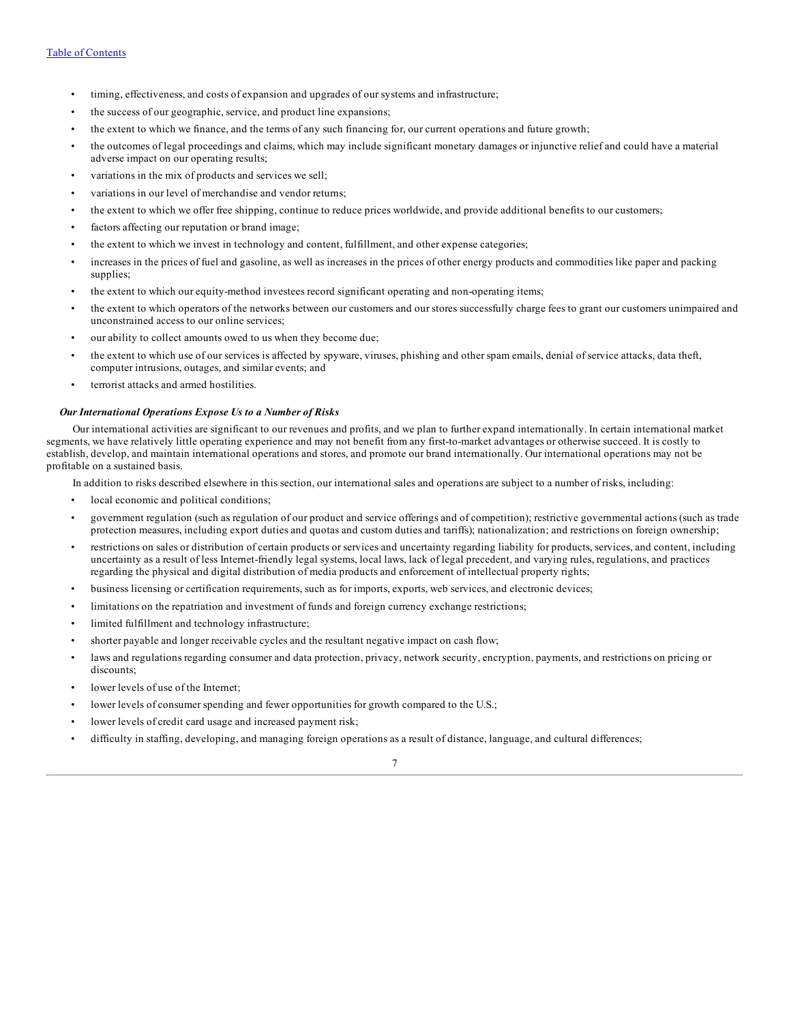- timing, effectiveness, and costs of expansion and upgrades of our systems and infrastructure;
- the success of our geographic, service, and product line expansions;
- the extent to which we finance, and the terms of any such financing for, our current operations and future growth;
- the outcomes of legal proceedings and claims, which may include significant monetary damages or injunctive relief and could have a material adverse impact on our operating results;
- variations in the mix of products and services we sell;
- variations in our level of merchandise and vendor returns;
- the extent to which we offer free shipping, continue to reduce prices worldwide, and provide additional benefits to our customers;
- factors affecting our reputation or brand image;
- the extent to which we invest in technology and content, fulfillment, and other expense categories;
- increases in the prices of fuel and gasoline, as well as increases in the prices of other energy products and commodities like paper and packing supplies;
- the extent to which our equity-method investees record significant operating and non-operating items;
- the extent to which operators of the networks between our customers and our stores successfully charge fees to grant our customers unimpaired and unconstrained access to our online services;
- our ability to collect amounts owed to us when they become due;
- the extent to which use of our services is affected by spyware, viruses, phishing and other spam emails, denial of service attacks, data theft, computer intrusions, outages, and similar events; and
- terrorist attacks and armed hostilities.

## *Our International Operations Expose Us to a Number of Risks*

Our international activities are significant to our revenues and profits, and we plan to further expand internationally. In certain international market segments, we have relatively little operating experience and may not benefit from any first-to-market advantages or otherwise succeed. It is costly to establish, develop, and maintain international operations and stores, and promote our brand internationally. Our international operations may not be profitable on a sustained basis.

In addition to risks described elsewhere in this section, our international sales and operations are subject to a number of risks, including:

- local economic and political conditions;
- government regulation (such as regulation of our product and service offerings and of competition); restrictive governmental actions (such as trade protection measures, including export duties and quotas and custom duties and tariffs); nationalization; and restrictions on foreign ownership;
- restrictions on sales or distribution of certain products or services and uncertainty regarding liability for products, services, and content, including uncertainty as a result of less Internet-friendly legal systems, local laws, lack of legal precedent, and varying rules, regulations, and practices regarding the physical and digital distribution of media products and enforcement of intellectual property rights;
- business licensing or certification requirements, such as for imports, exports, web services, and electronic devices;
- limitations on the repatriation and investment of funds and foreign currency exchange restrictions;
- limited fulfillment and technology infrastructure;
- shorter payable and longer receivable cycles and the resultant negative impact on cash flow;
- laws and regulations regarding consumer and data protection, privacy, network security, encryption, payments, and restrictions on pricing or discounts;
- lower levels of use of the Internet;
- lower levels of consumer spending and fewer opportunities for growth compared to the U.S.;
- lower levels of credit card usage and increased payment risk;
- difficulty in staffing, developing, and managing foreign operations as a result of distance, language, and cultural differences;

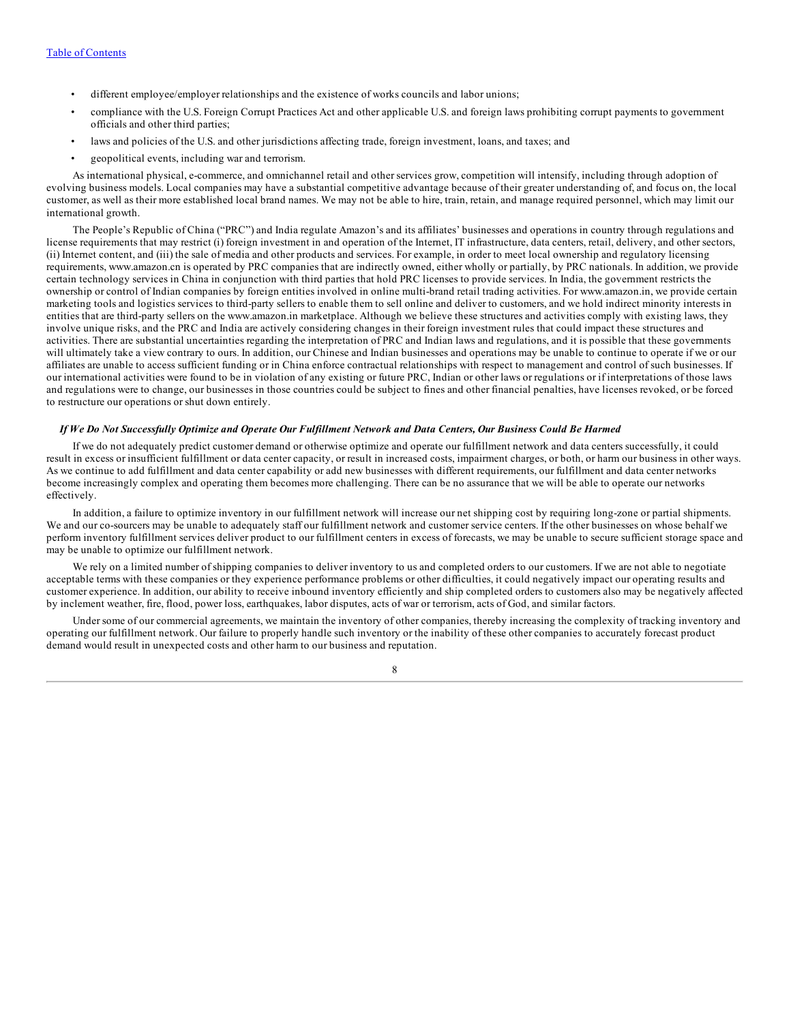- different employee/employer relationships and the existence of works councils and labor unions;
- compliance with the U.S. Foreign Corrupt Practices Act and other applicable U.S. and foreign laws prohibiting corrupt payments to government officials and other third parties;
- laws and policies of the U.S. and other jurisdictions affecting trade, foreign investment, loans, and taxes; and
- geopolitical events, including war and terrorism.

As international physical, e-commerce, and omnichannel retail and other services grow, competition will intensify, including through adoption of evolving business models. Local companies may have a substantial competitive advantage because of their greater understanding of, and focus on, the local customer, as well as their more established local brand names. We may not be able to hire, train, retain, and manage required personnel, which may limit our international growth.

The People's Republic of China ("PRC") and India regulate Amazon's and its affiliates' businesses and operations in country through regulations and license requirements that may restrict (i) foreign investment in and operation of the Internet, IT infrastructure, data centers, retail, delivery, and other sectors, (ii) Internet content, and (iii) the sale of media and other products and services. For example, in order to meet local ownership and regulatory licensing requirements, www.amazon.cn is operated by PRC companies that are indirectly owned, either wholly or partially, by PRC nationals. In addition, we provide certain technology services in China in conjunction with third parties that hold PRC licenses to provide services. In India, the government restricts the ownership or control of Indian companies by foreign entities involved in online multi-brand retail trading activities. For www.amazon.in, we provide certain marketing tools and logistics services to third-party sellers to enable them to sell online and deliver to customers, and we hold indirect minority interests in entities that are third-party sellers on the www.amazon.in marketplace. Although we believe these structures and activities comply with existing laws, they involve unique risks, and the PRC and India are actively considering changes in their foreign investment rules that could impact these structures and activities. There are substantial uncertainties regarding the interpretation of PRC and Indian laws and regulations, and it is possible that these governments will ultimately take a view contrary to ours. In addition, our Chinese and Indian businesses and operations may be unable to continue to operate if we or our affiliates are unable to access sufficient funding or in China enforce contractual relationships with respect to management and control of such businesses. If our international activities were found to be in violation of any existing or future PRC, Indian or other laws or regulations or if interpretations of those laws and regulations were to change, our businesses in those countries could be subject to fines and other financial penalties, have licenses revoked, or be forced to restructure our operations or shut down entirely.

## If We Do Not Successfully Optimize and Operate Our Fulfillment Network and Data Centers, Our Business Could Be Harmed

If we do not adequately predict customer demand or otherwise optimize and operate our fulfillment network and data centers successfully, it could result in excess or insufficient fulfillment or data center capacity, or result in increased costs, impairment charges, or both, or harm our business in other ways. As we continue to add fulfillment and data center capability or add new businesses with different requirements, our fulfillment and data center networks become increasingly complex and operating them becomes more challenging. There can be no assurance that we will be able to operate our networks effectively.

In addition, a failure to optimize inventory in our fulfillment network will increase our net shipping cost by requiring long-zone or partial shipments. We and our co-sourcers may be unable to adequately staff our fulfillment network and customer service centers. If the other businesses on whose behalf we perform inventory fulfillment services deliver product to our fulfillment centers in excess of forecasts, we may be unable to secure sufficient storage space and may be unable to optimize our fulfillment network.

We rely on a limited number of shipping companies to deliver inventory to us and completed orders to our customers. If we are not able to negotiate acceptable terms with these companies or they experience performance problems or other difficulties, it could negatively impact our operating results and customer experience. In addition, our ability to receive inbound inventory efficiently and ship completed orders to customers also may be negatively affected by inclement weather, fire, flood, power loss, earthquakes, labor disputes, acts of war or terrorism, acts of God, and similar factors.

Under some of our commercial agreements, we maintain the inventory of other companies, thereby increasing the complexity of tracking inventory and operating our fulfillment network. Our failure to properly handle such inventory or the inability of these other companies to accurately forecast product demand would result in unexpected costs and other harm to our business and reputation.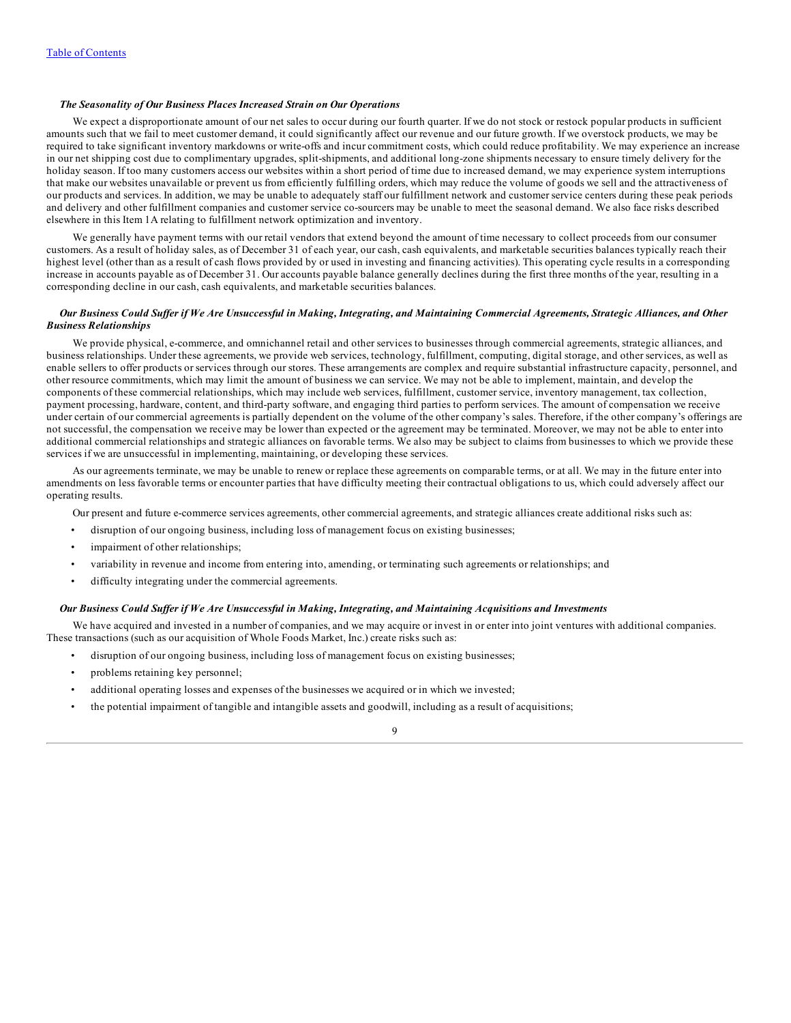## *The Seasonality of Our Business Places Increased Strain on Our Operations*

We expect a disproportionate amount of our net sales to occur during our fourth quarter. If we do not stock or restock popular products in sufficient amounts such that we fail to meet customer demand, it could significantly affect our revenue and our future growth. If we overstock products, we may be required to take significant inventory markdowns or write-offs and incur commitment costs, which could reduce profitability. We may experience an increase in our net shipping cost due to complimentary upgrades, split-shipments, and additional long-zone shipments necessary to ensure timely delivery for the holiday season. If too many customers access our websites within a short period of time due to increased demand, we may experience system interruptions that make our websites unavailable or prevent us from efficiently fulfilling orders, which may reduce the volume of goods we sell and the attractiveness of our products and services. In addition, we may be unable to adequately staff our fulfillment network and customer service centers during these peak periods and delivery and other fulfillment companies and customer service co-sourcers may be unable to meet the seasonal demand. We also face risks described elsewhere in this Item 1A relating to fulfillment network optimization and inventory.

We generally have payment terms with our retail vendors that extend beyond the amount of time necessary to collect proceeds from our consumer customers. As a result of holiday sales, as of December 31 of each year, our cash, cash equivalents, and marketable securities balances typically reach their highest level (other than as a result of cash flows provided by or used in investing and financing activities). This operating cycle results in a corresponding increase in accounts payable as of December 31. Our accounts payable balance generally declines during the first three months of the year, resulting in a corresponding decline in our cash, cash equivalents, and marketable securities balances.

## Our Business Could Suffer if We Are Unsuccessful in Making, Integrating, and Maintaining Commercial Agreements, Strategic Alliances, and Other *Business Relationships*

We provide physical, e-commerce, and omnichannel retail and other services to businesses through commercial agreements, strategic alliances, and business relationships. Under these agreements, we provide web services, technology, fulfillment, computing, digital storage, and other services, as well as enable sellers to offer products or services through our stores. These arrangements are complex and require substantial infrastructure capacity, personnel, and other resource commitments, which may limit the amount of business we can service. We may not be able to implement, maintain, and develop the components of these commercial relationships, which may include web services, fulfillment, customer service, inventory management, tax collection, payment processing, hardware, content, and third-party software, and engaging third parties to perform services. The amount of compensation we receive under certain of our commercial agreements is partially dependent on the volume of the other company's sales. Therefore, if the other company's offerings are not successful, the compensation we receive may be lower than expected or the agreement may be terminated. Moreover, we may not be able to enter into additional commercial relationships and strategic alliances on favorable terms. We also may be subject to claims from businesses to which we provide these services if we are unsuccessful in implementing, maintaining, or developing these services.

As our agreements terminate, we may be unable to renew or replace these agreements on comparable terms, or at all. We may in the future enter into amendments on less favorable terms or encounter parties that have difficulty meeting their contractual obligations to us, which could adversely affect our operating results.

Our present and future e-commerce services agreements, other commercial agreements, and strategic alliances create additional risks such as:

- disruption of our ongoing business, including loss of management focus on existing businesses;
- impairment of other relationships;
- variability in revenue and income from entering into, amending, or terminating such agreements or relationships; and
- difficulty integrating under the commercial agreements.

### Our Business Could Suffer if We Are Unsuccessful in Making, Integrating, and Maintaining Acquisitions and Investments

We have acquired and invested in a number of companies, and we may acquire or invest in or enter into joint ventures with additional companies. These transactions (such as our acquisition of Whole Foods Market, Inc.) create risks such as:

- disruption of our ongoing business, including loss of management focus on existing businesses;
- problems retaining key personnel;
- additional operating losses and expenses of the businesses we acquired or in which we invested;
- the potential impairment of tangible and intangible assets and goodwill, including as a result of acquisitions;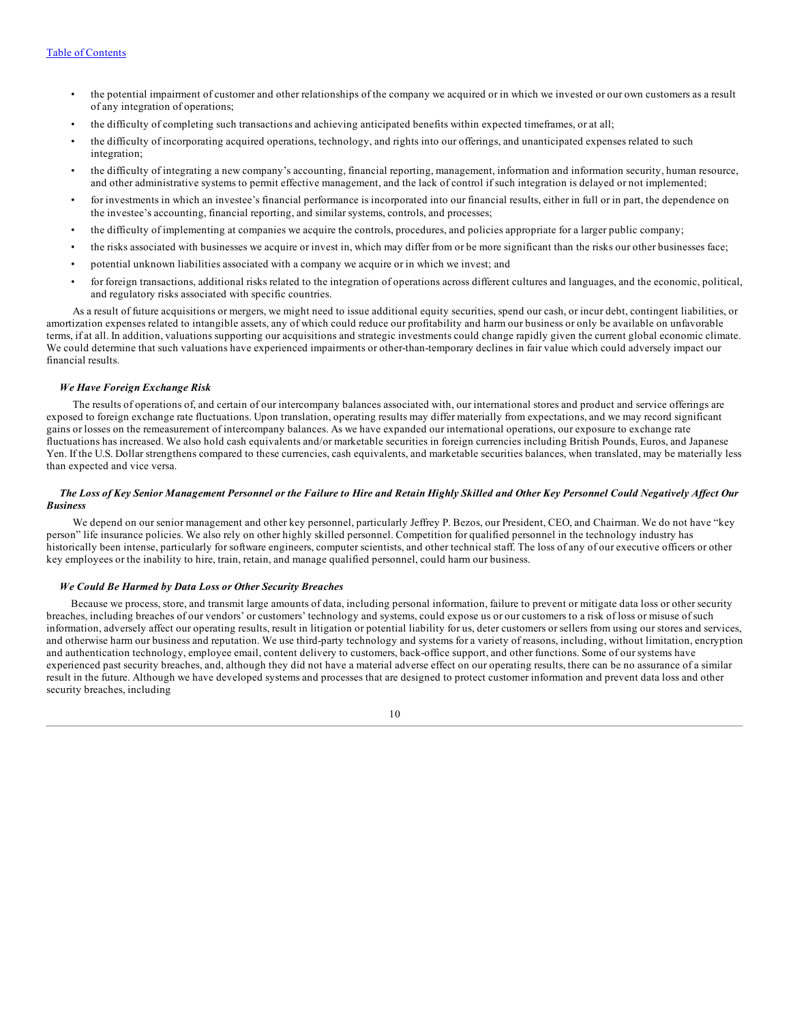- the potential impairment of customer and other relationships of the company we acquired or in which we invested or our own customers as a result of any integration of operations;
- the difficulty of completing such transactions and achieving anticipated benefits within expected timeframes, or at all;
- the difficulty of incorporating acquired operations, technology, and rights into our offerings, and unanticipated expenses related to such integration;
- the difficulty of integrating a new company's accounting, financial reporting, management, information and information security, human resource, and other administrative systems to permit effective management, and the lack of control if such integration is delayed or not implemented;
- for investments in which an investee's financial performance is incorporated into our financial results, either in full or in part, the dependence on the investee's accounting, financial reporting, and similar systems, controls, and processes;
- the difficulty of implementing at companies we acquire the controls, procedures, and policies appropriate for a larger public company;
- the risks associated with businesses we acquire or invest in, which may differ from or be more significant than the risks our other businesses face;
- potential unknown liabilities associated with a company we acquire or in which we invest; and
- for foreign transactions, additional risks related to the integration of operations across different cultures and languages, and the economic, political, and regulatory risks associated with specific countries.

As a result of future acquisitions or mergers, we might need to issue additional equity securities, spend our cash, or incur debt, contingent liabilities, or amortization expenses related to intangible assets, any of which could reduce our profitability and harm our business or only be available on unfavorable terms, if at all. In addition, valuations supporting our acquisitions and strategic investments could change rapidly given the current global economic climate. We could determine that such valuations have experienced impairments or other-than-temporary declines in fair value which could adversely impact our financial results.

### *We Have Foreign Exchange Risk*

The results of operations of, and certain of our intercompany balances associated with, our international stores and product and service offerings are exposed to foreign exchange rate fluctuations. Upon translation, operating results may differ materially from expectations, and we may record significant gains or losses on the remeasurement of intercompany balances. As we have expanded our international operations, our exposure to exchange rate fluctuations has increased. We also hold cash equivalents and/or marketable securities in foreign currencies including British Pounds, Euros, and Japanese Yen. If the U.S. Dollar strengthens compared to these currencies, cash equivalents, and marketable securities balances, when translated, may be materially less than expected and vice versa.

## The Loss of Key Senior Management Personnel or the Failure to Hire and Retain Highly Skilled and Other Key Personnel Could Negatively Affect Our *Business*

We depend on our senior management and other key personnel, particularly Jeffrey P. Bezos, our President, CEO, and Chairman. We do not have "key person" life insurance policies. We also rely on other highly skilled personnel. Competition for qualified personnel in the technology industry has historically been intense, particularly for software engineers, computer scientists, and other technical staff. The loss of any of our executive officers or other key employees or the inability to hire, train, retain, and manage qualified personnel, could harm our business.

### *We Could Be Harmed by Data Loss or Other Security Breaches*

Because we process, store, and transmit large amounts of data, including personal information, failure to prevent or mitigate data loss or other security breaches, including breaches of our vendors' or customers' technology and systems, could expose us or our customers to a risk of loss or misuse of such information, adversely affect our operating results, result in litigation or potential liability for us, deter customers or sellers from using our stores and services, and otherwise harm our business and reputation. We use third-party technology and systems for a variety of reasons, including, without limitation, encryption and authentication technology, employee email, content delivery to customers, back-office support, and other functions. Some of our systems have experienced past security breaches, and, although they did not have a material adverse effect on our operating results, there can be no assurance of a similar result in the future. Although we have developed systems and processes that are designed to protect customer information and prevent data loss and other security breaches, including

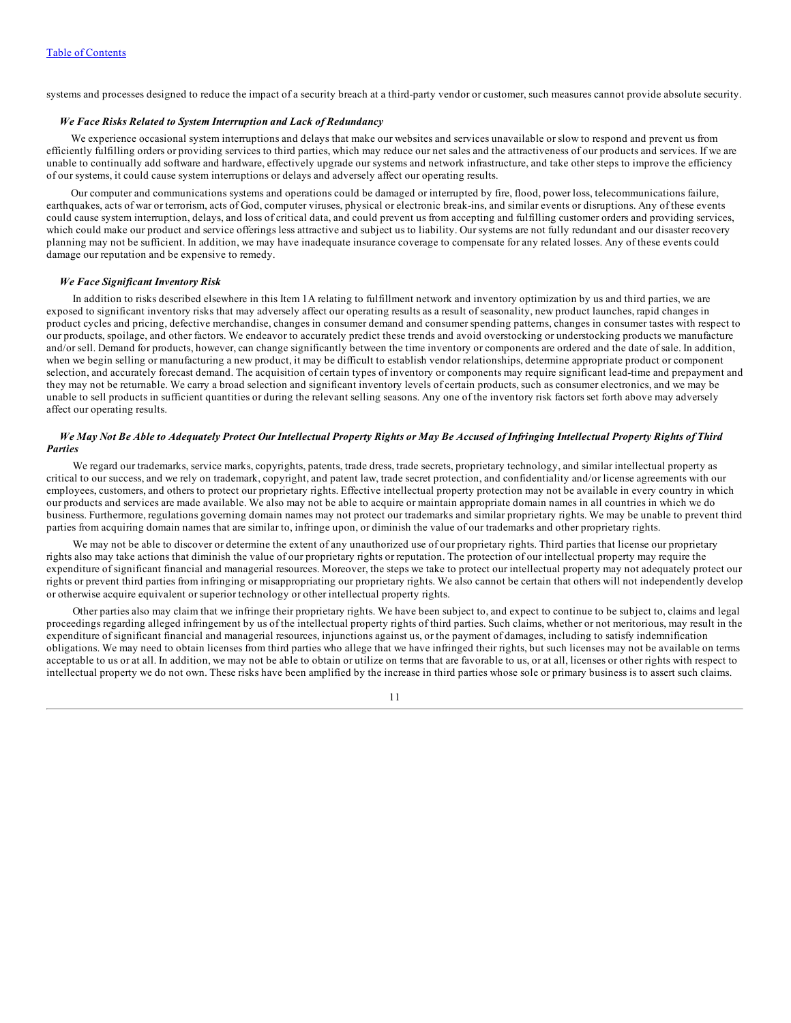systems and processes designed to reduce the impact of a security breach at a third-party vendor or customer, such measures cannot provide absolute security.

# *We Face Risks Related to System Interruption and Lack of Redundancy*

We experience occasional system interruptions and delays that make our websites and services unavailable or slow to respond and prevent us from efficiently fulfilling orders or providing services to third parties, which may reduce our net sales and the attractiveness of our products and services. If we are unable to continually add software and hardware, effectively upgrade our systems and network infrastructure, and take other steps to improve the efficiency of our systems, it could cause system interruptions or delays and adversely affect our operating results.

Our computer and communications systems and operations could be damaged or interrupted by fire, flood, power loss, telecommunications failure, earthquakes, acts of war or terrorism, acts of God, computer viruses, physical or electronic break-ins, and similar events or disruptions. Any of these events could cause system interruption, delays, and loss of critical data, and could prevent us from accepting and fulfilling customer orders and providing services, which could make our product and service offerings less attractive and subject us to liability. Our systems are not fully redundant and our disaster recovery planning may not be sufficient. In addition, we may have inadequate insurance coverage to compensate for any related losses. Any of these events could damage our reputation and be expensive to remedy.

### *We Face Significant Inventory Risk*

In addition to risks described elsewhere in this Item 1A relating to fulfillment network and inventory optimization by us and third parties, we are exposed to significant inventory risks that may adversely affect our operating results as a result of seasonality, new product launches, rapid changes in product cycles and pricing, defective merchandise, changes in consumer demand and consumer spending patterns, changes in consumer tastes with respect to our products, spoilage, and other factors. We endeavor to accurately predict these trends and avoid overstocking or understocking products we manufacture and/or sell. Demand for products, however, can change significantly between the time inventory or components are ordered and the date of sale. In addition, when we begin selling or manufacturing a new product, it may be difficult to establish vendor relationships, determine appropriate product or component selection, and accurately forecast demand. The acquisition of certain types of inventory or components may require significant lead-time and prepayment and they may not be returnable. We carry a broad selection and significant inventory levels of certain products, such as consumer electronics, and we may be unable to sell products in sufficient quantities or during the relevant selling seasons. Any one of the inventory risk factors set forth above may adversely affect our operating results.

## We May Not Be Able to Adequately Protect Our Intellectual Property Rights or May Be Accused of Infringing Intellectual Property Rights of Third *Parties*

We regard our trademarks, service marks, copyrights, patents, trade dress, trade secrets, proprietary technology, and similar intellectual property as critical to our success, and we rely on trademark, copyright, and patent law, trade secret protection, and confidentiality and/or license agreements with our employees, customers, and others to protect our proprietary rights. Effective intellectual property protection may not be available in every country in which our products and services are made available. We also may not be able to acquire or maintain appropriate domain names in all countries in which we do business. Furthermore, regulations governing domain names may not protect our trademarks and similar proprietary rights. We may be unable to prevent third parties from acquiring domain names that are similar to, infringe upon, or diminish the value of our trademarks and other proprietary rights.

We may not be able to discover or determine the extent of any unauthorized use of our proprietary rights. Third parties that license our proprietary rights also may take actions that diminish the value of our proprietary rights or reputation. The protection of our intellectual property may require the expenditure of significant financial and managerial resources. Moreover, the steps we take to protect our intellectual property may not adequately protect our rights or prevent third parties from infringing or misappropriating our proprietary rights. We also cannot be certain that others will not independently develop or otherwise acquire equivalent or superior technology or other intellectual property rights.

Other parties also may claim that we infringe their proprietary rights. We have been subject to, and expect to continue to be subject to, claims and legal proceedings regarding alleged infringement by us of the intellectual property rights of third parties. Such claims, whether or not meritorious, may result in the expenditure of significant financial and managerial resources, injunctions against us, or the payment of damages, including to satisfy indemnification obligations. We may need to obtain licenses from third parties who allege that we have infringed their rights, but such licenses may not be available on terms acceptable to us or at all. In addition, we may not be able to obtain or utilize on terms that are favorable to us, or at all, licenses or other rights with respect to intellectual property we do not own. These risks have been amplified by the increase in third parties whose sole or primary business is to assert such claims.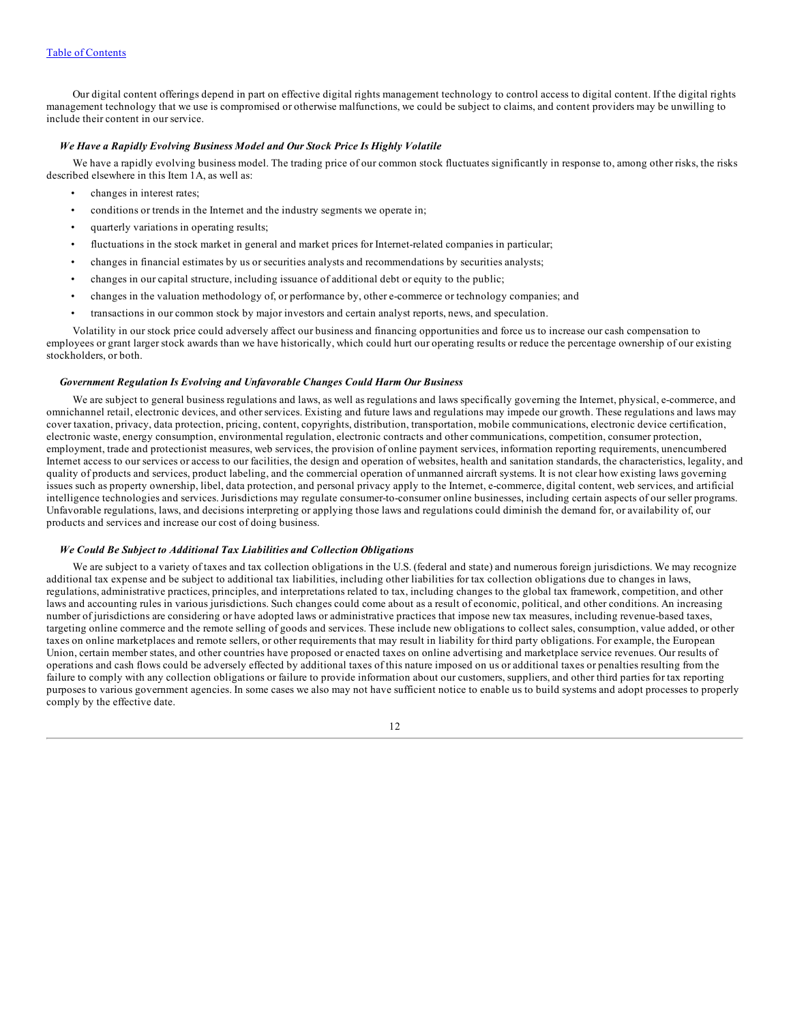Our digital content offerings depend in part on effective digital rights management technology to control access to digital content. If the digital rights management technology that we use is compromised or otherwise malfunctions, we could be subject to claims, and content providers may be unwilling to include their content in our service.

## *We Have a Rapidly Evolving Business Model and Our Stock Price Is Highly Volatile*

We have a rapidly evolving business model. The trading price of our common stock fluctuates significantly in response to, among other risks, the risks described elsewhere in this Item 1A, as well as:

- changes in interest rates;
- conditions or trends in the Internet and the industry segments we operate in;
- quarterly variations in operating results;
- fluctuations in the stock market in general and market prices for Internet-related companies in particular;
- changes in financial estimates by us or securities analysts and recommendations by securities analysts;
- changes in our capital structure, including issuance of additional debt or equity to the public;
- changes in the valuation methodology of, or performance by, other e-commerce or technology companies; and
- transactions in our common stock by major investors and certain analyst reports, news, and speculation.

Volatility in our stock price could adversely affect our business and financing opportunities and force us to increase our cash compensation to employees or grant larger stock awards than we have historically, which could hurt our operating results or reduce the percentage ownership of our existing stockholders, or both.

# *Government Regulation Is Evolving and Unfavorable Changes Could Harm Our Business*

We are subject to general business regulations and laws, as well as regulations and laws specifically governing the Internet, physical, e-commerce, and omnichannel retail, electronic devices, and other services. Existing and future laws and regulations may impede our growth. These regulations and laws may cover taxation, privacy, data protection, pricing, content, copyrights, distribution, transportation, mobile communications, electronic device certification, electronic waste, energy consumption, environmental regulation, electronic contracts and other communications, competition, consumer protection, employment, trade and protectionist measures, web services, the provision of online payment services, information reporting requirements, unencumbered Internet access to our services or access to our facilities, the design and operation of websites, health and sanitation standards, the characteristics, legality, and quality of products and services, product labeling, and the commercial operation of unmanned aircraft systems. It is not clear how existing laws governing issues such as property ownership, libel, data protection, and personal privacy apply to the Internet, e-commerce, digital content, web services, and artificial intelligence technologies and services. Jurisdictions may regulate consumer-to-consumer online businesses, including certain aspects of our seller programs. Unfavorable regulations, laws, and decisions interpreting or applying those laws and regulations could diminish the demand for, or availability of, our products and services and increase our cost of doing business.

### *We Could Be Subject to Additional Tax Liabilities and Collection Obligations*

We are subject to a variety of taxes and tax collection obligations in the U.S. (federal and state) and numerous foreign jurisdictions. We may recognize additional tax expense and be subject to additional tax liabilities, including other liabilities for tax collection obligations due to changes in laws, regulations, administrative practices, principles, and interpretations related to tax, including changes to the global tax framework, competition, and other laws and accounting rules in various jurisdictions. Such changes could come about as a result of economic, political, and other conditions. An increasing number of jurisdictions are considering or have adopted laws or administrative practices that impose new tax measures, including revenue-based taxes, targeting online commerce and the remote selling of goods and services. These include new obligations to collect sales, consumption, value added, or other taxes on online marketplaces and remote sellers, or other requirements that may result in liability for third party obligations. For example, the European Union, certain member states, and other countries have proposed or enacted taxes on online advertising and marketplace service revenues. Our results of operations and cash flows could be adversely effected by additional taxes of this nature imposed on us or additional taxes or penalties resulting from the failure to comply with any collection obligations or failure to provide information about our customers, suppliers, and other third parties for tax reporting purposes to various government agencies. In some cases we also may not have sufficient notice to enable us to build systems and adopt processes to properly comply by the effective date.

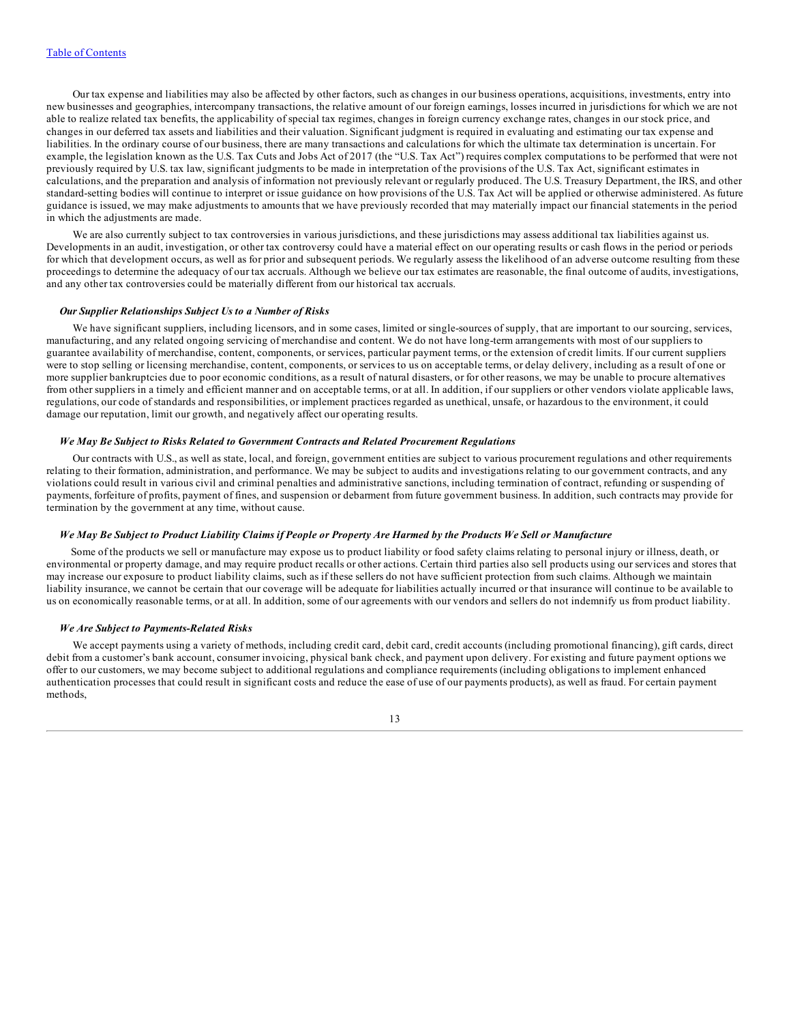Our tax expense and liabilities may also be affected by other factors, such as changes in our business operations, acquisitions, investments, entry into new businesses and geographies, intercompany transactions, the relative amount of our foreign earnings, losses incurred in jurisdictions for which we are not able to realize related tax benefits, the applicability of special tax regimes, changes in foreign currency exchange rates, changes in our stock price, and changes in our deferred tax assets and liabilities and their valuation. Significant judgment is required in evaluating and estimating our tax expense and liabilities. In the ordinary course of our business, there are many transactions and calculations for which the ultimate tax determination is uncertain. For example, the legislation known as the U.S. Tax Cuts and Jobs Act of 2017 (the "U.S. Tax Act") requires complex computations to be performed that were not previously required by U.S. tax law, significant judgments to be made in interpretation of the provisions of the U.S. Tax Act, significant estimates in calculations, and the preparation and analysis of information not previously relevant or regularly produced. The U.S. Treasury Department, the IRS, and other standard-setting bodies will continue to interpret or issue guidance on how provisions of the U.S. Tax Act will be applied or otherwise administered. As future guidance is issued, we may make adjustments to amounts that we have previously recorded that may materially impact our financial statements in the period in which the adjustments are made.

We are also currently subject to tax controversies in various jurisdictions, and these jurisdictions may assess additional tax liabilities against us. Developments in an audit, investigation, or other tax controversy could have a material effect on our operating results or cash flows in the period or periods for which that development occurs, as well as for prior and subsequent periods. We regularly assess the likelihood of an adverse outcome resulting from these proceedings to determine the adequacy of our tax accruals. Although we believe our tax estimates are reasonable, the final outcome of audits, investigations, and any other tax controversies could be materially different from our historical tax accruals.

# *Our Supplier Relationships Subject Us to a Number of Risks*

We have significant suppliers, including licensors, and in some cases, limited or single-sources of supply, that are important to our sourcing, services, manufacturing, and any related ongoing servicing of merchandise and content. We do not have long-term arrangements with most of our suppliers to guarantee availability of merchandise, content, components, or services, particular payment terms, or the extension of credit limits. If our current suppliers were to stop selling or licensing merchandise, content, components, or services to us on acceptable terms, or delay delivery, including as a result of one or more supplier bankruptcies due to poor economic conditions, as a result of natural disasters, or for other reasons, we may be unable to procure alternatives from other suppliers in a timely and efficient manner and on acceptable terms, or at all. In addition, if our suppliers or other vendors violate applicable laws, regulations, our code of standards and responsibilities, or implement practices regarded as unethical, unsafe, or hazardous to the environment, it could damage our reputation, limit our growth, and negatively affect our operating results.

### *We May Be Subject to Risks Related to Government Contracts and Related Procurement Regulations*

Our contracts with U.S., as well as state, local, and foreign, government entities are subject to various procurement regulations and other requirements relating to their formation, administration, and performance. We may be subject to audits and investigations relating to our government contracts, and any violations could result in various civil and criminal penalties and administrative sanctions, including termination of contract, refunding or suspending of payments, forfeiture of profits, payment of fines, and suspension or debarment from future government business. In addition, such contracts may provide for termination by the government at any time, without cause.

### We May Be Subject to Product Liability Claims if People or Property Are Harmed by the Products We Sell or Manufacture

Some of the products we sell or manufacture may expose us to product liability or food safety claims relating to personal injury or illness, death, or environmental or property damage, and may require product recalls or other actions. Certain third parties also sell products using our services and stores that may increase our exposure to product liability claims, such as if these sellers do not have sufficient protection from such claims. Although we maintain liability insurance, we cannot be certain that our coverage will be adequate for liabilities actually incurred or that insurance will continue to be available to us on economically reasonable terms, or at all. In addition, some of our agreements with our vendors and sellers do not indemnify us from product liability.

# *We Are Subject to Payments-Related Risks*

We accept payments using a variety of methods, including credit card, debit card, credit accounts (including promotional financing), gift cards, direct debit from a customer's bank account, consumer invoicing, physical bank check, and payment upon delivery. For existing and future payment options we offer to our customers, we may become subject to additional regulations and compliance requirements (including obligations to implement enhanced authentication processes that could result in significant costs and reduce the ease of use of our payments products), as well as fraud. For certain payment methods,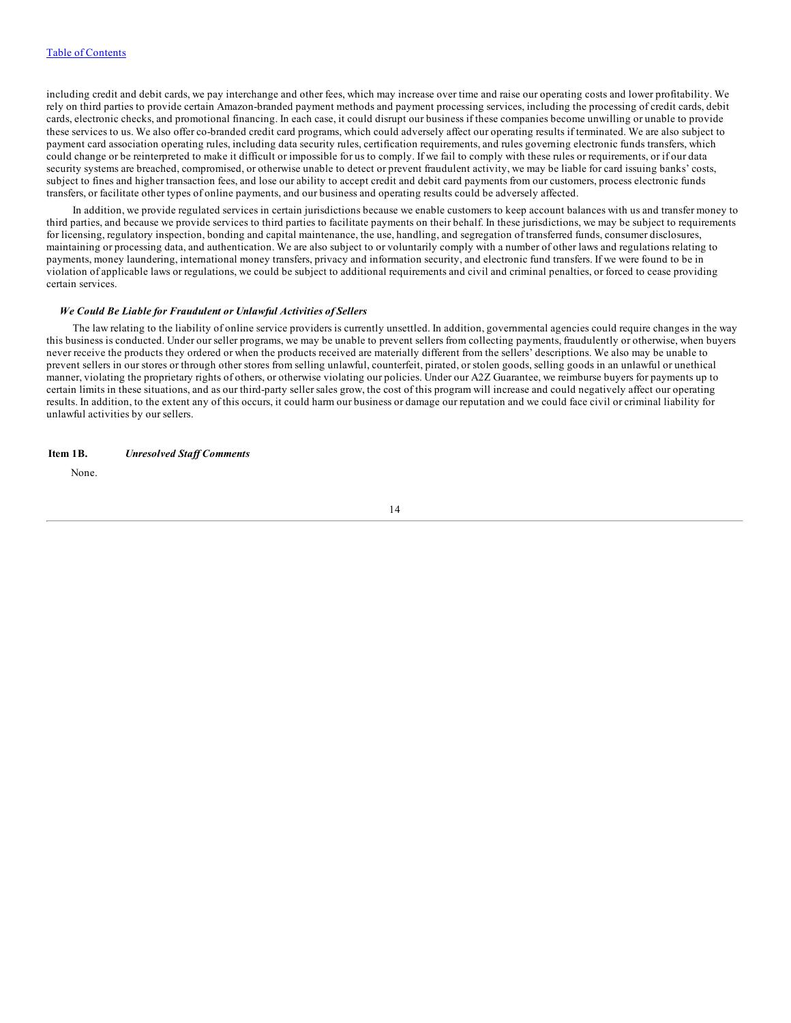<span id="page-13-0"></span>including credit and debit cards, we pay interchange and other fees, which may increase over time and raise our operating costs and lower profitability. We rely on third parties to provide certain Amazon-branded payment methods and payment processing services, including the processing of credit cards, debit cards, electronic checks, and promotional financing. In each case, it could disrupt our business if these companies become unwilling or unable to provide these services to us. We also offer co-branded credit card programs, which could adversely affect our operating results if terminated. We are also subject to payment card association operating rules, including data security rules, certification requirements, and rules governing electronic funds transfers, which could change or be reinterpreted to make it difficult or impossible for us to comply. If we fail to comply with these rules or requirements, or if our data security systems are breached, compromised, or otherwise unable to detect or prevent fraudulent activity, we may be liable for card issuing banks' costs, subject to fines and higher transaction fees, and lose our ability to accept credit and debit card payments from our customers, process electronic funds transfers, or facilitate other types of online payments, and our business and operating results could be adversely affected.

In addition, we provide regulated services in certain jurisdictions because we enable customers to keep account balances with us and transfer money to third parties, and because we provide services to third parties to facilitate payments on their behalf. In these jurisdictions, we may be subject to requirements for licensing, regulatory inspection, bonding and capital maintenance, the use, handling, and segregation of transferred funds, consumer disclosures, maintaining or processing data, and authentication. We are also subject to or voluntarily comply with a number of other laws and regulations relating to payments, money laundering, international money transfers, privacy and information security, and electronic fund transfers. If we were found to be in violation of applicable laws or regulations, we could be subject to additional requirements and civil and criminal penalties, or forced to cease providing certain services.

# *We Could Be Liable for Fraudulent or Unlawful Activities of Sellers*

The law relating to the liability of online service providers is currently unsettled. In addition, governmental agencies could require changes in the way this business is conducted. Under our seller programs, we may be unable to prevent sellers from collecting payments, fraudulently or otherwise, when buyers never receive the products they ordered or when the products received are materially different from the sellers' descriptions. We also may be unable to prevent sellers in our stores or through other stores from selling unlawful, counterfeit, pirated, or stolen goods, selling goods in an unlawful or unethical manner, violating the proprietary rights of others, or otherwise violating our policies. Under our A2Z Guarantee, we reimburse buyers for payments up to certain limits in these situations, and as our third-party seller sales grow, the cost of this program will increase and could negatively affect our operating results. In addition, to the extent any of this occurs, it could harm our business or damage our reputation and we could face civil or criminal liability for unlawful activities by our sellers.

**Item 1B.** *Unresolved Staf Comments*

None.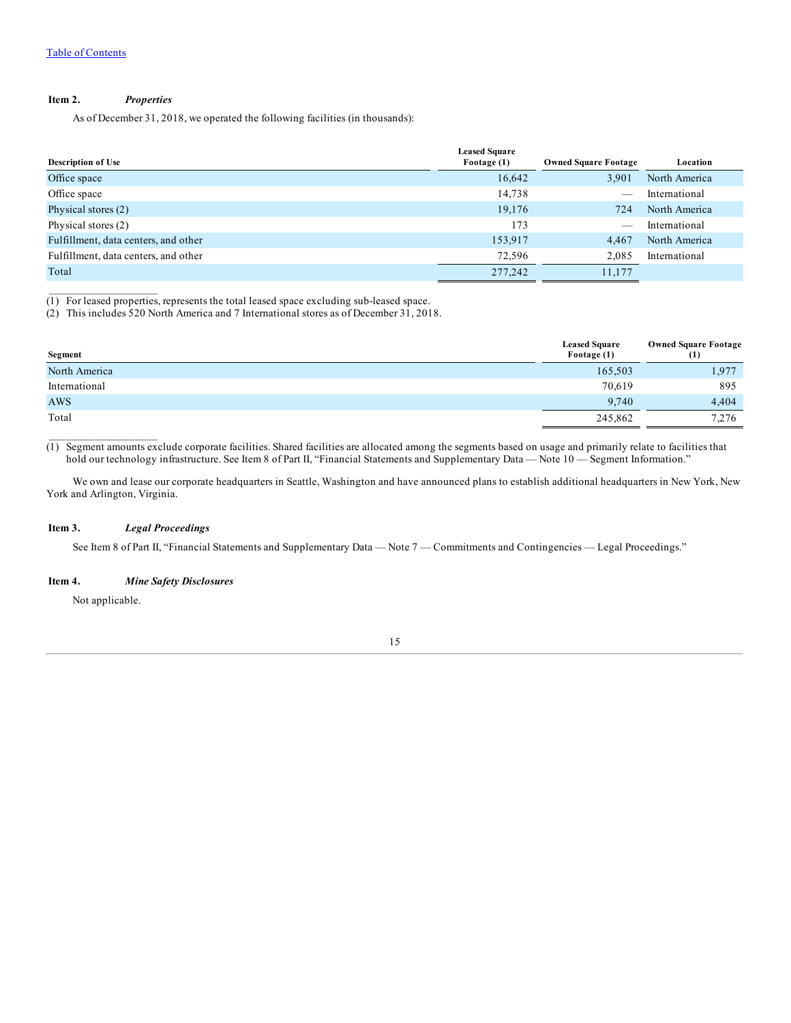# <span id="page-14-0"></span>**Item 2.** *Properties*

As of December 31, 2018, we operated the following facilities (in thousands):

| <b>Description of Use</b>            | <b>Leased Square</b><br>Footage (1) | <b>Owned Square Footage</b> | Location      |
|--------------------------------------|-------------------------------------|-----------------------------|---------------|
| Office space                         | 16,642                              | 3.901                       | North America |
| Office space                         | 14,738                              |                             | International |
| Physical stores (2)                  | 19,176                              | 724                         | North America |
| Physical stores (2)                  | 173                                 |                             | International |
| Fulfillment, data centers, and other | 153,917                             | 4.467                       | North America |
| Fulfillment, data centers, and other | 72,596                              | 2.085                       | International |
| Total                                | 277,242                             | 11,177                      |               |

(1) For leased properties, represents the total leased space excluding sub-leased space.

(2) This includes 520 North America and 7 International stores as of December 31, 2018.

| Segment       | <b>Leased Square</b><br>Footage (1) | <b>Owned Square Footage</b><br>(1) |
|---------------|-------------------------------------|------------------------------------|
| North America | 165,503                             | 1,977                              |
| International | 70,619                              | 895                                |
| AWS           | 9.740                               | 4,404                              |
| Total         | 245,862                             | 7,276                              |

 $(1)$  Segment amounts exclude corporate facilities. Shared facilities are allocated among the segments based on usage and primarily relate to facilities that hold our technology infrastructure. See Item 8 of Part II, "Financial Statements and Supplementary Data — Note 10 — Segment Information."

We own and lease our corporate headquarters in Seattle, Washington and have announced plans to establish additional headquarters in New York, New York and Arlington, Virginia.

## **Item 3.** *Legal Proceedings*

See Item 8 of Part II, "Financial Statements and Supplementary Data — Note 7 — Commitments and Contingencies — Legal Proceedings."

# **Item 4.** *Mine Safety Disclosures*

Not applicable.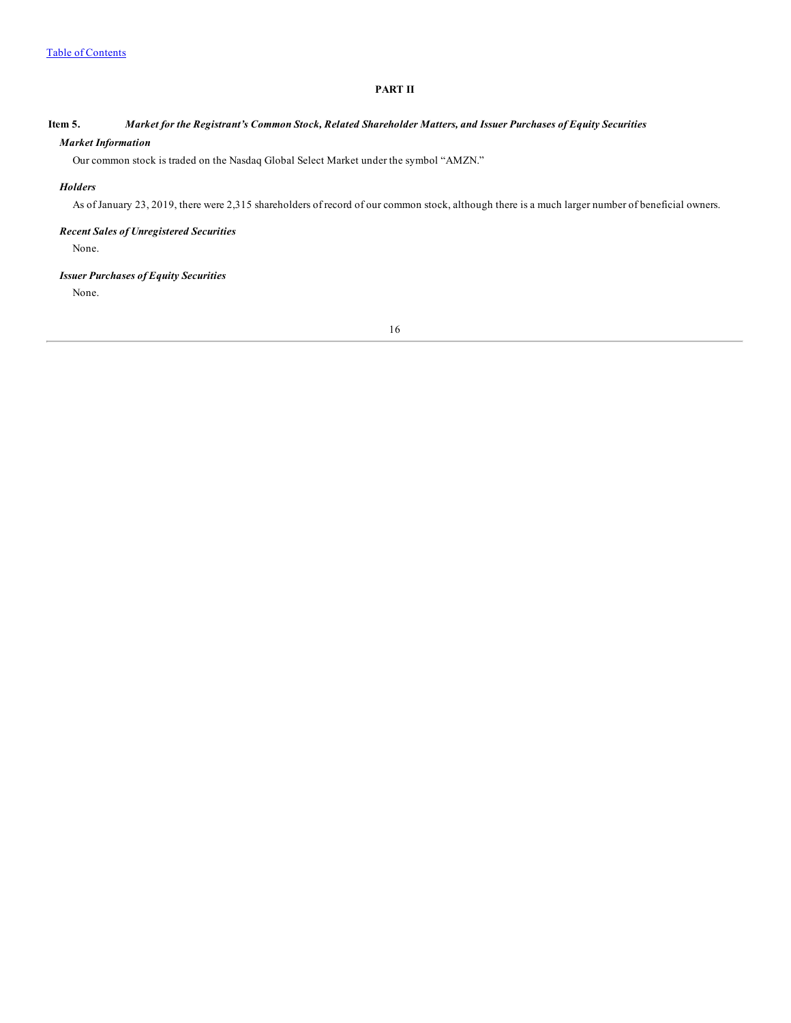# **PART II**

# <span id="page-15-0"></span>Item 5. Market for the Registrant's Common Stock, Related Shareholder Matters, and Issuer Purchases of Equity Securities

# *Market Information*

Our common stock is traded on the Nasdaq Global Select Market under the symbol "AMZN."

# *Holders*

As of January 23, 2019, there were 2,315 shareholders of record of our common stock, although there is a much larger number of beneficial owners.

# *Recent Sales of Unregistered Securities*

None.

# *Issuer Purchases of Equity Securities*

None.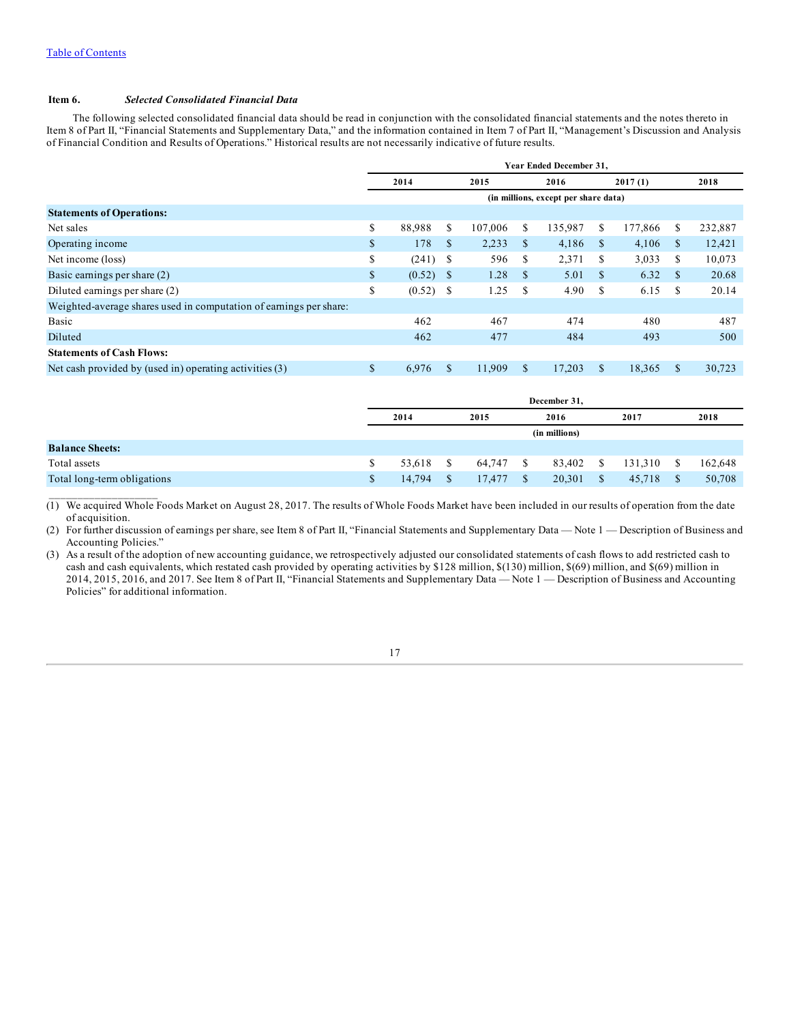# <span id="page-16-0"></span>**Item 6.** *Selected Consolidated Financial Data*

The following selected consolidated financial data should be read in conjunction with the consolidated financial statements and the notes thereto in Item 8 of Part II, "Financial Statements and Supplementary Data," and the information contained in Item 7 of Part II, "Management's Discussion and Analysis of Financial Condition and Results of Operations." Historical results are not necessarily indicative of future results.

|                                                                    | Year Ended December 31, |             |               |         |               |                                      |               |         |               |         |
|--------------------------------------------------------------------|-------------------------|-------------|---------------|---------|---------------|--------------------------------------|---------------|---------|---------------|---------|
|                                                                    |                         | 2014        |               | 2015    |               | 2016                                 |               | 2017(1) |               | 2018    |
|                                                                    |                         |             |               |         |               | (in millions, except per share data) |               |         |               |         |
| <b>Statements of Operations:</b>                                   |                         |             |               |         |               |                                      |               |         |               |         |
| Net sales                                                          | \$                      | 88,988      | S             | 107,006 | \$            | 135,987                              | S             | 177,866 | S             | 232,887 |
| Operating income                                                   | $\mathbb{S}$            | 178         | <sup>\$</sup> | 2,233   | <sup>\$</sup> | 4,186                                | <sup>\$</sup> | 4,106   | <sup>\$</sup> | 12,421  |
| Net income (loss)                                                  | S                       | (241)       | S             | 596     | S             | 2,371                                | S             | 3,033   | \$            | 10,073  |
| Basic earnings per share (2)                                       | \$                      | $(0.52)$ \$ |               | 1.28    | <sup>\$</sup> | 5.01                                 | \$            | 6.32    | <sup>\$</sup> | 20.68   |
| Diluted earnings per share (2)                                     | \$                      | $(0.52)$ \$ |               | 1.25    | S             | 4.90                                 | S             | 6.15    | S             | 20.14   |
| Weighted-average shares used in computation of earnings per share: |                         |             |               |         |               |                                      |               |         |               |         |
| Basic                                                              |                         | 462         |               | 467     |               | 474                                  |               | 480     |               | 487     |
| Diluted                                                            |                         | 462         |               | 477     |               | 484                                  |               | 493     |               | 500     |
| <b>Statements of Cash Flows:</b>                                   |                         |             |               |         |               |                                      |               |         |               |         |
| Net cash provided by (used in) operating activities (3)            | $\mathbb{S}$            | 6,976       | \$            | 11,909  | <sup>\$</sup> | 17,203                               | $\mathbb{S}$  | 18,365  | <sup>\$</sup> | 30,723  |

|                             | December 31,  |        |               |        |    |        |    |         |      |         |
|-----------------------------|---------------|--------|---------------|--------|----|--------|----|---------|------|---------|
|                             |               | 2014   |               | 2015   |    | 2016   |    | 2017    |      | 2018    |
|                             | (in millions) |        |               |        |    |        |    |         |      |         |
| <b>Balance Sheets:</b>      |               |        |               |        |    |        |    |         |      |         |
| Total assets                |               | 53.618 | <sup>\$</sup> | 64.747 | -S | 83.402 | -S | 131.310 | - \$ | 162,648 |
| Total long-term obligations |               | 14.794 |               | 17,477 |    | 20,301 |    | 45,718  |      | 50,708  |

 $(1)$  We acquired Whole Foods Market on August 28, 2017. The results of Whole Foods Market have been included in our results of operation from the date of acquisition.

(2) For further discussion of earnings per share, see Item 8 of Part II, "Financial Statements and Supplementary Data — Note 1 — Description of Business and Accounting Policies."

(3) As a result of the adoption of new accounting guidance, we retrospectively adjusted our consolidated statements of cash flows to add restricted cash to cash and cash equivalents, which restated cash provided by operating activities by \$128 million, \$(130) million, \$(69) million, and \$(69) million in 2014, 2015, 2016, and 2017. See Item 8 of Part II, "Financial Statements and Supplementary Data — Note 1 — Description of Business and Accounting Policies" for additional information.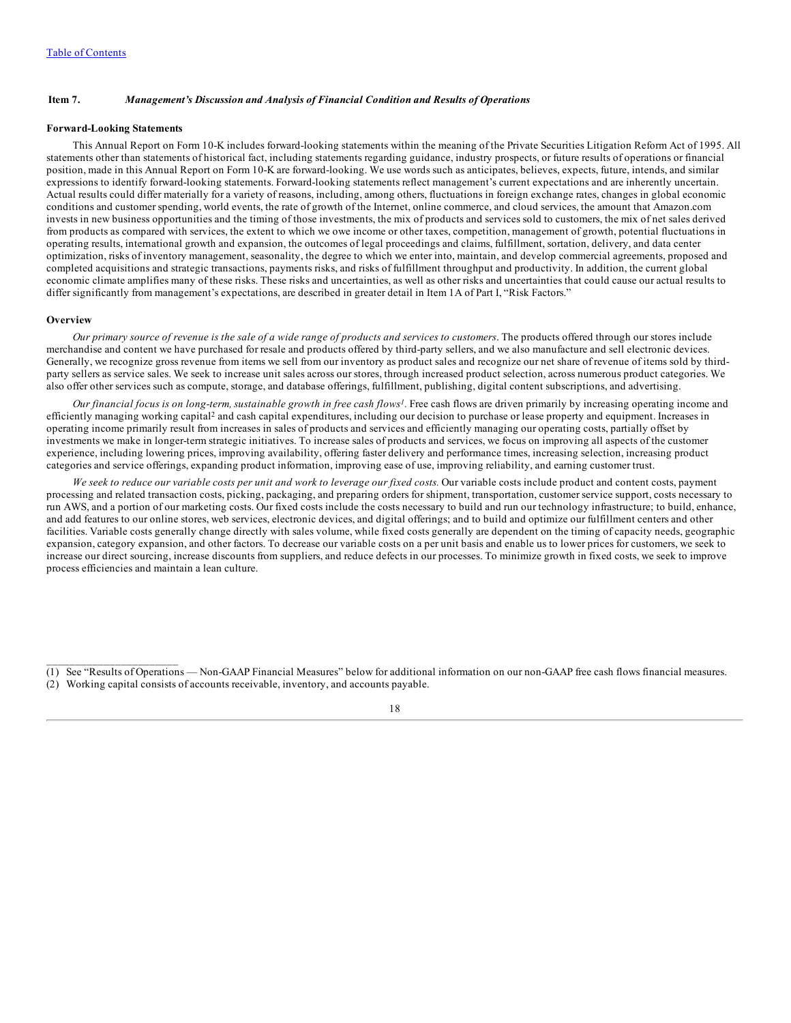### **Item 7.** *Management's Discussion and Analysis of Financial Condition and Results of Operations*

### **Forward-Looking Statements**

 $\mathcal{L}_\text{max}$  , where  $\mathcal{L}_\text{max}$  , we have the set of  $\mathcal{L}_\text{max}$ 

This Annual Report on Form 10-K includes forward-looking statements within the meaning of the Private Securities Litigation Reform Act of 1995. All statements other than statements of historical fact, including statements regarding guidance, industry prospects, or future results of operations or financial position, made in this Annual Report on Form 10-K are forward-looking. We use words such as anticipates, believes, expects, future, intends, and similar expressions to identify forward-looking statements. Forward-looking statements reflect management's current expectations and are inherently uncertain. Actual results could differ materially for a variety of reasons, including, among others, fluctuations in foreign exchange rates, changes in global economic conditions and customer spending, world events, the rate of growth of the Internet, online commerce, and cloud services, the amount that Amazon.com invests in new business opportunities and the timing of those investments, the mix of products and services sold to customers, the mix of net sales derived from products as compared with services, the extent to which we owe income or other taxes, competition, management of growth, potential fluctuations in operating results, international growth and expansion, the outcomes of legal proceedings and claims, fulfillment, sortation, delivery, and data center optimization, risks of inventory management, seasonality, the degree to which we enter into, maintain, and develop commercial agreements, proposed and completed acquisitions and strategic transactions, payments risks, and risks of fulfillment throughput and productivity. In addition, the current global economic climate amplifies many of these risks. These risks and uncertainties, as well as other risks and uncertainties that could cause our actual results to differ significantly from management's expectations, are described in greater detail in Item 1A of Part I, "Risk Factors."

## **Overview**

Our primary source of revenue is the sale of a wide range of products and services to customers. The products offered through our stores include merchandise and content we have purchased for resale and products offered by third-party sellers, and we also manufacture and sell electronic devices. Generally, we recognize gross revenue from items we sell from our inventory as product sales and recognize our net share of revenue of items sold by thirdparty sellers as service sales. We seek to increase unit sales across our stores, through increased product selection, across numerous product categories. We also offer other services such as compute, storage, and database offerings, fulfillment, publishing, digital content subscriptions, and advertising.

Our financial focus is on long-term, sustainable growth in free cash flows<sup>1</sup>. Free cash flows are driven primarily by increasing operating income and efficiently managing working capital<sup>2</sup> and cash capital expenditures, including our decision to purchase or lease property and equipment. Increases in operating income primarily result from increases in sales of products and services and efficiently managing our operating costs, partially offset by investments we make in longer-term strategic initiatives. To increase sales of products and services, we focus on improving all aspects of the customer experience, including lowering prices, improving availability, offering faster delivery and performance times, increasing selection, increasing product categories and service offerings, expanding product information, improving ease of use, improving reliability, and earning customer trust.

We seek to reduce our variable costs per unit and work to leverage our fixed costs. Our variable costs include product and content costs, payment processing and related transaction costs, picking, packaging, and preparing orders for shipment, transportation, customer service support, costs necessary to run AWS, and a portion of our marketing costs. Our fixed costs include the costs necessary to build and run our technology infrastructure; to build, enhance, and add features to our online stores, web services, electronic devices, and digital offerings; and to build and optimize our fulfillment centers and other facilities. Variable costs generally change directly with sales volume, while fixed costs generally are dependent on the timing of capacity needs, geographic expansion, category expansion, and other factors. To decrease our variable costs on a per unit basis and enable us to lower prices for customers, we seek to increase our direct sourcing, increase discounts from suppliers, and reduce defects in our processes. To minimize growth in fixed costs, we seek to improve process efficiencies and maintain a lean culture.

<sup>(1)</sup> See "Results of Operations — Non-GAAP Financial Measures" below for additional information on our non-GAAP free cash flows financial measures. (2) Working capital consists of accounts receivable, inventory, and accounts payable.

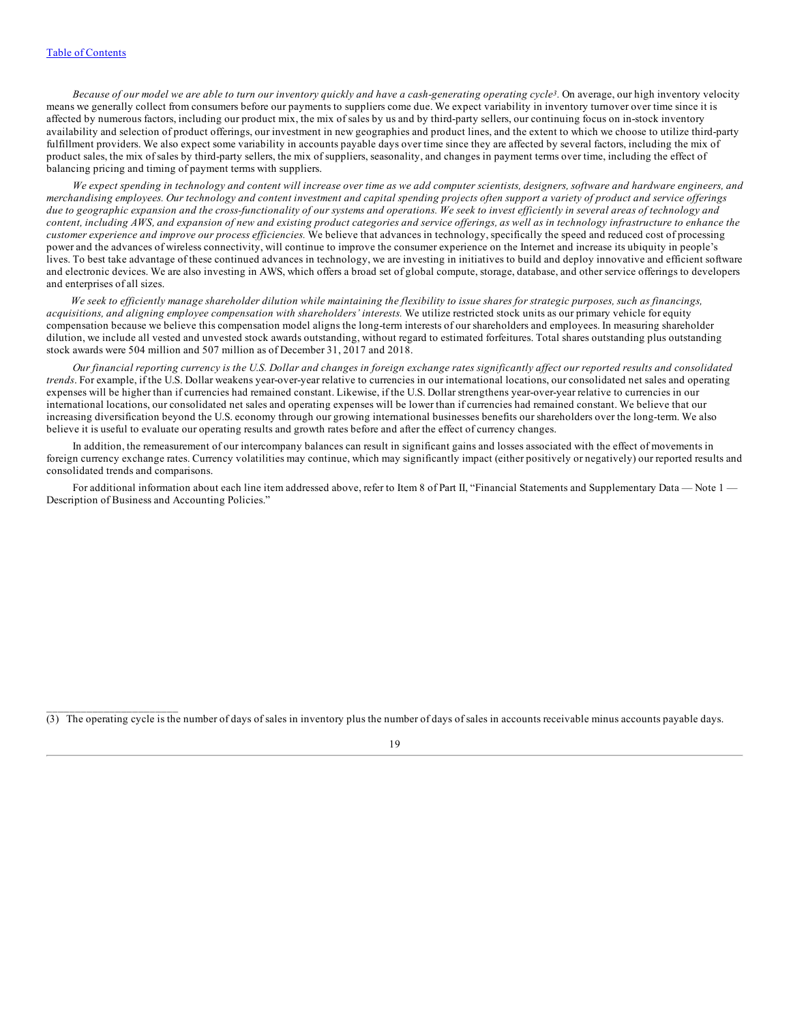Because of our model we are able to turn our inventory quickly and have a cash-generating operating cycle<sup>3</sup>. On average, our high inventory velocity means we generally collect from consumers before our payments to suppliers come due. We expect variability in inventory turnover over time since it is affected by numerous factors, including our product mix, the mix of sales by us and by third-party sellers, our continuing focus on in-stock inventory availability and selection of product offerings, our investment in new geographies and product lines, and the extent to which we choose to utilize third-party fulfillment providers. We also expect some variability in accounts payable days over time since they are affected by several factors, including the mix of product sales, the mix of sales by third-party sellers, the mix of suppliers, seasonality, and changes in payment terms over time, including the effect of balancing pricing and timing of payment terms with suppliers.

We expect spending in technology and content will increase over time as we add computer scientists, designers, software and hardware engineers, and merchandising employees. Our technology and content investment and capital spending projects often support a variety of product and service offerings due to geographic expansion and the cross-functionality of our systems and operations. We seek to invest efficiently in several areas of technology and content, including AWS, and expansion of new and existing product categories and service offerings, as well as in technology infrastructure to enhance the *customer experience and improve our process ef iciencies.* We believe that advances in technology, specifically the speed and reduced cost of processing power and the advances of wireless connectivity, will continue to improve the consumer experience on the Internet and increase its ubiquity in people's lives. To best take advantage of these continued advances in technology, we are investing in initiatives to build and deploy innovative and efficient software and electronic devices. We are also investing in AWS, which offers a broad set of global compute, storage, database, and other service offerings to developers and enterprises of all sizes.

We seek to efficiently manage shareholder dilution while maintaining the flexibility to issue shares for strategic purposes, such as financings, *acquisitions, and aligning employee compensation with shareholders' interests.* We utilize restricted stock units as our primary vehicle for equity compensation because we believe this compensation model aligns the long-term interests of our shareholders and employees. In measuring shareholder dilution, we include all vested and unvested stock awards outstanding, without regard to estimated forfeitures. Total shares outstanding plus outstanding stock awards were 504 million and 507 million as of December 31, 2017 and 2018.

Our financial reporting currency is the U.S. Dollar and changes in foreign exchange rates significantly affect our reported results and consolidated *trends*. For example, if the U.S. Dollar weakens year-over-year relative to currencies in our international locations, our consolidated net sales and operating expenses will be higher than if currencies had remained constant. Likewise, if the U.S. Dollar strengthens year-over-year relative to currencies in our international locations, our consolidated net sales and operating expenses will be lower than if currencies had remained constant. We believe that our increasing diversification beyond the U.S. economy through our growing international businesses benefits our shareholders over the long-term. We also believe it is useful to evaluate our operating results and growth rates before and after the effect of currency changes.

In addition, the remeasurement of our intercompany balances can result in significant gains and losses associated with the effect of movements in foreign currency exchange rates. Currency volatilities may continue, which may significantly impact (either positively or negatively) our reported results and consolidated trends and comparisons.

For additional information about each line item addressed above, refer to Item 8 of Part II, "Financial Statements and Supplementary Data - Note 1 -Description of Business and Accounting Policies."

(3) The operating cycle is the number of days of sales in inventory plus the number of days of sales in accounts receivable minus accounts payable days.

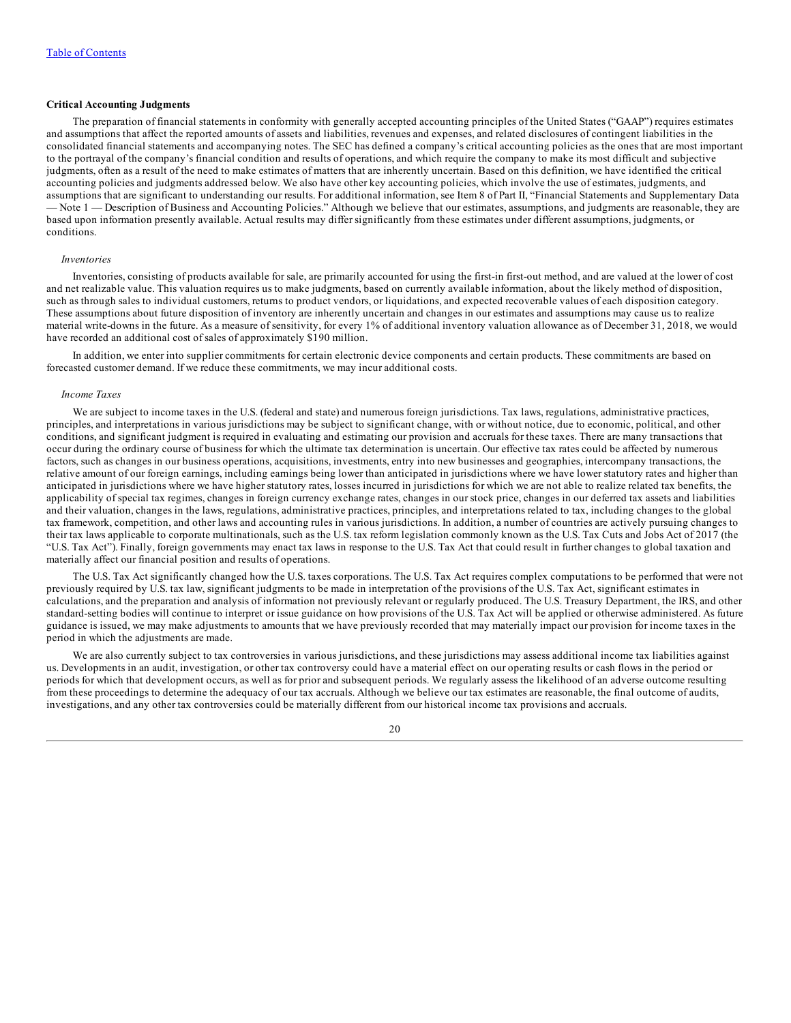### **Critical Accounting Judgments**

The preparation of financial statements in conformity with generally accepted accounting principles of the United States ("GAAP") requires estimates and assumptions that affect the reported amounts of assets and liabilities, revenues and expenses, and related disclosures of contingent liabilities in the consolidated financial statements and accompanying notes. The SEC has defined a company's critical accounting policies as the ones that are most important to the portrayal of the company's financial condition and results of operations, and which require the company to make its most difficult and subjective judgments, often as a result of the need to make estimates of matters that are inherently uncertain. Based on this definition, we have identified the critical accounting policies and judgments addressed below. We also have other key accounting policies, which involve the use of estimates, judgments, and assumptions that are significant to understanding our results. For additional information, see Item 8 of Part II, "Financial Statements and Supplementary Data Note 1 — Description of Business and Accounting Policies." Although we believe that our estimates, assumptions, and judgments are reasonable, they are based upon information presently available. Actual results may differ significantly from these estimates under different assumptions, judgments, or conditions.

## *Inventories*

Inventories, consisting of products available for sale, are primarily accounted for using the first-in first-out method, and are valued at the lower of cost and net realizable value. This valuation requires us to make judgments, based on currently available information, about the likely method of disposition, such as through sales to individual customers, returns to product vendors, or liquidations, and expected recoverable values of each disposition category. These assumptions about future disposition of inventory are inherently uncertain and changes in our estimates and assumptions may cause us to realize material write-downs in the future. As a measure of sensitivity, for every 1% of additional inventory valuation allowance as of December 31, 2018, we would have recorded an additional cost of sales of approximately \$190 million.

In addition, we enter into supplier commitments for certain electronic device components and certain products. These commitments are based on forecasted customer demand. If we reduce these commitments, we may incur additional costs.

### *Income Taxes*

We are subject to income taxes in the U.S. (federal and state) and numerous foreign jurisdictions. Tax laws, regulations, administrative practices, principles, and interpretations in various jurisdictions may be subject to significant change, with or without notice, due to economic, political, and other conditions, and significant judgment is required in evaluating and estimating our provision and accruals for these taxes. There are many transactions that occur during the ordinary course of business for which the ultimate tax determination is uncertain. Our effective tax rates could be affected by numerous factors, such as changes in our business operations, acquisitions, investments, entry into new businesses and geographies, intercompany transactions, the relative amount of our foreign earnings, including earnings being lower than anticipated in jurisdictions where we have lower statutory rates and higher than anticipated in jurisdictions where we have higher statutory rates, losses incurred in jurisdictions for which we are not able to realize related tax benefits, the applicability of special tax regimes, changes in foreign currency exchange rates, changes in our stock price, changes in our deferred tax assets and liabilities and their valuation, changes in the laws, regulations, administrative practices, principles, and interpretations related to tax, including changes to the global tax framework, competition, and other laws and accounting rules in various jurisdictions. In addition, a number of countries are actively pursuing changes to their tax laws applicable to corporate multinationals, such as the U.S. tax reform legislation commonly known as the U.S. Tax Cuts and Jobs Act of 2017 (the "U.S. Tax Act"). Finally, foreign governments may enact tax laws in response to the U.S. Tax Act that could result in further changes to global taxation and materially affect our financial position and results of operations.

The U.S. Tax Act significantly changed how the U.S. taxes corporations. The U.S. Tax Act requires complex computations to be performed that were not previously required by U.S. tax law, significant judgments to be made in interpretation of the provisions of the U.S. Tax Act, significant estimates in calculations, and the preparation and analysis of information not previously relevant or regularly produced. The U.S. Treasury Department, the IRS, and other standard-setting bodies will continue to interpret or issue guidance on how provisions of the U.S. Tax Act will be applied or otherwise administered. As future guidance is issued, we may make adjustments to amounts that we have previously recorded that may materially impact our provision for income taxes in the period in which the adjustments are made.

We are also currently subject to tax controversies in various jurisdictions, and these jurisdictions may assess additional income tax liabilities against us. Developments in an audit, investigation, or other tax controversy could have a material effect on our operating results or cash flows in the period or periods for which that development occurs, as well as for prior and subsequent periods. We regularly assess the likelihood of an adverse outcome resulting from these proceedings to determine the adequacy of our tax accruals. Although we believe our tax estimates are reasonable, the final outcome of audits, investigations, and any other tax controversies could be materially different from our historical income tax provisions and accruals.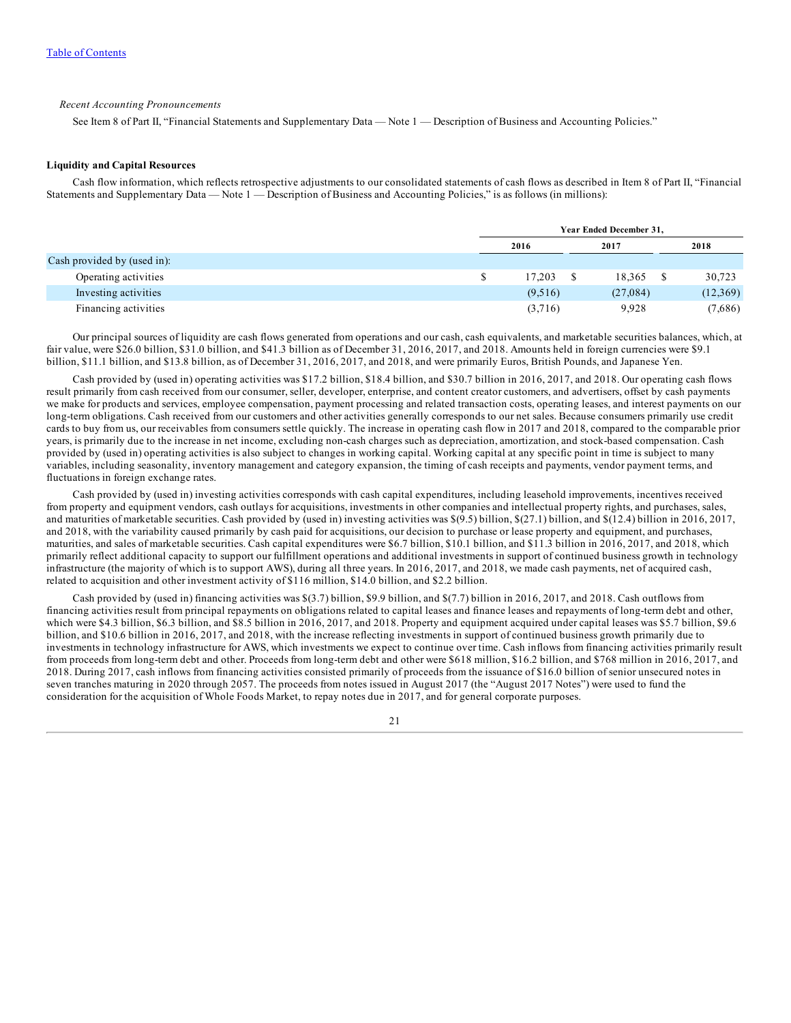### *Recent Accounting Pronouncements*

See Item 8 of Part II, "Financial Statements and Supplementary Data — Note 1 — Description of Business and Accounting Policies."

### **Liquidity and Capital Resources**

Cash flow information, which reflects retrospective adjustments to our consolidated statements of cash flows as described in Item 8 of Part II, "Financial Statements and Supplementary Data — Note 1 — Description of Business and Accounting Policies," is as follows (in millions):

|                             | <b>Year Ended December 31.</b> |  |          |  |          |  |  |  |  |
|-----------------------------|--------------------------------|--|----------|--|----------|--|--|--|--|
|                             | 2016                           |  | 2017     |  | 2018     |  |  |  |  |
| Cash provided by (used in): |                                |  |          |  |          |  |  |  |  |
| Operating activities        | 17,203                         |  | 18,365   |  | 30,723   |  |  |  |  |
| Investing activities        | (9,516)                        |  | (27,084) |  | (12,369) |  |  |  |  |
| Financing activities        | (3,716)                        |  | 9,928    |  | (7,686)  |  |  |  |  |

Our principal sources of liquidity are cash flows generated from operations and our cash, cash equivalents, and marketable securities balances, which, at fair value, were \$26.0 billion, \$31.0 billion, and \$41.3 billion as of December 31, 2016, 2017, and 2018. Amounts held in foreign currencies were \$9.1 billion, \$11.1 billion, and \$13.8 billion, as of December 31, 2016, 2017, and 2018, and were primarily Euros, British Pounds, and Japanese Yen.

Cash provided by (used in) operating activities was \$17.2 billion, \$18.4 billion, and \$30.7 billion in 2016, 2017, and 2018. Our operating cash flows result primarily from cash received from our consumer, seller, developer, enterprise, and content creator customers, and advertisers, offset by cash payments we make for products and services, employee compensation, payment processing and related transaction costs, operating leases, and interest payments on our long-term obligations. Cash received from our customers and other activities generally corresponds to our net sales. Because consumers primarily use credit cards to buy from us, our receivables from consumers settle quickly. The increase in operating cash flow in 2017 and 2018, compared to the comparable prior years, is primarily due to the increase in net income, excluding non-cash charges such as depreciation, amortization, and stock-based compensation. Cash provided by (used in) operating activities is also subject to changes in working capital. Working capital at any specific point in time is subject to many variables, including seasonality, inventory management and category expansion, the timing of cash receipts and payments, vendor payment terms, and fluctuations in foreign exchange rates.

Cash provided by (used in) investing activities corresponds with cash capital expenditures, including leasehold improvements, incentives received from property and equipment vendors, cash outlays for acquisitions, investments in other companies and intellectual property rights, and purchases, sales, and maturities of marketable securities. Cash provided by (used in) investing activities was  $\mathcal{S}(9.5)$  billion,  $\mathcal{S}(27.1)$  billion, and  $\mathcal{S}(12.4)$  billion in 2016, 2017, and 2018, with the variability caused primarily by cash paid for acquisitions, our decision to purchase or lease property and equipment, and purchases, maturities, and sales of marketable securities. Cash capital expenditures were \$6.7 billion, \$10.1 billion, and \$11.3 billion in 2016, 2017, and 2018, which primarily reflect additional capacity to support our fulfillment operations and additional investments in support of continued business growth in technology infrastructure (the majority of which is to support AWS), during all three years. In 2016, 2017, and 2018, we made cash payments, net of acquired cash, related to acquisition and other investment activity of \$116 million, \$14.0 billion, and \$2.2 billion.

Cash provided by (used in) financing activities was \$(3.7) billion, \$9.9 billion, and \$(7.7) billion in 2016, 2017, and 2018. Cash outflows from financing activities result from principal repayments on obligations related to capital leases and finance leases and repayments of long-term debt and other, which were \$4.3 billion, \$6.3 billion, and \$8.5 billion in 2016, 2017, and 2018. Property and equipment acquired under capital leases was \$5.7 billion, \$9.6 billion, and \$10.6 billion in 2016, 2017, and 2018, with the increase reflecting investments in support of continued business growth primarily due to investments in technology infrastructure for AWS, which investments we expect to continue over time. Cash inflows from financing activities primarily result from proceeds from long-term debt and other. Proceeds from long-term debt and other were \$618 million, \$16.2 billion, and \$768 million in 2016, 2017, and 2018. During 2017, cash inflows from financing activities consisted primarily of proceeds from the issuance of \$16.0 billion of senior unsecured notes in seven tranches maturing in 2020 through 2057. The proceeds from notes issued in August 2017 (the "August 2017 Notes") were used to fund the consideration for the acquisition of Whole Foods Market, to repay notes due in 2017, and for general corporate purposes.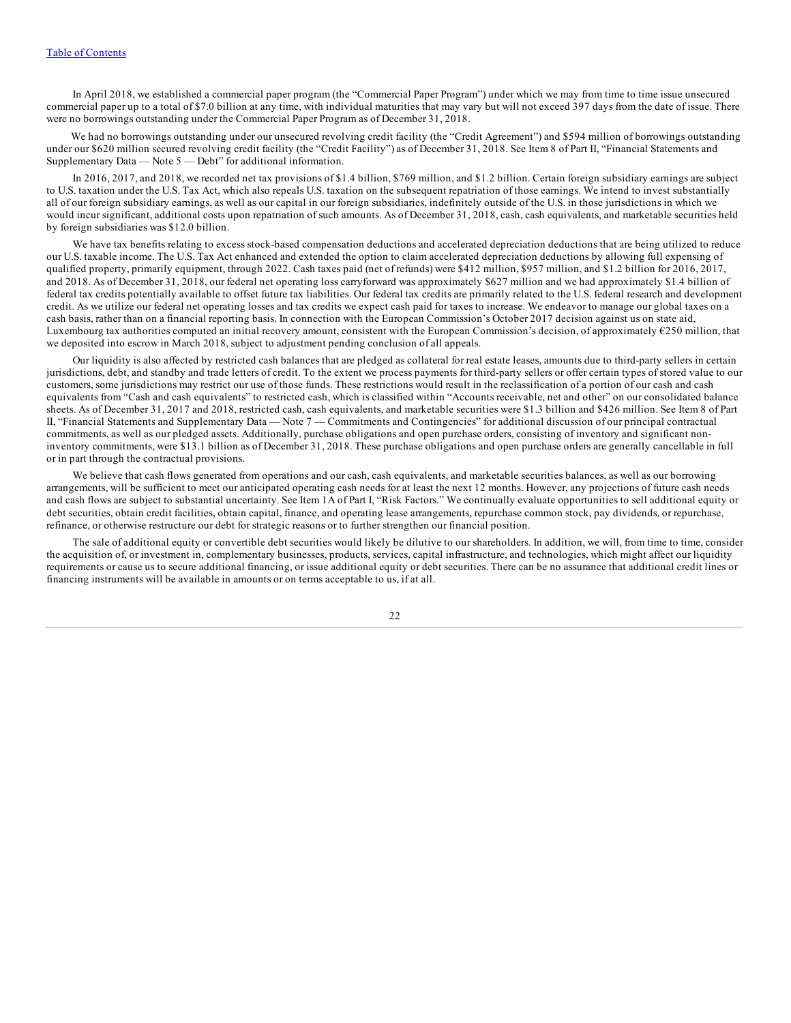In April 2018, we established a commercial paper program (the "Commercial Paper Program") under which we may from time to time issue unsecured commercial paper up to a total of \$7.0 billion at any time, with individual maturities that may vary but will not exceed 397 days from the date of issue. There were no borrowings outstanding under the Commercial Paper Program as of December 31, 2018.

We had no borrowings outstanding under our unsecured revolving credit facility (the "Credit Agreement") and \$594 million of borrowings outstanding under our \$620 million secured revolving credit facility (the "Credit Facility") as of December 31, 2018. See Item 8 of Part II, "Financial Statements and Supplementary Data — Note 5 — Debt" for additional information.

In 2016, 2017, and 2018, we recorded net tax provisions of \$1.4 billion, \$769 million, and \$1.2 billion. Certain foreign subsidiary earnings are subject to U.S. taxation under the U.S. Tax Act, which also repeals U.S. taxation on the subsequent repatriation of those earnings. We intend to invest substantially all of our foreign subsidiary earnings, as well as our capital in our foreign subsidiaries, indefinitely outside of the U.S. in those jurisdictions in which we would incur significant, additional costs upon repatriation of such amounts. As of December 31, 2018, cash, cash equivalents, and marketable securities held by foreign subsidiaries was \$12.0 billion.

We have tax benefits relating to excess stock-based compensation deductions and accelerated depreciation deductions that are being utilized to reduce our U.S. taxable income. The U.S. Tax Act enhanced and extended the option to claim accelerated depreciation deductions by allowing full expensing of qualified property, primarily equipment, through 2022. Cash taxes paid (net of refunds) were \$412 million, \$957 million, and \$1.2 billion for 2016, 2017, and 2018. As of December 31, 2018, our federal net operating loss carryforward was approximately \$627 million and we had approximately \$1.4 billion of federal tax credits potentially available to offset future tax liabilities. Our federal tax credits are primarily related to the U.S. federal research and development credit. As we utilize our federal net operating losses and tax credits we expect cash paid for taxes to increase. We endeavor to manage our global taxes on a cash basis, rather than on a financial reporting basis. In connection with the European Commission's October 2017 decision against us on state aid, Luxembourg tax authorities computed an initial recovery amount, consistent with the European Commission's decision, of approximately €250 million, that we deposited into escrow in March 2018, subject to adjustment pending conclusion of all appeals.

Our liquidity is also affected by restricted cash balances that are pledged as collateral for real estate leases, amounts due to third-party sellers in certain jurisdictions, debt, and standby and trade letters of credit. To the extent we process payments for third-party sellers or offer certain types of stored value to our customers, some jurisdictions may restrict our use of those funds. These restrictions would result in the reclassification of a portion of our cash and cash equivalents from "Cash and cash equivalents" to restricted cash, which is classified within "Accounts receivable, net and other" on our consolidated balance sheets. As of December 31, 2017 and 2018, restricted cash, cash equivalents, and marketable securities were \$1.3 billion and \$426 million. See Item 8 of Part II, "Financial Statements and Supplementary Data — Note 7 — Commitments and Contingencies" for additional discussion of our principal contractual commitments, as well as our pledged assets. Additionally, purchase obligations and open purchase orders, consisting of inventory and significant noninventory commitments, were \$13.1 billion as of December 31, 2018. These purchase obligations and open purchase orders are generally cancellable in full or in part through the contractual provisions.

We believe that cash flows generated from operations and our cash, cash equivalents, and marketable securities balances, as well as our borrowing arrangements, will be sufficient to meet our anticipated operating cash needs for at least the next 12 months. However, any projections of future cash needs and cash flows are subject to substantial uncertainty. See Item 1A of Part I, "Risk Factors." We continually evaluate opportunities to sell additional equity or debt securities, obtain credit facilities, obtain capital, finance, and operating lease arrangements, repurchase common stock, pay dividends, or repurchase, refinance, or otherwise restructure our debt for strategic reasons or to further strengthen our financial position.

The sale of additional equity or convertible debt securities would likely be dilutive to our shareholders. In addition, we will, from time to time, consider the acquisition of, or investment in, complementary businesses, products, services, capital infrastructure, and technologies, which might affect our liquidity requirements or cause us to secure additional financing, or issue additional equity or debt securities. There can be no assurance that additional credit lines or financing instruments will be available in amounts or on terms acceptable to us, if at all.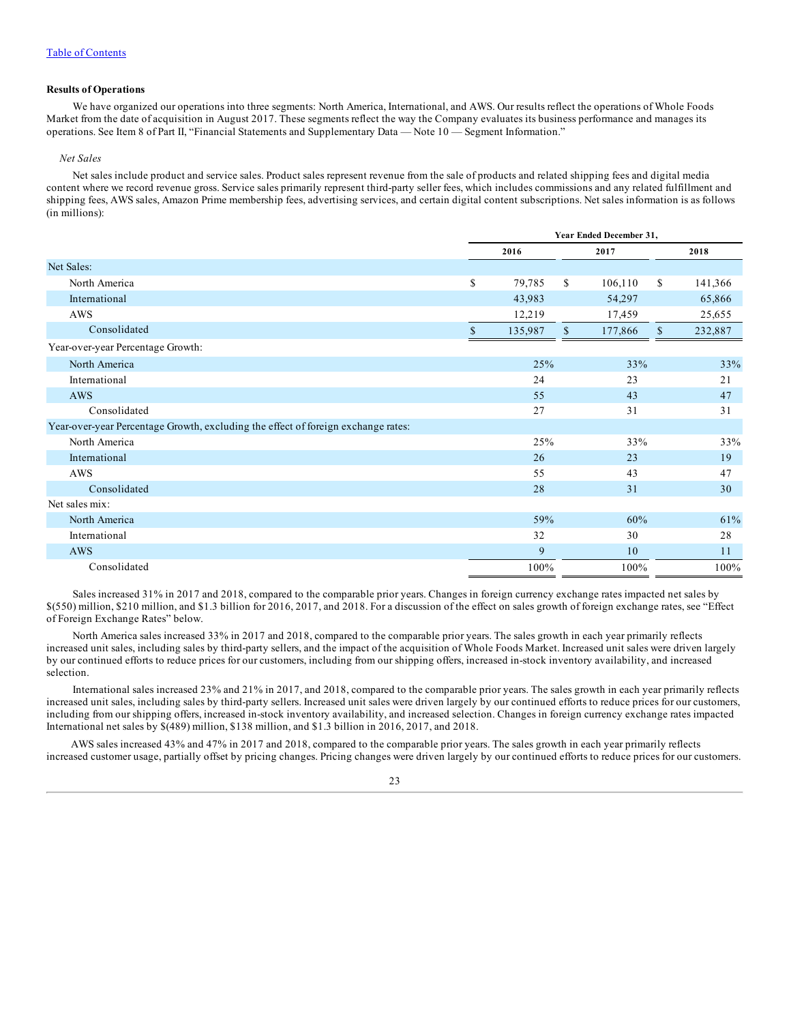# **Results of Operations**

We have organized our operations into three segments: North America, International, and AWS. Our results reflect the operations of Whole Foods Market from the date of acquisition in August 2017. These segments reflect the way the Company evaluates its business performance and manages its operations. See Item 8 of Part II, "Financial Statements and Supplementary Data — Note 10 — Segment Information."

### *Net Sales*

Net sales include product and service sales. Product sales represent revenue from the sale of products and related shipping fees and digital media content where we record revenue gross. Service sales primarily represent third-party seller fees, which includes commissions and any related fulfillment and shipping fees, AWS sales, Amazon Prime membership fees, advertising services, and certain digital content subscriptions. Net sales information is as follows (in millions):

|                                                                                   | Year Ended December 31, |         |              |         |              |         |  |
|-----------------------------------------------------------------------------------|-------------------------|---------|--------------|---------|--------------|---------|--|
|                                                                                   |                         | 2016    |              | 2017    |              | 2018    |  |
| Net Sales:                                                                        |                         |         |              |         |              |         |  |
| North America                                                                     | \$                      | 79,785  | \$           | 106,110 | \$           | 141,366 |  |
| International                                                                     |                         | 43,983  |              | 54,297  |              | 65,866  |  |
| AWS                                                                               |                         | 12,219  |              | 17,459  |              | 25,655  |  |
| Consolidated                                                                      | $\mathbb{S}$            | 135,987 | $\mathbb{S}$ | 177,866 | $\mathbb{S}$ | 232,887 |  |
| Year-over-year Percentage Growth:                                                 |                         |         |              |         |              |         |  |
| North America                                                                     |                         | 25%     |              | 33%     |              | 33%     |  |
| International                                                                     |                         | 24      |              | 23      |              | 21      |  |
| <b>AWS</b>                                                                        |                         | 55      |              | 43      |              | 47      |  |
| Consolidated                                                                      |                         | 27      |              | 31      |              | 31      |  |
| Year-over-year Percentage Growth, excluding the effect of foreign exchange rates: |                         |         |              |         |              |         |  |
| North America                                                                     |                         | 25%     |              | 33%     |              | 33%     |  |
| International                                                                     |                         | 26      |              | 23      |              | 19      |  |
| AWS                                                                               |                         | 55      |              | 43      |              | 47      |  |
| Consolidated                                                                      |                         | 28      |              | 31      |              | 30      |  |
| Net sales mix:                                                                    |                         |         |              |         |              |         |  |
| North America                                                                     |                         | 59%     |              | 60%     |              | 61%     |  |
| International                                                                     |                         | 32      |              | 30      |              | 28      |  |
| <b>AWS</b>                                                                        |                         | 9       |              | 10      |              | 11      |  |
| Consolidated                                                                      |                         | 100%    |              | 100%    |              | 100%    |  |

Sales increased 31% in 2017 and 2018, compared to the comparable prior years. Changes in foreign currency exchange rates impacted net sales by \$(550) million, \$210 million, and \$1.3 billion for 2016, 2017, and 2018. For a discussion of the effect on sales growth of foreign exchange rates, see "Effect of Foreign Exchange Rates" below.

North America sales increased 33% in 2017 and 2018, compared to the comparable prior years. The sales growth in each year primarily reflects increased unit sales, including sales by third-party sellers, and the impact of the acquisition of Whole Foods Market. Increased unit sales were driven largely by our continued efforts to reduce prices for our customers, including from our shipping offers, increased in-stock inventory availability, and increased selection.

International sales increased 23% and 21% in 2017, and 2018, compared to the comparable prior years. The sales growth in each year primarily reflects increased unit sales, including sales by third-party sellers. Increased unit sales were driven largely by our continued efforts to reduce prices for our customers, including from our shipping offers, increased in-stock inventory availability, and increased selection. Changes in foreign currency exchange rates impacted International net sales by \$(489) million, \$138 million, and \$1.3 billion in 2016, 2017, and 2018.

AWS sales increased 43% and 47% in 2017 and 2018, compared to the comparable prior years. The sales growth in each year primarily reflects increased customer usage, partially offset by pricing changes. Pricing changes were driven largely by our continued efforts to reduce prices for our customers.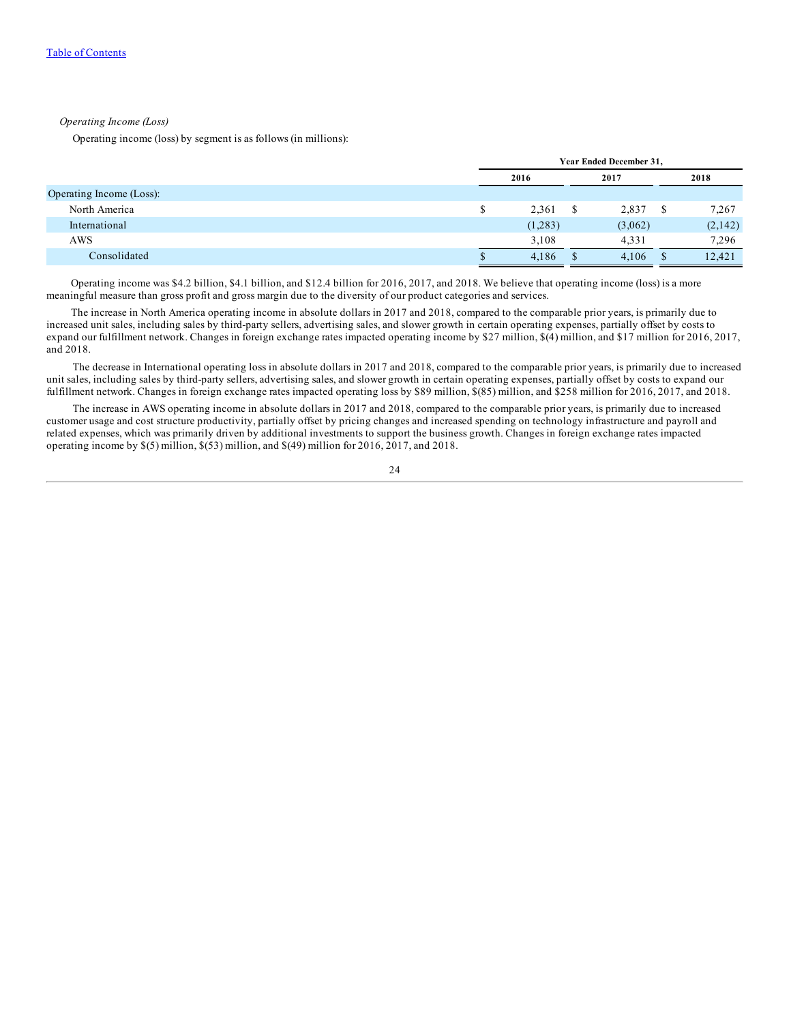# *Operating Income (Loss)*

Operating income (loss) by segment is as follows (in millions):

|                          | Year Ended December 31, |   |         |   |         |  |  |  |
|--------------------------|-------------------------|---|---------|---|---------|--|--|--|
|                          | 2016                    |   | 2017    |   | 2018    |  |  |  |
| Operating Income (Loss): |                         |   |         |   |         |  |  |  |
| North America            | 2,361                   | S | 2,837   | S | 7,267   |  |  |  |
| International            | (1,283)                 |   | (3,062) |   | (2,142) |  |  |  |
| AWS                      | 3,108                   |   | 4,331   |   | 7,296   |  |  |  |
| Consolidated             | 4,186                   |   | 4.106   |   | 12,421  |  |  |  |

Operating income was \$4.2 billion, \$4.1 billion, and \$12.4 billion for 2016, 2017, and 2018. We believe that operating income (loss) is a more meaningful measure than gross profit and gross margin due to the diversity of our product categories and services.

The increase in North America operating income in absolute dollars in 2017 and 2018, compared to the comparable prior years, is primarily due to increased unit sales, including sales by third-party sellers, advertising sales, and slower growth in certain operating expenses, partially offset by costs to expand our fulfillment network. Changes in foreign exchange rates impacted operating income by \$27 million, \$(4) million, and \$17 million for 2016, 2017, and 2018.

The decrease in International operating loss in absolute dollars in 2017 and 2018, compared to the comparable prior years, is primarily due to increased unit sales, including sales by third-party sellers, advertising sales, and slower growth in certain operating expenses, partially offset by costs to expand our fulfillment network. Changes in foreign exchange rates impacted operating loss by \$89 million, \$(85) million, and \$258 million for 2016, 2017, and 2018.

The increase in AWS operating income in absolute dollars in 2017 and 2018, compared to the comparable prior years, is primarily due to increased customer usage and cost structure productivity, partially offset by pricing changes and increased spending on technology infrastructure and payroll and related expenses, which was primarily driven by additional investments to support the business growth. Changes in foreign exchange rates impacted operating income by \$(5) million, \$(53) million, and \$(49) million for 2016, 2017, and 2018.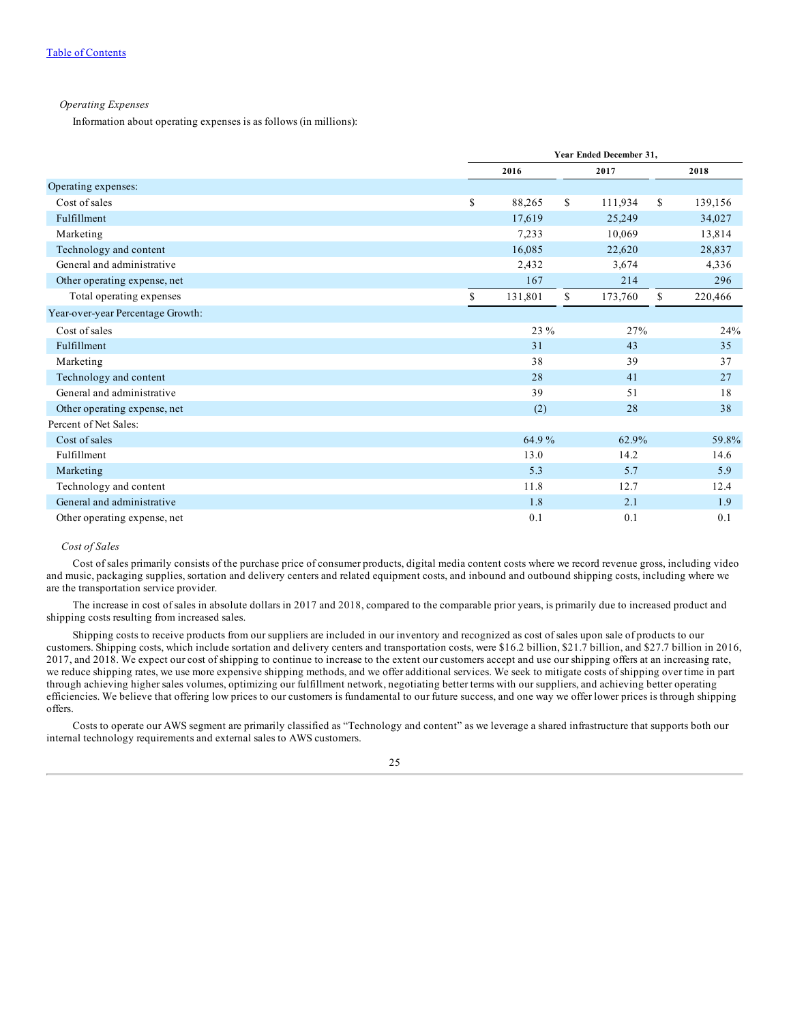# *Operating Expenses*

Information about operating expenses is as follows (in millions):

|                                   |     | Year Ended December 31, |    |         |    |         |  |  |
|-----------------------------------|-----|-------------------------|----|---------|----|---------|--|--|
|                                   |     | 2016                    |    | 2017    |    |         |  |  |
| Operating expenses:               |     |                         |    |         |    |         |  |  |
| Cost of sales                     | \$  | 88,265                  | \$ | 111,934 | \$ | 139,156 |  |  |
| Fulfillment                       |     | 17,619                  |    | 25,249  |    | 34,027  |  |  |
| Marketing                         |     | 7.233                   |    | 10,069  |    | 13,814  |  |  |
| Technology and content            |     | 16,085                  |    | 22,620  |    | 28,837  |  |  |
| General and administrative        |     | 2,432                   |    | 3,674   |    | 4,336   |  |  |
| Other operating expense, net      |     | 167                     |    | 214     |    | 296     |  |  |
| Total operating expenses          | \$. | 131,801                 | \$ | 173,760 | \$ | 220,466 |  |  |
| Year-over-year Percentage Growth: |     |                         |    |         |    |         |  |  |
| Cost of sales                     |     | 23 %                    |    | 27%     |    | 24%     |  |  |
| Fulfillment                       |     | 31                      |    | 43      |    | 35      |  |  |
| Marketing                         |     | 38                      |    | 39      |    | 37      |  |  |
| Technology and content            |     | 28                      |    | 41      |    | 27      |  |  |
| General and administrative        |     | 39                      |    | 51      |    | 18      |  |  |
| Other operating expense, net      |     | (2)                     |    | 28      |    | 38      |  |  |
| Percent of Net Sales:             |     |                         |    |         |    |         |  |  |
| Cost of sales                     |     | 64.9%                   |    | 62.9%   |    | 59.8%   |  |  |
| Fulfillment                       |     | 13.0                    |    | 14.2    |    | 14.6    |  |  |
| Marketing                         |     | 5.3                     |    | 5.7     |    | 5.9     |  |  |
| Technology and content            |     | 11.8                    |    | 12.7    |    | 12.4    |  |  |
| General and administrative        |     | 1.8                     |    | 2.1     |    | 1.9     |  |  |
| Other operating expense, net      |     | 0.1                     |    | 0.1     |    | 0.1     |  |  |

# *Cost of Sales*

Cost of sales primarily consists of the purchase price of consumer products, digital media content costs where we record revenue gross, including video and music, packaging supplies, sortation and delivery centers and related equipment costs, and inbound and outbound shipping costs, including where we are the transportation service provider.

The increase in cost of sales in absolute dollars in 2017 and 2018, compared to the comparable prior years, is primarily due to increased product and shipping costs resulting from increased sales.

Shipping costs to receive products from our suppliers are included in our inventory and recognized as cost of sales upon sale of products to our customers. Shipping costs, which include sortation and delivery centers and transportation costs, were \$16.2 billion, \$21.7 billion, and \$27.7 billion in 2016, 2017, and 2018. We expect our cost of shipping to continue to increase to the extent our customers accept and use our shipping offers at an increasing rate, we reduce shipping rates, we use more expensive shipping methods, and we offer additional services. We seek to mitigate costs of shipping over time in part through achieving higher sales volumes, optimizing our fulfillment network, negotiating better terms with our suppliers, and achieving better operating efficiencies. We believe that offering low prices to our customers is fundamental to our future success, and one way we offer lower prices is through shipping offers.

Costs to operate our AWS segment are primarily classified as "Technology and content" as we leverage a shared infrastructure that supports both our internal technology requirements and external sales to AWS customers.

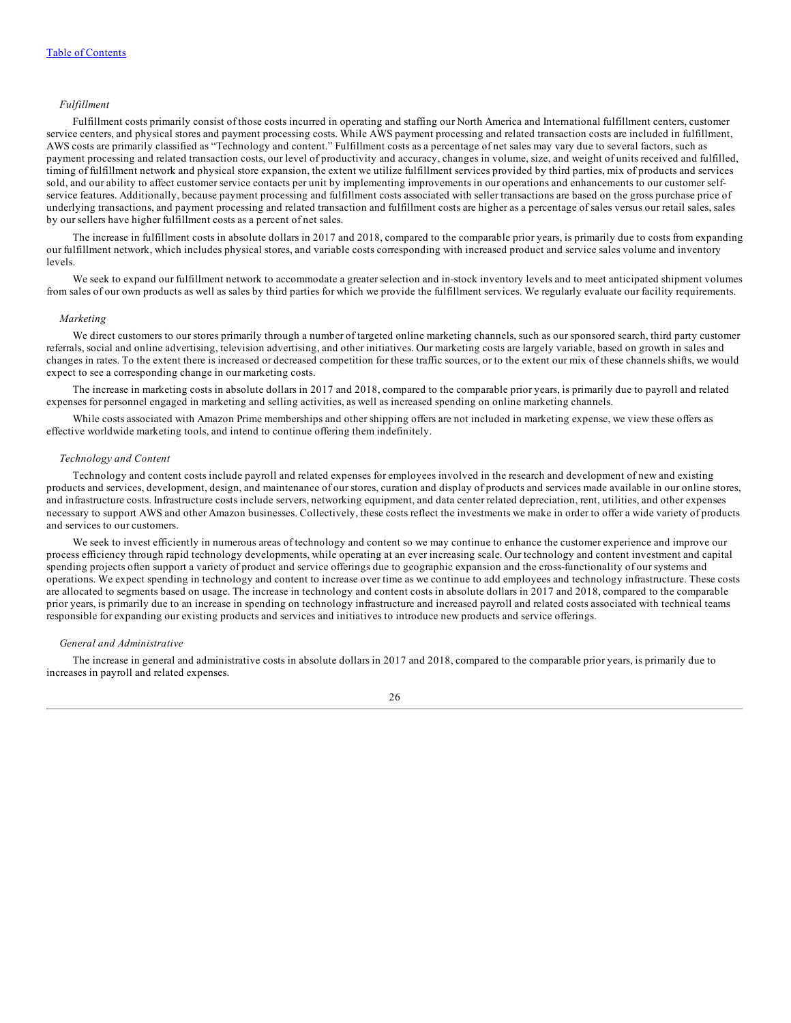# *Fulfillment*

Fulfillment costs primarily consist of those costs incurred in operating and staffing our North America and International fulfillment centers, customer service centers, and physical stores and payment processing costs. While AWS payment processing and related transaction costs are included in fulfillment, AWS costs are primarily classified as "Technology and content." Fulfillment costs as a percentage of net sales may vary due to several factors, such as payment processing and related transaction costs, our level of productivity and accuracy, changes in volume, size, and weight of units received and fulfilled, timing of fulfillment network and physical store expansion, the extent we utilize fulfillment services provided by third parties, mix of products and services sold, and our ability to affect customer service contacts per unit by implementing improvements in our operations and enhancements to our customer selfservice features. Additionally, because payment processing and fulfillment costs associated with seller transactions are based on the gross purchase price of underlying transactions, and payment processing and related transaction and fulfillment costs are higher as a percentage of sales versus our retail sales, sales by our sellers have higher fulfillment costs as a percent of net sales.

The increase in fulfillment costs in absolute dollars in 2017 and 2018, compared to the comparable prior years, is primarily due to costs from expanding our fulfillment network, which includes physical stores, and variable costs corresponding with increased product and service sales volume and inventory levels.

We seek to expand our fulfillment network to accommodate a greater selection and in-stock inventory levels and to meet anticipated shipment volumes from sales of our own products as well as sales by third parties for which we provide the fulfillment services. We regularly evaluate our facility requirements.

### *Marketing*

We direct customers to our stores primarily through a number of targeted online marketing channels, such as our sponsored search, third party customer referrals, social and online advertising, television advertising, and other initiatives. Our marketing costs are largely variable, based on growth in sales and changes in rates. To the extent there is increased or decreased competition for these traffic sources, or to the extent our mix of these channels shifts, we would expect to see a corresponding change in our marketing costs.

The increase in marketing costs in absolute dollars in 2017 and 2018, compared to the comparable prior years, is primarily due to payroll and related expenses for personnel engaged in marketing and selling activities, as well as increased spending on online marketing channels.

While costs associated with Amazon Prime memberships and other shipping offers are not included in marketing expense, we view these offers as effective worldwide marketing tools, and intend to continue offering them indefinitely.

### *Technology and Content*

Technology and content costs include payroll and related expenses for employees involved in the research and development of new and existing products and services, development, design, and maintenance of our stores, curation and display of products and services made available in our online stores, and infrastructure costs. Infrastructure costs include servers, networking equipment, and data center related depreciation, rent, utilities, and other expenses necessary to support AWS and other Amazon businesses. Collectively, these costs reflect the investments we make in order to offer a wide variety of products and services to our customers.

We seek to invest efficiently in numerous areas of technology and content so we may continue to enhance the customer experience and improve our process efficiency through rapid technology developments, while operating at an ever increasing scale. Our technology and content investment and capital spending projects often support a variety of product and service offerings due to geographic expansion and the cross-functionality of our systems and operations. We expect spending in technology and content to increase over time as we continue to add employees and technology infrastructure. These costs are allocated to segments based on usage. The increase in technology and content costs in absolute dollars in 2017 and 2018, compared to the comparable prior years, is primarily due to an increase in spending on technology infrastructure and increased payroll and related costs associated with technical teams responsible for expanding our existing products and services and initiatives to introduce new products and service offerings.

### *General and Administrative*

The increase in general and administrative costs in absolute dollars in 2017 and 2018, compared to the comparable prior years, is primarily due to increases in payroll and related expenses.

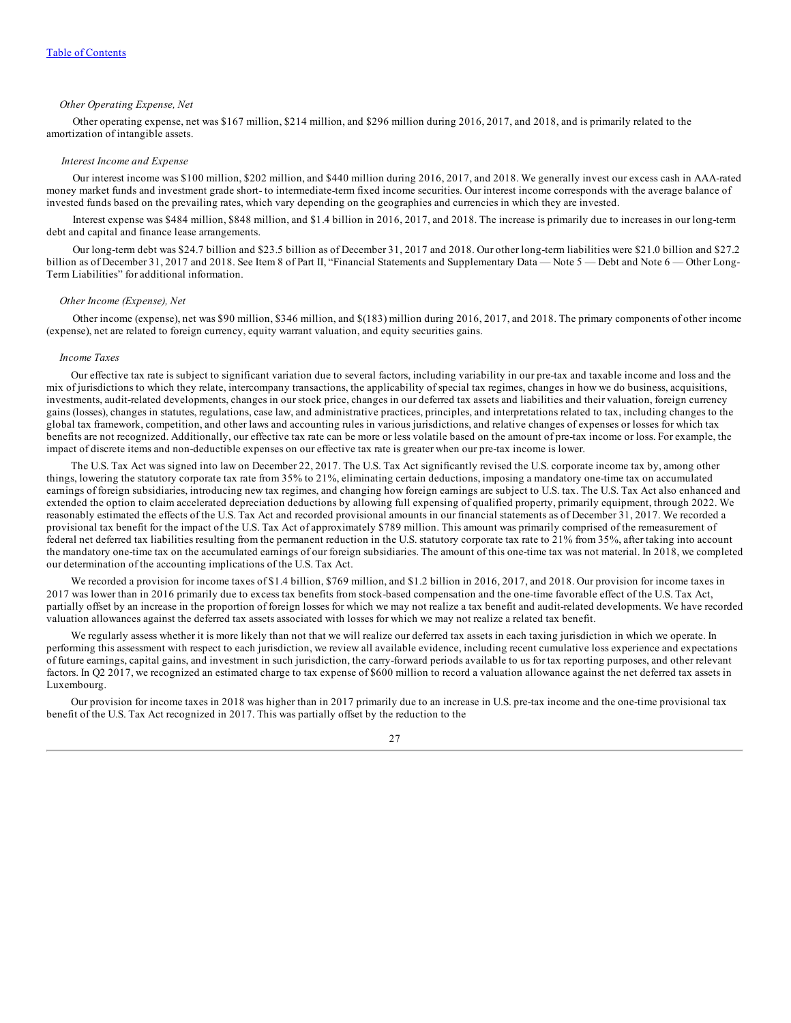## *Other Operating Expense, Net*

Other operating expense, net was \$167 million, \$214 million, and \$296 million during 2016, 2017, and 2018, and is primarily related to the amortization of intangible assets.

## *Interest Income and Expense*

Our interest income was \$100 million, \$202 million, and \$440 million during 2016, 2017, and 2018. We generally invest our excess cash in AAA-rated money market funds and investment grade short- to intermediate-term fixed income securities. Our interest income corresponds with the average balance of invested funds based on the prevailing rates, which vary depending on the geographies and currencies in which they are invested.

Interest expense was \$484 million, \$848 million, and \$1.4 billion in 2016, 2017, and 2018. The increase is primarily due to increases in our long-term debt and capital and finance lease arrangements.

Our long-term debt was \$24.7 billion and \$23.5 billion as of December 31, 2017 and 2018. Our other long-term liabilities were \$21.0 billion and \$27.2 billion as of December 31, 2017 and 2018. See Item 8 of Part II, "Financial Statements and Supplementary Data — Note 5 — Debt and Note 6 — Other Long-Term Liabilities" for additional information.

### *Other Income (Expense), Net*

Other income (expense), net was \$90 million, \$346 million, and \$(183) million during 2016, 2017, and 2018. The primary components of other income (expense), net are related to foreign currency, equity warrant valuation, and equity securities gains.

#### *Income Taxes*

Our effective tax rate is subject to significant variation due to several factors, including variability in our pre-tax and taxable income and loss and the mix of jurisdictions to which they relate, intercompany transactions, the applicability of special tax regimes, changes in how we do business, acquisitions, investments, audit-related developments, changes in our stock price, changes in our deferred tax assets and liabilities and their valuation, foreign currency gains (losses), changes in statutes, regulations, case law, and administrative practices, principles, and interpretations related to tax, including changes to the global tax framework, competition, and other laws and accounting rules in various jurisdictions, and relative changes of expenses or losses for which tax benefits are not recognized. Additionally, our effective tax rate can be more or less volatile based on the amount of pre-tax income or loss. For example, the impact of discrete items and non-deductible expenses on our effective tax rate is greater when our pre-tax income is lower.

The U.S. Tax Act was signed into law on December 22, 2017. The U.S. Tax Act significantly revised the U.S. corporate income tax by, among other things, lowering the statutory corporate tax rate from 35% to 21%, eliminating certain deductions, imposing a mandatory one-time tax on accumulated earnings of foreign subsidiaries, introducing new tax regimes, and changing how foreign earnings are subject to U.S. tax. The U.S. Tax Act also enhanced and extended the option to claim accelerated depreciation deductions by allowing full expensing of qualified property, primarily equipment, through 2022. We reasonably estimated the effects of the U.S. Tax Act and recorded provisional amounts in our financial statements as of December 31, 2017. We recorded a provisional tax benefit for the impact of the U.S. Tax Act of approximately \$789 million. This amount was primarily comprised of the remeasurement of federal net deferred tax liabilities resulting from the permanent reduction in the U.S. statutory corporate tax rate to 21% from 35%, after taking into account the mandatory one-time tax on the accumulated earnings of our foreign subsidiaries. The amount of this one-time tax was not material. In 2018, we completed our determination of the accounting implications of the U.S. Tax Act.

We recorded a provision for income taxes of \$1.4 billion, \$769 million, and \$1.2 billion in 2016, 2017, and 2018. Our provision for income taxes in 2017 was lower than in 2016 primarily due to excess tax benefits from stock-based compensation and the one-time favorable effect of the U.S. Tax Act, partially offset by an increase in the proportion of foreign losses for which we may not realize a tax benefit and audit-related developments. We have recorded valuation allowances against the deferred tax assets associated with losses for which we may not realize a related tax benefit.

We regularly assess whether it is more likely than not that we will realize our deferred tax assets in each taxing jurisdiction in which we operate. In performing this assessment with respect to each jurisdiction, we review all available evidence, including recent cumulative loss experience and expectations of future earnings, capital gains, and investment in such jurisdiction, the carry-forward periods available to us for tax reporting purposes, and other relevant factors. In Q2 2017, we recognized an estimated charge to tax expense of \$600 million to record a valuation allowance against the net deferred tax assets in Luxembourg.

Our provision for income taxes in 2018 was higher than in 2017 primarily due to an increase in U.S. pre-tax income and the one-time provisional tax benefit of the U.S. Tax Act recognized in 2017. This was partially offset by the reduction to the

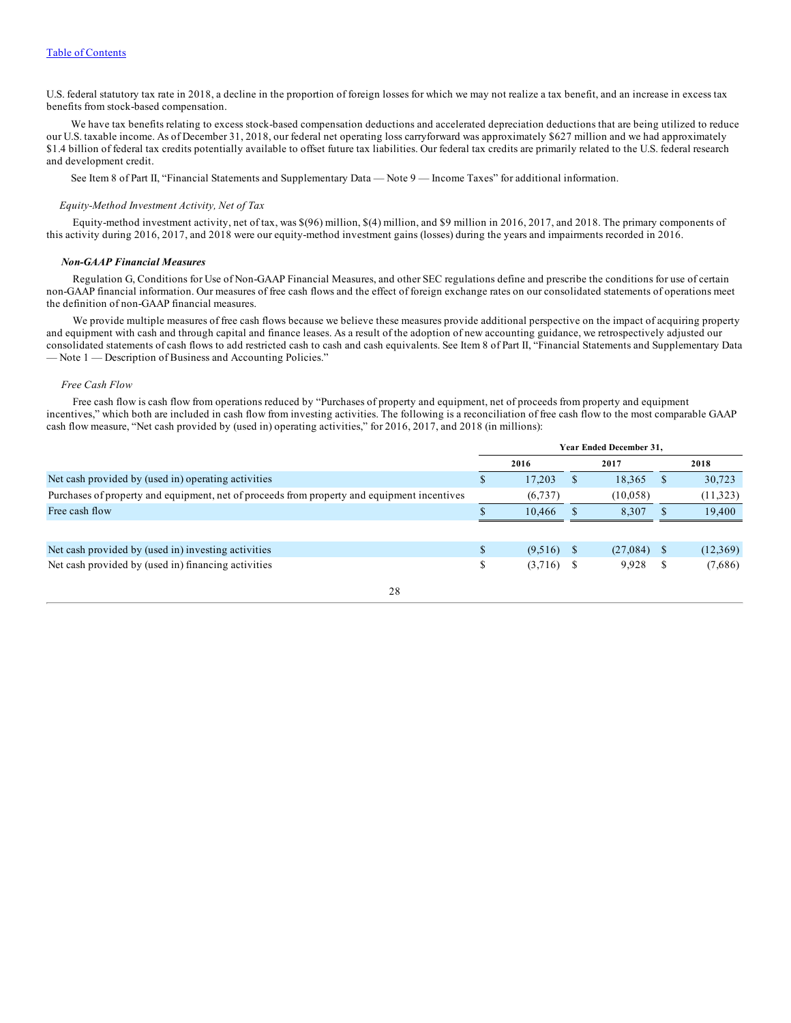U.S. federal statutory tax rate in 2018, a decline in the proportion of foreign losses for which we may not realize a tax benefit, and an increase in excess tax benefits from stock-based compensation.

We have tax benefits relating to excess stock-based compensation deductions and accelerated depreciation deductions that are being utilized to reduce our U.S. taxable income. As of December 31, 2018, our federal net operating loss carryforward was approximately \$627 million and we had approximately \$1.4 billion of federal tax credits potentially available to offset future tax liabilities. Our federal tax credits are primarily related to the U.S. federal research and development credit.

See Item 8 of Part II, "Financial Statements and Supplementary Data — Note 9 — Income Taxes" for additional information.

### *Equity-Method Investment Activity, Net of Tax*

Equity-method investment activity, net of tax, was \$(96) million, \$(4) million, and \$9 million in 2016, 2017, and 2018. The primary components of this activity during 2016, 2017, and 2018 were our equity-method investment gains (losses) during the years and impairments recorded in 2016.

### *Non-GAAP Financial Measures*

Regulation G, Conditions for Use of Non-GAAP Financial Measures, and other SEC regulations define and prescribe the conditions for use of certain non-GAAP financial information. Our measures of free cash flows and the effect of foreign exchange rates on our consolidated statements of operations meet the definition of non-GAAP financial measures.

We provide multiple measures of free cash flows because we believe these measures provide additional perspective on the impact of acquiring property and equipment with cash and through capital and finance leases. As a result of the adoption of new accounting guidance, we retrospectively adjusted our consolidated statements of cash flows to add restricted cash to cash and cash equivalents. See Item 8 of Part II, "Financial Statements and Supplementary Data — Note 1 — Description of Business and Accounting Policies."

### *Free Cash Flow*

Free cash flow is cash flow from operations reduced by "Purchases of property and equipment, net of proceeds from property and equipment incentives," which both are included in cash flow from investing activities. The following is a reconciliation of free cash flow to the most comparable GAAP cash flow measure, "Net cash provided by (used in) operating activities," for 2016, 2017, and 2018 (in millions):

|                                                                                             | Year Ended December 31, |              |    |          |               |          |
|---------------------------------------------------------------------------------------------|-------------------------|--------------|----|----------|---------------|----------|
|                                                                                             |                         | 2016         |    | 2017     |               | 2018     |
| Net cash provided by (used in) operating activities                                         |                         | 17.203       | -8 | 18.365   | <sup>\$</sup> | 30,723   |
| Purchases of property and equipment, net of proceeds from property and equipment incentives |                         | (6,737)      |    | (10.058) |               | (11,323) |
| Free cash flow                                                                              |                         | 10.466       |    | 8.307    |               | 19,400   |
|                                                                                             |                         |              |    |          |               |          |
| Net cash provided by (used in) investing activities                                         |                         | $(9,516)$ \$ |    | (27,084) | -S            | (12,369) |
| Net cash provided by (used in) financing activities                                         |                         | $(3,716)$ \$ |    | 9.928    | -S            | (7,686)  |
|                                                                                             |                         |              |    |          |               |          |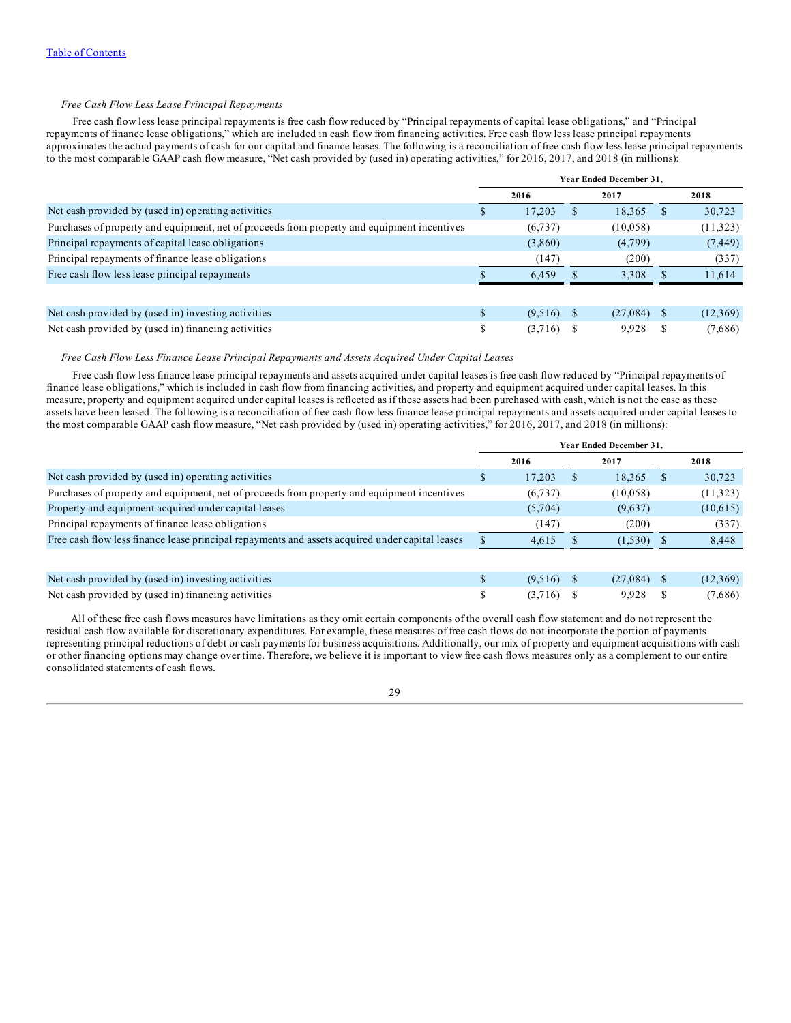# *Free Cash Flow Less Lease Principal Repayments*

Free cash flow less lease principal repayments is free cash flow reduced by "Principal repayments of capital lease obligations," and "Principal repayments of finance lease obligations," which are included in cash flow from financing activities. Free cash flow less lease principal repayments approximates the actual payments of cash for our capital and finance leases. The following is a reconciliation of free cash flow less lease principal repayments to the most comparable GAAP cash flow measure, "Net cash provided by (used in) operating activities," for 2016, 2017, and 2018 (in millions):

|                                                                                             | <b>Year Ended December 31.</b> |              |          |          |              |          |  |  |
|---------------------------------------------------------------------------------------------|--------------------------------|--------------|----------|----------|--------------|----------|--|--|
|                                                                                             |                                | 2016         |          | 2017     |              | 2018     |  |  |
| Net cash provided by (used in) operating activities                                         | D.                             | 17.203       | <b>S</b> | 18,365   | <sup>S</sup> | 30,723   |  |  |
| Purchases of property and equipment, net of proceeds from property and equipment incentives |                                | (6, 737)     |          | (10,058) |              | (11,323) |  |  |
| Principal repayments of capital lease obligations                                           |                                | (3,860)      |          | (4,799)  |              | (7, 449) |  |  |
| Principal repayments of finance lease obligations                                           |                                | (147)        |          | (200)    |              | (337)    |  |  |
| Free cash flow less lease principal repayments                                              |                                | 6.459        |          | 3.308    |              | 11,614   |  |  |
|                                                                                             |                                |              |          |          |              |          |  |  |
| Net cash provided by (used in) investing activities                                         | \$.                            | $(9.516)$ \$ |          | (27,084) | - \$         | (12,369) |  |  |
| Net cash provided by (used in) financing activities                                         |                                | (3,716)      |          | 9,928    |              | (7,686)  |  |  |

### *Free Cash Flow Less Finance Lease Principal Repayments and Assets Acquired Under Capital Leases*

Free cash flow less finance lease principal repayments and assets acquired under capital leases is free cash flow reduced by "Principal repayments of finance lease obligations," which is included in cash flow from financing activities, and property and equipment acquired under capital leases. In this measure, property and equipment acquired under capital leases is reflected as if these assets had been purchased with cash, which is not the case as these assets have been leased. The following is a reconciliation of free cash flow less finance lease principal repayments and assets acquired under capital leases to the most comparable GAAP cash flow measure, "Net cash provided by (used in) operating activities," for 2016, 2017, and 2018 (in millions):

|                                                                                                 | <b>Year Ended December 31.</b> |              |  |               |    |          |  |  |
|-------------------------------------------------------------------------------------------------|--------------------------------|--------------|--|---------------|----|----------|--|--|
|                                                                                                 |                                | 2016         |  | 2017          |    | 2018     |  |  |
| Net cash provided by (used in) operating activities                                             |                                | 17,203       |  | 18,365        |    | 30,723   |  |  |
| Purchases of property and equipment, net of proceeds from property and equipment incentives     |                                | (6, 737)     |  | (10,058)      |    | (11,323) |  |  |
| Property and equipment acquired under capital leases                                            |                                | (5,704)      |  | (9,637)       |    | (10,615) |  |  |
| Principal repayments of finance lease obligations                                               |                                | (147)        |  | (200)         |    | (337)    |  |  |
| Free cash flow less finance lease principal repayments and assets acquired under capital leases |                                | 4,615        |  | $(1,530)$ \$  |    | 8,448    |  |  |
|                                                                                                 |                                |              |  |               |    |          |  |  |
| Net cash provided by (used in) investing activities                                             | S                              | $(9.516)$ \$ |  | $(27,084)$ \$ |    | (12,369) |  |  |
| Net cash provided by (used in) financing activities                                             | S                              | $(3,716)$ \$ |  | 9,928         | -S | (7,686)  |  |  |

All of these free cash flows measures have limitations as they omit certain components of the overall cash flow statement and do not represent the residual cash flow available for discretionary expenditures. For example, these measures of free cash flows do not incorporate the portion of payments representing principal reductions of debt or cash payments for business acquisitions. Additionally, our mix of property and equipment acquisitions with cash or other financing options may change over time. Therefore, we believe it is important to view free cash flows measures only as a complement to our entire consolidated statements of cash flows.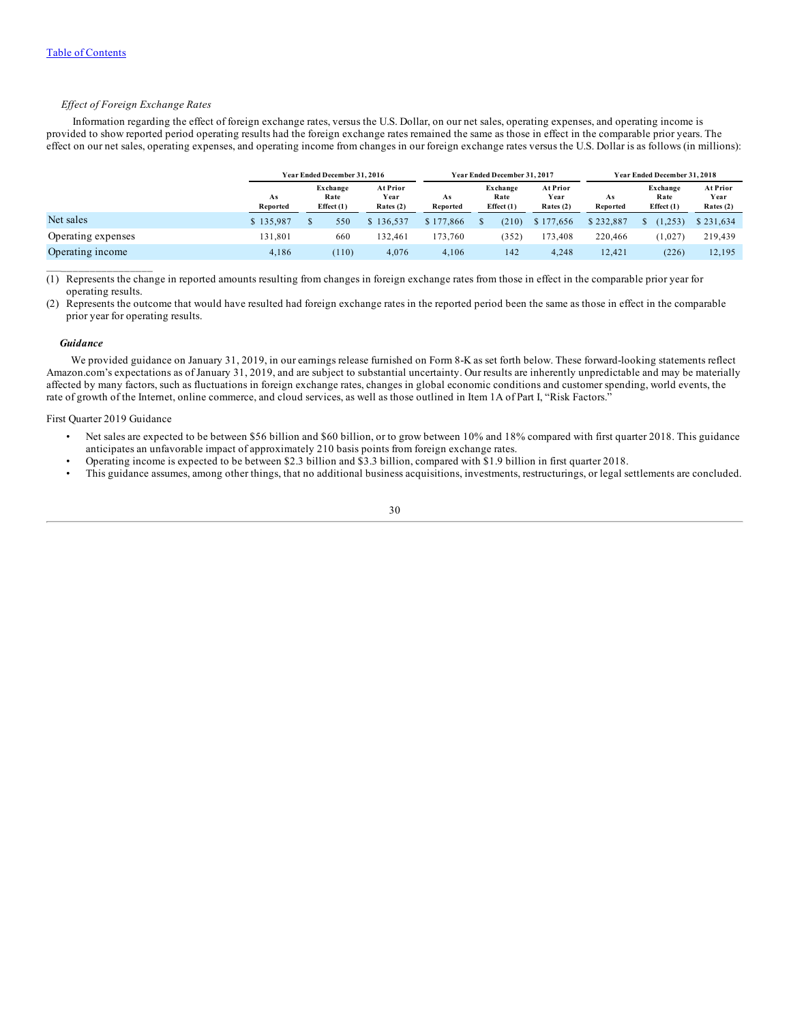# <span id="page-29-0"></span>*Ef ect of Foreign Exchange Rates*

Information regarding the effect of foreign exchange rates, versus the U.S. Dollar, on our net sales, operating expenses, and operating income is provided to show reported period operating results had the foreign exchange rates remained the same as those in effect in the comparable prior years. The effect on our net sales, operating expenses, and operating income from changes in our foreign exchange rates versus the U.S. Dollar is as follows (in millions):

|                    |                | Year Ended December 31, 2016 |                                                                     |           |                |                                  | Year Ended December 31, 2017 |                                        | Year Ended December 31, 2018 |                                  |                                        |  |
|--------------------|----------------|------------------------------|---------------------------------------------------------------------|-----------|----------------|----------------------------------|------------------------------|----------------------------------------|------------------------------|----------------------------------|----------------------------------------|--|
|                    | As<br>Reported |                              | At Prior<br>Exchange<br>Rate<br>Year<br>Effect $(1)$<br>Rates $(2)$ |           | As<br>Reported | Exchange<br>Rate<br>Effect $(1)$ |                              | <b>At Prior</b><br>Year<br>Rates $(2)$ |                              | Exchange<br>Rate<br>Effect $(1)$ | <b>At Prior</b><br>Year<br>Rates $(2)$ |  |
| Net sales          | \$135,987      |                              | 550                                                                 | \$136,537 | \$177,866      |                                  | (210)                        | \$177,656                              | \$232,887                    | (1.253)                          | \$231.634                              |  |
| Operating expenses | 131.801        |                              | 660                                                                 | 132.461   | 173.760        |                                  | (352)                        | 173.408                                | 220,466                      | (1,027)                          | 219,439                                |  |
| Operating income   | 4,186          |                              | (110)                                                               | 4,076     | 4,106          |                                  | 142                          | 4,248                                  | 12,421                       | (226)                            | 12,195                                 |  |

(1) Represents the change in reported amounts resulting from changes in foreign exchange rates from those in effect in the comparable prior year for operating results.

(2) Represents the outcome that would have resulted had foreign exchange rates in the reported period been the same as those in effect in the comparable prior year for operating results.

### *Guidance*

 $\mathcal{L}=\mathcal{L}=\mathcal{L}=\mathcal{L}=\mathcal{L}=\mathcal{L}=\mathcal{L}=\mathcal{L}=\mathcal{L}=\mathcal{L}=\mathcal{L}=\mathcal{L}=\mathcal{L}=\mathcal{L}=\mathcal{L}=\mathcal{L}=\mathcal{L}=\mathcal{L}=\mathcal{L}=\mathcal{L}=\mathcal{L}=\mathcal{L}=\mathcal{L}=\mathcal{L}=\mathcal{L}=\mathcal{L}=\mathcal{L}=\mathcal{L}=\mathcal{L}=\mathcal{L}=\mathcal{L}=\mathcal{L}=\mathcal{L}=\mathcal{L}=\mathcal{L}=\mathcal{L}=\mathcal{$ 

We provided guidance on January 31, 2019, in our earnings release furnished on Form 8-K as set forth below. These forward-looking statements reflect Amazon.com's expectations as of January 31, 2019, and are subject to substantial uncertainty. Our results are inherently unpredictable and may be materially affected by many factors, such as fluctuations in foreign exchange rates, changes in global economic conditions and customer spending, world events, the rate of growth of the Internet, online commerce, and cloud services, as well as those outlined in Item 1A of Part I, "Risk Factors."

### First Quarter 2019 Guidance

- Net sales are expected to be between \$56 billion and \$60 billion, or to grow between 10% and 18% compared with first quarter 2018. This guidance anticipates an unfavorable impact of approximately 210 basis points from foreign exchange rates.
- Operating income is expected to be between \$2.3 billion and \$3.3 billion, compared with \$1.9 billion in first quarter 2018.
- This guidance assumes, among other things, that no additional business acquisitions, investments, restructurings, or legal settlements are concluded.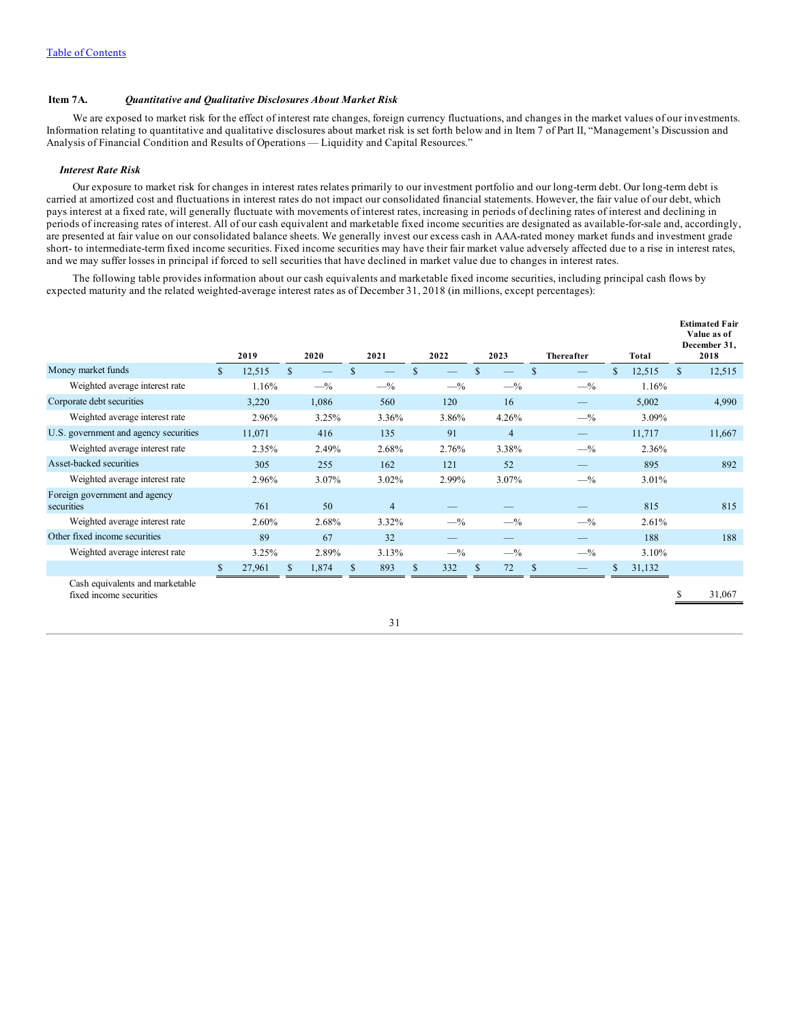# **Item 7A.** *Quantitative and Qualitative Disclosures About Market Risk*

We are exposed to market risk for the effect of interest rate changes, foreign currency fluctuations, and changes in the market values of our investments. Information relating to quantitative and qualitative disclosures about market risk is set forth below and in Item 7 of Part II, "Management's Discussion and Analysis of Financial Condition and Results of Operations — Liquidity and Capital Resources."

### *Interest Rate Risk*

Our exposure to market risk for changes in interest rates relates primarily to our investment portfolio and our long-term debt. Our long-term debt is carried at amortized cost and fluctuations in interest rates do not impact our consolidated financial statements. However, the fair value of our debt, which pays interest at a fixed rate, will generally fluctuate with movements of interest rates, increasing in periods of declining rates of interest and declining in periods of increasing rates of interest. All of our cash equivalent and marketable fixed income securities are designated as available-for-sale and, accordingly, are presented at fair value on our consolidated balance sheets. We generally invest our excess cash in AAA-rated money market funds and investment grade short- to intermediate-term fixed income securities. Fixed income securities may have their fair market value adversely affected due to a rise in interest rates, and we may suffer losses in principal if forced to sell securities that have declined in market value due to changes in interest rates.

The following table provides information about our cash equivalents and marketable fixed income securities, including principal cash flows by expected maturity and the related weighted-average interest rates as of December 31, 2018 (in millions, except percentages):

|                                                            |               | 2019   |             | 2020  | 2021           |               | 2022  |          | 2023  |              | Thereafter | Total        |              | <b>Estimated Fair</b><br>Value as of<br>December 31,<br>2018 |
|------------------------------------------------------------|---------------|--------|-------------|-------|----------------|---------------|-------|----------|-------|--------------|------------|--------------|--------------|--------------------------------------------------------------|
| Money market funds                                         | $\mathcal{S}$ | 12,515 | $\mathbf S$ |       |                | $\mathcal{S}$ |       | <b>S</b> |       | S            |            | \$<br>12,515 | $\mathbb{S}$ | 12,515                                                       |
| Weighted average interest rate                             |               | 1.16%  |             | $-$ % | $-$ %          |               | $-$ % |          | $-$ % |              | $-$ %      | 1.16%        |              |                                                              |
| Corporate debt securities                                  |               | 3,220  |             | 1,086 | 560            |               | 120   |          | 16    |              |            | 5,002        |              | 4,990                                                        |
| Weighted average interest rate                             |               | 2.96%  |             | 3.25% | 3.36%          |               | 3.86% |          | 4.26% |              | $-$ %      | 3.09%        |              |                                                              |
| U.S. government and agency securities                      |               | 11,071 |             | 416   | 135            |               | 91    |          | 4     |              |            | 11,717       |              | 11,667                                                       |
| Weighted average interest rate                             |               | 2.35%  |             | 2.49% | 2.68%          |               | 2.76% |          | 3.38% |              | $-$ %      | 2.36%        |              |                                                              |
| Asset-backed securities                                    |               | 305    |             | 255   | 162            |               | 121   |          | 52    |              |            | 895          |              | 892                                                          |
| Weighted average interest rate                             |               | 2.96%  |             | 3.07% | 3.02%          |               | 2.99% |          | 3.07% |              | $-$ %      | 3.01%        |              |                                                              |
| Foreign government and agency<br>securities                |               | 761    |             | 50    | $\overline{4}$ |               |       |          |       |              |            | 815          |              | 815                                                          |
| Weighted average interest rate                             |               | 2.60%  |             | 2.68% | 3.32%          |               | $-$ % |          | $-$ % |              | $-$ %      | 2.61%        |              |                                                              |
| Other fixed income securities                              |               | 89     |             | 67    | 32             |               |       |          |       |              |            | 188          |              | 188                                                          |
| Weighted average interest rate                             |               | 3.25%  |             | 2.89% | 3.13%          |               | $-$ % |          | $-$ % |              | $-$ %      | 3.10%        |              |                                                              |
|                                                            | <sup>\$</sup> | 27,961 |             | 1,874 | \$<br>893      |               | 332   | \$       | 72    | $\mathbf{s}$ |            | \$<br>31,132 |              |                                                              |
| Cash equivalents and marketable<br>fixed income securities |               |        |             |       |                |               |       |          |       |              |            |              | \$           | 31,067                                                       |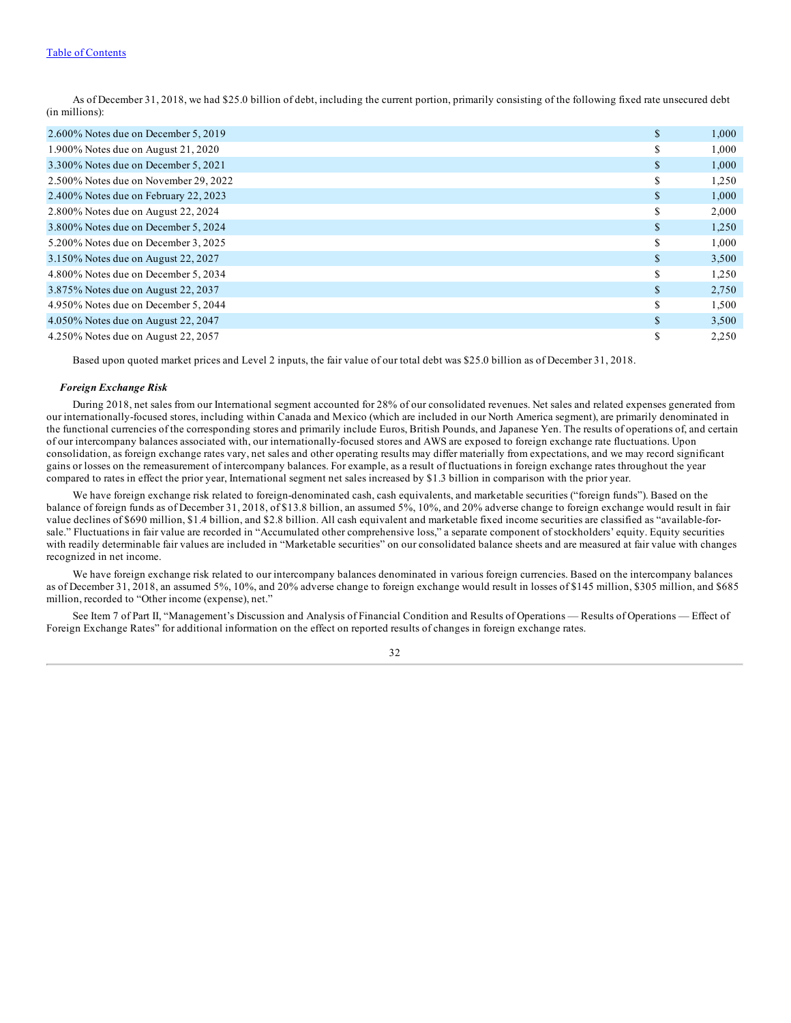As of December 31, 2018, we had \$25.0 billion of debt, including the current portion, primarily consisting of the following fixed rate unsecured debt (in millions):

| 2.600% Notes due on December 5, 2019  | $\mathbf{s}$ | 1,000 |
|---------------------------------------|--------------|-------|
| 1.900% Notes due on August 21, 2020   | \$           | 1,000 |
| 3.300% Notes due on December 5, 2021  | \$           | 1,000 |
| 2.500% Notes due on November 29, 2022 | S            | 1,250 |
| 2.400% Notes due on February 22, 2023 | $\mathbb{S}$ | 1,000 |
| 2.800% Notes due on August 22, 2024   | S            | 2,000 |
| 3.800% Notes due on December 5, 2024  | \$.          | 1,250 |
| 5.200% Notes due on December 3, 2025  | \$           | 1,000 |
| 3.150% Notes due on August 22, 2027   | \$           | 3,500 |
| 4.800% Notes due on December 5, 2034  | S            | 1,250 |
| 3.875% Notes due on August 22, 2037   | \$           | 2,750 |
| 4.950% Notes due on December 5, 2044  | S            | 1,500 |
| 4.050% Notes due on August 22, 2047   | \$.          | 3,500 |
| 4.250% Notes due on August 22, 2057   | S            | 2.250 |

Based upon quoted market prices and Level 2 inputs, the fair value of our total debt was \$25.0 billion as of December 31, 2018.

### *Foreign Exchange Risk*

During 2018, net sales from our International segment accounted for 28% of our consolidated revenues. Net sales and related expenses generated from our internationally-focused stores, including within Canada and Mexico (which are included in our North America segment), are primarily denominated in the functional currencies of the corresponding stores and primarily include Euros, British Pounds, and Japanese Yen. The results of operations of, and certain of our intercompany balances associated with, our internationally-focused stores and AWS are exposed to foreign exchange rate fluctuations. Upon consolidation, as foreign exchange rates vary, net sales and other operating results may differ materially from expectations, and we may record significant gains or losses on the remeasurement of intercompany balances. For example, as a result of fluctuations in foreign exchange rates throughout the year compared to rates in effect the prior year, International segment net sales increased by \$1.3 billion in comparison with the prior year.

We have foreign exchange risk related to foreign-denominated cash, cash equivalents, and marketable securities ("foreign funds"). Based on the balance of foreign funds as of December 31, 2018, of \$13.8 billion, an assumed 5%, 10%, and 20% adverse change to foreign exchange would result in fair value declines of \$690 million, \$1.4 billion, and \$2.8 billion. All cash equivalent and marketable fixed income securities are classified as "available-forsale." Fluctuations in fair value are recorded in "Accumulated other comprehensive loss," a separate component of stockholders' equity. Equity securities with readily determinable fair values are included in "Marketable securities" on our consolidated balance sheets and are measured at fair value with changes recognized in net income.

We have foreign exchange risk related to our intercompany balances denominated in various foreign currencies. Based on the intercompany balances as of December 31, 2018, an assumed 5%, 10%, and 20% adverse change to foreign exchange would result in losses of \$145 million, \$305 million, and \$685 million, recorded to "Other income (expense), net."

See Item 7 of Part II, "Management's Discussion and Analysis of Financial Condition and Results of Operations — Results of Operations — Effect of Foreign Exchange Rates" for additional information on the effect on reported results of changes in foreign exchange rates.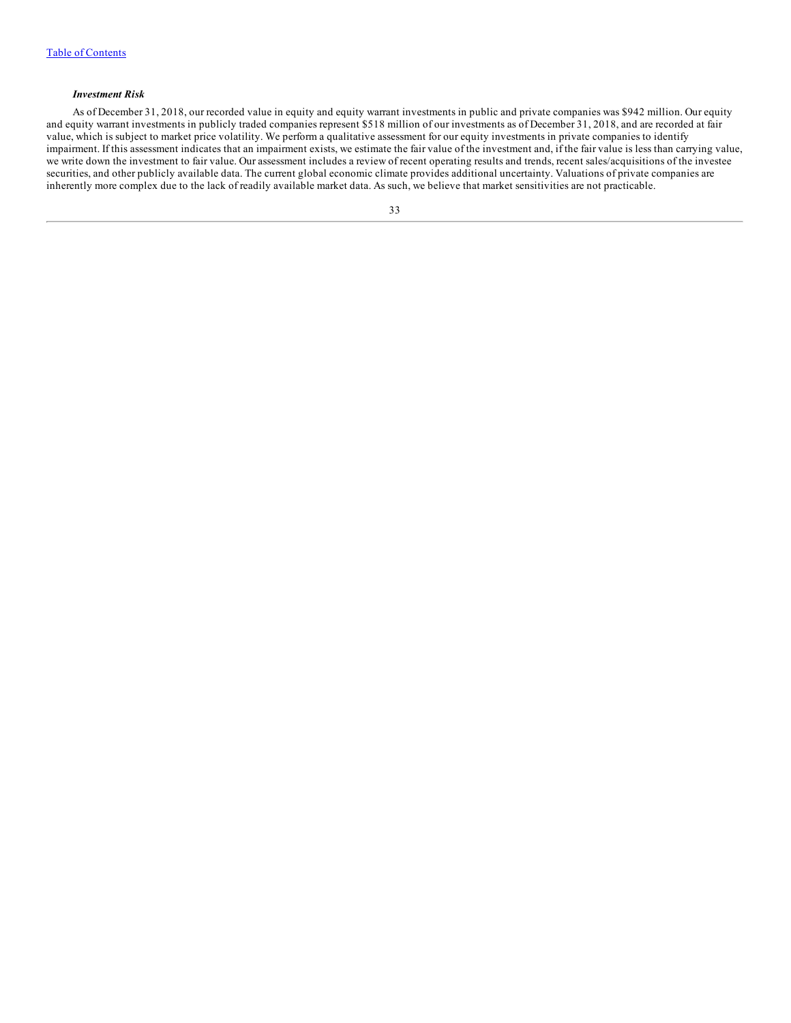# <span id="page-32-0"></span>*Investment Risk*

As of December 31, 2018, our recorded value in equity and equity warrant investments in public and private companies was \$942 million. Our equity and equity warrant investments in publicly traded companies represent \$518 million of our investments as of December 31, 2018, and are recorded at fair value, which is subject to market price volatility. We perform a qualitative assessment for our equity investments in private companies to identify impairment. If this assessment indicates that an impairment exists, we estimate the fair value of the investment and, if the fair value is less than carrying value, we write down the investment to fair value. Our assessment includes a review of recent operating results and trends, recent sales/acquisitions of the investee securities, and other publicly available data. The current global economic climate provides additional uncertainty. Valuations of private companies are inherently more complex due to the lack of readily available market data. As such, we believe that market sensitivities are not practicable.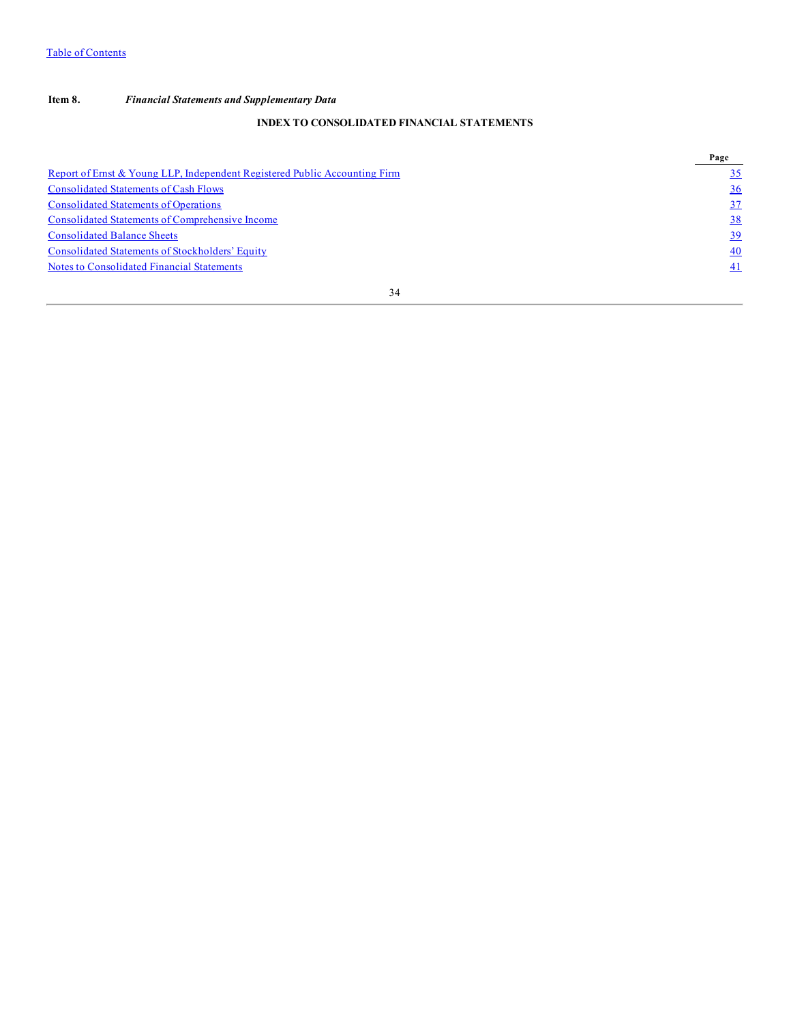# Table of [Contents](#page-1-0)

# **Item 8.** *Financial Statements and Supplementary Data*

# **INDEX TO CONSOLIDATED FINANCIAL STATEMENTS**

|                                                                            | Page      |
|----------------------------------------------------------------------------|-----------|
| Report of Ernst & Young LLP, Independent Registered Public Accounting Firm | <u>35</u> |
| <b>Consolidated Statements of Cash Flows</b>                               | 36        |
| <b>Consolidated Statements of Operations</b>                               | 37        |
| Consolidated Statements of Comprehensive Income                            | <u>38</u> |
| <b>Consolidated Balance Sheets</b>                                         | 39        |
| Consolidated Statements of Stockholders' Equity                            | 40        |
| Notes to Consolidated Financial Statements                                 | 41        |
|                                                                            |           |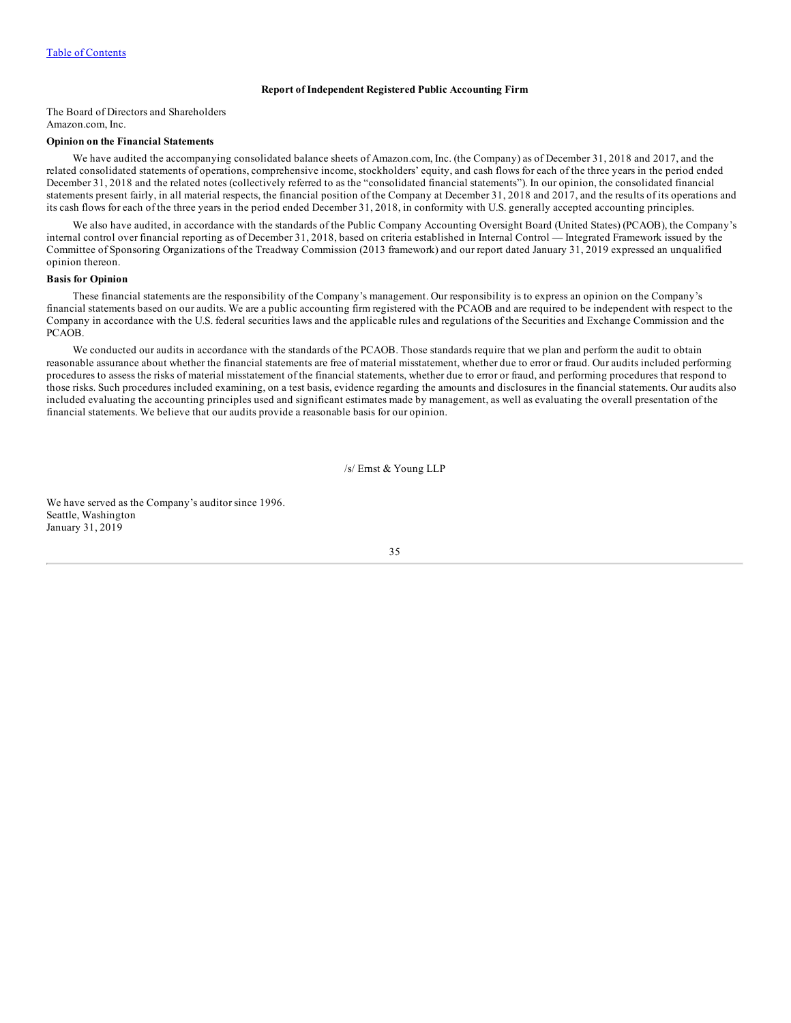### **Report of Independent Registered Public Accounting Firm**

<span id="page-34-0"></span>The Board of Directors and Shareholders Amazon.com, Inc.

### **Opinion on the Financial Statements**

We have audited the accompanying consolidated balance sheets of Amazon.com, Inc. (the Company) as of December 31, 2018 and 2017, and the related consolidated statements of operations, comprehensive income, stockholders' equity, and cash flows for each of the three years in the period ended December 31, 2018 and the related notes (collectively referred to as the "consolidated financial statements"). In our opinion, the consolidated financial statements present fairly, in all material respects, the financial position of the Company at December 31, 2018 and 2017, and the results of its operations and its cash flows for each of the three years in the period ended December 31, 2018, in conformity with U.S. generally accepted accounting principles.

We also have audited, in accordance with the standards of the Public Company Accounting Oversight Board (United States) (PCAOB), the Company's internal control over financial reporting as of December 31, 2018, based on criteria established in Internal Control — Integrated Framework issued by the Committee of Sponsoring Organizations of the Treadway Commission (2013 framework) and our report dated January 31, 2019 expressed an unqualified opinion thereon.

# **Basis for Opinion**

These financial statements are the responsibility of the Company's management. Our responsibility is to express an opinion on the Company's financial statements based on our audits. We are a public accounting firm registered with the PCAOB and are required to be independent with respect to the Company in accordance with the U.S. federal securities laws and the applicable rules and regulations of the Securities and Exchange Commission and the PCAOB.

We conducted our audits in accordance with the standards of the PCAOB. Those standards require that we plan and perform the audit to obtain reasonable assurance about whether the financial statements are free of material misstatement, whether due to error or fraud. Our audits included performing procedures to assess the risks of material misstatement of the financial statements, whether due to error or fraud, and performing procedures that respond to those risks. Such procedures included examining, on a test basis, evidence regarding the amounts and disclosures in the financial statements. Our audits also included evaluating the accounting principles used and significant estimates made by management, as well as evaluating the overall presentation of the financial statements. We believe that our audits provide a reasonable basis for our opinion.

/s/ Ernst & Young LLP

We have served as the Company's auditor since 1996. Seattle, Washington January 31, 2019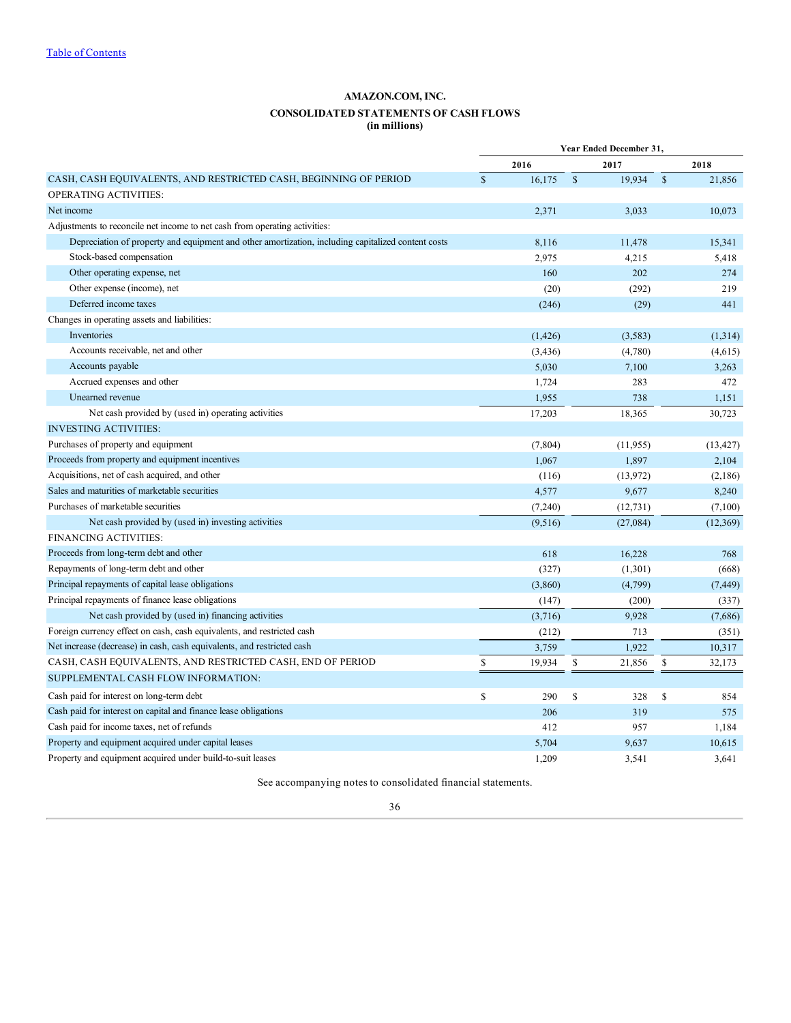# **AMAZON.COM, INC. CONSOLIDATED STATEMENTS OF CASH FLOWS (in millions)**

<span id="page-35-0"></span>

|                                                                                                    |              |          |               | Year Ended December 31, |              |           |
|----------------------------------------------------------------------------------------------------|--------------|----------|---------------|-------------------------|--------------|-----------|
|                                                                                                    |              | 2016     |               | 2017                    |              | 2018      |
| CASH, CASH EQUIVALENTS, AND RESTRICTED CASH, BEGINNING OF PERIOD                                   | $\mathbb{S}$ | 16,175   | $\mathcal{S}$ | 19,934                  | $\mathbb{S}$ | 21,856    |
| <b>OPERATING ACTIVITIES:</b>                                                                       |              |          |               |                         |              |           |
| Net income                                                                                         |              | 2,371    |               | 3,033                   |              | 10,073    |
| Adjustments to reconcile net income to net cash from operating activities:                         |              |          |               |                         |              |           |
| Depreciation of property and equipment and other amortization, including capitalized content costs |              | 8,116    |               | 11,478                  |              | 15,341    |
| Stock-based compensation                                                                           |              | 2,975    |               | 4,215                   |              | 5,418     |
| Other operating expense, net                                                                       |              | 160      |               | 202                     |              | 274       |
| Other expense (income), net                                                                        |              | (20)     |               | (292)                   |              | 219       |
| Deferred income taxes                                                                              |              | (246)    |               | (29)                    |              | 441       |
| Changes in operating assets and liabilities:                                                       |              |          |               |                         |              |           |
| Inventories                                                                                        |              | (1, 426) |               | (3,583)                 |              | (1, 314)  |
| Accounts receivable, net and other                                                                 |              | (3, 436) |               | (4,780)                 |              | (4, 615)  |
| Accounts payable                                                                                   |              | 5,030    |               | 7,100                   |              | 3,263     |
| Accrued expenses and other                                                                         |              | 1,724    |               | 283                     |              | 472       |
| Unearned revenue                                                                                   |              | 1,955    |               | 738                     |              | 1,151     |
| Net cash provided by (used in) operating activities                                                |              | 17,203   |               | 18,365                  |              | 30,723    |
| <b>INVESTING ACTIVITIES:</b>                                                                       |              |          |               |                         |              |           |
| Purchases of property and equipment                                                                |              | (7, 804) |               | (11, 955)               |              | (13, 427) |
| Proceeds from property and equipment incentives                                                    |              | 1,067    |               | 1,897                   |              | 2,104     |
| Acquisitions, net of cash acquired, and other                                                      |              | (116)    |               | (13,972)                |              | (2,186)   |
| Sales and maturities of marketable securities                                                      |              | 4,577    |               | 9,677                   |              | 8,240     |
| Purchases of marketable securities                                                                 |              | (7,240)  |               | (12, 731)               |              | (7,100)   |
| Net cash provided by (used in) investing activities                                                |              | (9,516)  |               | (27,084)                |              | (12, 369) |
| <b>FINANCING ACTIVITIES:</b>                                                                       |              |          |               |                         |              |           |
| Proceeds from long-term debt and other                                                             |              | 618      |               | 16,228                  |              | 768       |
| Repayments of long-term debt and other                                                             |              | (327)    |               | (1,301)                 |              | (668)     |
| Principal repayments of capital lease obligations                                                  |              | (3,860)  |               | (4,799)                 |              | (7, 449)  |
| Principal repayments of finance lease obligations                                                  |              | (147)    |               | (200)                   |              | (337)     |
| Net cash provided by (used in) financing activities                                                |              | (3,716)  |               | 9,928                   |              | (7,686)   |
| Foreign currency effect on cash, cash equivalents, and restricted cash                             |              | (212)    |               | 713                     |              | (351)     |
| Net increase (decrease) in cash, cash equivalents, and restricted cash                             |              | 3,759    |               | 1,922                   |              | 10,317    |
| CASH, CASH EQUIVALENTS, AND RESTRICTED CASH, END OF PERIOD                                         | $\mathbb{S}$ | 19,934   | \$            | 21,856                  | $\mathbb S$  | 32,173    |
| SUPPLEMENTAL CASH FLOW INFORMATION:                                                                |              |          |               |                         |              |           |
| Cash paid for interest on long-term debt                                                           | \$           | 290      | \$            | 328                     | $\mathbb S$  | 854       |
| Cash paid for interest on capital and finance lease obligations                                    |              | 206      |               | 319                     |              | 575       |
| Cash paid for income taxes, net of refunds                                                         |              | 412      |               | 957                     |              | 1,184     |
| Property and equipment acquired under capital leases                                               |              | 5,704    |               | 9,637                   |              | 10,615    |
| Property and equipment acquired under build-to-suit leases                                         |              | 1,209    |               | 3,541                   |              | 3,641     |

See accompanying notes to consolidated financial statements.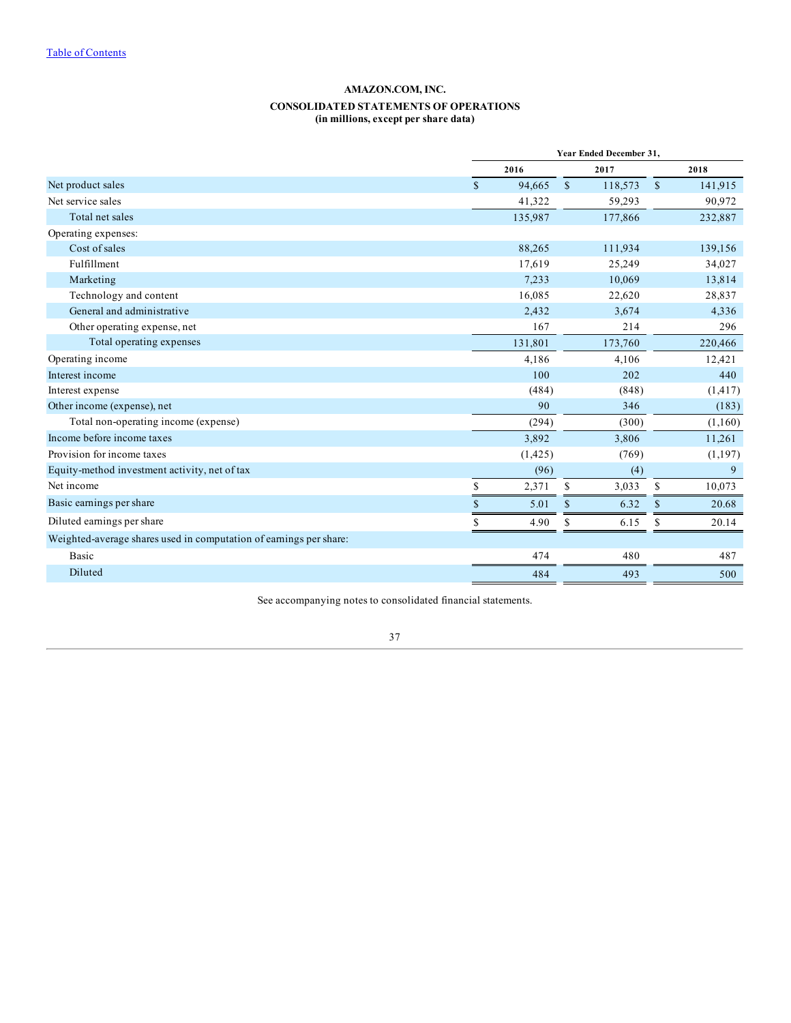# **AMAZON.COM, INC. CONSOLIDATED STATEMENTS OF OPERATIONS (in millions, except per share data)**

|                                                                    |              | Year Ended December 31, |              |         |               |          |  |
|--------------------------------------------------------------------|--------------|-------------------------|--------------|---------|---------------|----------|--|
|                                                                    |              | 2016                    |              | 2017    |               | 2018     |  |
| Net product sales                                                  | $\mathbb{S}$ | 94,665                  | $\mathbb{S}$ | 118,573 | $\mathbb{S}$  | 141,915  |  |
| Net service sales                                                  |              | 41,322                  |              | 59,293  |               | 90,972   |  |
| Total net sales                                                    |              | 135,987                 |              | 177,866 |               | 232,887  |  |
| Operating expenses:                                                |              |                         |              |         |               |          |  |
| Cost of sales                                                      |              | 88,265                  |              | 111,934 |               | 139,156  |  |
| Fulfillment                                                        |              | 17,619                  |              | 25,249  |               | 34,027   |  |
| Marketing                                                          |              | 7,233                   |              | 10,069  |               | 13,814   |  |
| Technology and content                                             |              | 16,085                  |              | 22,620  |               | 28,837   |  |
| General and administrative                                         |              | 2,432                   |              | 3,674   |               | 4,336    |  |
| Other operating expense, net                                       |              | 167                     |              | 214     |               | 296      |  |
| Total operating expenses                                           |              | 131,801                 |              | 173,760 |               | 220,466  |  |
| Operating income                                                   |              | 4,186                   |              | 4,106   |               | 12,421   |  |
| Interest income                                                    |              | 100                     |              | 202     |               | 440      |  |
| Interest expense                                                   |              | (484)                   |              | (848)   |               | (1, 417) |  |
| Other income (expense), net                                        |              | 90                      |              | 346     |               | (183)    |  |
| Total non-operating income (expense)                               |              | (294)                   |              | (300)   |               | (1,160)  |  |
| Income before income taxes                                         |              | 3,892                   |              | 3,806   |               | 11,261   |  |
| Provision for income taxes                                         |              | (1, 425)                |              | (769)   |               | (1,197)  |  |
| Equity-method investment activity, net of tax                      |              | (96)                    |              | (4)     |               | 9        |  |
| Net income                                                         | \$           | 2,371                   | $\mathbb{S}$ | 3,033   | <sup>\$</sup> | 10,073   |  |
| Basic earnings per share                                           | \$           | 5.01                    | $\mathbb{S}$ | 6.32    | $\mathbb{S}$  | 20.68    |  |
| Diluted earnings per share                                         | \$           | 4.90                    | S            | 6.15    | S             | 20.14    |  |
| Weighted-average shares used in computation of earnings per share: |              |                         |              |         |               |          |  |
| Basic                                                              |              | 474                     |              | 480     |               | 487      |  |
| Diluted                                                            |              | 484                     |              | 493     |               | 500      |  |
|                                                                    |              |                         |              |         |               |          |  |

See accompanying notes to consolidated financial statements.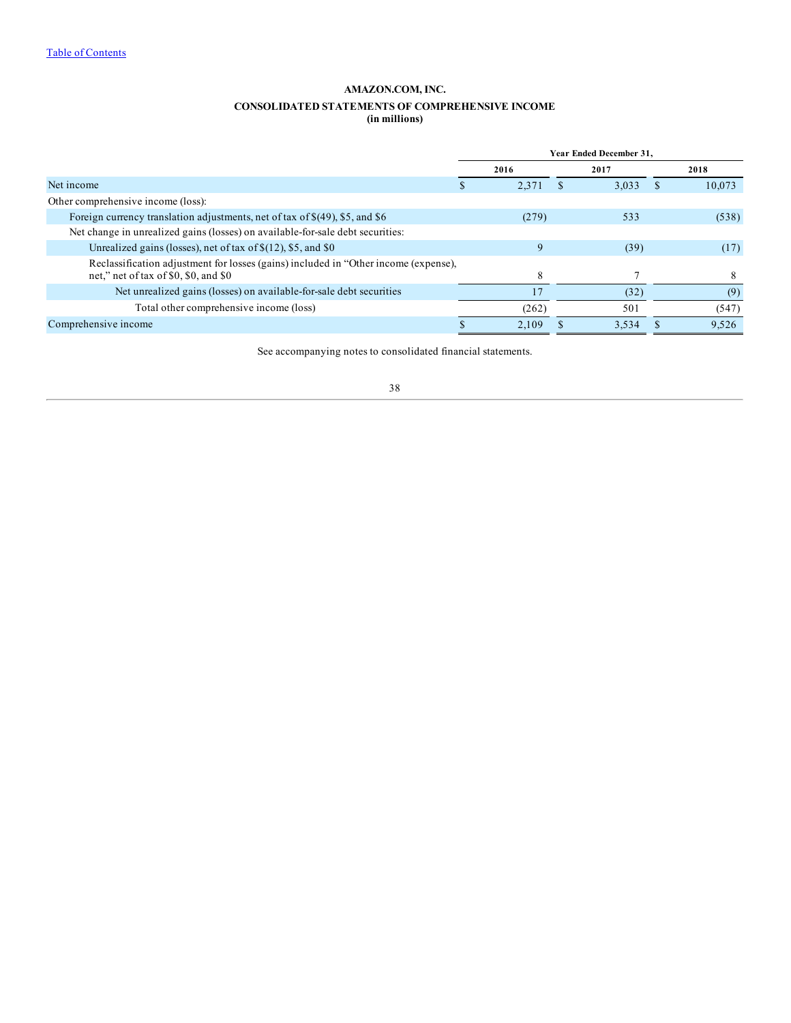# **AMAZON.COM, INC. CONSOLIDATED STATEMENTS OF COMPREHENSIVE INCOME (in millions)**

|                                                                                                                              | <b>Year Ended December 31.</b> |             |      |       |    |        |  |
|------------------------------------------------------------------------------------------------------------------------------|--------------------------------|-------------|------|-------|----|--------|--|
|                                                                                                                              |                                | 2016        | 2017 |       |    | 2018   |  |
| Net income                                                                                                                   |                                | 2,371       |      | 3,033 | -S | 10,073 |  |
| Other comprehensive income (loss):                                                                                           |                                |             |      |       |    |        |  |
| Foreign currency translation adjustments, net of tax of \$(49), \$5, and \$6                                                 |                                | (279)       |      | 533   |    | (538)  |  |
| Net change in unrealized gains (losses) on available-for-sale debt securities:                                               |                                |             |      |       |    |        |  |
| Unrealized gains (losses), net of tax of $\S(12)$ , \$5, and \$0                                                             |                                | $\mathbf Q$ |      | (39)  |    | (17)   |  |
| Reclassification adjustment for losses (gains) included in "Other income (expense),<br>net," net of tax of \$0, \$0, and \$0 |                                | 8           |      |       |    | 8      |  |
| Net unrealized gains (losses) on available-for-sale debt securities                                                          |                                |             |      | (32)  |    | (9)    |  |
| Total other comprehensive income (loss)                                                                                      |                                | (262)       |      | 501   |    | (547)  |  |
| Comprehensive income                                                                                                         |                                | 2,109       |      | 3.534 |    | 9.526  |  |

See accompanying notes to consolidated financial statements.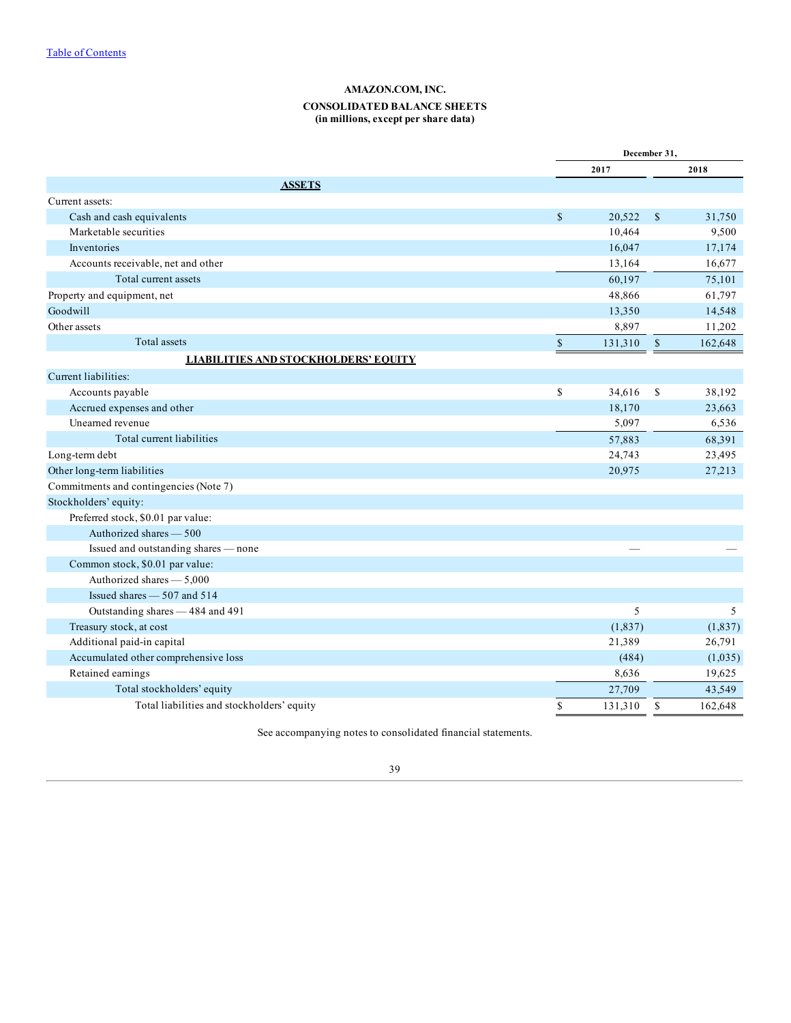# **AMAZON.COM, INC.**

# **CONSOLIDATED BALANCE SHEETS (in millions, except per share data)**

|                                             |               | December 31, |               |          |  |
|---------------------------------------------|---------------|--------------|---------------|----------|--|
|                                             |               | 2017         |               | 2018     |  |
| <b>ASSETS</b>                               |               |              |               |          |  |
| Current assets:                             |               |              |               |          |  |
| Cash and cash equivalents                   | $\mathbb{S}$  | 20,522       | $\mathcal{S}$ | 31,750   |  |
| Marketable securities                       |               | 10,464       |               | 9,500    |  |
| Inventories                                 |               | 16,047       |               | 17,174   |  |
| Accounts receivable, net and other          |               | 13,164       |               | 16,677   |  |
| Total current assets                        |               | 60,197       |               | 75,101   |  |
| Property and equipment, net                 |               | 48,866       |               | 61,797   |  |
| Goodwill                                    |               | 13,350       |               | 14,548   |  |
| Other assets                                |               | 8,897        |               | 11,202   |  |
| <b>Total</b> assets                         | $\mathcal{S}$ | 131,310      | $\mathcal{S}$ | 162,648  |  |
| <b>LIABILITIES AND STOCKHOLDERS' EQUITY</b> |               |              |               |          |  |
| Current liabilities:                        |               |              |               |          |  |
| Accounts payable                            | \$            | 34,616       | \$            | 38,192   |  |
| Accrued expenses and other                  |               | 18,170       |               | 23,663   |  |
| Unearned revenue                            |               | 5,097        |               | 6,536    |  |
| Total current liabilities                   |               | 57,883       |               | 68,391   |  |
| Long-term debt                              |               | 24,743       |               | 23,495   |  |
| Other long-term liabilities                 |               | 20,975       |               | 27,213   |  |
| Commitments and contingencies (Note 7)      |               |              |               |          |  |
| Stockholders' equity:                       |               |              |               |          |  |
| Preferred stock, \$0.01 par value:          |               |              |               |          |  |
| Authorized shares - 500                     |               |              |               |          |  |
| Issued and outstanding shares - none        |               |              |               |          |  |
| Common stock, \$0.01 par value:             |               |              |               |          |  |
| Authorized shares - 5,000                   |               |              |               |          |  |
| Issued shares $-507$ and 514                |               |              |               |          |  |
| Outstanding shares - 484 and 491            |               | 5            |               | 5        |  |
| Treasury stock, at cost                     |               | (1, 837)     |               | (1, 837) |  |
| Additional paid-in capital                  |               | 21,389       |               | 26,791   |  |
| Accumulated other comprehensive loss        |               | (484)        |               | (1,035)  |  |
| Retained earnings                           |               | 8,636        |               | 19,625   |  |
| Total stockholders' equity                  |               | 27,709       |               | 43,549   |  |
| Total liabilities and stockholders' equity  | \$            | 131,310      | $\mathbb{S}$  | 162,648  |  |

See accompanying notes to consolidated financial statements.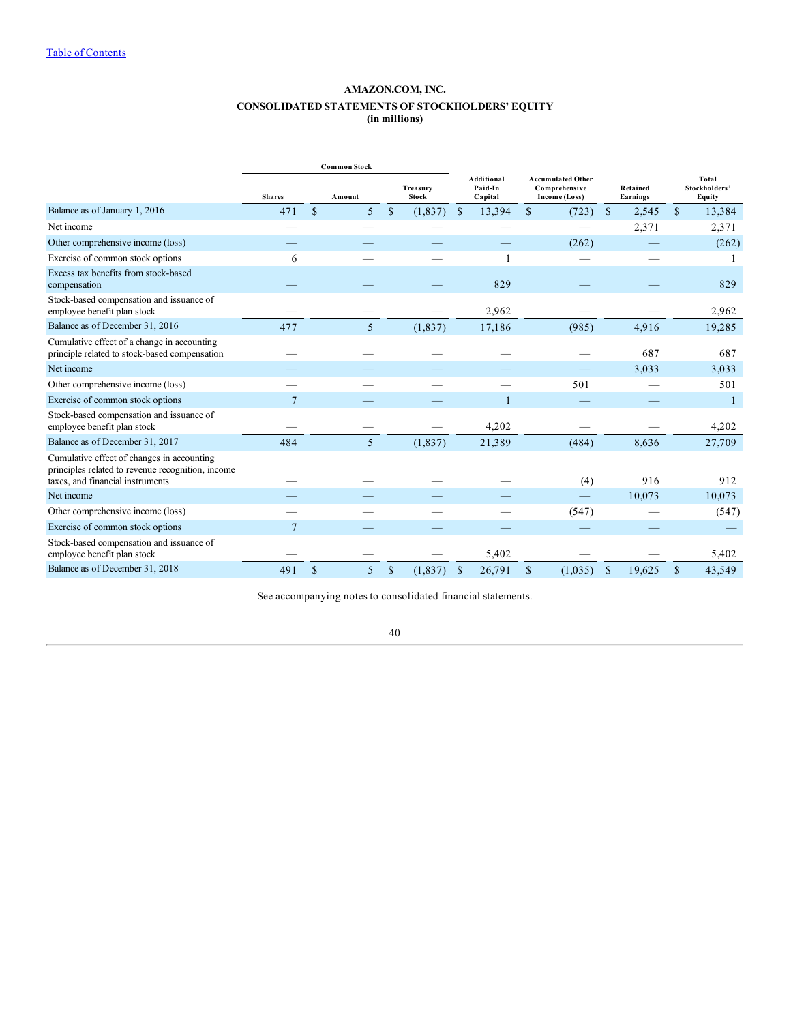# **AMAZON.COM, INC. CONSOLIDATED STATEMENTS OF STOCKHOLDERS' EQUITY (in millions)**

|                                                                                                                                     |                |               | <b>Common Stock</b> |              |                          |               |                                  |              |                                                            |              |                      |               |                                  |
|-------------------------------------------------------------------------------------------------------------------------------------|----------------|---------------|---------------------|--------------|--------------------------|---------------|----------------------------------|--------------|------------------------------------------------------------|--------------|----------------------|---------------|----------------------------------|
|                                                                                                                                     | <b>Shares</b>  |               | Amount              |              | Treasury<br><b>Stock</b> |               | Additional<br>Paid-In<br>Capital |              | <b>Accumulated Other</b><br>Comprehensive<br>Income (Loss) |              | Retained<br>Earnings |               | Total<br>Stockholders'<br>Equity |
| Balance as of January 1, 2016                                                                                                       | 471            | $\mathbf S$   | $\overline{5}$      | $\mathbf S$  | (1, 837)                 | $\mathcal{S}$ | 13,394                           | $\mathbb{S}$ | (723)                                                      | $\mathbb{S}$ | 2,545                | $\mathbf{s}$  | 13,384                           |
| Net income                                                                                                                          |                |               |                     |              |                          |               |                                  |              |                                                            |              | 2,371                |               | 2,371                            |
| Other comprehensive income (loss)                                                                                                   |                |               |                     |              |                          |               |                                  |              | (262)                                                      |              |                      |               | (262)                            |
| Exercise of common stock options                                                                                                    | 6              |               |                     |              |                          |               | 1                                |              |                                                            |              |                      |               |                                  |
| Excess tax benefits from stock-based<br>compensation                                                                                |                |               |                     |              |                          |               | 829                              |              |                                                            |              |                      |               | 829                              |
| Stock-based compensation and issuance of<br>employee benefit plan stock                                                             |                |               |                     |              |                          |               | 2,962                            |              |                                                            |              |                      |               | 2,962                            |
| Balance as of December 31, 2016                                                                                                     | 477            |               | $\overline{5}$      |              | (1, 837)                 |               | 17,186                           |              | (985)                                                      |              | 4,916                |               | 19,285                           |
| Cumulative effect of a change in accounting<br>principle related to stock-based compensation                                        |                |               |                     |              |                          |               |                                  |              |                                                            |              | 687                  |               | 687                              |
| Net income                                                                                                                          |                |               |                     |              |                          |               |                                  |              |                                                            |              | 3,033                |               | 3,033                            |
| Other comprehensive income (loss)                                                                                                   |                |               |                     |              |                          |               |                                  |              | 501                                                        |              |                      |               | 501                              |
| Exercise of common stock options                                                                                                    | $\overline{7}$ |               |                     |              |                          |               | $\mathbf{1}$                     |              |                                                            |              |                      |               | $\mathbf{1}$                     |
| Stock-based compensation and issuance of<br>employee benefit plan stock                                                             |                |               |                     |              |                          |               | 4,202                            |              |                                                            |              |                      |               | 4,202                            |
| Balance as of December 31, 2017                                                                                                     | 484            |               | 5                   |              | (1,837)                  |               | 21,389                           |              | (484)                                                      |              | 8.636                |               | 27,709                           |
| Cumulative effect of changes in accounting<br>principles related to revenue recognition, income<br>taxes, and financial instruments |                |               |                     |              |                          |               |                                  |              | (4)                                                        |              | 916                  |               | 912                              |
| Net income                                                                                                                          |                |               |                     |              |                          |               |                                  |              |                                                            |              | 10,073               |               | 10,073                           |
| Other comprehensive income (loss)                                                                                                   |                |               |                     |              |                          |               |                                  |              | (547)                                                      |              |                      |               | (547)                            |
| Exercise of common stock options                                                                                                    | $\overline{7}$ |               |                     |              |                          |               |                                  |              |                                                            |              |                      |               |                                  |
| Stock-based compensation and issuance of<br>employee benefit plan stock                                                             |                |               |                     |              |                          |               | 5,402                            |              |                                                            |              |                      |               | 5,402                            |
| Balance as of December 31, 2018                                                                                                     | 491            | $\mathcal{S}$ | 5                   | $\mathbb{S}$ | (1, 837)                 | \$            | 26,791                           | \$           | (1,035)                                                    | \$           | 19,625               | $\mathcal{S}$ | 43,549                           |

See accompanying notes to consolidated financial statements.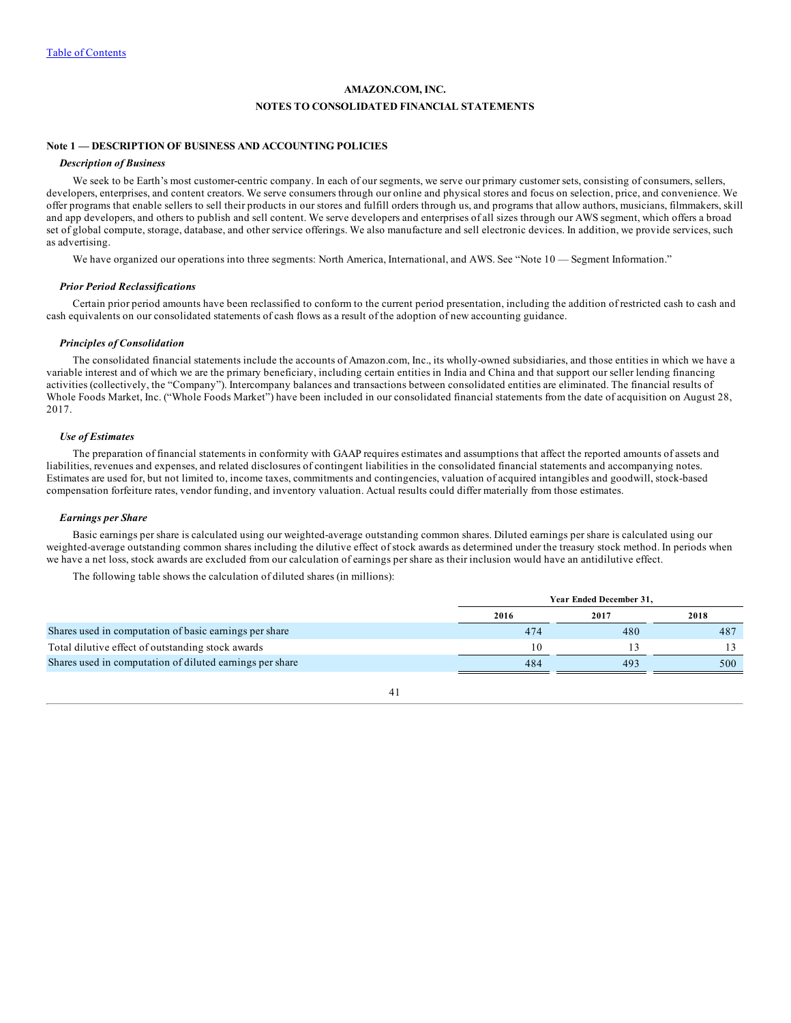# **AMAZON.COM, INC. NOTES TO CONSOLIDATED FINANCIAL STATEMENTS**

# **Note 1 — DESCRIPTION OF BUSINESS AND ACCOUNTING POLICIES**

# *Description of Business*

We seek to be Earth's most customer-centric company. In each of our segments, we serve our primary customer sets, consisting of consumers, sellers, developers, enterprises, and content creators. We serve consumers through our online and physical stores and focus on selection, price, and convenience. We offer programs that enable sellers to sell their products in our stores and fulfill orders through us, and programs that allow authors, musicians, filmmakers, skill and app developers, and others to publish and sell content. We serve developers and enterprises of all sizes through our AWS segment, which offers a broad set of global compute, storage, database, and other service offerings. We also manufacture and sell electronic devices. In addition, we provide services, such as advertising.

We have organized our operations into three segments: North America, International, and AWS. See "Note 10 — Segment Information."

### *Prior Period Reclassifications*

Certain prior period amounts have been reclassified to conform to the current period presentation, including the addition of restricted cash to cash and cash equivalents on our consolidated statements of cash flows as a result of the adoption of new accounting guidance.

#### *Principles of Consolidation*

The consolidated financial statements include the accounts of Amazon.com, Inc., its wholly-owned subsidiaries, and those entities in which we have a variable interest and of which we are the primary beneficiary, including certain entities in India and China and that support our seller lending financing activities (collectively, the "Company"). Intercompany balances and transactions between consolidated entities are eliminated. The financial results of Whole Foods Market, Inc. ("Whole Foods Market") have been included in our consolidated financial statements from the date of acquisition on August 28, 2017.

### *Use of Estimates*

The preparation of financial statements in conformity with GAAP requires estimates and assumptions that affect the reported amounts of assets and liabilities, revenues and expenses, and related disclosures of contingent liabilities in the consolidated financial statements and accompanying notes. Estimates are used for, but not limited to, income taxes, commitments and contingencies, valuation of acquired intangibles and goodwill, stock-based compensation forfeiture rates, vendor funding, and inventory valuation. Actual results could differ materially from those estimates.

### *Earnings per Share*

Basic earnings per share is calculated using our weighted-average outstanding common shares. Diluted earnings per share is calculated using our weighted-average outstanding common shares including the dilutive effect of stock awards as determined under the treasury stock method. In periods when we have a net loss, stock awards are excluded from our calculation of earnings per share as their inclusion would have an antidilutive effect.

The following table shows the calculation of diluted shares (in millions):

|                                                          | Year Ended December 31, |      |      |  |  |  |  |
|----------------------------------------------------------|-------------------------|------|------|--|--|--|--|
|                                                          | 2016                    | 2017 | 2018 |  |  |  |  |
| Shares used in computation of basic earnings per share   | 474                     | 480  | 487  |  |  |  |  |
| Total dilutive effect of outstanding stock awards        | 10                      |      |      |  |  |  |  |
| Shares used in computation of diluted earnings per share | 484                     | 493  | 500  |  |  |  |  |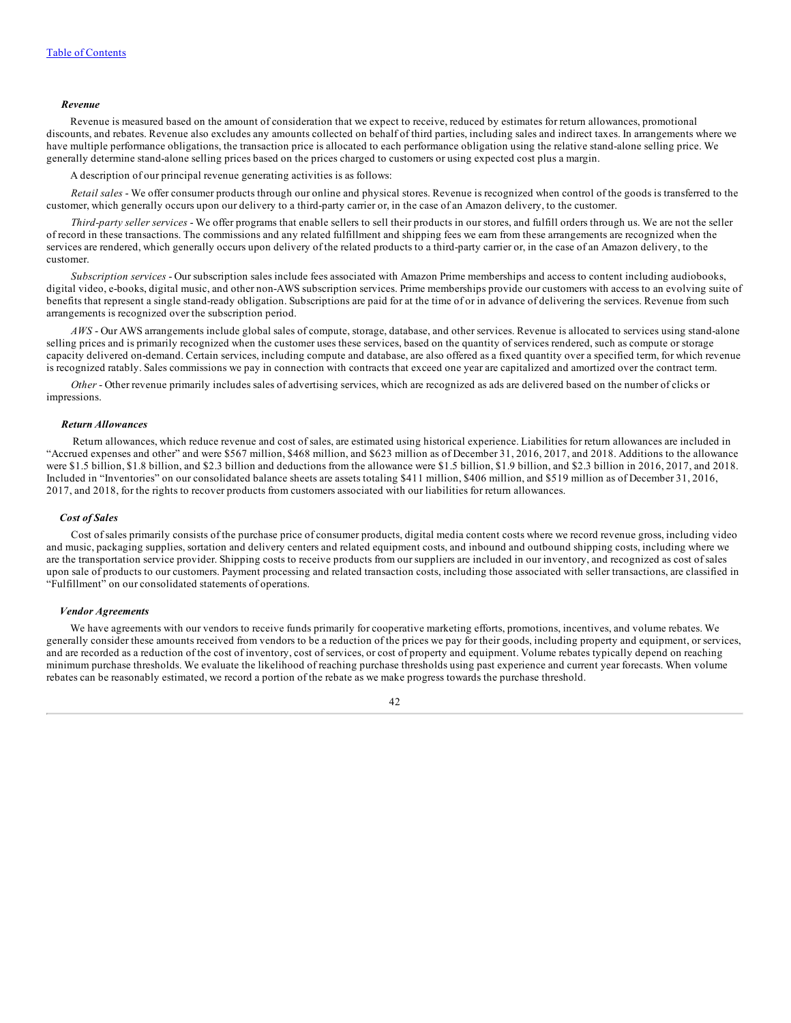#### *Revenue*

Revenue is measured based on the amount of consideration that we expect to receive, reduced by estimates for return allowances, promotional discounts, and rebates. Revenue also excludes any amounts collected on behalf of third parties, including sales and indirect taxes. In arrangements where we have multiple performance obligations, the transaction price is allocated to each performance obligation using the relative stand-alone selling price. We generally determine stand-alone selling prices based on the prices charged to customers or using expected cost plus a margin.

A description of our principal revenue generating activities is as follows:

*Retail sales* - We offer consumer products through our online and physical stores. Revenue is recognized when control of the goods is transferred to the customer, which generally occurs upon our delivery to a third-party carrier or, in the case of an Amazon delivery, to the customer.

*Third-party seller services* - We offer programs that enable sellers to sell their products in our stores, and fulfill orders through us. We are not the seller of record in these transactions. The commissions and any related fulfillment and shipping fees we earn from these arrangements are recognized when the services are rendered, which generally occurs upon delivery of the related products to a third-party carrier or, in the case of an Amazon delivery, to the customer.

*Subscription services* - Our subscription sales include fees associated with Amazon Prime memberships and access to content including audiobooks, digital video, e-books, digital music, and other non-AWS subscription services. Prime memberships provide our customers with access to an evolving suite of benefits that represent a single stand-ready obligation. Subscriptions are paid for at the time of or in advance of delivering the services. Revenue from such arrangements is recognized over the subscription period.

*AWS* - Our AWS arrangements include global sales of compute, storage, database, and other services. Revenue is allocated to services using stand-alone selling prices and is primarily recognized when the customer uses these services, based on the quantity of services rendered, such as compute or storage capacity delivered on-demand. Certain services, including compute and database, are also offered as a fixed quantity over a specified term, for which revenue is recognized ratably. Sales commissions we pay in connection with contracts that exceed one year are capitalized and amortized over the contract term.

*Other* - Other revenue primarily includes sales of advertising services, which are recognized as ads are delivered based on the number of clicks or impressions.

#### *Return Allowances*

Return allowances, which reduce revenue and cost of sales, are estimated using historical experience. Liabilities for return allowances are included in "Accrued expenses and other" and were \$567 million, \$468 million, and \$623 million as of December 31, 2016, 2017, and 2018. Additions to the allowance were \$1.5 billion, \$1.8 billion, and \$2.3 billion and deductions from the allowance were \$1.5 billion, \$1.9 billion, and \$2.3 billion in 2016, 2017, and 2018. Included in "Inventories" on our consolidated balance sheets are assets totaling \$411 million, \$406 million, and \$519 million as of December 31, 2016, 2017, and 2018, for the rights to recover products from customers associated with our liabilities for return allowances.

#### *Cost of Sales*

Cost of sales primarily consists of the purchase price of consumer products, digital media content costs where we record revenue gross, including video and music, packaging supplies, sortation and delivery centers and related equipment costs, and inbound and outbound shipping costs, including where we are the transportation service provider. Shipping costs to receive products from our suppliers are included in our inventory, and recognized as cost of sales upon sale of products to our customers. Payment processing and related transaction costs, including those associated with seller transactions, are classified in "Fulfillment" on our consolidated statements of operations.

### *Vendor Agreements*

We have agreements with our vendors to receive funds primarily for cooperative marketing efforts, promotions, incentives, and volume rebates. We generally consider these amounts received from vendors to be a reduction of the prices we pay for their goods, including property and equipment, or services, and are recorded as a reduction of the cost of inventory, cost of services, or cost of property and equipment. Volume rebates typically depend on reaching minimum purchase thresholds. We evaluate the likelihood of reaching purchase thresholds using past experience and current year forecasts. When volume rebates can be reasonably estimated, we record a portion of the rebate as we make progress towards the purchase threshold.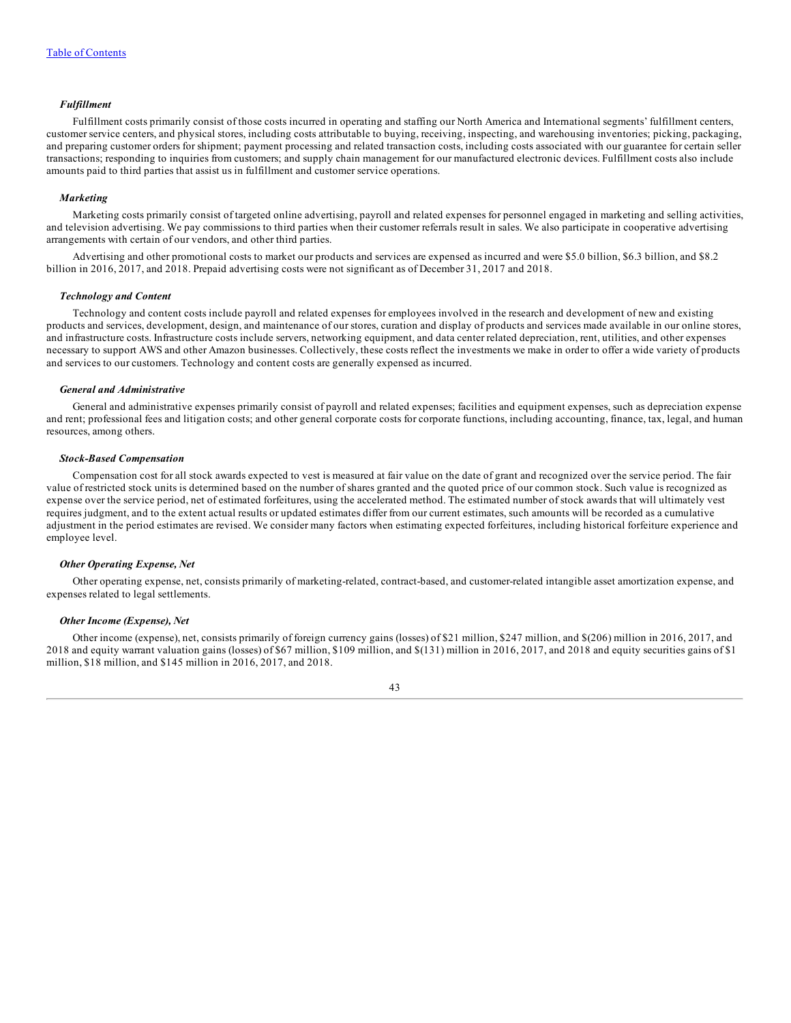# *Fulfillment*

Fulfillment costs primarily consist of those costs incurred in operating and staffing our North America and International segments' fulfillment centers, customer service centers, and physical stores, including costs attributable to buying, receiving, inspecting, and warehousing inventories; picking, packaging, and preparing customer orders for shipment; payment processing and related transaction costs, including costs associated with our guarantee for certain seller transactions; responding to inquiries from customers; and supply chain management for our manufactured electronic devices. Fulfillment costs also include amounts paid to third parties that assist us in fulfillment and customer service operations.

### *Marketing*

Marketing costs primarily consist of targeted online advertising, payroll and related expenses for personnel engaged in marketing and selling activities, and television advertising. We pay commissions to third parties when their customer referrals result in sales. We also participate in cooperative advertising arrangements with certain of our vendors, and other third parties.

Advertising and other promotional costs to market our products and services are expensed as incurred and were \$5.0 billion, \$6.3 billion, and \$8.2 billion in 2016, 2017, and 2018. Prepaid advertising costs were not significant as of December 31, 2017 and 2018.

### *Technology and Content*

Technology and content costs include payroll and related expenses for employees involved in the research and development of new and existing products and services, development, design, and maintenance of our stores, curation and display of products and services made available in our online stores, and infrastructure costs. Infrastructure costs include servers, networking equipment, and data center related depreciation, rent, utilities, and other expenses necessary to support AWS and other Amazon businesses. Collectively, these costs reflect the investments we make in order to offer a wide variety of products and services to our customers. Technology and content costs are generally expensed as incurred.

### *General and Administrative*

General and administrative expenses primarily consist of payroll and related expenses; facilities and equipment expenses, such as depreciation expense and rent; professional fees and litigation costs; and other general corporate costs for corporate functions, including accounting, finance, tax, legal, and human resources, among others.

#### *Stock-Based Compensation*

Compensation cost for all stock awards expected to vest is measured at fair value on the date of grant and recognized over the service period. The fair value of restricted stock units is determined based on the number of shares granted and the quoted price of our common stock. Such value is recognized as expense over the service period, net of estimated forfeitures, using the accelerated method. The estimated number of stock awards that will ultimately vest requires judgment, and to the extent actual results or updated estimates differ from our current estimates, such amounts will be recorded as a cumulative adjustment in the period estimates are revised. We consider many factors when estimating expected forfeitures, including historical forfeiture experience and employee level.

#### *Other Operating Expense, Net*

Other operating expense, net, consists primarily of marketing-related, contract-based, and customer-related intangible asset amortization expense, and expenses related to legal settlements.

#### *Other Income (Expense), Net*

Other income (expense), net, consists primarily of foreign currency gains (losses) of \$21 million, \$247 million, and \$(206) million in 2016, 2017, and 2018 and equity warrant valuation gains (losses) of \$67 million, \$109 million, and \$(131) million in 2016, 2017, and 2018 and equity securities gains of \$1 million, \$18 million, and \$145 million in 2016, 2017, and 2018.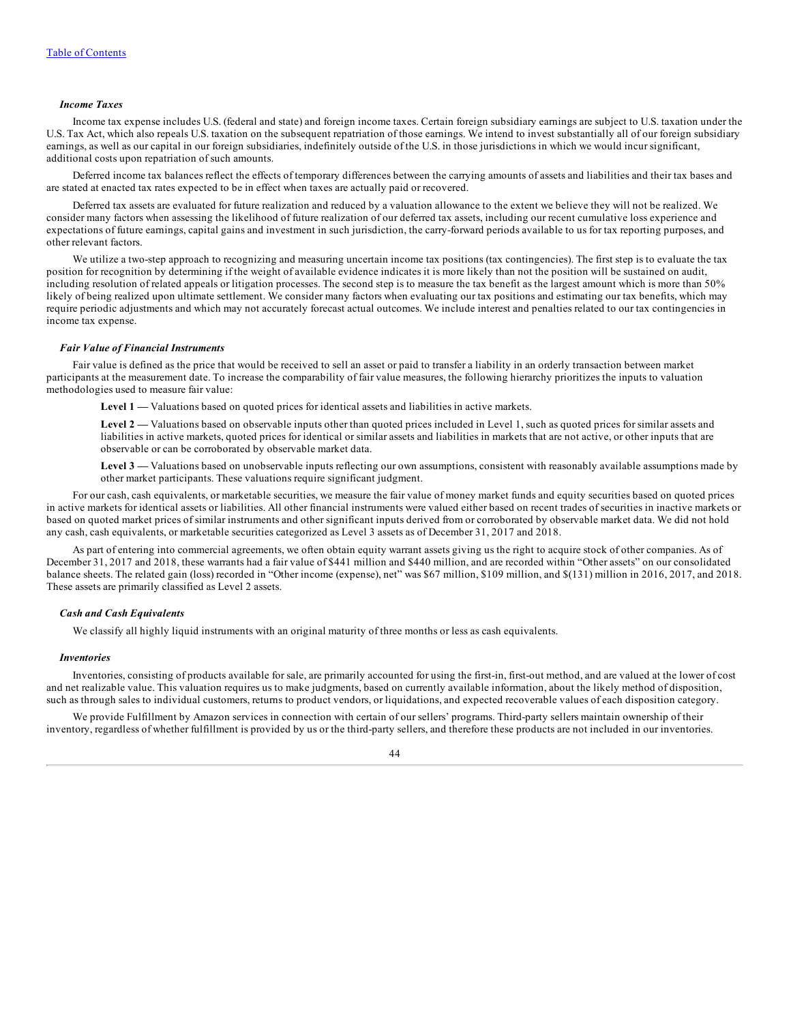### *Income Taxes*

Income tax expense includes U.S. (federal and state) and foreign income taxes. Certain foreign subsidiary earnings are subject to U.S. taxation under the U.S. Tax Act, which also repeals U.S. taxation on the subsequent repatriation of those earnings. We intend to invest substantially all of our foreign subsidiary earnings, as well as our capital in our foreign subsidiaries, indefinitely outside of the U.S. in those jurisdictions in which we would incur significant, additional costs upon repatriation of such amounts.

Deferred income tax balances reflect the effects of temporary differences between the carrying amounts of assets and liabilities and their tax bases and are stated at enacted tax rates expected to be in effect when taxes are actually paid or recovered.

Deferred tax assets are evaluated for future realization and reduced by a valuation allowance to the extent we believe they will not be realized. We consider many factors when assessing the likelihood of future realization of our deferred tax assets, including our recent cumulative loss experience and expectations of future earnings, capital gains and investment in such jurisdiction, the carry-forward periods available to us for tax reporting purposes, and other relevant factors.

We utilize a two-step approach to recognizing and measuring uncertain income tax positions (tax contingencies). The first step is to evaluate the tax position for recognition by determining if the weight of available evidence indicates it is more likely than not the position will be sustained on audit, including resolution of related appeals or litigation processes. The second step is to measure the tax benefit as the largest amount which is more than 50% likely of being realized upon ultimate settlement. We consider many factors when evaluating our tax positions and estimating our tax benefits, which may require periodic adjustments and which may not accurately forecast actual outcomes. We include interest and penalties related to our tax contingencies in income tax expense.

### *Fair Value of Financial Instruments*

Fair value is defined as the price that would be received to sell an asset or paid to transfer a liability in an orderly transaction between market participants at the measurement date. To increase the comparability of fair value measures, the following hierarchy prioritizes the inputs to valuation methodologies used to measure fair value:

**Level 1 —** Valuations based on quoted prices for identical assets and liabilities in active markets.

**Level 2 —** Valuations based on observable inputs other than quoted prices included in Level 1, such as quoted prices for similar assets and liabilities in active markets, quoted prices for identical or similar assets and liabilities in markets that are not active, or other inputs that are observable or can be corroborated by observable market data.

**Level 3 —** Valuations based on unobservable inputs reflecting our own assumptions, consistent with reasonably available assumptions made by other market participants. These valuations require significant judgment.

For our cash, cash equivalents, or marketable securities, we measure the fair value of money market funds and equity securities based on quoted prices in active markets for identical assets or liabilities. All other financial instruments were valued either based on recent trades of securities in inactive markets or based on quoted market prices of similar instruments and other significant inputs derived from or corroborated by observable market data. We did not hold any cash, cash equivalents, or marketable securities categorized as Level 3 assets as of December 31, 2017 and 2018.

As part of entering into commercial agreements, we often obtain equity warrant assets giving us the right to acquire stock of other companies. As of December 31, 2017 and 2018, these warrants had a fair value of \$441 million and \$440 million, and are recorded within "Other assets" on our consolidated balance sheets. The related gain (loss) recorded in "Other income (expense), net" was \$67 million, \$109 million, and \$(131) million in 2016, 2017, and 2018. These assets are primarily classified as Level 2 assets.

# *Cash and Cash Equivalents*

We classify all highly liquid instruments with an original maturity of three months or less as cash equivalents.

### *Inventories*

Inventories, consisting of products available for sale, are primarily accounted for using the first-in, first-out method, and are valued at the lower of cost and net realizable value. This valuation requires us to make judgments, based on currently available information, about the likely method of disposition, such as through sales to individual customers, returns to product vendors, or liquidations, and expected recoverable values of each disposition category.

We provide Fulfillment by Amazon services in connection with certain of our sellers' programs. Third-party sellers maintain ownership of their inventory, regardless of whether fulfillment is provided by us or the third-party sellers, and therefore these products are not included in our inventories.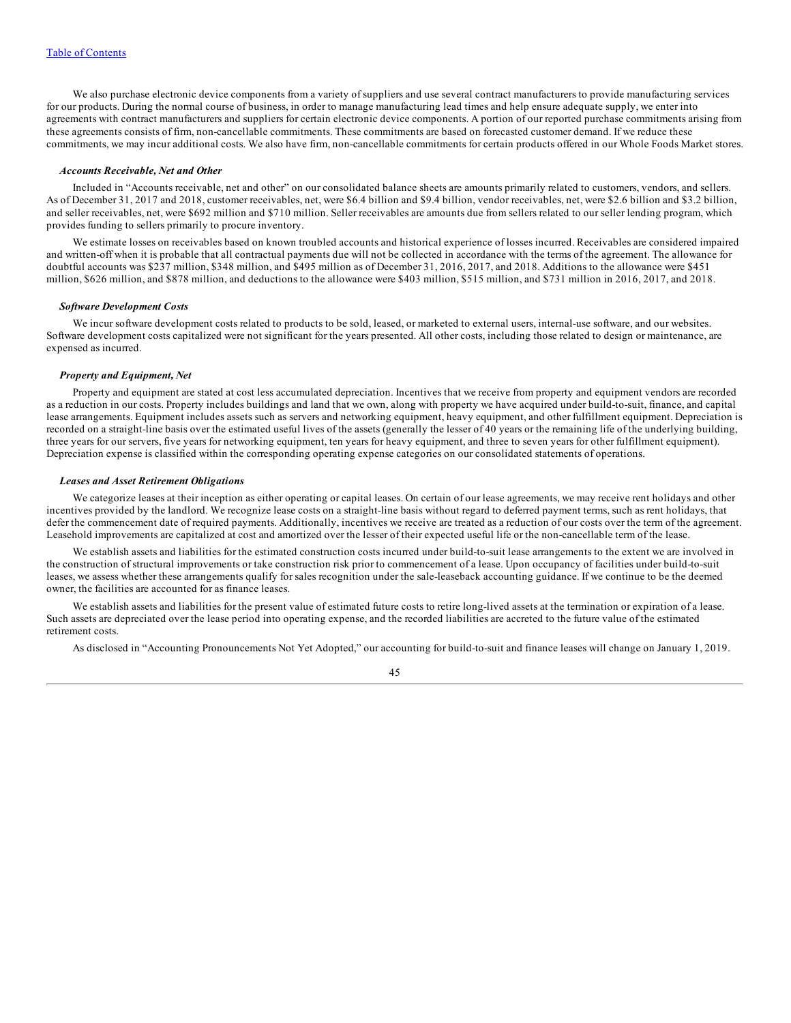We also purchase electronic device components from a variety of suppliers and use several contract manufacturers to provide manufacturing services for our products. During the normal course of business, in order to manage manufacturing lead times and help ensure adequate supply, we enter into agreements with contract manufacturers and suppliers for certain electronic device components. A portion of our reported purchase commitments arising from these agreements consists of firm, non-cancellable commitments. These commitments are based on forecasted customer demand. If we reduce these commitments, we may incur additional costs. We also have firm, non-cancellable commitments for certain products offered in our Whole Foods Market stores.

### *Accounts Receivable, Net and Other*

Included in "Accounts receivable, net and other" on our consolidated balance sheets are amounts primarily related to customers, vendors, and sellers. As of December 31, 2017 and 2018, customer receivables, net, were \$6.4 billion and \$9.4 billion, vendor receivables, net, were \$2.6 billion and \$3.2 billion, and seller receivables, net, were \$692 million and \$710 million. Seller receivables are amounts due from sellers related to our seller lending program, which provides funding to sellers primarily to procure inventory.

We estimate losses on receivables based on known troubled accounts and historical experience of losses incurred. Receivables are considered impaired and written-off when it is probable that all contractual payments due will not be collected in accordance with the terms of the agreement. The allowance for doubtful accounts was \$237 million, \$348 million, and \$495 million as of December 31, 2016, 2017, and 2018. Additions to the allowance were \$451 million, \$626 million, and \$878 million, and deductions to the allowance were \$403 million, \$515 million, and \$731 million in 2016, 2017, and 2018.

### *Software Development Costs*

We incur software development costs related to products to be sold, leased, or marketed to external users, internal-use software, and our websites. Software development costs capitalized were not significant for the years presented. All other costs, including those related to design or maintenance, are expensed as incurred.

# *Property and Equipment, Net*

Property and equipment are stated at cost less accumulated depreciation. Incentives that we receive from property and equipment vendors are recorded as a reduction in our costs. Property includes buildings and land that we own, along with property we have acquired under build-to-suit, finance, and capital lease arrangements. Equipment includes assets such as servers and networking equipment, heavy equipment, and other fulfillment equipment. Depreciation is recorded on a straight-line basis over the estimated useful lives of the assets (generally the lesser of 40 years or the remaining life of the underlying building, three years for our servers, five years for networking equipment, ten years for heavy equipment, and three to seven years for other fulfillment equipment). Depreciation expense is classified within the corresponding operating expense categories on our consolidated statements of operations.

### *Leases and Asset Retirement Obligations*

We categorize leases at their inception as either operating or capital leases. On certain of our lease agreements, we may receive rent holidays and other incentives provided by the landlord. We recognize lease costs on a straight-line basis without regard to deferred payment terms, such as rent holidays, that defer the commencement date of required payments. Additionally, incentives we receive are treated as a reduction of our costs over the term of the agreement. Leasehold improvements are capitalized at cost and amortized over the lesser of their expected useful life or the non-cancellable term of the lease.

We establish assets and liabilities for the estimated construction costs incurred under build-to-suit lease arrangements to the extent we are involved in the construction of structural improvements or take construction risk prior to commencement of a lease. Upon occupancy of facilities under build-to-suit leases, we assess whether these arrangements qualify for sales recognition under the sale-leaseback accounting guidance. If we continue to be the deemed owner, the facilities are accounted for as finance leases.

We establish assets and liabilities for the present value of estimated future costs to retire long-lived assets at the termination or expiration of a lease. Such assets are depreciated over the lease period into operating expense, and the recorded liabilities are accreted to the future value of the estimated retirement costs.

As disclosed in "Accounting Pronouncements Not Yet Adopted," our accounting for build-to-suit and finance leases will change on January 1, 2019.

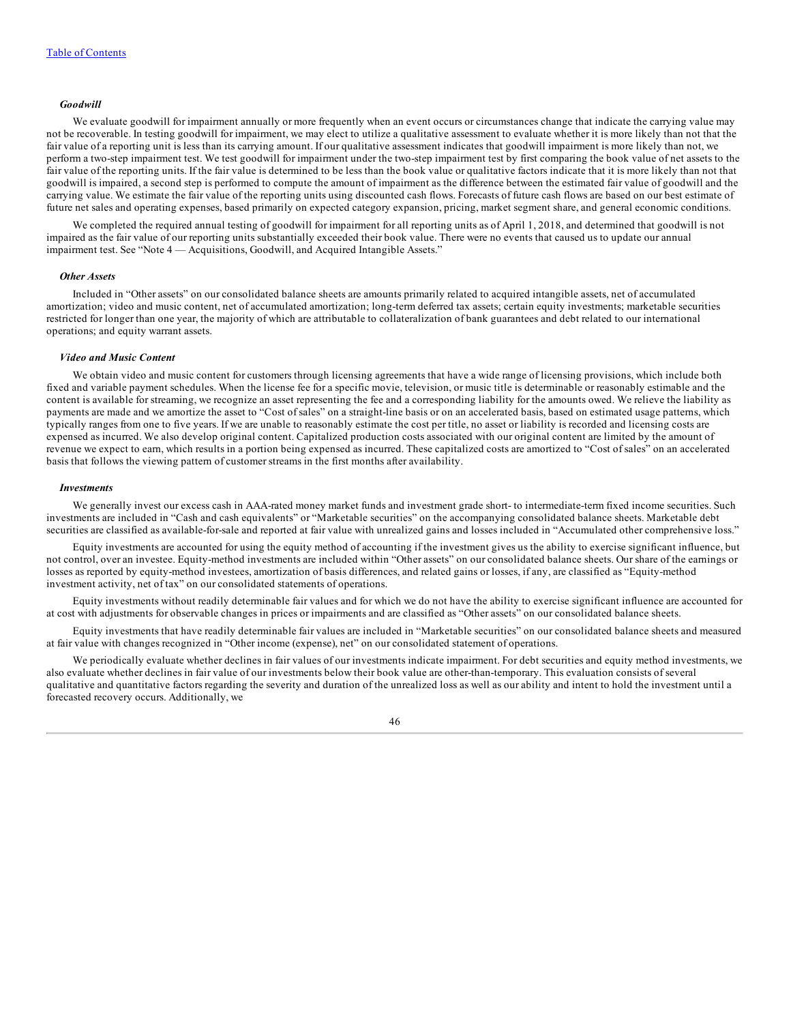### *Goodwill*

We evaluate goodwill for impairment annually or more frequently when an event occurs or circumstances change that indicate the carrying value may not be recoverable. In testing goodwill for impairment, we may elect to utilize a qualitative assessment to evaluate whether it is more likely than not that the fair value of a reporting unit is less than its carrying amount. If our qualitative assessment indicates that goodwill impairment is more likely than not, we perform a two-step impairment test. We test goodwill for impairment under the two-step impairment test by first comparing the book value of net assets to the fair value of the reporting units. If the fair value is determined to be less than the book value or qualitative factors indicate that it is more likely than not that goodwill is impaired, a second step is performed to compute the amount of impairment as the difference between the estimated fair value of goodwill and the carrying value. We estimate the fair value of the reporting units using discounted cash flows. Forecasts of future cash flows are based on our best estimate of future net sales and operating expenses, based primarily on expected category expansion, pricing, market segment share, and general economic conditions.

We completed the required annual testing of goodwill for impairment for all reporting units as of April 1, 2018, and determined that goodwill is not impaired as the fair value of our reporting units substantially exceeded their book value. There were no events that caused us to update our annual impairment test. See "Note 4 — Acquisitions, Goodwill, and Acquired Intangible Assets."

#### *Other Assets*

Included in "Other assets" on our consolidated balance sheets are amounts primarily related to acquired intangible assets, net of accumulated amortization; video and music content, net of accumulated amortization; long-term deferred tax assets; certain equity investments; marketable securities restricted for longer than one year, the majority of which are attributable to collateralization of bank guarantees and debt related to our international operations; and equity warrant assets.

### *Video and Music Content*

We obtain video and music content for customers through licensing agreements that have a wide range of licensing provisions, which include both fixed and variable payment schedules. When the license fee for a specific movie, television, or music title is determinable or reasonably estimable and the content is available for streaming, we recognize an asset representing the fee and a corresponding liability for the amounts owed. We relieve the liability as payments are made and we amortize the asset to "Cost of sales" on a straight-line basis or on an accelerated basis, based on estimated usage patterns, which typically ranges from one to five years. If we are unable to reasonably estimate the cost per title, no asset or liability is recorded and licensing costs are expensed as incurred. We also develop original content. Capitalized production costs associated with our original content are limited by the amount of revenue we expect to earn, which results in a portion being expensed as incurred. These capitalized costs are amortized to "Cost of sales" on an accelerated basis that follows the viewing pattern of customer streams in the first months after availability.

### *Investments*

We generally invest our excess cash in AAA-rated money market funds and investment grade short- to intermediate-term fixed income securities. Such investments are included in "Cash and cash equivalents" or "Marketable securities" on the accompanying consolidated balance sheets. Marketable debt securities are classified as available-for-sale and reported at fair value with unrealized gains and losses included in "Accumulated other comprehensive loss."

Equity investments are accounted for using the equity method of accounting if the investment gives us the ability to exercise significant influence, but not control, over an investee. Equity-method investments are included within "Other assets" on our consolidated balance sheets. Our share of the earnings or losses as reported by equity-method investees, amortization of basis differences, and related gains or losses, if any, are classified as "Equity*-*method investment activity, net of tax" on our consolidated statements of operations.

Equity investments without readily determinable fair values and for which we do not have the ability to exercise significant influence are accounted for at cost with adjustments for observable changes in prices or impairments and are classified as "Other assets" on our consolidated balance sheets.

Equity investments that have readily determinable fair values are included in "Marketable securities" on our consolidated balance sheets and measured at fair value with changes recognized in "Other income (expense), net" on our consolidated statement of operations.

We periodically evaluate whether declines in fair values of our investments indicate impairment. For debt securities and equity method investments, we also evaluate whether declines in fair value of our investments below their book value are other-than-temporary. This evaluation consists of several qualitative and quantitative factors regarding the severity and duration of the unrealized loss as well as our ability and intent to hold the investment until a forecasted recovery occurs. Additionally, we

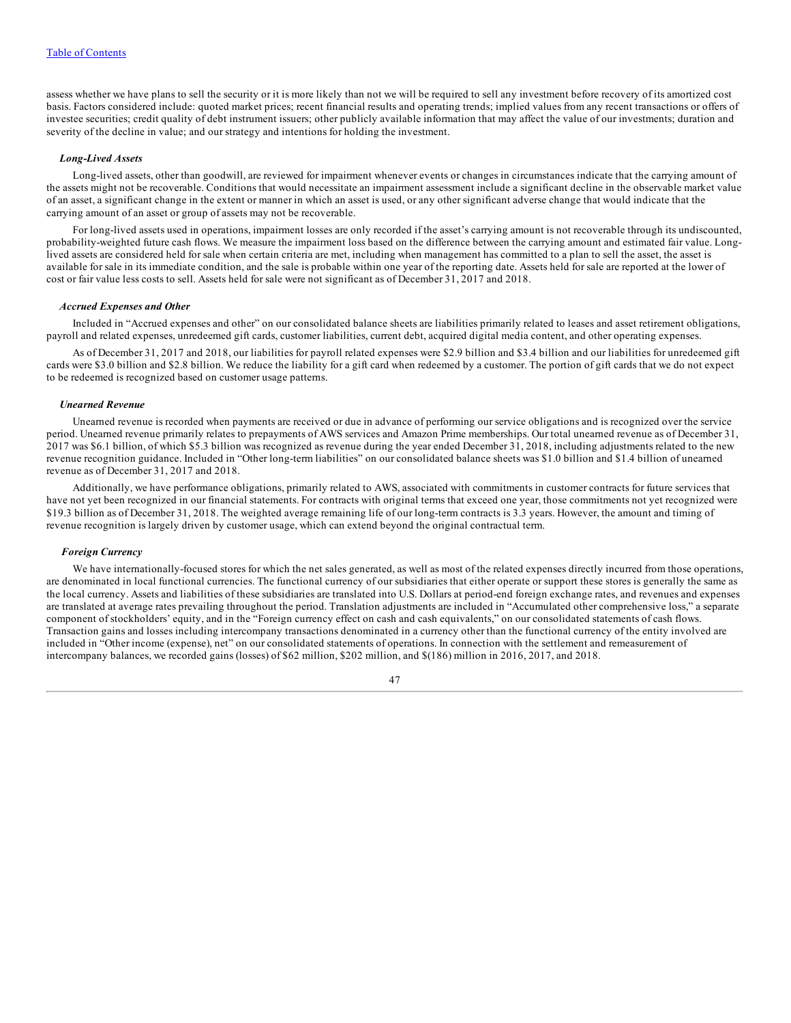assess whether we have plans to sell the security or it is more likely than not we will be required to sell any investment before recovery of its amortized cost basis. Factors considered include: quoted market prices; recent financial results and operating trends; implied values from any recent transactions or offers of investee securities; credit quality of debt instrument issuers; other publicly available information that may affect the value of our investments; duration and severity of the decline in value; and our strategy and intentions for holding the investment.

#### *Long-Lived Assets*

Long-lived assets, other than goodwill, are reviewed for impairment whenever events or changes in circumstances indicate that the carrying amount of the assets might not be recoverable. Conditions that would necessitate an impairment assessment include a significant decline in the observable market value of an asset, a significant change in the extent or manner in which an asset is used, or any other significant adverse change that would indicate that the carrying amount of an asset or group of assets may not be recoverable.

For long-lived assets used in operations, impairment losses are only recorded if the asset's carrying amount is not recoverable through its undiscounted, probability-weighted future cash flows. We measure the impairment loss based on the difference between the carrying amount and estimated fair value. Longlived assets are considered held for sale when certain criteria are met, including when management has committed to a plan to sell the asset, the asset is available for sale in its immediate condition, and the sale is probable within one year of the reporting date. Assets held for sale are reported at the lower of cost or fair value less costs to sell. Assets held for sale were not significant as of December 31, 2017 and 2018.

### *Accrued Expenses and Other*

Included in "Accrued expenses and other" on our consolidated balance sheets are liabilities primarily related to leases and asset retirement obligations, payroll and related expenses, unredeemed gift cards, customer liabilities, current debt, acquired digital media content, and other operating expenses.

As of December 31, 2017 and 2018, our liabilities for payroll related expenses were \$2.9 billion and \$3.4 billion and our liabilities for unredeemed gift cards were \$3.0 billion and \$2.8 billion. We reduce the liability for a gift card when redeemed by a customer. The portion of gift cards that we do not expect to be redeemed is recognized based on customer usage patterns.

### *Unearned Revenue*

Unearned revenue is recorded when payments are received or due in advance of performing our service obligations and is recognized over the service period. Unearned revenue primarily relates to prepayments of AWS services and Amazon Prime memberships. Our total unearned revenue as of December 31, 2017 was \$6.1 billion, of which \$5.3 billion was recognized as revenue during the year ended December 31, 2018, including adjustments related to the new revenue recognition guidance. Included in "Other long-term liabilities" on our consolidated balance sheets was \$1.0 billion and \$1.4 billion of unearned revenue as of December 31, 2017 and 2018.

Additionally, we have performance obligations, primarily related to AWS, associated with commitments in customer contracts for future services that have not yet been recognized in our financial statements. For contracts with original terms that exceed one year, those commitments not yet recognized were \$19.3 billion as of December 31, 2018. The weighted average remaining life of our long-term contracts is 3.3 years. However, the amount and timing of revenue recognition is largely driven by customer usage, which can extend beyond the original contractual term.

### *Foreign Currency*

We have internationally-focused stores for which the net sales generated, as well as most of the related expenses directly incurred from those operations, are denominated in local functional currencies. The functional currency of our subsidiaries that either operate or support these stores is generally the same as the local currency. Assets and liabilities of these subsidiaries are translated into U.S. Dollars at period-end foreign exchange rates, and revenues and expenses are translated at average rates prevailing throughout the period. Translation adjustments are included in "Accumulated other comprehensive loss," a separate component of stockholders' equity, and in the "Foreign currency effect on cash and cash equivalents," on our consolidated statements of cash flows. Transaction gains and losses including intercompany transactions denominated in a currency other than the functional currency of the entity involved are included in "Other income (expense), net" on our consolidated statements of operations. In connection with the settlement and remeasurement of intercompany balances, we recorded gains (losses) of \$62 million, \$202 million, and \$(186) million in 2016, 2017, and 2018.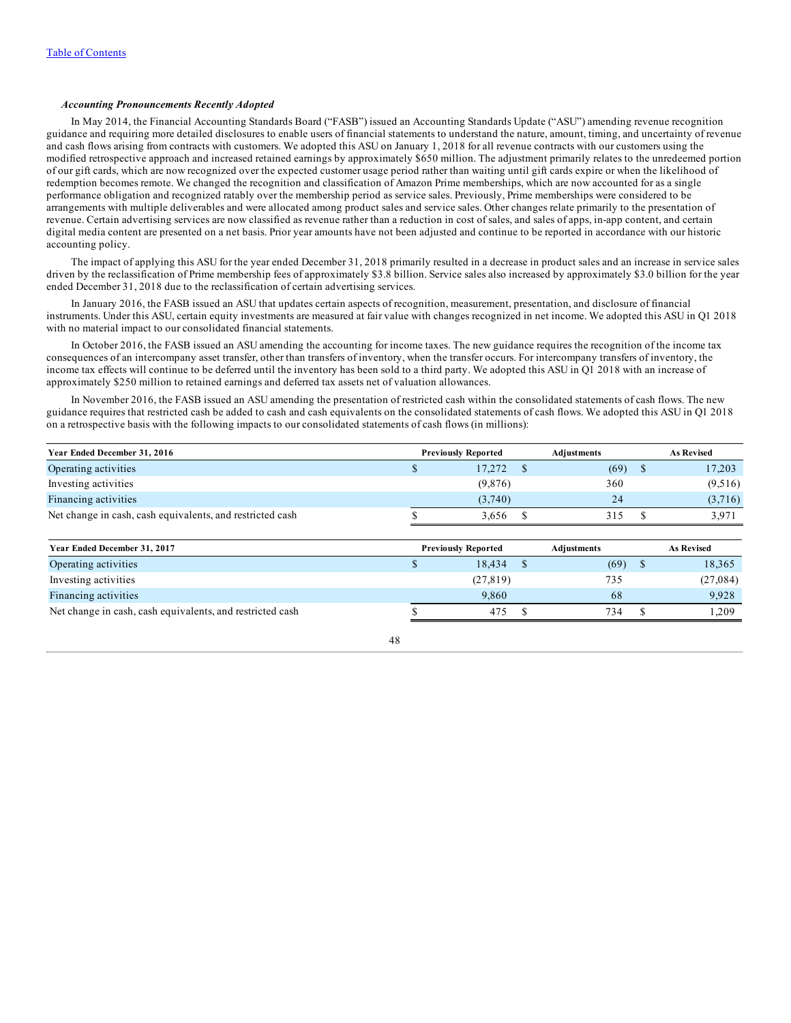## *Accounting Pronouncements Recently Adopted*

In May 2014, the Financial Accounting Standards Board ("FASB") issued an Accounting Standards Update ("ASU") amending revenue recognition guidance and requiring more detailed disclosures to enable users of financial statements to understand the nature, amount, timing, and uncertainty of revenue and cash flows arising from contracts with customers. We adopted this ASU on January 1, 2018 for all revenue contracts with our customers using the modified retrospective approach and increased retained earnings by approximately \$650 million. The adjustment primarily relates to the unredeemed portion of our gift cards, which are now recognized over the expected customer usage period rather than waiting until gift cards expire or when the likelihood of redemption becomes remote. We changed the recognition and classification of Amazon Prime memberships, which are now accounted for as a single performance obligation and recognized ratably over the membership period as service sales. Previously, Prime memberships were considered to be arrangements with multiple deliverables and were allocated among product sales and service sales. Other changes relate primarily to the presentation of revenue. Certain advertising services are now classified as revenue rather than a reduction in cost of sales, and sales of apps, in-app content, and certain digital media content are presented on a net basis. Prior year amounts have not been adjusted and continue to be reported in accordance with our historic accounting policy.

The impact of applying this ASU for the year ended December 31, 2018 primarily resulted in a decrease in product sales and an increase in service sales driven by the reclassification of Prime membership fees of approximately \$3.8 billion. Service sales also increased by approximately \$3.0 billion for the year ended December 31, 2018 due to the reclassification of certain advertising services.

In January 2016, the FASB issued an ASU that updates certain aspects of recognition, measurement, presentation, and disclosure of financial instruments. Under this ASU, certain equity investments are measured at fair value with changes recognized in net income. We adopted this ASU in Q1 2018 with no material impact to our consolidated financial statements.

In October 2016, the FASB issued an ASU amending the accounting for income taxes. The new guidance requires the recognition of the income tax consequences of an intercompany asset transfer, other than transfers of inventory, when the transfer occurs. For intercompany transfers of inventory, the income tax effects will continue to be deferred until the inventory has been sold to a third party. We adopted this ASU in Q1 2018 with an increase of approximately \$250 million to retained earnings and deferred tax assets net of valuation allowances.

In November 2016, the FASB issued an ASU amending the presentation of restricted cash within the consolidated statements of cash flows. The new guidance requires that restricted cash be added to cash and cash equivalents on the consolidated statements of cash flows. We adopted this ASU in Q1 2018 on a retrospective basis with the following impacts to our consolidated statements of cash flows (in millions):

| Year Ended December 31, 2016                              | <b>Previously Reported</b> | Adjustments | <b>As Revised</b> |
|-----------------------------------------------------------|----------------------------|-------------|-------------------|
| Operating activities                                      | 17.272                     | (69)        | 17,203            |
| Investing activities                                      | (9,876)                    | 360         | (9,516)           |
| Financing activities                                      | (3,740)                    | 24          | (3,716)           |
| Net change in cash, cash equivalents, and restricted cash | 3.656                      |             | 3.971             |

| Year Ended December 31, 2017                              | <b>Previously Reported</b> | Adjustments | <b>As Revised</b> |           |
|-----------------------------------------------------------|----------------------------|-------------|-------------------|-----------|
| Operating activities                                      | 18.434                     |             | (69)              | 18,365    |
| Investing activities                                      | (27, 819)                  |             | 735               | (27, 084) |
| Financing activities                                      | 9.860                      |             | 68                | 9.928     |
| Net change in cash, cash equivalents, and restricted cash | 475                        |             | 734               | 1.209     |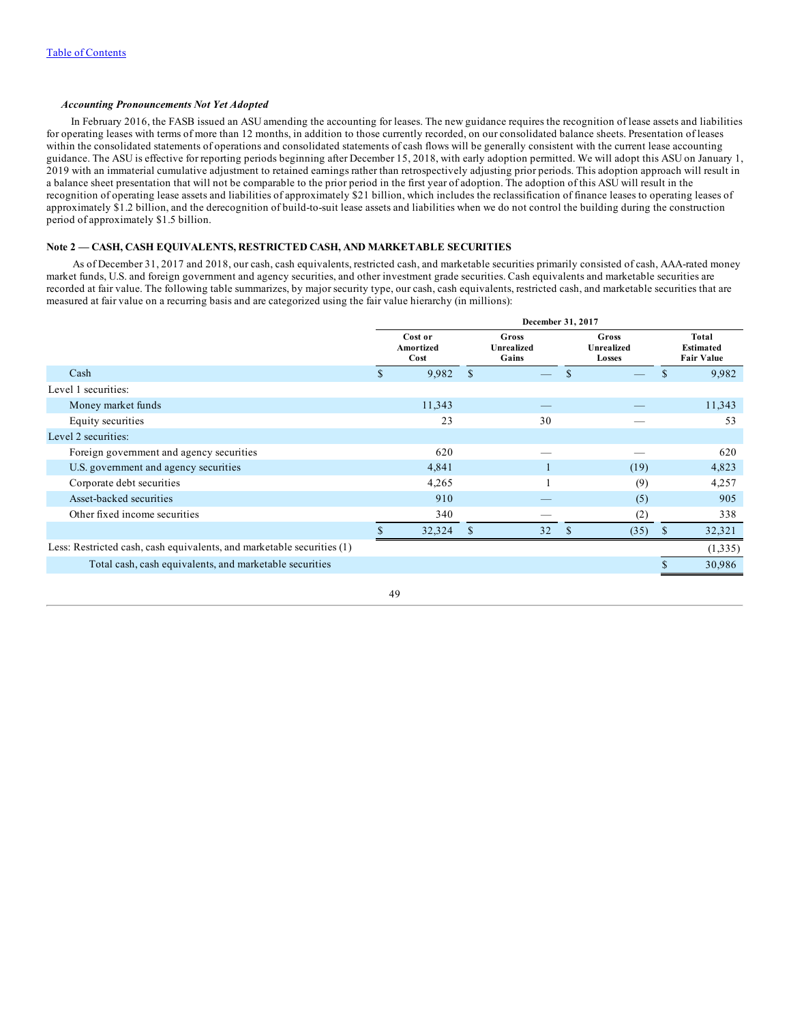# *Accounting Pronouncements Not Yet Adopted*

In February 2016, the FASB issued an ASU amending the accounting for leases. The new guidance requires the recognition of lease assets and liabilities for operating leases with terms of more than 12 months, in addition to those currently recorded, on our consolidated balance sheets. Presentation of leases within the consolidated statements of operations and consolidated statements of cash flows will be generally consistent with the current lease accounting guidance. The ASU is effective for reporting periods beginning after December 15, 2018, with early adoption permitted. We will adopt this ASU on January 1, 2019 with an immaterial cumulative adjustment to retained earnings rather than retrospectively adjusting prior periods. This adoption approach will result in a balance sheet presentation that will not be comparable to the prior period in the first year of adoption. The adoption of this ASU will result in the recognition of operating lease assets and liabilities of approximately \$21 billion, which includes the reclassification of finance leases to operating leases of approximately \$1.2 billion, and the derecognition of build-to-suit lease assets and liabilities when we do not control the building during the construction period of approximately \$1.5 billion.

# **Note 2 — CASH, CASH EQUIVALENTS, RESTRICTED CASH, AND MARKETABLE SECURITIES**

As of December 31, 2017 and 2018, our cash, cash equivalents, restricted cash, and marketable securities primarily consisted of cash, AAA-rated money market funds, U.S. and foreign government and agency securities, and other investment grade securities. Cash equivalents and marketable securities are recorded at fair value. The following table summarizes, by major security type, our cash, cash equivalents, restricted cash, and marketable securities that are measured at fair value on a recurring basis and are categorized using the fair value hierarchy (in millions):

|                                                                        | December 31, 2017 |                              |    |                              |    |                                      |              |                                                |  |  |
|------------------------------------------------------------------------|-------------------|------------------------------|----|------------------------------|----|--------------------------------------|--------------|------------------------------------------------|--|--|
|                                                                        |                   | Cost or<br>Amortized<br>Cost |    | Gross<br>Unrealized<br>Gains |    | Gross<br><b>Unrealized</b><br>Losses |              | Total<br><b>Estimated</b><br><b>Fair Value</b> |  |  |
| Cash                                                                   | \$                | 9,982                        | -S |                              | \$ |                                      |              | 9,982                                          |  |  |
| Level 1 securities:                                                    |                   |                              |    |                              |    |                                      |              |                                                |  |  |
| Money market funds                                                     |                   | 11,343                       |    |                              |    |                                      |              | 11,343                                         |  |  |
| Equity securities                                                      |                   | 23                           |    | 30                           |    |                                      |              | 53                                             |  |  |
| Level 2 securities:                                                    |                   |                              |    |                              |    |                                      |              |                                                |  |  |
| Foreign government and agency securities                               |                   | 620                          |    |                              |    |                                      |              | 620                                            |  |  |
| U.S. government and agency securities                                  |                   | 4,841                        |    |                              |    | (19)                                 |              | 4,823                                          |  |  |
| Corporate debt securities                                              |                   | 4,265                        |    |                              |    | (9)                                  |              | 4,257                                          |  |  |
| Asset-backed securities                                                |                   | 910                          |    |                              |    | (5)                                  |              | 905                                            |  |  |
| Other fixed income securities                                          |                   | 340                          |    |                              |    | (2)                                  |              | 338                                            |  |  |
|                                                                        |                   | 32,324                       | -S | 32                           | N, | (35)                                 | <sup>S</sup> | 32,321                                         |  |  |
| Less: Restricted cash, cash equivalents, and marketable securities (1) |                   |                              |    |                              |    |                                      |              | (1, 335)                                       |  |  |
| Total cash, cash equivalents, and marketable securities                |                   |                              |    |                              |    |                                      |              | 30,986                                         |  |  |
|                                                                        |                   |                              |    |                              |    |                                      |              |                                                |  |  |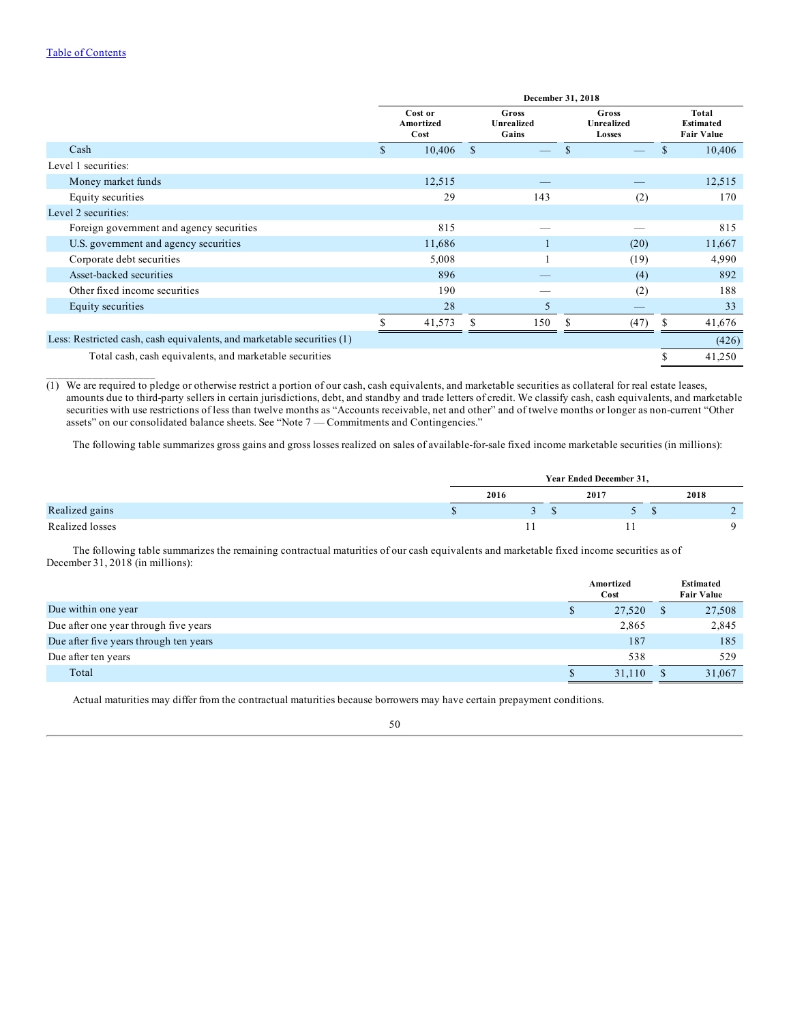|                                                                        |                              |    | December 31, 2018            |              |                               |                                                |
|------------------------------------------------------------------------|------------------------------|----|------------------------------|--------------|-------------------------------|------------------------------------------------|
|                                                                        | Cost or<br>Amortized<br>Cost |    | Gross<br>Unrealized<br>Gains |              | Gross<br>Unrealized<br>Losses | Total<br><b>Estimated</b><br><b>Fair Value</b> |
| Cash                                                                   | \$<br>10,406                 | -S |                              | $\mathbb{S}$ |                               | \$<br>10,406                                   |
| Level 1 securities:                                                    |                              |    |                              |              |                               |                                                |
| Money market funds                                                     | 12,515                       |    |                              |              |                               | 12,515                                         |
| Equity securities                                                      | 29                           |    | 143                          |              | (2)                           | 170                                            |
| Level 2 securities:                                                    |                              |    |                              |              |                               |                                                |
| Foreign government and agency securities                               | 815                          |    |                              |              |                               | 815                                            |
| U.S. government and agency securities                                  | 11,686                       |    |                              |              | (20)                          | 11,667                                         |
| Corporate debt securities                                              | 5,008                        |    |                              |              | (19)                          | 4,990                                          |
| Asset-backed securities                                                | 896                          |    |                              |              | (4)                           | 892                                            |
| Other fixed income securities                                          | 190                          |    |                              |              | (2)                           | 188                                            |
| Equity securities                                                      | 28                           |    | 5                            |              |                               | 33                                             |
|                                                                        | 41,573                       | £. | 150                          |              | (47)                          | \$<br>41,676                                   |
| Less: Restricted cash, cash equivalents, and marketable securities (1) |                              |    |                              |              |                               | (426)                                          |
| Total cash, cash equivalents, and marketable securities                |                              |    |                              |              |                               | \$<br>41,250                                   |

 $(1)$  We are required to pledge or otherwise restrict a portion of our cash, cash equivalents, and marketable securities as collateral for real estate leases, amounts due to third-party sellers in certain jurisdictions, debt, and standby and trade letters of credit. We classify cash, cash equivalents, and marketable securities with use restrictions of less than twelve months as "Accounts receivable, net and other" and of twelve months or longer as non-current "Other assets" on our consolidated balance sheets. See "Note 7 — Commitments and Contingencies."

The following table summarizes gross gains and gross losses realized on sales of available-for-sale fixed income marketable securities (in millions):

|                 |      | Year Ended December 31, |  |      |  |
|-----------------|------|-------------------------|--|------|--|
|                 | 2016 | 2017                    |  | 2018 |  |
| Realized gains  |      |                         |  |      |  |
| Realized losses |      |                         |  |      |  |

The following table summarizes the remaining contractual maturities of our cash equivalents and marketable fixed income securities as of December 31, 2018 (in millions):

|                                        | Amortized<br>Cost |        | <b>Estimated</b><br><b>Fair Value</b> |
|----------------------------------------|-------------------|--------|---------------------------------------|
| Due within one year                    | ъ                 | 27,520 | 27,508                                |
| Due after one year through five years  |                   | 2,865  | 2,845                                 |
| Due after five years through ten years |                   | 187    | 185                                   |
| Due after ten years                    |                   | 538    | 529                                   |
| Total                                  |                   | 31,110 | 31,067                                |

Actual maturities may differ from the contractual maturities because borrowers may have certain prepayment conditions.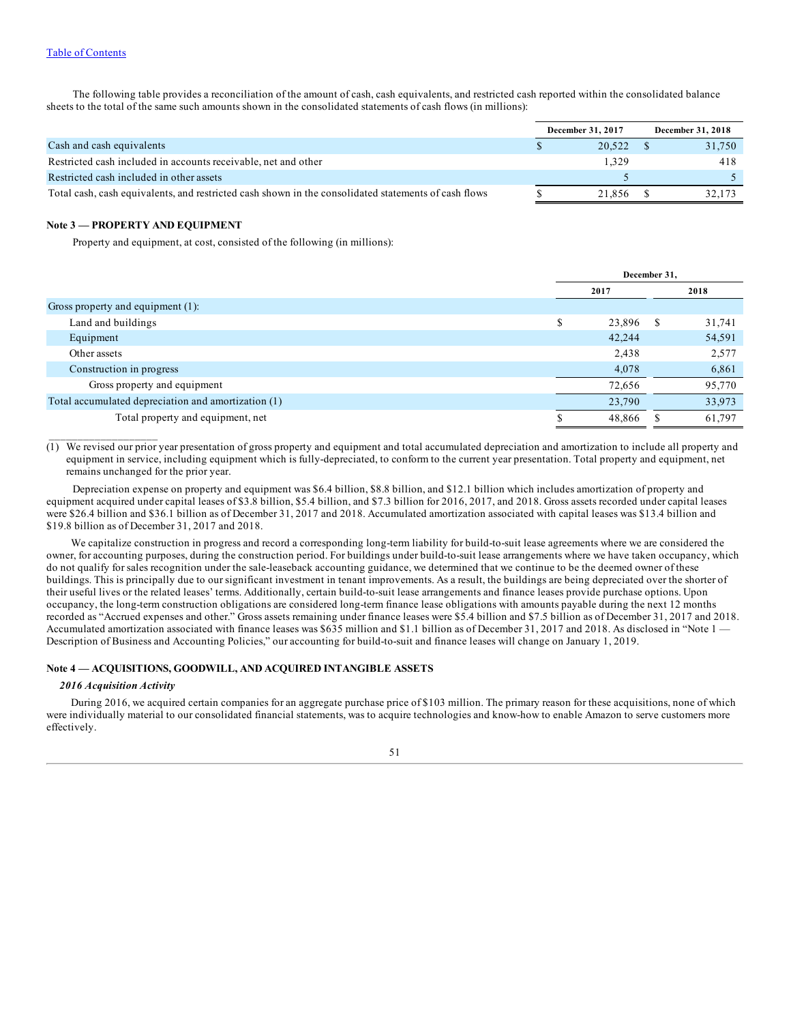The following table provides a reconciliation of the amount of cash, cash equivalents, and restricted cash reported within the consolidated balance sheets to the total of the same such amounts shown in the consolidated statements of cash flows (in millions):

|                                                                                                      | December 31, 2017 | December 31, 2018 |        |  |
|------------------------------------------------------------------------------------------------------|-------------------|-------------------|--------|--|
| Cash and cash equivalents                                                                            | 20.522            |                   | 31.750 |  |
| Restricted cash included in accounts receivable, net and other                                       | .329              |                   | 418    |  |
| Restricted cash included in other assets                                                             |                   |                   |        |  |
| Total cash, cash equivalents, and restricted cash shown in the consolidated statements of cash flows | 21.856            |                   | 32.173 |  |

### **Note 3 — PROPERTY AND EQUIPMENT**

Property and equipment, at cost, consisted of the following (in millions):

|                                                     | December 31, |                         |  |  |
|-----------------------------------------------------|--------------|-------------------------|--|--|
|                                                     | 2017         | 2018                    |  |  |
| Gross property and equipment (1):                   |              |                         |  |  |
| Land and buildings                                  | 23,896       | 31,741<br><sup>\$</sup> |  |  |
| Equipment                                           | 42,244       | 54,591                  |  |  |
| Other assets                                        | 2,438        | 2,577                   |  |  |
| Construction in progress                            | 4,078        | 6,861                   |  |  |
| Gross property and equipment                        | 72,656       | 95,770                  |  |  |
| Total accumulated depreciation and amortization (1) | 23,790       | 33,973                  |  |  |
| Total property and equipment, net                   | 48,866       | 61,797                  |  |  |

 $\overline{(1)}$  We revised our prior year presentation of gross property and equipment and total accumulated depreciation and amortization to include all property and equipment in service, including equipment which is fully-depreciated, to conform to the current year presentation. Total property and equipment, net remains unchanged for the prior year.

Depreciation expense on property and equipment was \$6.4 billion, \$8.8 billion, and \$12.1 billion which includes amortization of property and equipment acquired under capital leases of \$3.8 billion, \$5.4 billion, and \$7.3 billion for 2016, 2017, and 2018. Gross assets recorded under capital leases were \$26.4 billion and \$36.1 billion as of December 31, 2017 and 2018. Accumulated amortization associated with capital leases was \$13.4 billion and \$19.8 billion as of December 31, 2017 and 2018.

We capitalize construction in progress and record a corresponding long-term liability for build-to-suit lease agreements where we are considered the owner, for accounting purposes, during the construction period. For buildings under build-to-suit lease arrangements where we have taken occupancy, which do not qualify for sales recognition under the sale-leaseback accounting guidance, we determined that we continue to be the deemed owner of these buildings. This is principally due to our significant investment in tenant improvements. As a result, the buildings are being depreciated over the shorter of their useful lives or the related leases' terms. Additionally, certain build-to-suit lease arrangements and finance leases provide purchase options. Upon occupancy, the long-term construction obligations are considered long-term finance lease obligations with amounts payable during the next 12 months recorded as "Accrued expenses and other." Gross assets remaining under finance leases were \$5.4 billion and \$7.5 billion as of December 31, 2017 and 2018. Accumulated amortization associated with finance leases was \$635 million and \$1.1 billion as of December 31, 2017 and 2018. As disclosed in "Note 1 — Description of Business and Accounting Policies," our accounting for build-to-suit and finance leases will change on January 1, 2019.

# **Note 4 — ACQUISITIONS, GOODWILL, AND ACQUIRED INTANGIBLE ASSETS**

#### *2016 Acquisition Activity*

During 2016, we acquired certain companies for an aggregate purchase price of \$103 million. The primary reason for these acquisitions, none of which were individually material to our consolidated financial statements, was to acquire technologies and know-how to enable Amazon to serve customers more effectively.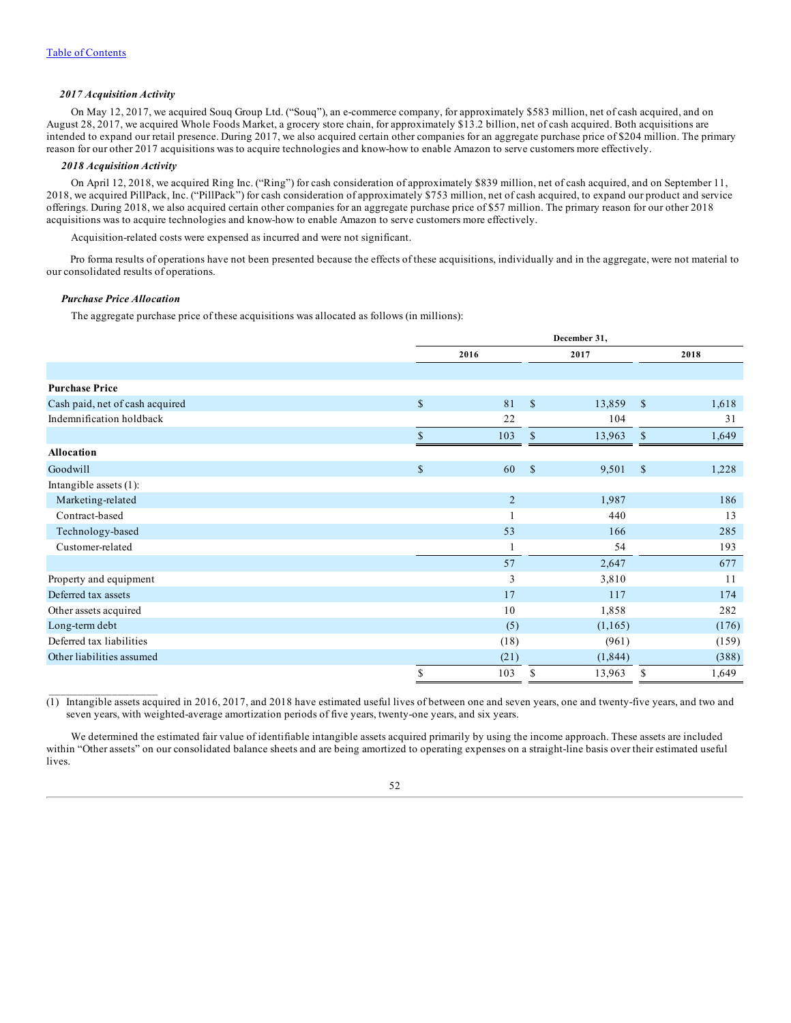# *2017 Acquisition Activity*

On May 12, 2017, we acquired Souq Group Ltd. ("Souq"), an e-commerce company, for approximately \$583 million, net of cash acquired, and on August 28, 2017, we acquired Whole Foods Market, a grocery store chain, for approximately \$13.2 billion, net of cash acquired. Both acquisitions are intended to expand our retail presence. During 2017, we also acquired certain other companies for an aggregate purchase price of \$204 million. The primary reason for our other 2017 acquisitions was to acquire technologies and know-how to enable Amazon to serve customers more effectively.

### *2018 Acquisition Activity*

On April 12, 2018, we acquired Ring Inc. ("Ring") for cash consideration of approximately \$839 million, net of cash acquired, and on September 11, 2018, we acquired PillPack, Inc. ("PillPack") for cash consideration of approximately \$753 million, net of cash acquired, to expand our product and service offerings. During 2018, we also acquired certain other companies for an aggregate purchase price of \$57 million. The primary reason for our other 2018 acquisitions was to acquire technologies and know-how to enable Amazon to serve customers more effectively.

Acquisition-related costs were expensed as incurred and were not significant.

Pro forma results of operations have not been presented because the effects of these acquisitions, individually and in the aggregate, were not material to our consolidated results of operations.

### *Purchase Price Allocation*

The aggregate purchase price of these acquisitions was allocated as follows (in millions):

|                                 | December 31,   |               |         |               |       |  |
|---------------------------------|----------------|---------------|---------|---------------|-------|--|
|                                 | 2016           |               | 2017    |               | 2018  |  |
|                                 |                |               |         |               |       |  |
| <b>Purchase Price</b>           |                |               |         |               |       |  |
| Cash paid, net of cash acquired | \$<br>81       | $\mathcal{S}$ | 13,859  | $\mathbb{S}$  | 1,618 |  |
| Indemnification holdback        | 22             |               | 104     |               | 31    |  |
|                                 | \$<br>103      | $\mathcal{S}$ | 13,963  | $\mathcal{S}$ | 1,649 |  |
| <b>Allocation</b>               |                |               |         |               |       |  |
| Goodwill                        | \$<br>60       | $\mathcal{S}$ | 9,501   | $\mathbb{S}$  | 1,228 |  |
| Intangible assets $(1)$ :       |                |               |         |               |       |  |
| Marketing-related               | $\overline{2}$ |               | 1,987   |               | 186   |  |
| Contract-based                  |                |               | 440     |               | 13    |  |
| Technology-based                | 53             |               | 166     |               | 285   |  |
| Customer-related                |                |               | 54      |               | 193   |  |
|                                 | 57             |               | 2,647   |               | 677   |  |
| Property and equipment          | 3              |               | 3,810   |               | 11    |  |
| Deferred tax assets             | 17             |               | 117     |               | 174   |  |
| Other assets acquired           | 10             |               | 1,858   |               | 282   |  |
| Long-term debt                  | (5)            |               | (1,165) |               | (176) |  |
| Deferred tax liabilities        | (18)           |               | (961)   |               | (159) |  |
| Other liabilities assumed       | (21)           |               | (1,844) |               | (388) |  |
|                                 | \$<br>103      | S             | 13,963  | \$            | 1,649 |  |

(1) Intangible assets acquired in 2016, 2017, and 2018 have estimated useful lives of between one and seven years, one and twenty-five years, and two and seven years, with weighted-average amortization periods of five years, twenty-one years, and six years.

We determined the estimated fair value of identifiable intangible assets acquired primarily by using the income approach. These assets are included within "Other assets" on our consolidated balance sheets and are being amortized to operating expenses on a straight-line basis over their estimated useful lives.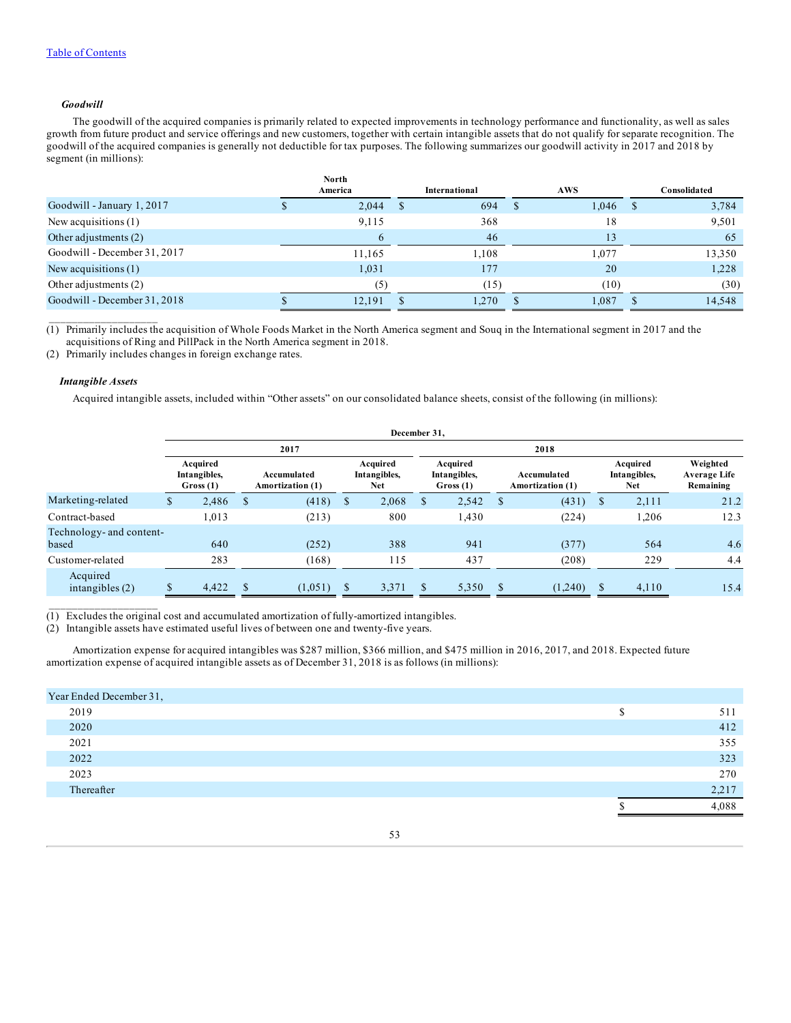# *Goodwill*

The goodwill of the acquired companies is primarily related to expected improvements in technology performance and functionality, as well as sales growth from future product and service offerings and new customers, together with certain intangible assets that do not qualify for separate recognition. The goodwill of the acquired companies is generally not deductible for tax purposes. The following summarizes our goodwill activity in 2017 and 2018 by segment (in millions):

|                              | North<br>America |              | International | AWS   | Consolidated |
|------------------------------|------------------|--------------|---------------|-------|--------------|
| Goodwill - January 1, 2017   | 2,044            | <sup>S</sup> | 694           | 1,046 | 3,784        |
| New acquisitions $(1)$       | 9,115            |              | 368           | 18    | 9,501        |
| Other adjustments $(2)$      | 6                |              | 46            | 13    | 65           |
| Goodwill - December 31, 2017 | 11,165           |              | 1,108         | 1,077 | 13,350       |
| New acquisitions $(1)$       | 1,031            |              | 177           | 20    | 1,228        |
| Other adjustments (2)        | (5)              |              | (15)          | (10)  | (30)         |
| Goodwill - December 31, 2018 | 12.191           |              | 1.270         | 1,087 | 14,548       |

(1) Primarily includes the acquisition of Whole Foods Market in the North America segment and Souq in the International segment in 2017 and the acquisitions of Ring and PillPack in the North America segment in 2018.

(2) Primarily includes changes in foreign exchange rates.

### *Intangible Assets*

Acquired intangible assets, included within "Other assets" on our consolidated balance sheets, consist of the following (in millions):

|                                   | December 31. |                                      |               |                                        |               |                                        |               |       |    |                                      |                                 |       |      |                                        |                                       |
|-----------------------------------|--------------|--------------------------------------|---------------|----------------------------------------|---------------|----------------------------------------|---------------|-------|----|--------------------------------------|---------------------------------|-------|------|----------------------------------------|---------------------------------------|
|                                   |              |                                      |               | 2017                                   |               |                                        |               |       |    | 2018                                 |                                 |       |      |                                        |                                       |
|                                   |              | Acquired<br>Intangibles,<br>Gross(1) |               | Accumulated<br><b>Amortization</b> (1) |               | Acquired<br>Intangibles,<br><b>Net</b> |               |       |    | Acquired<br>Intangibles,<br>Gross(1) | Accumulated<br>Amortization (1) |       |      | Acquired<br>Intangibles,<br><b>Net</b> | Weighted<br>Average Life<br>Remaining |
| Marketing-related                 | \$.          | 2,486                                | \$            | (418)                                  | \$            | 2,068                                  | S             | 2,542 | -S | (431)                                | $\mathbf S$                     | 2,111 | 21.2 |                                        |                                       |
| Contract-based                    |              | 1,013                                |               | (213)                                  |               | 800                                    |               | 1,430 |    | (224)                                |                                 | 1,206 | 12.3 |                                        |                                       |
| Technology- and content-<br>based |              | 640                                  |               | (252)                                  |               | 388                                    |               | 941   |    | (377)                                |                                 | 564   | 4.6  |                                        |                                       |
| Customer-related                  |              | 283                                  |               | (168)                                  |               | 115                                    |               | 437   |    | (208)                                |                                 | 229   | 4.4  |                                        |                                       |
| Acquired<br>intangibles $(2)$     |              | 4,422                                | <sup>\$</sup> | (1,051)                                | <sup>\$</sup> | 3.371                                  | <sup>\$</sup> | 5,350 | -8 | (1,240)                              | $\mathbb{S}$                    | 4,110 | 15.4 |                                        |                                       |

(1) Excludes the original cost and accumulated amortization of fully-amortized intangibles.

(2) Intangible assets have estimated useful lives of between one and twenty-five years.

Amortization expense for acquired intangibles was \$287 million, \$366 million, and \$475 million in 2016, 2017, and 2018. Expected future amortization expense of acquired intangible assets as of December 31, 2018 is as follows (in millions):

| Year Ended December 31, |     |       |
|-------------------------|-----|-------|
| 2019                    | ۰D. | 511   |
| 2020                    |     | 412   |
| 2021                    |     | 355   |
| 2022                    |     | 323   |
| 2023                    |     | 270   |
| Thereafter              |     | 2,217 |
|                         |     | 4,088 |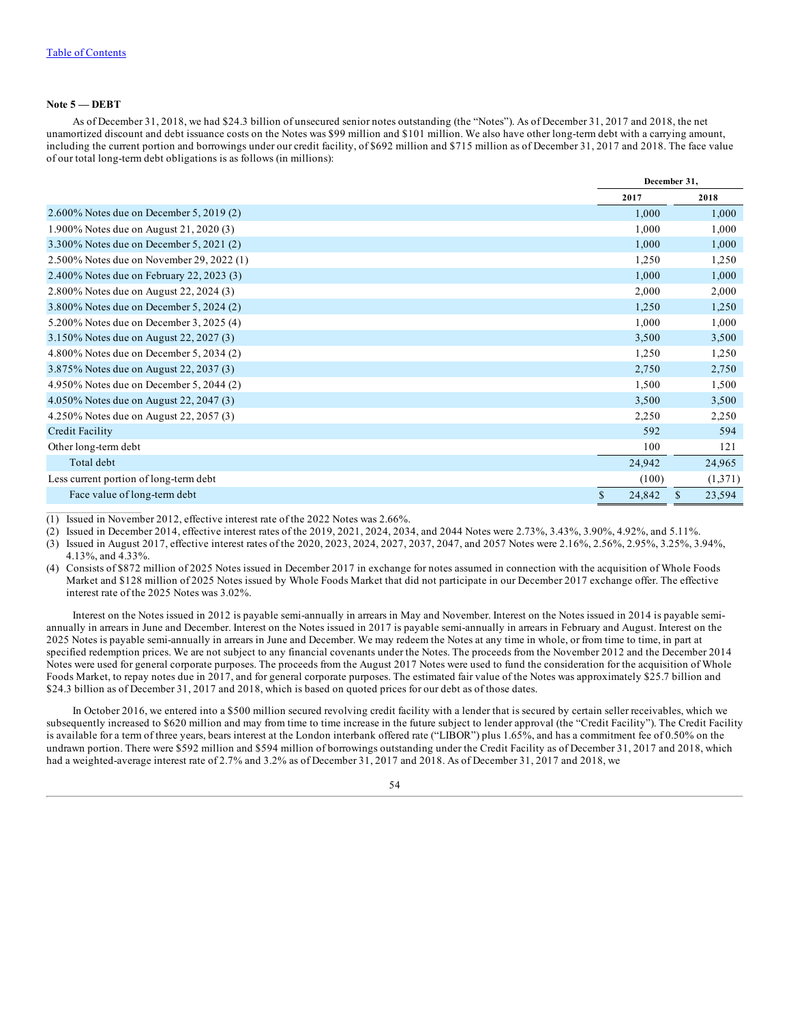# **Note 5 — DEBT**

As of December 31, 2018, we had \$24.3 billion of unsecured senior notes outstanding (the "Notes"). As of December 31, 2017 and 2018, the net unamortized discount and debt issuance costs on the Notes was \$99 million and \$101 million. We also have other long-term debt with a carrying amount, including the current portion and borrowings under our credit facility, of \$692 million and \$715 million as of December 31, 2017 and 2018. The face value of our total long-term debt obligations is as follows (in millions):

|                                           | December 31. |        |               |         |  |  |
|-------------------------------------------|--------------|--------|---------------|---------|--|--|
|                                           |              | 2017   |               | 2018    |  |  |
| 2.600% Notes due on December 5, 2019 (2)  |              | 1,000  |               | 1,000   |  |  |
| 1.900% Notes due on August 21, 2020 (3)   |              | 1,000  |               | 1,000   |  |  |
| 3.300% Notes due on December 5, 2021 (2)  |              | 1,000  |               | 1,000   |  |  |
| 2.500% Notes due on November 29, 2022 (1) |              | 1,250  |               | 1,250   |  |  |
| 2.400% Notes due on February 22, 2023 (3) |              | 1,000  |               | 1,000   |  |  |
| 2.800% Notes due on August 22, 2024 (3)   |              | 2,000  |               | 2,000   |  |  |
| 3.800% Notes due on December 5, 2024 (2)  |              | 1,250  |               | 1,250   |  |  |
| 5.200% Notes due on December 3, 2025 (4)  |              | 1,000  |               | 1,000   |  |  |
| 3.150% Notes due on August 22, 2027 (3)   |              | 3,500  |               | 3,500   |  |  |
| 4.800% Notes due on December 5, 2034 (2)  |              | 1,250  |               | 1,250   |  |  |
| 3.875% Notes due on August 22, 2037 (3)   |              | 2,750  |               | 2,750   |  |  |
| 4.950% Notes due on December 5, 2044 (2)  |              | 1,500  |               | 1,500   |  |  |
| 4.050% Notes due on August 22, 2047 (3)   |              | 3,500  |               | 3,500   |  |  |
| 4.250% Notes due on August 22, 2057 (3)   |              | 2,250  |               | 2,250   |  |  |
| Credit Facility                           |              | 592    |               | 594     |  |  |
| Other long-term debt                      |              | 100    |               | 121     |  |  |
| Total debt                                |              | 24,942 |               | 24,965  |  |  |
| Less current portion of long-term debt    |              | (100)  |               | (1,371) |  |  |
| Face value of long-term debt              | $\mathbb{S}$ | 24,842 | $\mathcal{S}$ | 23,594  |  |  |

(1) Issued in November 2012, effective interest rate of the 2022 Notes was 2.66%.

(2) Issued in December 2014, effective interest rates of the 2019, 2021, 2024, 2034, and 2044 Notes were 2.73%, 3.43%, 3.90%, 4.92%, and 5.11%.

(3) Issued in August 2017, effective interest rates of the 2020, 2023, 2024, 2027, 2037, 2047, and 2057 Notes were 2.16%, 2.56%, 2.95%, 3.25%, 3.94%, 4.13%, and 4.33%.

(4) Consists of \$872 million of 2025 Notes issued in December 2017 in exchange for notes assumed in connection with the acquisition of Whole Foods Market and \$128 million of 2025 Notes issued by Whole Foods Market that did not participate in our December 2017 exchange offer. The effective interest rate of the 2025 Notes was 3.02%.

Interest on the Notes issued in 2012 is payable semi-annually in arrears in May and November. Interest on the Notes issued in 2014 is payable semiannually in arrears in June and December. Interest on the Notes issued in 2017 is payable semi-annually in arrears in February and August. Interest on the 2025 Notes is payable semi-annually in arrears in June and December. We may redeem the Notes at any time in whole, or from time to time, in part at specified redemption prices. We are not subject to any financial covenants under the Notes. The proceeds from the November 2012 and the December 2014 Notes were used for general corporate purposes. The proceeds from the August 2017 Notes were used to fund the consideration for the acquisition of Whole Foods Market, to repay notes due in 2017, and for general corporate purposes. The estimated fair value of the Notes was approximately \$25.7 billion and \$24.3 billion as of December 31, 2017 and 2018, which is based on quoted prices for our debt as of those dates.

In October 2016, we entered into a \$500 million secured revolving credit facility with a lender that is secured by certain seller receivables, which we subsequently increased to \$620 million and may from time to time increase in the future subject to lender approval (the "Credit Facility"). The Credit Facility is available for a term of three years, bears interest at the London interbank offered rate ("LIBOR") plus 1.65%, and has a commitment fee of 0.50% on the undrawn portion. There were \$592 million and \$594 million of borrowings outstanding under the Credit Facility as of December 31, 2017 and 2018, which had a weighted-average interest rate of 2.7% and 3.2% as of December 31, 2017 and 2018. As of December 31, 2017 and 2018, we

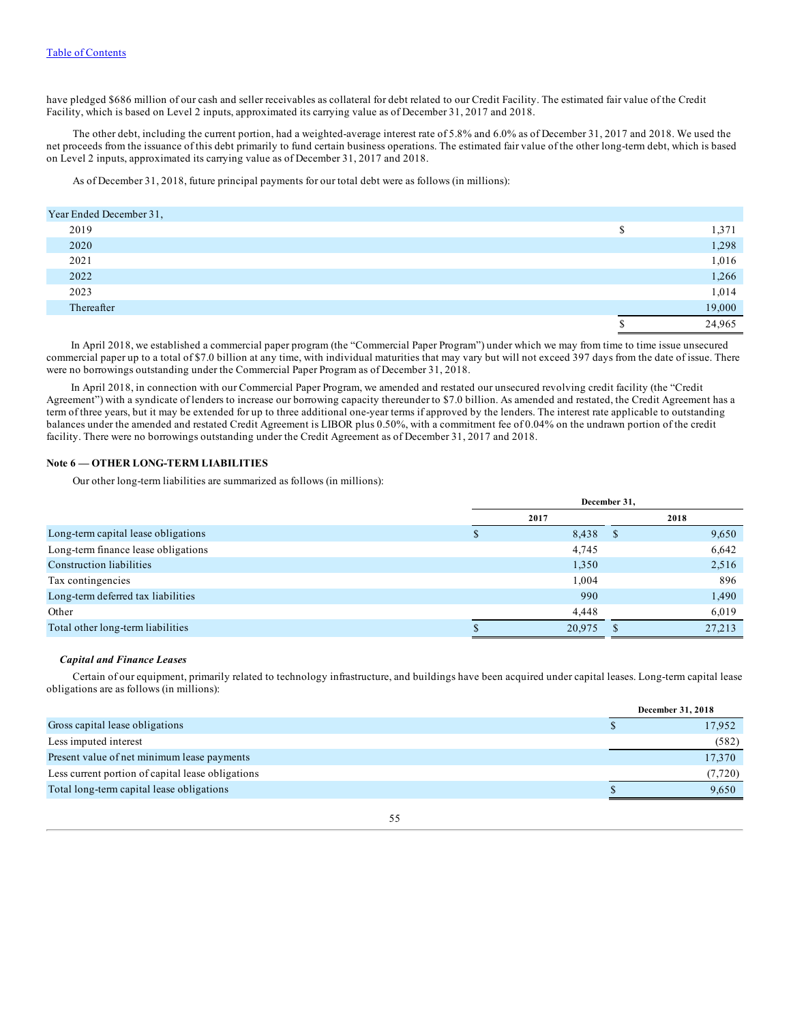have pledged \$686 million of our cash and seller receivables as collateral for debt related to our Credit Facility. The estimated fair value of the Credit Facility, which is based on Level 2 inputs, approximated its carrying value as of December 31, 2017 and 2018.

The other debt, including the current portion, had a weighted-average interest rate of 5.8% and 6.0% as of December 31, 2017 and 2018. We used the net proceeds from the issuance of this debt primarily to fund certain business operations. The estimated fair value of the other long-term debt, which is based on Level 2 inputs, approximated its carrying value as of December 31, 2017 and 2018.

As of December 31, 2018, future principal payments for our total debt were as follows (in millions):

| Year Ended December 31, |   |        |
|-------------------------|---|--------|
| 2019                    | Ф | 1,371  |
| 2020                    |   | 1,298  |
| 2021                    |   | 1,016  |
| 2022                    |   | 1,266  |
| 2023                    |   | 1,014  |
| Thereafter              |   | 19,000 |
|                         |   | 24,965 |

In April 2018, we established a commercial paper program (the "Commercial Paper Program") under which we may from time to time issue unsecured commercial paper up to a total of \$7.0 billion at any time, with individual maturities that may vary but will not exceed 397 days from the date of issue. There were no borrowings outstanding under the Commercial Paper Program as of December 31, 2018.

In April 2018, in connection with our Commercial Paper Program, we amended and restated our unsecured revolving credit facility (the "Credit Agreement") with a syndicate of lenders to increase our borrowing capacity thereunder to \$7.0 billion. As amended and restated, the Credit Agreement has a term of three years, but it may be extended for up to three additional one-year terms if approved by the lenders. The interest rate applicable to outstanding balances under the amended and restated Credit Agreement is LIBOR plus 0.50%, with a commitment fee of 0.04% on the undrawn portion of the credit facility. There were no borrowings outstanding under the Credit Agreement as of December 31, 2017 and 2018.

# **Note 6 — OTHER LONG-TERM LIABILITIES**

Our other long-term liabilities are summarized as follows (in millions):

|                                     | December 31. |        |      |        |  |  |
|-------------------------------------|--------------|--------|------|--------|--|--|
|                                     |              | 2018   |      |        |  |  |
| Long-term capital lease obligations |              | 8,438  | - \$ | 9,650  |  |  |
| Long-term finance lease obligations |              | 4,745  |      | 6,642  |  |  |
| Construction liabilities            |              | 1,350  |      | 2,516  |  |  |
| Tax contingencies                   |              | 1.004  |      | 896    |  |  |
| Long-term deferred tax liabilities  |              | 990    |      | 1,490  |  |  |
| Other                               |              | 4,448  |      | 6,019  |  |  |
| Total other long-term liabilities   |              | 20,975 |      | 27,213 |  |  |

# *Capital and Finance Leases*

Certain of our equipment, primarily related to technology infrastructure, and buildings have been acquired under capital leases. Long-term capital lease obligations are as follows (in millions):

|                                                   | December 31, 2018 |
|---------------------------------------------------|-------------------|
| Gross capital lease obligations                   | 17,952            |
| Less imputed interest                             | (582)             |
| Present value of net minimum lease payments       | 17,370            |
| Less current portion of capital lease obligations | (7,720)           |
| Total long-term capital lease obligations         | 9,650             |
|                                                   |                   |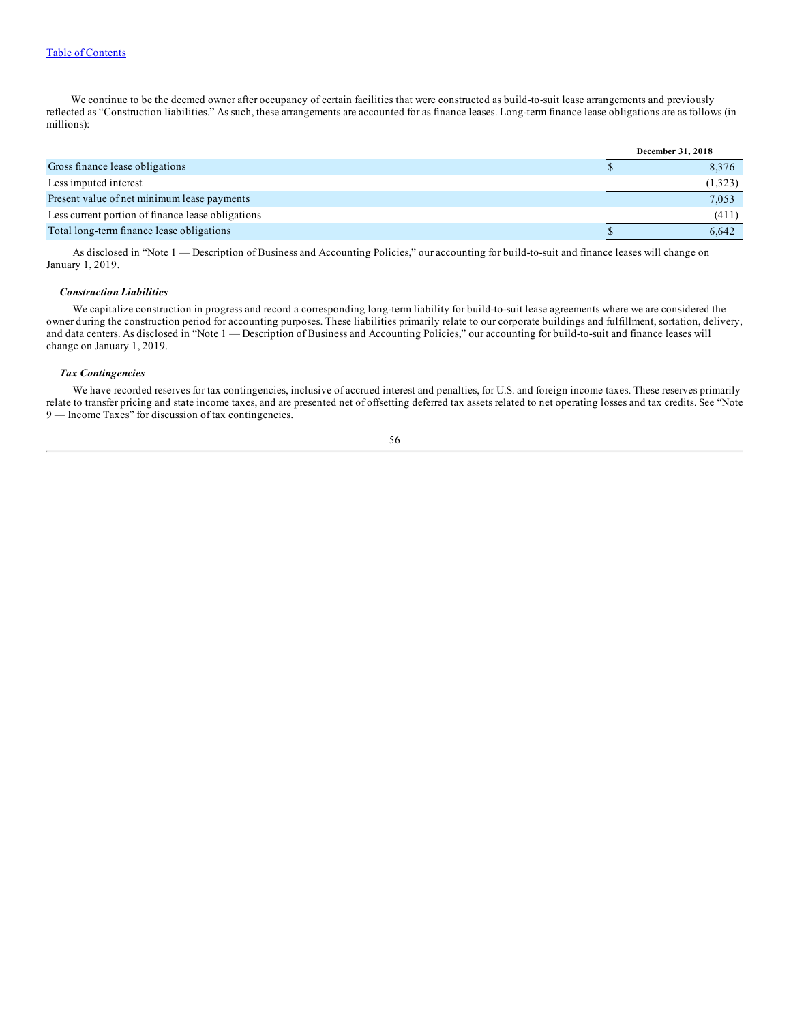We continue to be the deemed owner after occupancy of certain facilities that were constructed as build-to-suit lease arrangements and previously reflected as "Construction liabilities." As such, these arrangements are accounted for as finance leases. Long-term finance lease obligations are as follows (in millions):

|                                                   | December 31, 2018 |
|---------------------------------------------------|-------------------|
| Gross finance lease obligations                   | 8,376             |
| Less imputed interest                             | (1,323)           |
| Present value of net minimum lease payments       | 7,053             |
| Less current portion of finance lease obligations | (411)             |
| Total long-term finance lease obligations         | 6,642             |

As disclosed in "Note 1 — Description of Business and Accounting Policies," our accounting for build-to-suit and finance leases will change on January 1, 2019.

### *Construction Liabilities*

We capitalize construction in progress and record a corresponding long-term liability for build-to-suit lease agreements where we are considered the owner during the construction period for accounting purposes. These liabilities primarily relate to our corporate buildings and fulfillment, sortation, delivery, and data centers. As disclosed in "Note 1 — Description of Business and Accounting Policies," our accounting for build-to-suit and finance leases will change on January 1, 2019.

#### *Tax Contingencies*

We have recorded reserves for tax contingencies, inclusive of accrued interest and penalties, for U.S. and foreign income taxes. These reserves primarily relate to transfer pricing and state income taxes, and are presented net of offsetting deferred tax assets related to net operating losses and tax credits. See "Note 9 — Income Taxes" for discussion of tax contingencies.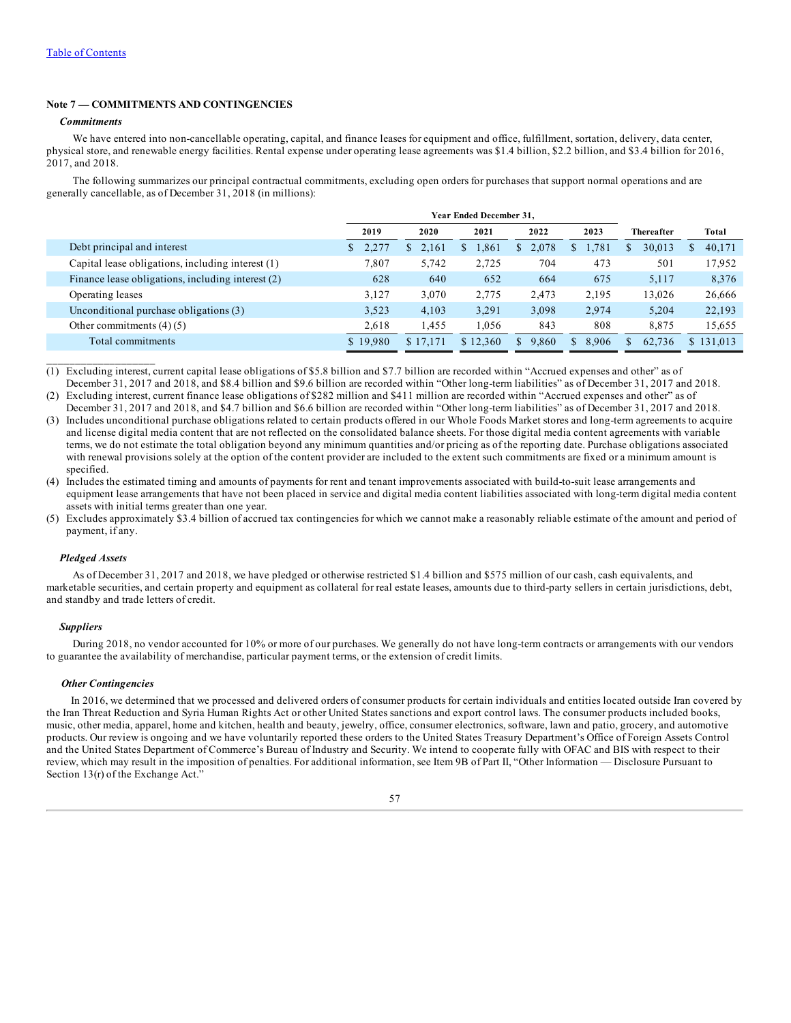### **Note 7 — COMMITMENTS AND CONTINGENCIES**

### *Commitments*

We have entered into non-cancellable operating, capital, and finance leases for equipment and office, fulfillment, sortation, delivery, data center, physical store, and renewable energy facilities. Rental expense under operating lease agreements was \$1.4 billion, \$2.2 billion, and \$3.4 billion for 2016, 2017, and 2018.

The following summarizes our principal contractual commitments, excluding open orders for purchases that support normal operations and are generally cancellable, as of December 31, 2018 (in millions):

|                                                   | Year Ended December 31, |             |          |       |            |                   |               |
|---------------------------------------------------|-------------------------|-------------|----------|-------|------------|-------------------|---------------|
|                                                   | 2019                    | 2020        | 2021     | 2022  | 2023       | <b>Thereafter</b> | Total         |
| Debt principal and interest                       | 2,277<br>S              | 2.161<br>S. | ,861     | 2.078 | .781<br>S  | 30,013<br>×       | 40,171<br>Ð   |
| Capital lease obligations, including interest (1) | 7,807                   | 5.742       | 2.725    | 704   | 473        | 501               | 17,952        |
| Finance lease obligations, including interest (2) | 628                     | 640         | 652      | 664   | 675        | 5.117             | 8,376         |
| Operating leases                                  | 3.127                   | 3.070       | 2,775    | 2.473 | 2.195      | 13.026            | 26,666        |
| Unconditional purchase obligations (3)            | 3.523                   | 4.103       | 3,291    | 3,098 | 2.974      | 5.204             | 22,193        |
| Other commitments $(4)(5)$                        | 2,618                   | 1,455       | 1.056    | 843   | 808        | 8.875             | 15,655        |
| Total commitments                                 | \$19,980                | \$17.171    | \$12,360 | 9.860 | 8.906<br>S | 62.736            | 131.013<br>S. |

(1) Excluding interest, current capital lease obligations of \$5.8 billion and \$7.7 billion are recorded within "Accrued expenses and other" as of December 31, 2017 and 2018, and \$8.4 billion and \$9.6 billion are recorded within "Other long-term liabilities" as of December 31, 2017 and 2018.

(2) Excluding interest, current finance lease obligations of \$282 million and \$411 million are recorded within "Accrued expenses and other" as of December 31, 2017 and 2018, and \$4.7 billion and \$6.6 billion are recorded within "Other long-term liabilities" as of December 31, 2017 and 2018.

- (3) Includes unconditional purchase obligations related to certain products offered in our Whole Foods Market stores and long-term agreements to acquire and license digital media content that are not reflected on the consolidated balance sheets. For those digital media content agreements with variable terms, we do not estimate the total obligation beyond any minimum quantities and/or pricing as of the reporting date. Purchase obligations associated with renewal provisions solely at the option of the content provider are included to the extent such commitments are fixed or a minimum amount is specified.
- (4) Includes the estimated timing and amounts of payments for rent and tenant improvements associated with build-to-suit lease arrangements and equipment lease arrangements that have not been placed in service and digital media content liabilities associated with long-term digital media content assets with initial terms greater than one year.
- (5) Excludes approximately \$3.4 billion of accrued tax contingencies for which we cannot make a reasonably reliable estimate of the amount and period of payment, if any.

# *Pledged Assets*

As of December 31, 2017 and 2018, we have pledged or otherwise restricted \$1.4 billion and \$575 million of our cash, cash equivalents, and marketable securities, and certain property and equipment as collateral for real estate leases, amounts due to third-party sellers in certain jurisdictions, debt, and standby and trade letters of credit.

#### *Suppliers*

During 2018, no vendor accounted for 10% or more of our purchases. We generally do not have long-term contracts or arrangements with our vendors to guarantee the availability of merchandise, particular payment terms, or the extension of credit limits.

### *Other Contingencies*

In 2016, we determined that we processed and delivered orders of consumer products for certain individuals and entities located outside Iran covered by the Iran Threat Reduction and Syria Human Rights Act or other United States sanctions and export control laws. The consumer products included books, music, other media, apparel, home and kitchen, health and beauty, jewelry, office, consumer electronics, software, lawn and patio, grocery, and automotive products. Our review is ongoing and we have voluntarily reported these orders to the United States Treasury Department's Office of Foreign Assets Control and the United States Department of Commerce's Bureau of Industry and Security. We intend to cooperate fully with OFAC and BIS with respect to their review, which may result in the imposition of penalties. For additional information, see Item 9B of Part II, "Other Information — Disclosure Pursuant to Section 13(r) of the Exchange Act."

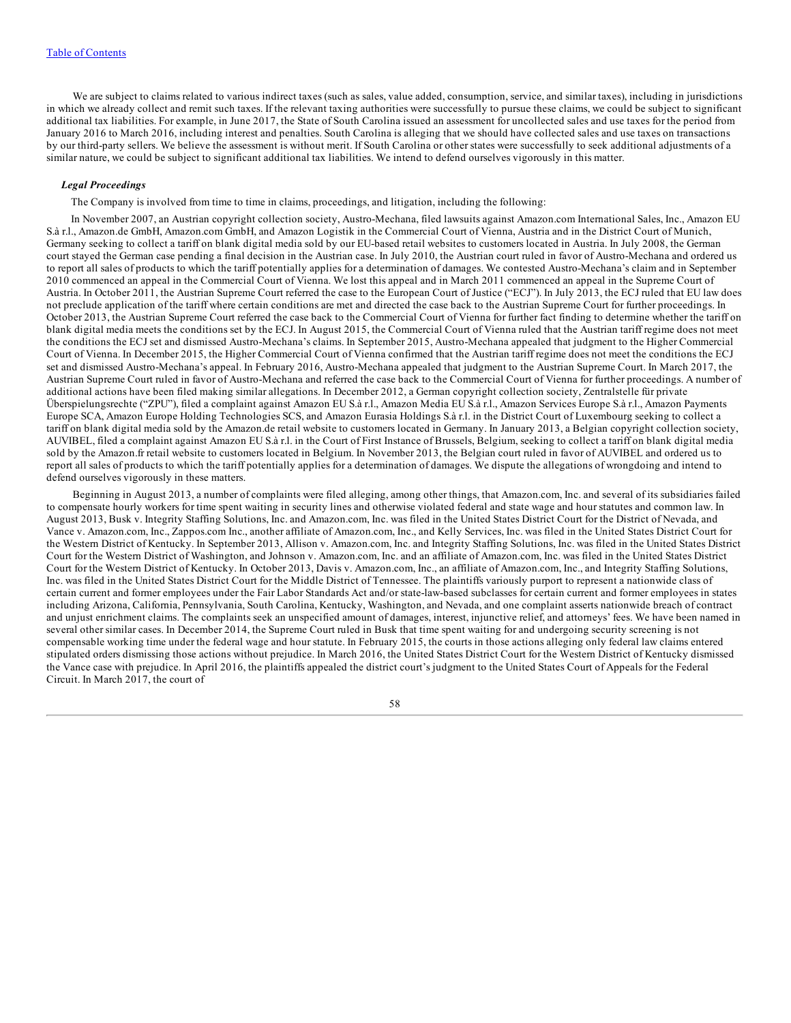We are subject to claims related to various indirect taxes (such as sales, value added, consumption, service, and similar taxes), including in jurisdictions in which we already collect and remit such taxes. If the relevant taxing authorities were successfully to pursue these claims, we could be subject to significant additional tax liabilities. For example, in June 2017, the State of South Carolina issued an assessment for uncollected sales and use taxes for the period from January 2016 to March 2016, including interest and penalties. South Carolina is alleging that we should have collected sales and use taxes on transactions by our third-party sellers. We believe the assessment is without merit. If South Carolina or other states were successfully to seek additional adjustments of a similar nature, we could be subject to significant additional tax liabilities. We intend to defend ourselves vigorously in this matter.

### *Legal Proceedings*

The Company is involved from time to time in claims, proceedings, and litigation, including the following:

In November 2007, an Austrian copyright collection society, Austro-Mechana, filed lawsuits against Amazon.com International Sales, Inc., Amazon EU S.à r.l., Amazon.de GmbH, Amazon.com GmbH, and Amazon Logistik in the Commercial Court of Vienna, Austria and in the District Court of Munich, Germany seeking to collect a tariff on blank digital media sold by our EU-based retail websites to customers located in Austria. In July 2008, the German court stayed the German case pending a final decision in the Austrian case. In July 2010, the Austrian court ruled in favor of Austro-Mechana and ordered us to report all sales of products to which the tariff potentially applies for a determination of damages. We contested Austro-Mechana's claim and in September 2010 commenced an appeal in the Commercial Court of Vienna. We lost this appeal and in March 2011 commenced an appeal in the Supreme Court of Austria. In October 2011, the Austrian Supreme Court referred the case to the European Court of Justice ("ECJ"). In July 2013, the ECJ ruled that EU law does not preclude application of the tariff where certain conditions are met and directed the case back to the Austrian Supreme Court for further proceedings. In October 2013, the Austrian Supreme Court referred the case back to the Commercial Court of Vienna for further fact finding to determine whether the tariff on blank digital media meets the conditions set by the ECJ. In August 2015, the Commercial Court of Vienna ruled that the Austrian tariff regime does not meet the conditions the ECJ set and dismissed Austro-Mechana's claims. In September 2015, Austro-Mechana appealed that judgment to the Higher Commercial Court of Vienna. In December 2015, the Higher Commercial Court of Vienna confirmed that the Austrian tariff regime does not meet the conditions the ECJ set and dismissed Austro-Mechana's appeal. In February 2016, Austro-Mechana appealed that judgment to the Austrian Supreme Court. In March 2017, the Austrian Supreme Court ruled in favor of Austro-Mechana and referred the case back to the Commercial Court of Vienna for further proceedings. A number of additional actions have been filed making similar allegations. In December 2012, a German copyright collection society, Zentralstelle für private Überspielungsrechte ("ZPU"), filed a complaint against Amazon EU S.à r.l., Amazon Media EU S.à r.l., Amazon Services Europe S.à r.l., Amazon Payments Europe SCA, Amazon Europe Holding Technologies SCS, and Amazon Eurasia Holdings S.à r.l. in the District Court of Luxembourg seeking to collect a tariff on blank digital media sold by the Amazon.de retail website to customers located in Germany. In January 2013, a Belgian copyright collection society, AUVIBEL, filed a complaint against Amazon EU S.à r.l. in the Court of First Instance of Brussels, Belgium, seeking to collect a tariff on blank digital media sold by the Amazon.fr retail website to customers located in Belgium. In November 2013, the Belgian court ruled in favor of AUVIBEL and ordered us to report all sales of products to which the tariff potentially applies for a determination of damages. We dispute the allegations of wrongdoing and intend to defend ourselves vigorously in these matters.

Beginning in August 2013, a number of complaints were filed alleging, among other things, that Amazon.com, Inc. and several of its subsidiaries failed to compensate hourly workers for time spent waiting in security lines and otherwise violated federal and state wage and hour statutes and common law. In August 2013, Busk v. Integrity Staffing Solutions, Inc. and Amazon.com, Inc. was filed in the United States District Court for the District of Nevada, and Vance v. Amazon.com, Inc., Zappos.com Inc., another affiliate of Amazon.com, Inc., and Kelly Services, Inc. was filed in the United States District Court for the Western District of Kentucky. In September 2013, Allison v. Amazon.com, Inc. and Integrity Staffing Solutions, Inc. was filed in the United States District Court for the Western District of Washington, and Johnson v. Amazon.com, Inc. and an affiliate of Amazon.com, Inc. was filed in the United States District Court for the Western District of Kentucky. In October 2013, Davis v. Amazon.com, Inc., an affiliate of Amazon.com, Inc., and Integrity Staffing Solutions, Inc. was filed in the United States District Court for the Middle District of Tennessee. The plaintiffs variously purport to represent a nationwide class of certain current and former employees under the Fair Labor Standards Act and/or state-law-based subclasses for certain current and former employees in states including Arizona, California, Pennsylvania, South Carolina, Kentucky, Washington, and Nevada, and one complaint asserts nationwide breach of contract and unjust enrichment claims. The complaints seek an unspecified amount of damages, interest, injunctive relief, and attorneys' fees. We have been named in several other similar cases. In December 2014, the Supreme Court ruled in Busk that time spent waiting for and undergoing security screening is not compensable working time under the federal wage and hour statute. In February 2015, the courts in those actions alleging only federal law claims entered stipulated orders dismissing those actions without prejudice. In March 2016, the United States District Court for the Western District of Kentucky dismissed the Vance case with prejudice. In April 2016, the plaintiffs appealed the district court's judgment to the United States Court of Appeals for the Federal Circuit. In March 2017, the court of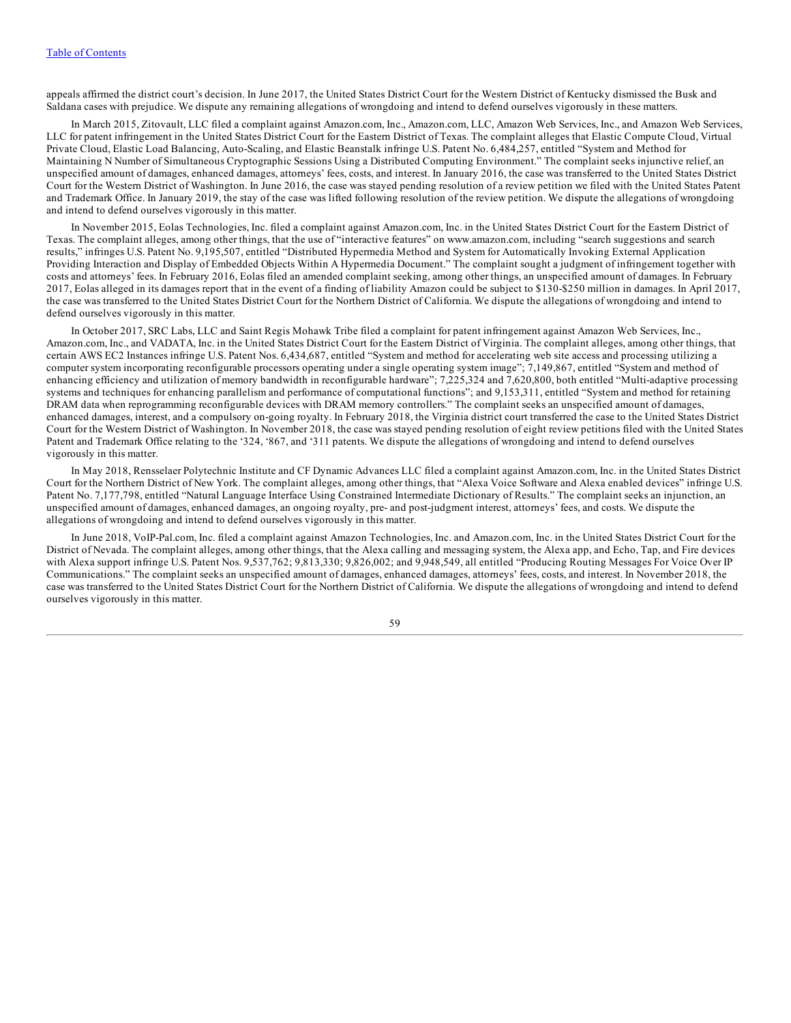appeals affirmed the district court's decision. In June 2017, the United States District Court for the Western District of Kentucky dismissed the Busk and Saldana cases with prejudice. We dispute any remaining allegations of wrongdoing and intend to defend ourselves vigorously in these matters.

In March 2015, Zitovault, LLC filed a complaint against Amazon.com, Inc., Amazon.com, LLC, Amazon Web Services, Inc., and Amazon Web Services, LLC for patent infringement in the United States District Court for the Eastern District of Texas. The complaint alleges that Elastic Compute Cloud, Virtual Private Cloud, Elastic Load Balancing, Auto-Scaling, and Elastic Beanstalk infringe U.S. Patent No. 6,484,257, entitled "System and Method for Maintaining N Number of Simultaneous Cryptographic Sessions Using a Distributed Computing Environment." The complaint seeks injunctive relief, an unspecified amount of damages, enhanced damages, attorneys' fees, costs, and interest. In January 2016, the case was transferred to the United States District Court for the Western District of Washington. In June 2016, the case was stayed pending resolution of a review petition we filed with the United States Patent and Trademark Office. In January 2019, the stay of the case was lifted following resolution of the review petition. We dispute the allegations of wrongdoing and intend to defend ourselves vigorously in this matter.

In November 2015, Eolas Technologies, Inc. filed a complaint against Amazon.com, Inc. in the United States District Court for the Eastern District of Texas. The complaint alleges, among other things, that the use of "interactive features" on www.amazon.com, including "search suggestions and search results," infringes U.S. Patent No. 9,195,507, entitled "Distributed Hypermedia Method and System for Automatically Invoking External Application Providing Interaction and Display of Embedded Objects Within A Hypermedia Document." The complaint sought a judgment of infringement together with costs and attorneys' fees. In February 2016, Eolas filed an amended complaint seeking, among other things, an unspecified amount of damages. In February 2017, Eolas alleged in its damages report that in the event of a finding of liability Amazon could be subject to \$130-\$250 million in damages. In April 2017, the case was transferred to the United States District Court for the Northern District of California. We dispute the allegations of wrongdoing and intend to defend ourselves vigorously in this matter.

In October 2017, SRC Labs, LLC and Saint Regis Mohawk Tribe filed a complaint for patent infringement against Amazon Web Services, Inc., Amazon.com, Inc., and VADATA, Inc. in the United States District Court for the Eastern District of Virginia. The complaint alleges, among other things, that certain AWS EC2 Instances infringe U.S. Patent Nos. 6,434,687, entitled "System and method for accelerating web site access and processing utilizing a computer system incorporating reconfigurable processors operating under a single operating system image"; 7,149,867, entitled "System and method of enhancing efficiency and utilization of memory bandwidth in reconfigurable hardware"; 7,225,324 and 7,620,800, both entitled "Multi-adaptive processing systems and techniques for enhancing parallelism and performance of computational functions"; and 9,153,311, entitled "System and method for retaining DRAM data when reprogramming reconfigurable devices with DRAM memory controllers." The complaint seeks an unspecified amount of damages, enhanced damages, interest, and a compulsory on-going royalty. In February 2018, the Virginia district court transferred the case to the United States District Court for the Western District of Washington. In November 2018, the case was stayed pending resolution of eight review petitions filed with the United States Patent and Trademark Office relating to the '324, '867, and '311 patents. We dispute the allegations of wrongdoing and intend to defend ourselves vigorously in this matter.

In May 2018, Rensselaer Polytechnic Institute and CF Dynamic Advances LLC filed a complaint against Amazon.com, Inc. in the United States District Court for the Northern District of New York. The complaint alleges, among other things, that "Alexa Voice Software and Alexa enabled devices" infringe U.S. Patent No. 7,177,798, entitled "Natural Language Interface Using Constrained Intermediate Dictionary of Results." The complaint seeks an injunction, an unspecified amount of damages, enhanced damages, an ongoing royalty, pre- and post-judgment interest, attorneys' fees, and costs. We dispute the allegations of wrongdoing and intend to defend ourselves vigorously in this matter.

In June 2018, VoIP-Pal.com, Inc. filed a complaint against Amazon Technologies, Inc. and Amazon.com, Inc. in the United States District Court for the District of Nevada. The complaint alleges, among other things, that the Alexa calling and messaging system, the Alexa app, and Echo, Tap, and Fire devices with Alexa support infringe U.S. Patent Nos. 9,537,762; 9,813,330; 9,826,002; and 9,948,549, all entitled "Producing Routing Messages For Voice Over IP Communications." The complaint seeks an unspecified amount of damages, enhanced damages, attorneys' fees, costs, and interest. In November 2018, the case was transferred to the United States District Court for the Northern District of California. We dispute the allegations of wrongdoing and intend to defend ourselves vigorously in this matter.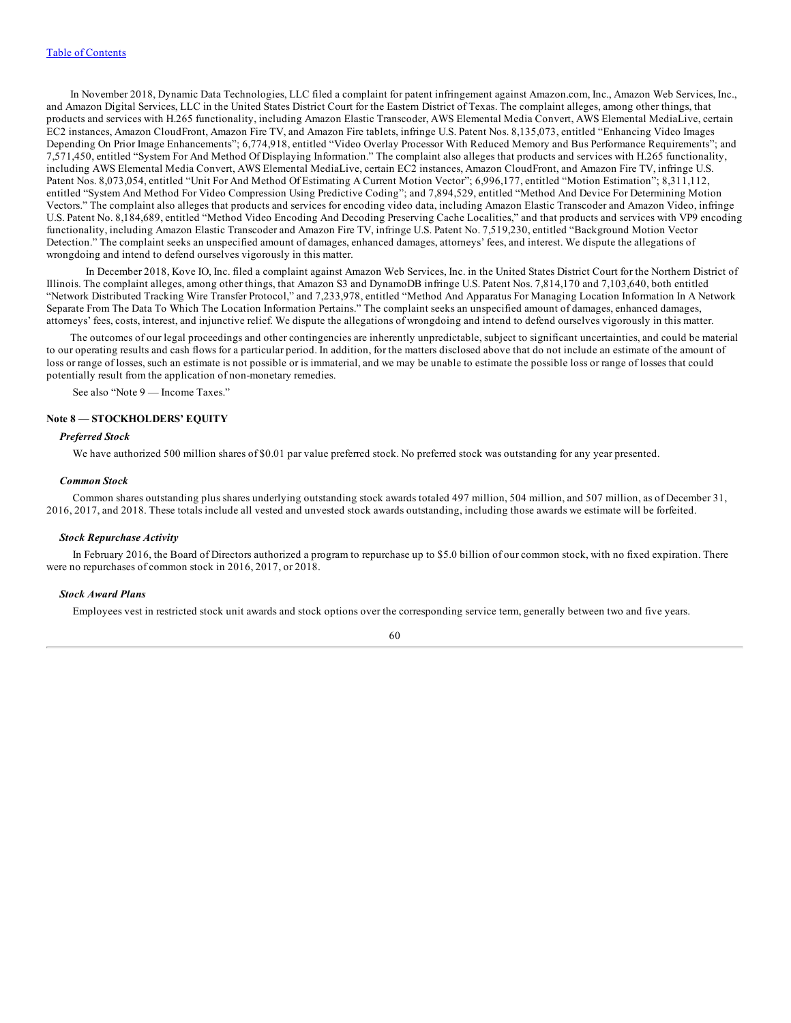In November 2018, Dynamic Data Technologies, LLC filed a complaint for patent infringement against Amazon.com, Inc., Amazon Web Services, Inc., and Amazon Digital Services, LLC in the United States District Court for the Eastern District of Texas. The complaint alleges, among other things, that products and services with H.265 functionality, including Amazon Elastic Transcoder, AWS Elemental Media Convert, AWS Elemental MediaLive, certain EC2 instances, Amazon CloudFront, Amazon Fire TV, and Amazon Fire tablets, infringe U.S. Patent Nos. 8,135,073, entitled "Enhancing Video Images Depending On Prior Image Enhancements"; 6,774,918, entitled "Video Overlay Processor With Reduced Memory and Bus Performance Requirements"; and 7,571,450, entitled "System For And Method Of Displaying Information." The complaint also alleges that products and services with H.265 functionality, including AWS Elemental Media Convert, AWS Elemental MediaLive, certain EC2 instances, Amazon CloudFront, and Amazon Fire TV, infringe U.S. Patent Nos. 8,073,054, entitled "Unit For And Method Of Estimating A Current Motion Vector"; 6,996,177, entitled "Motion Estimation"; 8,311,112, entitled "System And Method For Video Compression Using Predictive Coding"; and 7,894,529, entitled "Method And Device For Determining Motion Vectors." The complaint also alleges that products and services for encoding video data, including Amazon Elastic Transcoder and Amazon Video, infringe U.S. Patent No. 8,184,689, entitled "Method Video Encoding And Decoding Preserving Cache Localities," and that products and services with VP9 encoding functionality, including Amazon Elastic Transcoder and Amazon Fire TV, infringe U.S. Patent No. 7,519,230, entitled "Background Motion Vector Detection." The complaint seeks an unspecified amount of damages, enhanced damages, attorneys' fees, and interest. We dispute the allegations of wrongdoing and intend to defend ourselves vigorously in this matter.

In December 2018, Kove IO, Inc. filed a complaint against Amazon Web Services, Inc. in the United States District Court for the Northern District of Illinois. The complaint alleges, among other things, that Amazon S3 and DynamoDB infringe U.S. Patent Nos. 7,814,170 and 7,103,640, both entitled "Network Distributed Tracking Wire Transfer Protocol," and 7,233,978, entitled "Method And Apparatus For Managing Location Information In A Network Separate From The Data To Which The Location Information Pertains." The complaint seeks an unspecified amount of damages, enhanced damages, attorneys' fees, costs, interest, and injunctive relief. We dispute the allegations of wrongdoing and intend to defend ourselves vigorously in this matter.

The outcomes of our legal proceedings and other contingencies are inherently unpredictable, subject to significant uncertainties, and could be material to our operating results and cash flows for a particular period. In addition, for the matters disclosed above that do not include an estimate of the amount of loss or range of losses, such an estimate is not possible or is immaterial, and we may be unable to estimate the possible loss or range of losses that could potentially result from the application of non-monetary remedies.

See also "Note 9 — Income Taxes."

### **Note 8 — STOCKHOLDERS' EQUITY**

### *Preferred Stock*

We have authorized 500 million shares of \$0.01 par value preferred stock. No preferred stock was outstanding for any year presented.

### *Common Stock*

Common shares outstanding plus shares underlying outstanding stock awards totaled 497 million, 504 million, and 507 million, as of December 31, 2016, 2017, and 2018. These totals include all vested and unvested stock awards outstanding, including those awards we estimate will be forfeited.

### *Stock Repurchase Activity*

In February 2016, the Board of Directors authorized a program to repurchase up to \$5.0 billion of our common stock, with no fixed expiration. There were no repurchases of common stock in 2016, 2017, or 2018.

### *Stock Award Plans*

Employees vest in restricted stock unit awards and stock options over the corresponding service term, generally between two and five years.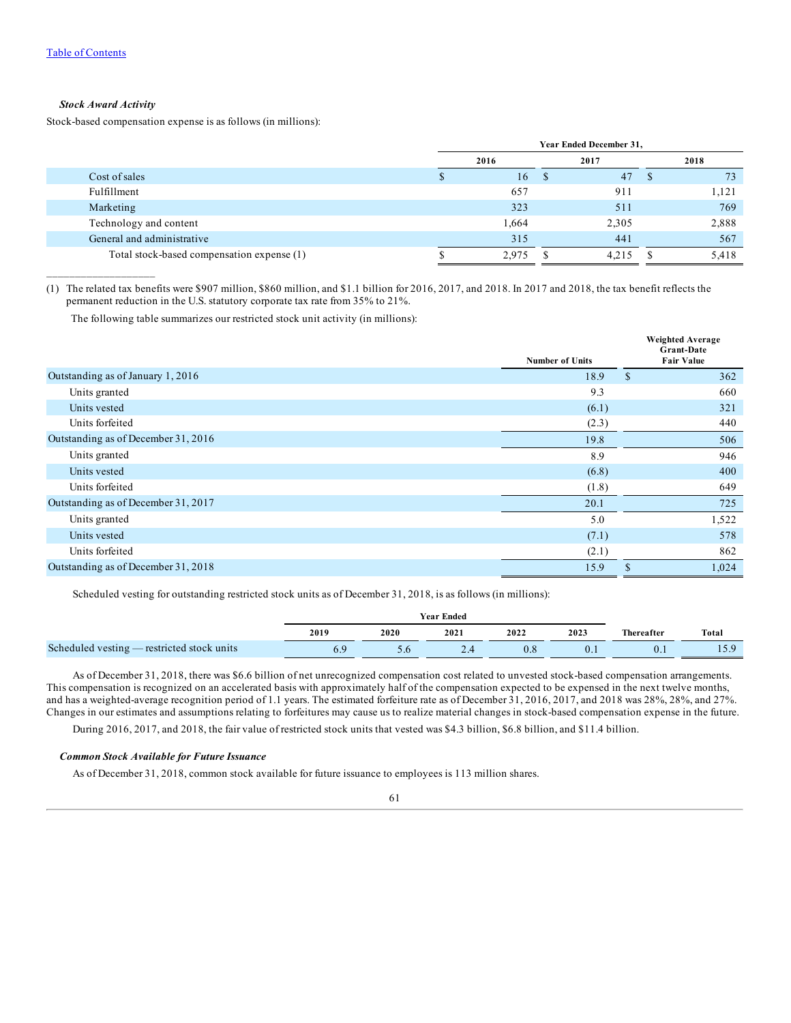# *Stock Award Activity*

Stock-based compensation expense is as follows (in millions):

|                                            | Year Ended December 31, |       |    |       |      |       |  |  |
|--------------------------------------------|-------------------------|-------|----|-------|------|-------|--|--|
|                                            |                         | 2016  |    | 2017  | 2018 |       |  |  |
| Cost of sales                              |                         | 16    | -S | 47    |      | 73    |  |  |
| Fulfillment                                |                         | 657   |    | 911   |      | 1,121 |  |  |
| Marketing                                  |                         | 323   |    | 511   |      | 769   |  |  |
| Technology and content                     |                         | 1,664 |    | 2,305 |      | 2,888 |  |  |
| General and administrative                 |                         | 315   |    | 441   |      | 567   |  |  |
| Total stock-based compensation expense (1) |                         | 2,975 |    | 4.215 |      | 5,418 |  |  |

(1) The related tax benefits were \$907 million, \$860 million, and \$1.1 billion for 2016, 2017, and 2018. In 2017 and 2018, the tax benefit reflects the permanent reduction in the U.S. statutory corporate tax rate from 35% to 21%.

The following table summarizes our restricted stock unit activity (in millions):

|                                     | <b>Number of Units</b> |              | <b>Weighted Average</b><br><b>Grant-Date</b><br><b>Fair Value</b> |
|-------------------------------------|------------------------|--------------|-------------------------------------------------------------------|
| Outstanding as of January 1, 2016   | 18.9                   | $\mathbb{S}$ | 362                                                               |
| Units granted                       | 9.3                    |              | 660                                                               |
| Units vested                        | (6.1)                  |              | 321                                                               |
| Units forfeited                     | (2.3)                  |              | 440                                                               |
| Outstanding as of December 31, 2016 | 19.8                   |              | 506                                                               |
| Units granted                       | 8.9                    |              | 946                                                               |
| Units vested                        | (6.8)                  |              | 400                                                               |
| Units forfeited                     | (1.8)                  |              | 649                                                               |
| Outstanding as of December 31, 2017 | 20.1                   |              | 725                                                               |
| Units granted                       | 5.0                    |              | 1,522                                                             |
| Units vested                        | (7.1)                  |              | 578                                                               |
| Units forfeited                     | (2.1)                  |              | 862                                                               |
| Outstanding as of December 31, 2018 | 15.9                   | \$           | 1,024                                                             |

Scheduled vesting for outstanding restricted stock units as of December 31, 2018, is as follows (in millions):

|                                            | 2019 | 2020 | 2021   | 2022 | 2023 | Thereafter | Total |
|--------------------------------------------|------|------|--------|------|------|------------|-------|
| Scheduled vesting — restricted stock units | υ.   |      | $\sim$ | 0.8  | 0.1  |            |       |

As of December 31, 2018, there was \$6.6 billion of net unrecognized compensation cost related to unvested stock-based compensation arrangements. This compensation is recognized on an accelerated basis with approximately half of the compensation expected to be expensed in the next twelve months, and has a weighted-average recognition period of 1.1 years. The estimated forfeiture rate as of December 31, 2016, 2017, and 2018 was 28%, 28%, and 27%. Changes in our estimates and assumptions relating to forfeitures may cause us to realize material changes in stock-based compensation expense in the future.

During 2016, 2017, and 2018, the fair value of restricted stock units that vested was \$4.3 billion, \$6.8 billion, and \$11.4 billion.

### *Common Stock Available for Future Issuance*

As of December 31, 2018, common stock available for future issuance to employees is 113 million shares.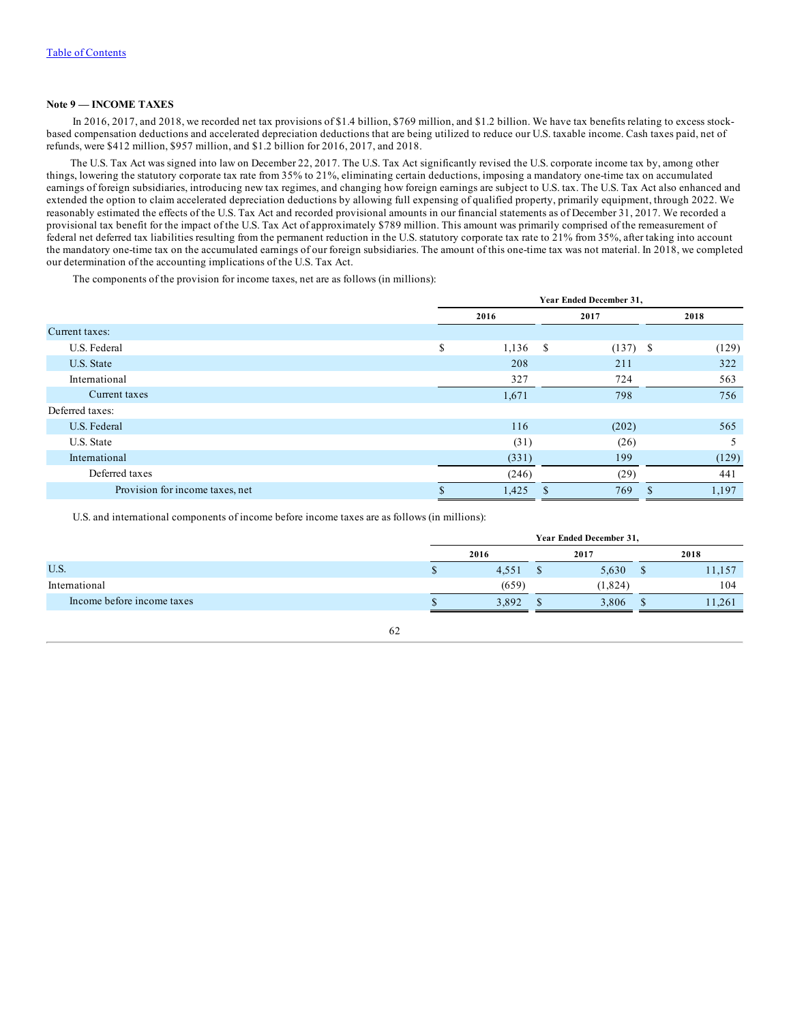# **Note 9 — INCOME TAXES**

In 2016, 2017, and 2018, we recorded net tax provisions of \$1.4 billion, \$769 million, and \$1.2 billion. We have tax benefits relating to excess stockbased compensation deductions and accelerated depreciation deductions that are being utilized to reduce our U.S. taxable income. Cash taxes paid, net of refunds, were \$412 million, \$957 million, and \$1.2 billion for 2016, 2017, and 2018.

The U.S. Tax Act was signed into law on December 22, 2017. The U.S. Tax Act significantly revised the U.S. corporate income tax by, among other things, lowering the statutory corporate tax rate from 35% to 21%, eliminating certain deductions, imposing a mandatory one-time tax on accumulated earnings of foreign subsidiaries, introducing new tax regimes, and changing how foreign earnings are subject to U.S. tax. The U.S. Tax Act also enhanced and extended the option to claim accelerated depreciation deductions by allowing full expensing of qualified property, primarily equipment, through 2022. We reasonably estimated the effects of the U.S. Tax Act and recorded provisional amounts in our financial statements as of December 31, 2017. We recorded a provisional tax benefit for the impact of the U.S. Tax Act of approximately \$789 million. This amount was primarily comprised of the remeasurement of federal net deferred tax liabilities resulting from the permanent reduction in the U.S. statutory corporate tax rate to 21% from 35%, after taking into account the mandatory one-time tax on the accumulated earnings of our foreign subsidiaries. The amount of this one-time tax was not material. In 2018, we completed our determination of the accounting implications of the U.S. Tax Act.

The components of the provision for income taxes, net are as follows (in millions):

|                                 | Year Ended December 31, |       |     |            |  |       |  |
|---------------------------------|-------------------------|-------|-----|------------|--|-------|--|
|                                 |                         | 2016  |     | 2017       |  | 2018  |  |
| Current taxes:                  |                         |       |     |            |  |       |  |
| U.S. Federal                    | \$                      | 1,136 | - S | $(137)$ \$ |  | (129) |  |
| U.S. State                      |                         | 208   |     | 211        |  | 322   |  |
| International                   |                         | 327   |     | 724        |  | 563   |  |
| Current taxes                   |                         | 1,671 |     | 798        |  | 756   |  |
| Deferred taxes:                 |                         |       |     |            |  |       |  |
| U.S. Federal                    |                         | 116   |     | (202)      |  | 565   |  |
| U.S. State                      |                         | (31)  |     | (26)       |  | 5     |  |
| International                   |                         | (331) |     | 199        |  | (129) |  |
| Deferred taxes                  |                         | (246) |     | (29)       |  | 441   |  |
| Provision for income taxes, net | $\sigma$                | 1,425 |     | 769        |  | 1,197 |  |

U.S. and international components of income before income taxes are as follows (in millions):

|                            | Year Ended December 31, |  |         |  |        |  |  |  |  |  |
|----------------------------|-------------------------|--|---------|--|--------|--|--|--|--|--|
|                            | 2016                    |  | 2017    |  | 2018   |  |  |  |  |  |
| U.S.                       | 4.551                   |  | 5,630   |  | 11,157 |  |  |  |  |  |
| International              | (659)                   |  | (1,824) |  | 104    |  |  |  |  |  |
| Income before income taxes | 3.892                   |  | 3,806   |  | 11,261 |  |  |  |  |  |
|                            |                         |  |         |  |        |  |  |  |  |  |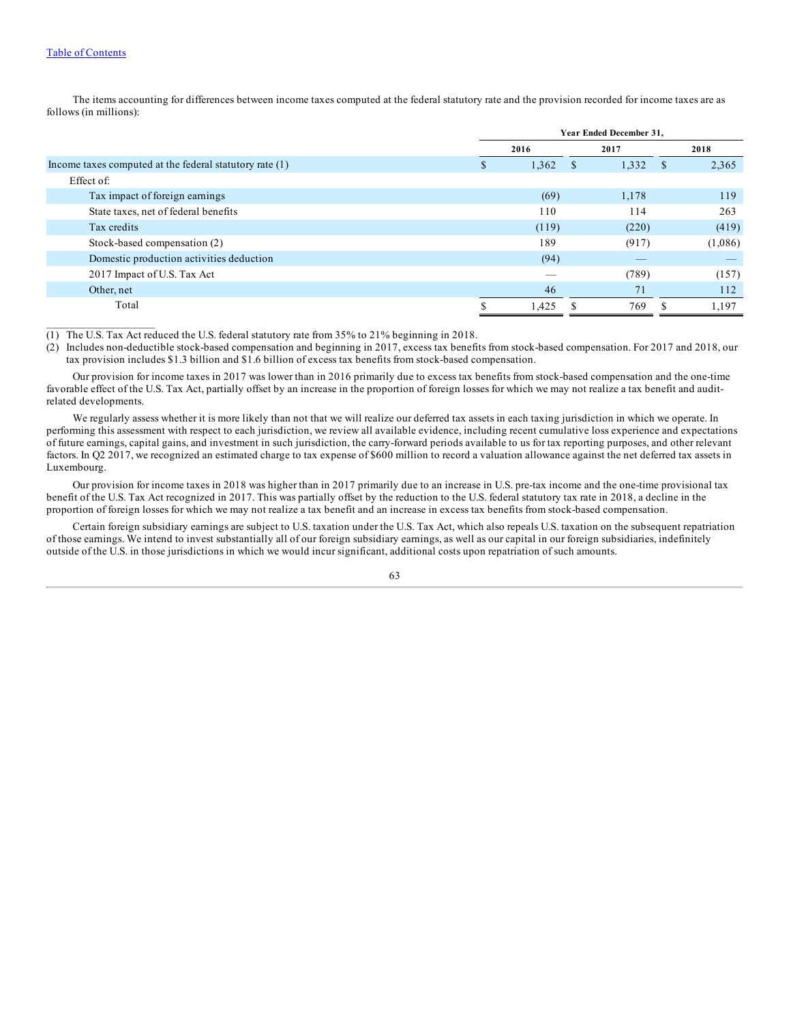The items accounting for differences between income taxes computed at the federal statutory rate and the provision recorded for income taxes are as follows (in millions):

|                                                           | Year Ended December 31, |       |       |    |         |  |  |
|-----------------------------------------------------------|-------------------------|-------|-------|----|---------|--|--|
|                                                           |                         | 2016  | 2017  |    | 2018    |  |  |
| Income taxes computed at the federal statutory rate $(1)$ | Ф                       | 1,362 | 1,332 | -S | 2,365   |  |  |
| Effect of:                                                |                         |       |       |    |         |  |  |
| Tax impact of foreign earnings                            |                         | (69)  | 1,178 |    | 119     |  |  |
| State taxes, net of federal benefits                      |                         | 110   | 114   |    | 263     |  |  |
| Tax credits                                               |                         | (119) | (220) |    | (419)   |  |  |
| Stock-based compensation (2)                              |                         | 189   | (917) |    | (1,086) |  |  |
| Domestic production activities deduction                  |                         | (94)  | __    |    |         |  |  |
| 2017 Impact of U.S. Tax Act                               |                         |       | (789) |    | (157)   |  |  |
| Other, net                                                |                         | 46    | 71    |    | 112     |  |  |
| Total                                                     |                         | 1,425 | 769   |    | 1,197   |  |  |
|                                                           |                         |       |       |    |         |  |  |

(1) The U.S. Tax Act reduced the U.S. federal statutory rate from  $35\%$  to  $21\%$  beginning in 2018.

(2) Includes non-deductible stock-based compensation and beginning in 2017, excess tax benefits from stock-based compensation. For 2017 and 2018, our tax provision includes \$1.3 billion and \$1.6 billion of excess tax benefits from stock-based compensation.

Our provision for income taxes in 2017 was lower than in 2016 primarily due to excess tax benefits from stock-based compensation and the one-time favorable effect of the U.S. Tax Act, partially offset by an increase in the proportion of foreign losses for which we may not realize a tax benefit and auditrelated developments.

We regularly assess whether it is more likely than not that we will realize our deferred tax assets in each taxing jurisdiction in which we operate. In performing this assessment with respect to each jurisdiction, we review all available evidence, including recent cumulative loss experience and expectations of future earnings, capital gains, and investment in such jurisdiction, the carry-forward periods available to us for tax reporting purposes, and other relevant factors. In Q2 2017, we recognized an estimated charge to tax expense of \$600 million to record a valuation allowance against the net deferred tax assets in Luxembourg.

Our provision for income taxes in 2018 was higher than in 2017 primarily due to an increase in U.S. pre-tax income and the one-time provisional tax benefit of the U.S. Tax Act recognized in 2017. This was partially offset by the reduction to the U.S. federal statutory tax rate in 2018, a decline in the proportion of foreign losses for which we may not realize a tax benefit and an increase in excess tax benefits from stock-based compensation.

Certain foreign subsidiary earnings are subject to U.S. taxation under the U.S. Tax Act, which also repeals U.S. taxation on the subsequent repatriation of those earnings. We intend to invest substantially all of our foreign subsidiary earnings, as well as our capital in our foreign subsidiaries, indefinitely outside of the U.S. in those jurisdictions in which we would incur significant, additional costs upon repatriation of such amounts.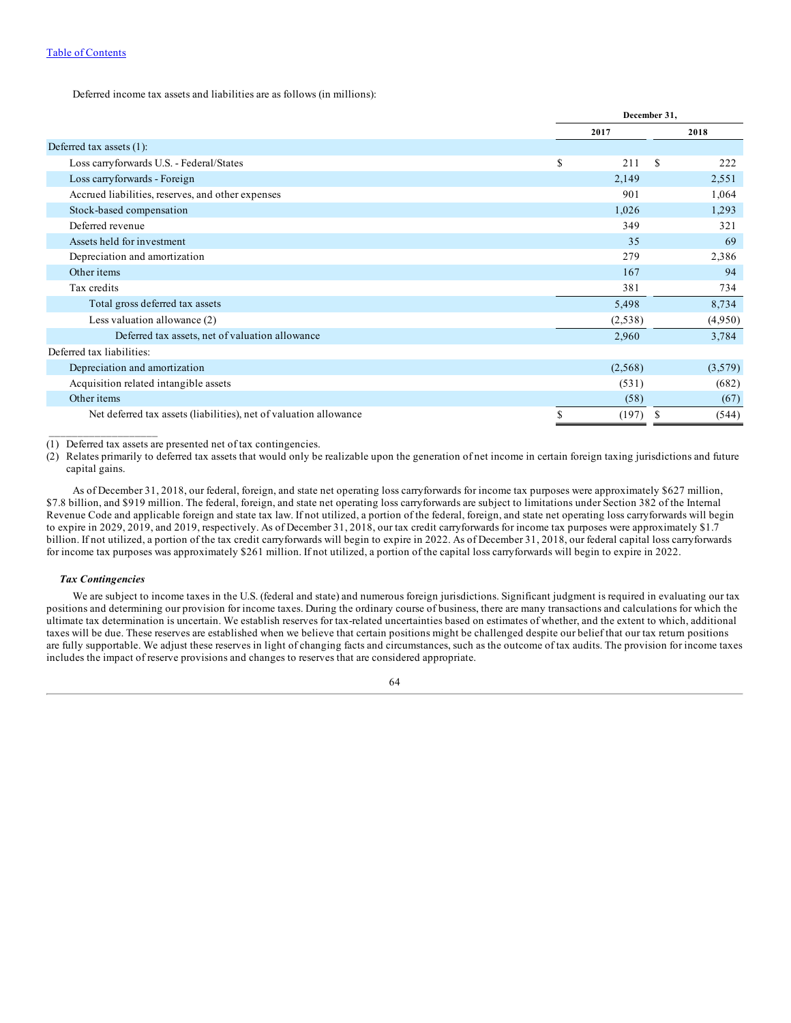Deferred income tax assets and liabilities are as follows (in millions):

|                                                                   | December 31, |         |   |         |
|-------------------------------------------------------------------|--------------|---------|---|---------|
|                                                                   |              | 2017    |   | 2018    |
| Deferred tax assets $(1)$ :                                       |              |         |   |         |
| Loss carryforwards U.S. - Federal/States                          | \$           | 211     | S | 222     |
| Loss carryforwards - Foreign                                      |              | 2,149   |   | 2,551   |
| Accrued liabilities, reserves, and other expenses                 |              | 901     |   | 1,064   |
| Stock-based compensation                                          |              | 1,026   |   | 1,293   |
| Deferred revenue                                                  |              | 349     |   | 321     |
| Assets held for investment                                        |              | 35      |   | 69      |
| Depreciation and amortization                                     |              | 279     |   | 2,386   |
| Other items                                                       |              | 167     |   | 94      |
| Tax credits                                                       |              | 381     |   | 734     |
| Total gross deferred tax assets                                   |              | 5,498   |   | 8,734   |
| Less valuation allowance (2)                                      |              | (2,538) |   | (4,950) |
| Deferred tax assets, net of valuation allowance                   |              | 2,960   |   | 3,784   |
| Deferred tax liabilities:                                         |              |         |   |         |
| Depreciation and amortization                                     |              | (2,568) |   | (3,579) |
| Acquisition related intangible assets                             |              | (531)   |   | (682)   |
| Other items                                                       |              | (58)    |   | (67)    |
| Net deferred tax assets (liabilities), net of valuation allowance |              | (197)   | S | (544)   |

(1) Deferred tax assets are presented net of tax contingencies.

(2) Relates primarily to deferred tax assets that would only be realizable upon the generation of net income in certain foreign taxing jurisdictions and future capital gains.

As of December 31, 2018, our federal, foreign, and state net operating loss carryforwards for income tax purposes were approximately \$627 million, \$7.8 billion, and \$919 million. The federal, foreign, and state net operating loss carryforwards are subject to limitations under Section 382 of the Internal Revenue Code and applicable foreign and state tax law. If not utilized, a portion of the federal, foreign, and state net operating loss carryforwards will begin to expire in 2029, 2019, and 2019, respectively. As of December 31, 2018, our tax credit carryforwards for income tax purposes were approximately \$1.7 billion. If not utilized, a portion of the tax credit carryforwards will begin to expire in 2022. As of December 31, 2018, our federal capital loss carryforwards for income tax purposes was approximately \$261 million. If not utilized, a portion of the capital loss carryforwards will begin to expire in 2022.

### *Tax Contingencies*

We are subject to income taxes in the U.S. (federal and state) and numerous foreign jurisdictions. Significant judgment is required in evaluating our tax positions and determining our provision for income taxes. During the ordinary course of business, there are many transactions and calculations for which the ultimate tax determination is uncertain. We establish reserves for tax-related uncertainties based on estimates of whether, and the extent to which, additional taxes will be due. These reserves are established when we believe that certain positions might be challenged despite our belief that our tax return positions are fully supportable. We adjust these reserves in light of changing facts and circumstances, such as the outcome of tax audits. The provision for income taxes includes the impact of reserve provisions and changes to reserves that are considered appropriate.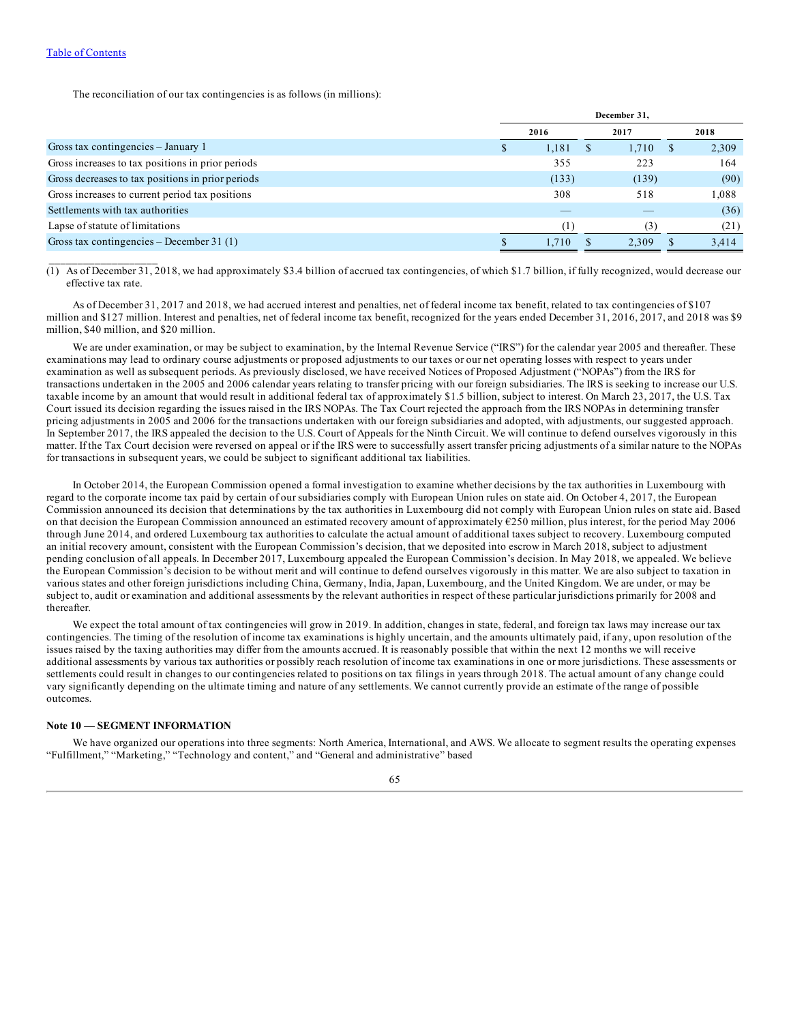The reconciliation of our tax contingencies is as follows (in millions):

|                                                   | December 31. |       |  |       |      |       |  |
|---------------------------------------------------|--------------|-------|--|-------|------|-------|--|
|                                                   |              | 2016  |  | 2017  |      | 2018  |  |
| Gross tax contingencies $-$ January 1             |              | 1,181 |  | 1,710 | - \$ | 2,309 |  |
| Gross increases to tax positions in prior periods |              | 355   |  | 223   |      | 164   |  |
| Gross decreases to tax positions in prior periods |              | (133) |  | (139) |      | (90)  |  |
| Gross increases to current period tax positions   |              | 308   |  | 518   |      | 1,088 |  |
| Settlements with tax authorities                  |              |       |  |       |      | (36)  |  |
| Lapse of statute of limitations                   |              | (1)   |  | (3)   |      | (21)  |  |
| Gross tax contingencies – December 31 $(1)$       |              | 1.710 |  | 2.309 |      | 3,414 |  |

 $(1)$  As of December 31, 2018, we had approximately \$3.4 billion of accrued tax contingencies, of which \$1.7 billion, if fully recognized, would decrease our effective tax rate.

As of December 31, 2017 and 2018, we had accrued interest and penalties, net of federal income tax benefit, related to tax contingencies of \$107 million and \$127 million. Interest and penalties, net of federal income tax benefit, recognized for the years ended December 31, 2016, 2017, and 2018 was \$9 million, \$40 million, and \$20 million.

We are under examination, or may be subject to examination, by the Internal Revenue Service ("IRS") for the calendar year 2005 and thereafter. These examinations may lead to ordinary course adjustments or proposed adjustments to our taxes or our net operating losses with respect to years under examination as well as subsequent periods. As previously disclosed, we have received Notices of Proposed Adjustment ("NOPAs") from the IRS for transactions undertaken in the 2005 and 2006 calendar years relating to transfer pricing with our foreign subsidiaries. The IRS is seeking to increase our U.S. taxable income by an amount that would result in additional federal tax of approximately \$1.5 billion, subject to interest. On March 23, 2017, the U.S. Tax Court issued its decision regarding the issues raised in the IRS NOPAs. The Tax Court rejected the approach from the IRS NOPAs in determining transfer pricing adjustments in 2005 and 2006 for the transactions undertaken with our foreign subsidiaries and adopted, with adjustments, our suggested approach. In September 2017, the IRS appealed the decision to the U.S. Court of Appeals for the Ninth Circuit. We will continue to defend ourselves vigorously in this matter. If the Tax Court decision were reversed on appeal or if the IRS were to successfully assert transfer pricing adjustments of a similar nature to the NOPAs for transactions in subsequent years, we could be subject to significant additional tax liabilities.

In October 2014, the European Commission opened a formal investigation to examine whether decisions by the tax authorities in Luxembourg with regard to the corporate income tax paid by certain of our subsidiaries comply with European Union rules on state aid. On October 4, 2017, the European Commission announced its decision that determinations by the tax authorities in Luxembourg did not comply with European Union rules on state aid. Based on that decision the European Commission announced an estimated recovery amount of approximately  $\epsilon$ 250 million, plus interest, for the period May 2006 through June 2014, and ordered Luxembourg tax authorities to calculate the actual amount of additional taxes subject to recovery. Luxembourg computed an initial recovery amount, consistent with the European Commission's decision, that we deposited into escrow in March 2018, subject to adjustment pending conclusion of all appeals. In December 2017, Luxembourg appealed the European Commission's decision. In May 2018, we appealed. We believe the European Commission's decision to be without merit and will continue to defend ourselves vigorously in this matter. We are also subject to taxation in various states and other foreign jurisdictions including China, Germany, India, Japan, Luxembourg, and the United Kingdom. We are under, or may be subject to, audit or examination and additional assessments by the relevant authorities in respect of these particular jurisdictions primarily for 2008 and thereafter.

We expect the total amount of tax contingencies will grow in 2019. In addition, changes in state, federal, and foreign tax laws may increase our tax contingencies. The timing of the resolution of income tax examinations is highly uncertain, and the amounts ultimately paid, if any, upon resolution of the issues raised by the taxing authorities may differ from the amounts accrued. It is reasonably possible that within the next 12 months we will receive additional assessments by various tax authorities or possibly reach resolution of income tax examinations in one or more jurisdictions. These assessments or settlements could result in changes to our contingencies related to positions on tax filings in years through 2018. The actual amount of any change could vary significantly depending on the ultimate timing and nature of any settlements. We cannot currently provide an estimate of the range of possible outcomes.

### **Note 10 — SEGMENT INFORMATION**

We have organized our operations into three segments: North America, International, and AWS. We allocate to segment results the operating expenses "Fulfillment," "Marketing," "Technology and content," and "General and administrative" based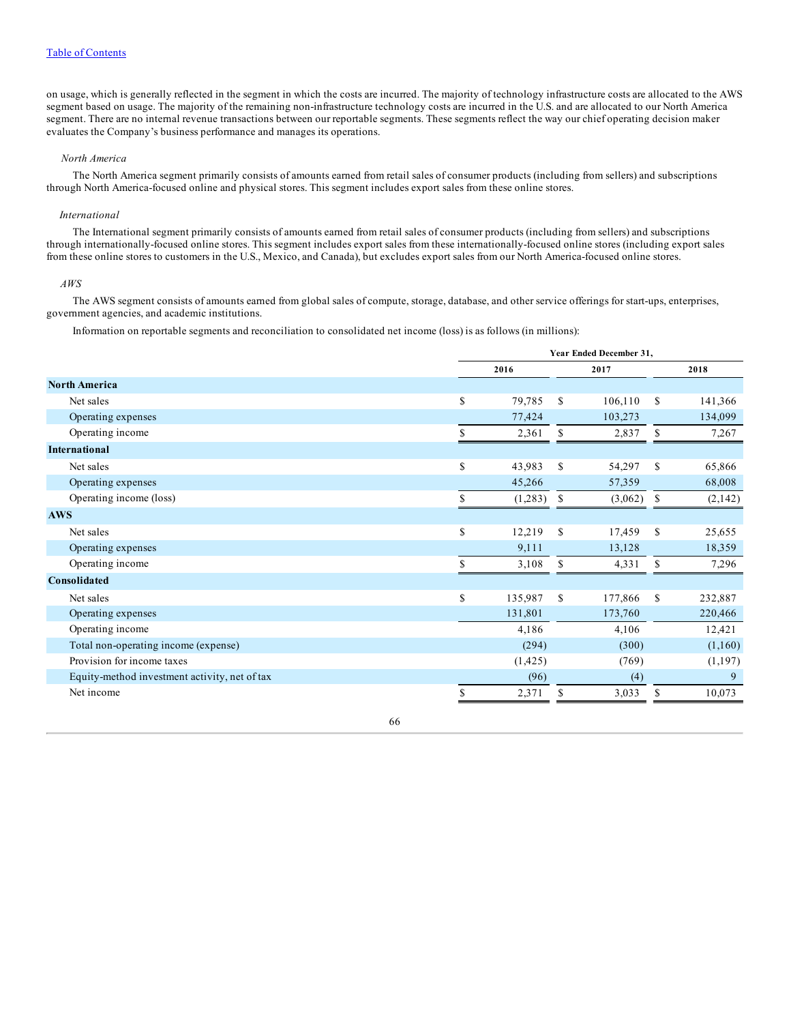on usage, which is generally reflected in the segment in which the costs are incurred. The majority of technology infrastructure costs are allocated to the AWS segment based on usage. The majority of the remaining non-infrastructure technology costs are incurred in the U.S. and are allocated to our North America segment. There are no internal revenue transactions between our reportable segments. These segments reflect the way our chief operating decision maker evaluates the Company's business performance and manages its operations.

### *North America*

The North America segment primarily consists of amounts earned from retail sales of consumer products (including from sellers) and subscriptions through North America-focused online and physical stores. This segment includes export sales from these online stores.

### *International*

The International segment primarily consists of amounts earned from retail sales of consumer products (including from sellers) and subscriptions through internationally-focused online stores. This segment includes export sales from these internationally-focused online stores (including export sales from these online stores to customers in the U.S., Mexico, and Canada), but excludes export sales from our North America-focused online stores.

# *AWS*

The AWS segment consists of amounts earned from global sales of compute, storage, database, and other service offerings for start-ups, enterprises, government agencies, and academic institutions.

Information on reportable segments and reconciliation to consolidated net income (loss) is as follows (in millions):

|                                               |               | Year Ended December 31, |               |         |               |         |  |
|-----------------------------------------------|---------------|-------------------------|---------------|---------|---------------|---------|--|
|                                               |               | 2016                    |               | 2017    |               | 2018    |  |
| <b>North America</b>                          |               |                         |               |         |               |         |  |
| Net sales                                     | <sup>\$</sup> | 79,785                  | <sup>\$</sup> | 106,110 | S             | 141,366 |  |
| Operating expenses                            |               | 77,424                  |               | 103,273 |               | 134,099 |  |
| Operating income                              | \$            | 2,361                   | \$            | 2,837   | \$            | 7,267   |  |
| <b>International</b>                          |               |                         |               |         |               |         |  |
| Net sales                                     | \$            | 43,983                  | \$            | 54,297  | S             | 65,866  |  |
| Operating expenses                            |               | 45,266                  |               | 57,359  |               | 68,008  |  |
| Operating income (loss)                       | \$            | (1,283)                 | \$            | (3,062) | <sup>\$</sup> | (2,142) |  |
| <b>AWS</b>                                    |               |                         |               |         |               |         |  |
| Net sales                                     | \$            | 12,219                  | \$            | 17,459  | $\mathbf S$   | 25,655  |  |
| Operating expenses                            |               | 9,111                   |               | 13,128  |               | 18,359  |  |
| Operating income                              | S             | 3,108                   | \$            | 4,331   | \$            | 7,296   |  |
| <b>Consolidated</b>                           |               |                         |               |         |               |         |  |
| Net sales                                     | \$            | 135,987                 | \$            | 177,866 | <sup>\$</sup> | 232,887 |  |
| Operating expenses                            |               | 131,801                 |               | 173,760 |               | 220,466 |  |
| Operating income                              |               | 4,186                   |               | 4,106   |               | 12,421  |  |
| Total non-operating income (expense)          |               | (294)                   |               | (300)   |               | (1,160) |  |
| Provision for income taxes                    |               | (1, 425)                |               | (769)   |               | (1,197) |  |
| Equity-method investment activity, net of tax |               | (96)                    |               | (4)     |               | 9       |  |
| Net income                                    |               | 2,371                   | \$            | 3,033   | \$            | 10,073  |  |
|                                               |               |                         |               |         |               |         |  |

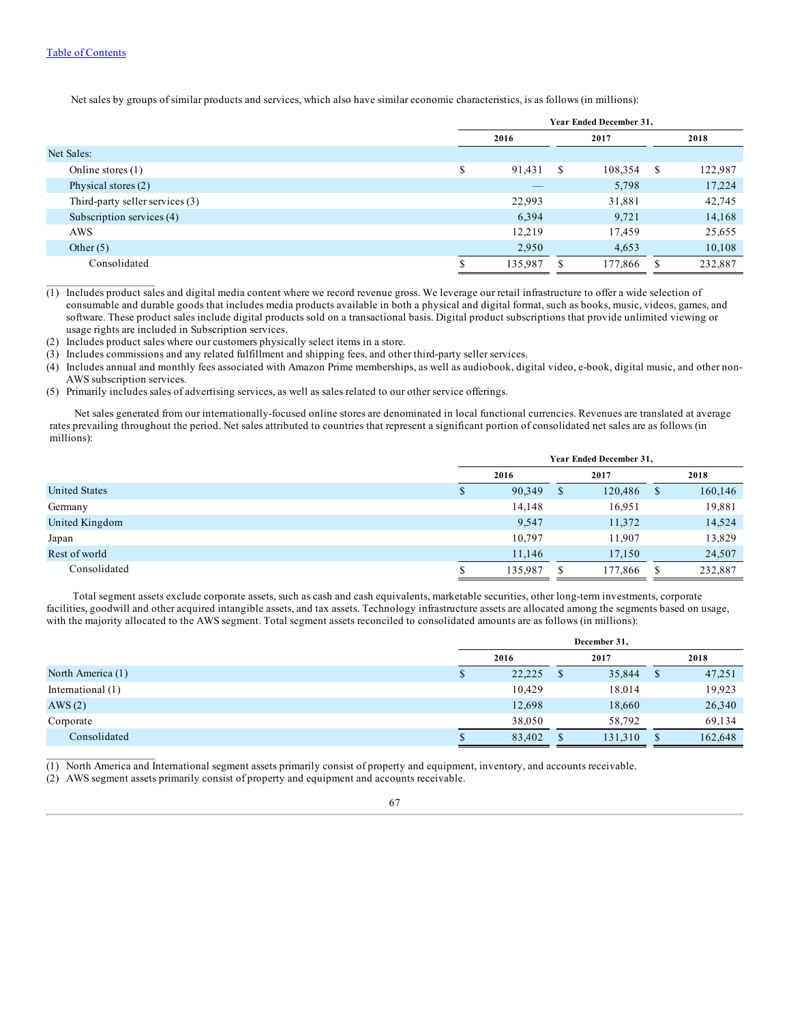$\overline{\phantom{a}}$  , where  $\overline{\phantom{a}}$ 

Net sales by groups of similar products and services, which also have similar economic characteristics, is as follows (in millions):

|                                 | Year Ended December 31, |                          |   |         |    |         |  |  |
|---------------------------------|-------------------------|--------------------------|---|---------|----|---------|--|--|
|                                 |                         | 2016                     |   | 2017    |    | 2018    |  |  |
| Net Sales:                      |                         |                          |   |         |    |         |  |  |
| Online stores $(1)$             | S                       | 91,431                   | S | 108,354 | -S | 122,987 |  |  |
| Physical stores (2)             |                         | $\overline{\phantom{a}}$ |   | 5,798   |    | 17,224  |  |  |
| Third-party seller services (3) |                         | 22,993                   |   | 31,881  |    | 42,745  |  |  |
| Subscription services (4)       |                         | 6,394                    |   | 9,721   |    | 14,168  |  |  |
| <b>AWS</b>                      |                         | 12,219                   |   | 17,459  |    | 25,655  |  |  |
| Other $(5)$                     |                         | 2,950                    |   | 4,653   |    | 10,108  |  |  |
| Consolidated                    |                         | 135,987                  |   | 177,866 |    | 232,887 |  |  |

(1) Includes product sales and digital media content where we record revenue gross. We leverage our retail infrastructure to offer a wide selection of consumable and durable goods that includes media products available in both a physical and digital format, such as books, music, videos, games, and software. These product sales include digital products sold on a transactional basis. Digital product subscriptions that provide unlimited viewing or usage rights are included in Subscription services.

(2) Includes product sales where our customers physically select items in a store.

(3) Includes commissions and any related fulfillment and shipping fees, and other third-party seller services.

(4) Includes annual and monthly fees associated with Amazon Prime memberships, as well as audiobook, digital video, e-book, digital music, and other non-AWS subscription services.

(5) Primarily includes sales of advertising services, as well as sales related to our other service offerings.

Net sales generated from our internationally-focused online stores are denominated in local functional currencies. Revenues are translated at average rates prevailing throughout the period. Net sales attributed to countries that represent a significant portion of consolidated net sales are as follows (in millions):

|                      | Year Ended December 31, |         |      |         |      |         |  |  |
|----------------------|-------------------------|---------|------|---------|------|---------|--|--|
|                      |                         | 2016    | 2017 |         | 2018 |         |  |  |
| <b>United States</b> | Φ                       | 90,349  | S    | 120,486 | S    | 160,146 |  |  |
| Germany              |                         | 14,148  |      | 16,951  |      | 19,881  |  |  |
| United Kingdom       |                         | 9,547   |      | 11,372  |      | 14,524  |  |  |
| Japan                |                         | 10,797  |      | 11,907  |      | 13,829  |  |  |
| Rest of world        |                         | 11,146  |      | 17,150  |      | 24,507  |  |  |
| Consolidated         |                         | 135,987 |      | 177,866 | S    | 232,887 |  |  |

Total segment assets exclude corporate assets, such as cash and cash equivalents, marketable securities, other long-term investments, corporate facilities, goodwill and other acquired intangible assets, and tax assets. Technology infrastructure assets are allocated among the segments based on usage, with the majority allocated to the AWS segment. Total segment assets reconciled to consolidated amounts are as follows (in millions):

|                   | December 31, |        |    |         |      |         |  |  |
|-------------------|--------------|--------|----|---------|------|---------|--|--|
|                   | 2016         |        |    | 2017    | 2018 |         |  |  |
| North America (1) | Φ            | 22,225 | S  | 35,844  | S    | 47,251  |  |  |
| International (1) |              | 10,429 |    | 18,014  |      | 19.923  |  |  |
| AWS(2)            |              | 12,698 |    | 18,660  |      | 26,340  |  |  |
| Corporate         |              | 38,050 |    | 58,792  |      | 69,134  |  |  |
| Consolidated      | D            | 83,402 | \$ | 131,310 | S    | 162,648 |  |  |

(1) North America and International segment assets primarily consist of property and equipment, inventory, and accounts receivable.

(2) AWS segment assets primarily consist of property and equipment and accounts receivable.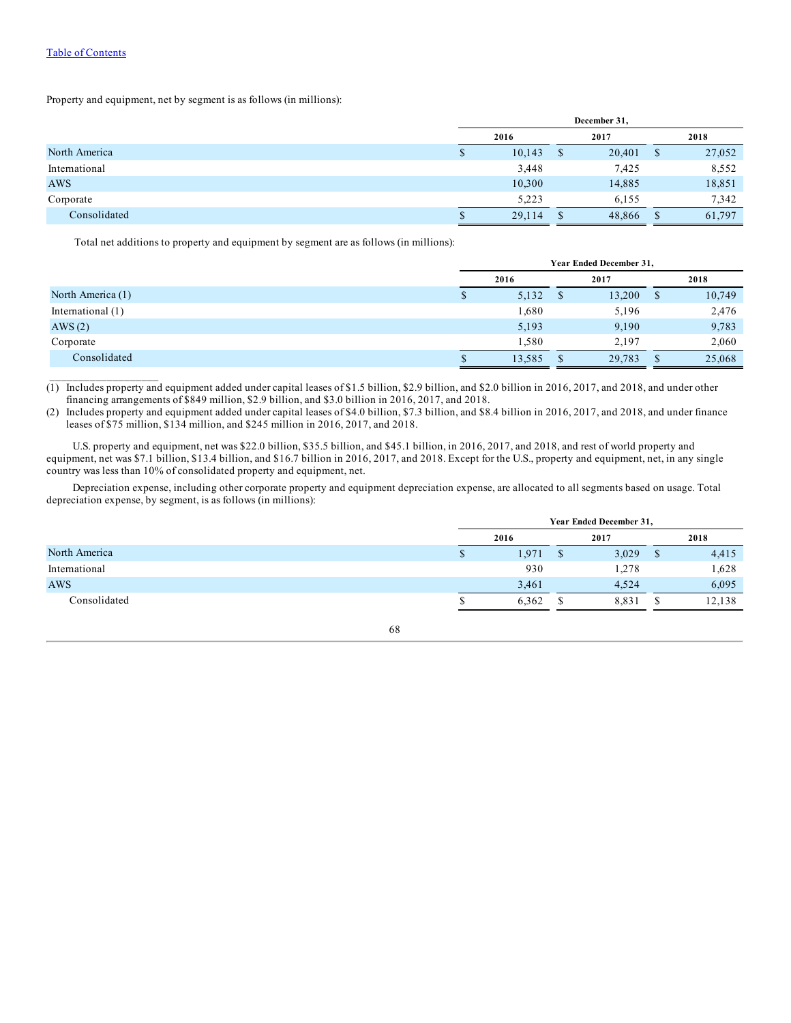# Table of [Contents](#page-1-0)

Property and equipment, net by segment is as follows (in millions):

| December 31, |        |      |        |               |        |  |
|--------------|--------|------|--------|---------------|--------|--|
|              |        |      | 2017   |               | 2018   |  |
| Φ            | 10,143 | S    | 20,401 | S             | 27,052 |  |
|              | 3,448  |      | 7,425  |               | 8.552  |  |
|              | 10,300 |      | 14,885 |               | 18,851 |  |
|              | 5.223  |      | 6,155  |               | 7,342  |  |
|              | 29,114 | S    | 48,866 | <sup>\$</sup> | 61,797 |  |
|              |        | 2016 |        |               |        |  |

Total net additions to property and equipment by segment are as follows (in millions):

|                   | Year Ended December 31, |        |   |        |               |        |  |
|-------------------|-------------------------|--------|---|--------|---------------|--------|--|
|                   | 2016                    |        |   | 2017   |               | 2018   |  |
| North America (1) | \$                      | 5,132  | S | 13,200 | <sup>\$</sup> | 10,749 |  |
| International (1) |                         | 1,680  |   | 5,196  |               | 2,476  |  |
| AWS(2)            |                         | 5,193  |   | 9,190  |               | 9,783  |  |
| Corporate         |                         | 1,580  |   | 2,197  |               | 2,060  |  |
| Consolidated      | \$                      | 13,585 |   | 29,783 | S             | 25,068 |  |

 $\overline{(1)}$  Includes property and equipment added under capital leases of \$1.5 billion, \$2.9 billion, and \$2.0 billion in 2016, 2017, and 2018, and under other financing arrangements of \$849 million, \$2.9 billion, and \$3.0 billion in 2016, 2017, and 2018.

(2) Includes property and equipment added under capital leases of \$4.0 billion, \$7.3 billion, and \$8.4 billion in 2016, 2017, and 2018, and under finance leases of \$75 million, \$134 million, and \$245 million in 2016, 2017, and 2018.

U.S. property and equipment, net was \$22.0 billion, \$35.5 billion, and \$45.1 billion, in 2016, 2017, and 2018, and rest of world property and equipment, net was \$7.1 billion, \$13.4 billion, and \$16.7 billion in 2016, 2017, and 2018. Except for the U.S., property and equipment, net, in any single country was less than 10% of consolidated property and equipment, net.

Depreciation expense, including other corporate property and equipment depreciation expense, are allocated to all segments based on usage. Total depreciation expense, by segment, is as follows (in millions):

|               | Year Ended December 31, |       |      |       |      |        |  |
|---------------|-------------------------|-------|------|-------|------|--------|--|
|               | 2016                    |       | 2017 |       | 2018 |        |  |
| North America | <sup>\$</sup>           | 1,971 | S    | 3,029 | S    | 4,415  |  |
| International |                         | 930   |      | 1,278 |      | 1,628  |  |
| <b>AWS</b>    |                         | 3,461 |      | 4,524 |      | 6,095  |  |
| Consolidated  |                         | 6.362 |      | 8,831 |      | 12,138 |  |
|               |                         |       |      |       |      |        |  |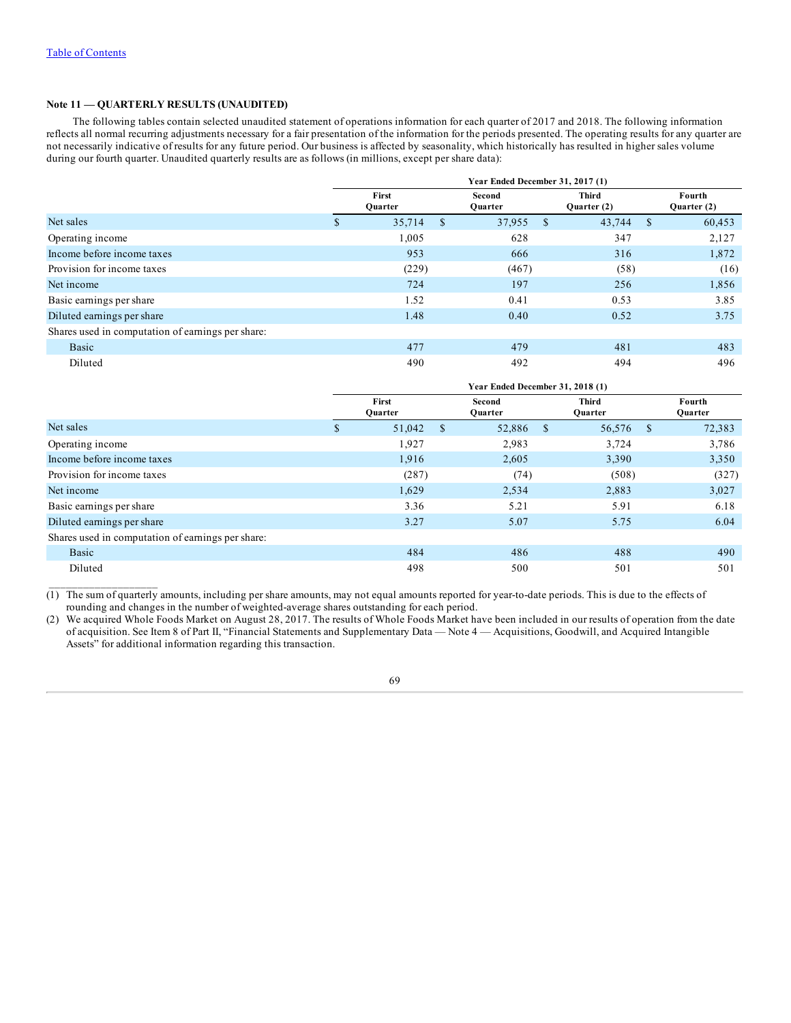# **Note 11 — QUARTERLY RESULTS (UNAUDITED)**

The following tables contain selected unaudited statement of operations information for each quarter of 2017 and 2018. The following information reflects all normal recurring adjustments necessary for a fair presentation of the information for the periods presented. The operating results for any quarter are not necessarily indicative of results for any future period. Our business is affected by seasonality, which historically has resulted in higher sales volume during our fourth quarter. Unaudited quarterly results are as follows (in millions, except per share data):

|                                                   |              | Year Ended December 31, 2017 (1) |                   |        |                             |        |                       |        |
|---------------------------------------------------|--------------|----------------------------------|-------------------|--------|-----------------------------|--------|-----------------------|--------|
|                                                   |              | First<br>Ouarter                 | Second<br>Ouarter |        | <b>Third</b><br>Quarter (2) |        | Fourth<br>Quarter (2) |        |
| Net sales                                         | $\mathbb{S}$ | 35,714                           | <sup>\$</sup>     | 37,955 | - \$                        | 43,744 | <sup>\$</sup>         | 60,453 |
| Operating income                                  |              | 1,005                            |                   | 628    |                             | 347    |                       | 2,127  |
| Income before income taxes                        |              | 953                              |                   | 666    |                             | 316    |                       | 1,872  |
| Provision for income taxes                        |              | (229)                            |                   | (467)  |                             | (58)   |                       | (16)   |
| Net income                                        |              | 724                              |                   | 197    |                             | 256    |                       | 1,856  |
| Basic earnings per share                          |              | 1.52                             |                   | 0.41   |                             | 0.53   |                       | 3.85   |
| Diluted earnings per share                        |              | 1.48                             |                   | 0.40   |                             | 0.52   |                       | 3.75   |
| Shares used in computation of earnings per share: |              |                                  |                   |        |                             |        |                       |        |
| Basic                                             |              | 477                              |                   | 479    |                             | 481    |                       | 483    |
| Diluted                                           |              | 490                              |                   | 492    |                             | 494    |                       | 496    |

|                                                   |    | Year Ended December 31, 2018 (1) |            |                          |      |                         |  |                          |  |
|---------------------------------------------------|----|----------------------------------|------------|--------------------------|------|-------------------------|--|--------------------------|--|
|                                                   |    | First<br><b>Quarter</b>          |            | Second<br><b>Ouarter</b> |      | <b>Third</b><br>Ouarter |  | Fourth<br><b>Ouarter</b> |  |
| Net sales                                         | \$ | 51,042                           | $\sqrt{s}$ | 52,886                   | - \$ | 56,576 \$               |  | 72,383                   |  |
| Operating income                                  |    | 1,927                            |            | 2,983                    |      | 3,724                   |  | 3,786                    |  |
| Income before income taxes                        |    | 1,916                            |            | 2,605                    |      | 3,390                   |  | 3,350                    |  |
| Provision for income taxes                        |    | (287)                            |            | (74)                     |      | (508)                   |  | (327)                    |  |
| Net income                                        |    | 1,629                            |            | 2,534                    |      | 2,883                   |  | 3,027                    |  |
| Basic earnings per share                          |    | 3.36                             |            | 5.21                     |      | 5.91                    |  | 6.18                     |  |
| Diluted earnings per share                        |    | 3.27                             |            | 5.07                     |      | 5.75                    |  | 6.04                     |  |
| Shares used in computation of earnings per share: |    |                                  |            |                          |      |                         |  |                          |  |
| Basic                                             |    | 484                              |            | 486                      |      | 488                     |  | 490                      |  |
| Diluted                                           |    | 498                              |            | 500                      |      | 501                     |  | 501                      |  |
|                                                   |    |                                  |            |                          |      |                         |  |                          |  |

(1) The sum of quarterly amounts, including per share amounts, may not equal amounts reported for year-to-date periods. This is due to the effects of rounding and changes in the number of weighted-average shares outstanding for each period.

(2) We acquired Whole Foods Market on August 28, 2017. The results of Whole Foods Market have been included in our results of operation from the date of acquisition. See Item 8 of Part II, "Financial Statements and Supplementary Data — Note 4 — Acquisitions, Goodwill, and Acquired Intangible Assets" for additional information regarding this transaction.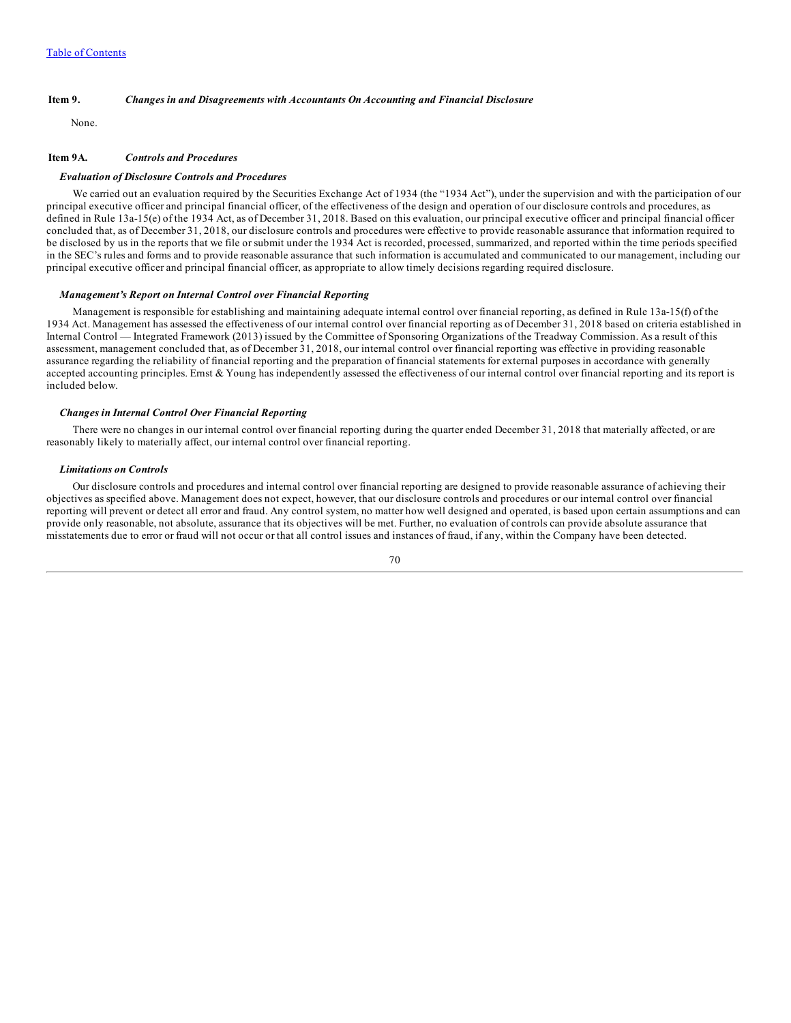### **Item 9.** *Changes in and Disagreements with Accountants On Accounting and Financial Disclosure*

None.

#### **Item 9A.** *Controls and Procedures*

### *Evaluation of Disclosure Controls and Procedures*

We carried out an evaluation required by the Securities Exchange Act of 1934 (the "1934 Act"), under the supervision and with the participation of our principal executive officer and principal financial officer, of the effectiveness of the design and operation of our disclosure controls and procedures, as defined in Rule 13a-15(e) of the 1934 Act, as of December 31, 2018. Based on this evaluation, our principal executive officer and principal financial officer concluded that, as of December 31, 2018, our disclosure controls and procedures were effective to provide reasonable assurance that information required to be disclosed by us in the reports that we file or submit under the 1934 Act is recorded, processed, summarized, and reported within the time periods specified in the SEC's rules and forms and to provide reasonable assurance that such information is accumulated and communicated to our management, including our principal executive officer and principal financial officer, as appropriate to allow timely decisions regarding required disclosure.

### *Management's Report on Internal Control over Financial Reporting*

Management is responsible for establishing and maintaining adequate internal control over financial reporting, as defined in Rule 13a-15(f) of the 1934 Act. Management has assessed the effectiveness of our internal control over financial reporting as of December 31, 2018 based on criteria established in Internal Control — Integrated Framework (2013) issued by the Committee of Sponsoring Organizations of the Treadway Commission. As a result of this assessment, management concluded that, as of December 31, 2018, our internal control over financial reporting was effective in providing reasonable assurance regarding the reliability of financial reporting and the preparation of financial statements for external purposes in accordance with generally accepted accounting principles. Ernst & Young has independently assessed the effectiveness of our internal control over financial reporting and its report is included below.

### *Changes in Internal Control Over Financial Reporting*

There were no changes in our internal control over financial reporting during the quarter ended December 31, 2018 that materially affected, or are reasonably likely to materially affect, our internal control over financial reporting.

#### *Limitations on Controls*

Our disclosure controls and procedures and internal control over financial reporting are designed to provide reasonable assurance of achieving their objectives as specified above. Management does not expect, however, that our disclosure controls and procedures or our internal control over financial reporting will prevent or detect all error and fraud. Any control system, no matter how well designed and operated, is based upon certain assumptions and can provide only reasonable, not absolute, assurance that its objectives will be met. Further, no evaluation of controls can provide absolute assurance that misstatements due to error or fraud will not occur or that all control issues and instances of fraud, if any, within the Company have been detected.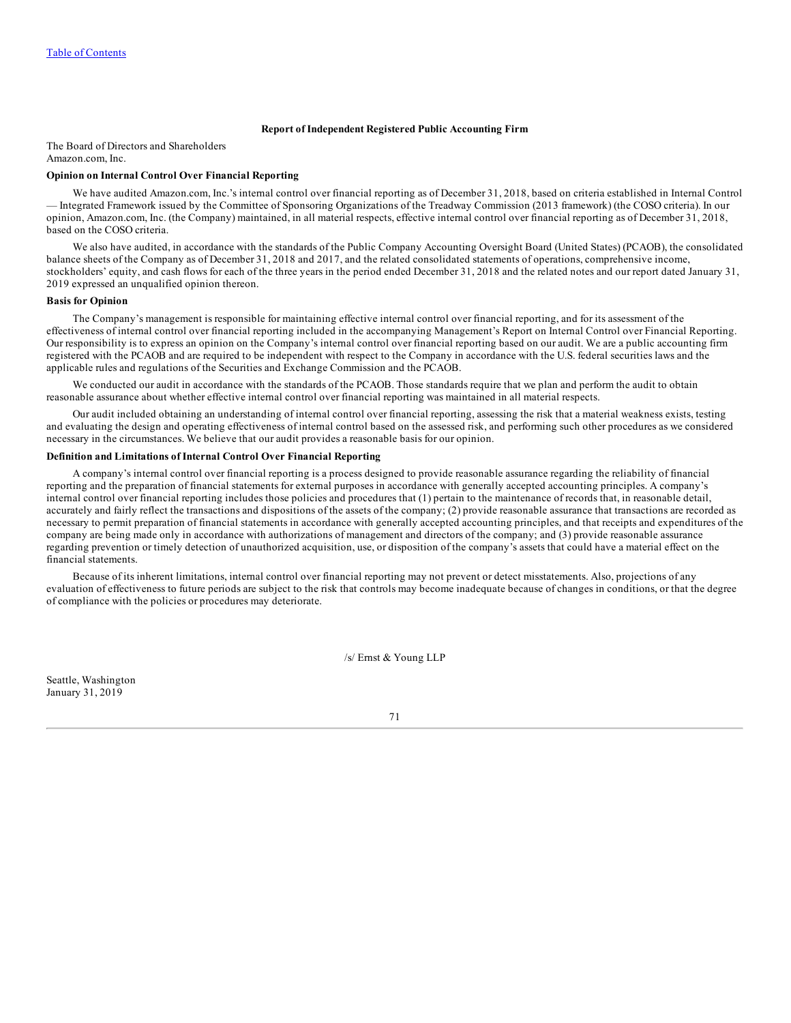### **Report of Independent Registered Public Accounting Firm**

The Board of Directors and Shareholders Amazon.com, Inc.

# **Opinion on Internal Control Over Financial Reporting**

We have audited Amazon.com, Inc.'s internal control over financial reporting as of December 31, 2018, based on criteria established in Internal Control — Integrated Framework issued by the Committee of Sponsoring Organizations of the Treadway Commission (2013 framework) (the COSO criteria). In our opinion, Amazon.com, Inc. (the Company) maintained, in all material respects, effective internal control over financial reporting as of December 31, 2018, based on the COSO criteria.

We also have audited, in accordance with the standards of the Public Company Accounting Oversight Board (United States) (PCAOB), the consolidated balance sheets of the Company as of December 31, 2018 and 2017, and the related consolidated statements of operations, comprehensive income, stockholders' equity, and cash flows for each of the three years in the period ended December 31, 2018 and the related notes and our report dated January 31, 2019 expressed an unqualified opinion thereon.

#### **Basis for Opinion**

The Company's management is responsible for maintaining effective internal control over financial reporting, and for its assessment of the effectiveness of internal control over financial reporting included in the accompanying Management's Report on Internal Control over Financial Reporting. Our responsibility is to express an opinion on the Company's internal control over financial reporting based on our audit. We are a public accounting firm registered with the PCAOB and are required to be independent with respect to the Company in accordance with the U.S. federal securities laws and the applicable rules and regulations of the Securities and Exchange Commission and the PCAOB.

We conducted our audit in accordance with the standards of the PCAOB. Those standards require that we plan and perform the audit to obtain reasonable assurance about whether effective internal control over financial reporting was maintained in all material respects.

Our audit included obtaining an understanding of internal control over financial reporting, assessing the risk that a material weakness exists, testing and evaluating the design and operating effectiveness of internal control based on the assessed risk, and performing such other procedures as we considered necessary in the circumstances. We believe that our audit provides a reasonable basis for our opinion.

### **Definition and Limitations of Internal Control Over Financial Reporting**

A company's internal control over financial reporting is a process designed to provide reasonable assurance regarding the reliability of financial reporting and the preparation of financial statements for external purposes in accordance with generally accepted accounting principles. A company's internal control over financial reporting includes those policies and procedures that (1) pertain to the maintenance of records that, in reasonable detail, accurately and fairly reflect the transactions and dispositions of the assets of the company; (2) provide reasonable assurance that transactions are recorded as necessary to permit preparation of financial statements in accordance with generally accepted accounting principles, and that receipts and expenditures of the company are being made only in accordance with authorizations of management and directors of the company; and (3) provide reasonable assurance regarding prevention or timely detection of unauthorized acquisition, use, or disposition of the company's assets that could have a material effect on the financial statements.

Because of its inherent limitations, internal control over financial reporting may not prevent or detect misstatements. Also, projections of any evaluation of effectiveness to future periods are subject to the risk that controls may become inadequate because of changes in conditions, or that the degree of compliance with the policies or procedures may deteriorate.

/s/ Ernst & Young LLP

Seattle, Washington January 31, 2019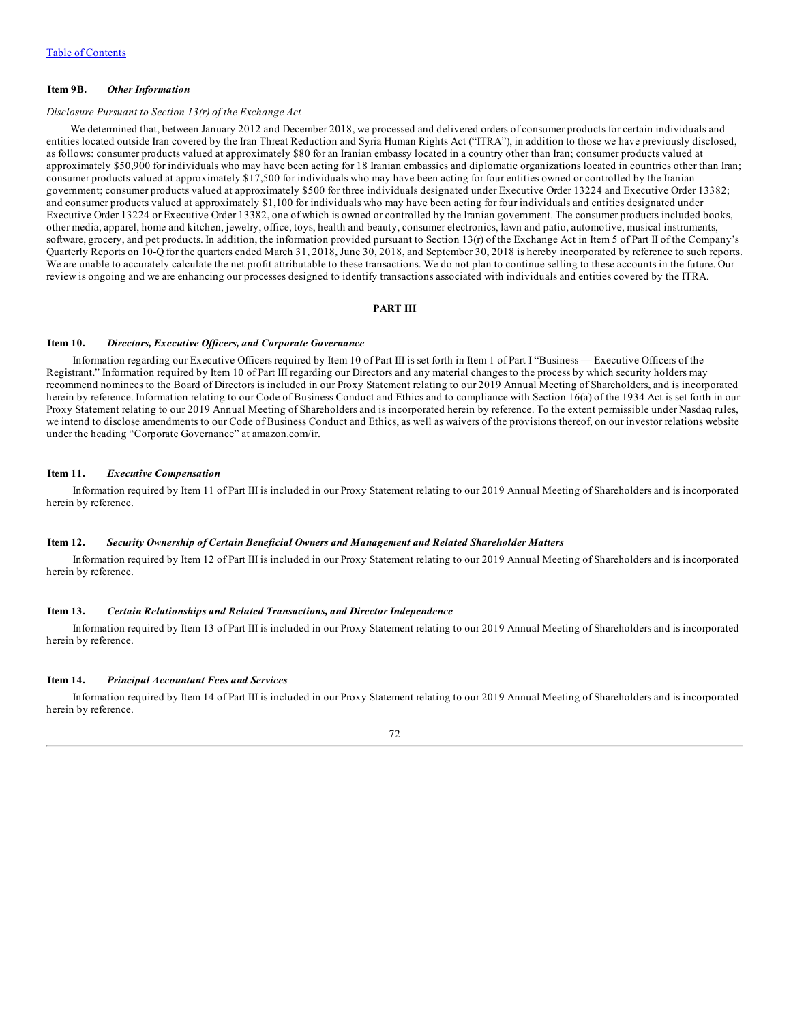### **Item 9B.** *Other Information*

# *Disclosure Pursuant to Section 13(r) of the Exchange Act*

We determined that, between January 2012 and December 2018, we processed and delivered orders of consumer products for certain individuals and entities located outside Iran covered by the Iran Threat Reduction and Syria Human Rights Act ("ITRA"), in addition to those we have previously disclosed, as follows: consumer products valued at approximately \$80 for an Iranian embassy located in a country other than Iran; consumer products valued at approximately \$50,900 for individuals who may have been acting for 18 Iranian embassies and diplomatic organizations located in countries other than Iran; consumer products valued at approximately \$17,500 for individuals who may have been acting for four entities owned or controlled by the Iranian government; consumer products valued at approximately \$500 for three individuals designated under Executive Order 13224 and Executive Order 13382; and consumer products valued at approximately \$1,100 for individuals who may have been acting for four individuals and entities designated under Executive Order 13224 or Executive Order 13382, one of which is owned or controlled by the Iranian government. The consumer products included books, other media, apparel, home and kitchen, jewelry, office, toys, health and beauty, consumer electronics, lawn and patio, automotive, musical instruments, software, grocery, and pet products. In addition, the information provided pursuant to Section 13(r) of the Exchange Act in Item 5 of Part II of the Company's Quarterly Reports on 10-Q for the quarters ended March 31, 2018, June 30, 2018, and September 30, 2018 is hereby incorporated by reference to such reports. We are unable to accurately calculate the net profit attributable to these transactions. We do not plan to continue selling to these accounts in the future. Our review is ongoing and we are enhancing our processes designed to identify transactions associated with individuals and entities covered by the ITRA.

# **PART III**

#### **Item 10.** *Directors, Executive Of icers, and Corporate Governance*

Information regarding our Executive Officers required by Item 10 of Part III is set forth in Item 1 of Part I "Business — Executive Officers of the Registrant." Information required by Item 10 of Part III regarding our Directors and any material changes to the process by which security holders may recommend nominees to the Board of Directors is included in our Proxy Statement relating to our 2019 Annual Meeting of Shareholders, and is incorporated herein by reference. Information relating to our Code of Business Conduct and Ethics and to compliance with Section 16(a) of the 1934 Act is set forth in our Proxy Statement relating to our 2019 Annual Meeting of Shareholders and is incorporated herein by reference. To the extent permissible under Nasdaq rules, we intend to disclose amendments to our Code of Business Conduct and Ethics, as well as waivers of the provisions thereof, on our investor relations website under the heading "Corporate Governance" at amazon.com/ir.

### **Item 11.** *Executive Compensation*

Information required by Item 11 of Part III is included in our Proxy Statement relating to our 2019 Annual Meeting of Shareholders and is incorporated herein by reference.

### **Item 12.** *Security Ownership of Certain Beneficial Owners and Management and Related Shareholder Matters*

Information required by Item 12 of Part III is included in our Proxy Statement relating to our 2019 Annual Meeting of Shareholders and is incorporated herein by reference.

### **Item 13.** *Certain Relationships and Related Transactions, and Director Independence*

Information required by Item 13 of Part III is included in our Proxy Statement relating to our 2019 Annual Meeting of Shareholders and is incorporated herein by reference.

#### **Item 14.** *Principal Accountant Fees and Services*

Information required by Item 14 of Part III is included in our Proxy Statement relating to our 2019 Annual Meeting of Shareholders and is incorporated herein by reference.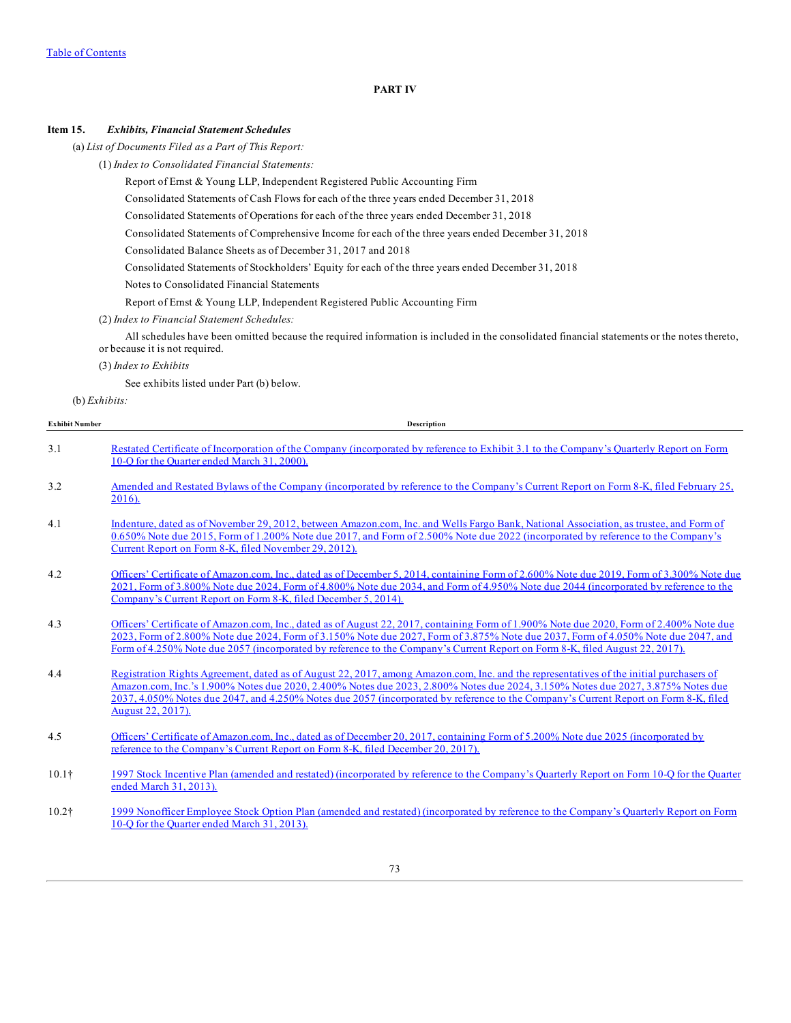# **PART IV**

## <span id="page-72-0"></span>**Item 15.** *Exhibits, Financial Statement Schedules*

(a) *List of Documents Filed as a Part of This Report:*

(1) *Index to Consolidated Financial Statements:*

Report of Ernst & Young LLP, Independent Registered Public Accounting Firm

Consolidated Statements of Cash Flows for each of the three years ended December 31, 2018

Consolidated Statements of Operations for each of the three years ended December 31, 2018

Consolidated Statements of Comprehensive Income for each of the three years ended December 31, 2018

Consolidated Balance Sheets as of December 31, 2017 and 2018

Consolidated Statements of Stockholders' Equity for each of the three years ended December 31, 2018

Notes to Consolidated Financial Statements

Report of Ernst & Young LLP, Independent Registered Public Accounting Firm

(2) *Index to Financial Statement Schedules:*

All schedules have been omitted because the required information is included in the consolidated financial statements or the notes thereto, or because it is not required.

(3) *Index to Exhibits*

See exhibits listed under Part (b) below.

## (b) *Exhibits:*

| <b>Exhibit Number</b> | Description                                                                                                                                                                                                                                                                                                                                                                                                                             |
|-----------------------|-----------------------------------------------------------------------------------------------------------------------------------------------------------------------------------------------------------------------------------------------------------------------------------------------------------------------------------------------------------------------------------------------------------------------------------------|
| 3.1                   | Restated Certificate of Incorporation of the Company (incorporated by reference to Exhibit 3.1 to the Company's Quarterly Report on Form<br>10-Q for the Quarter ended March 31, 2000).                                                                                                                                                                                                                                                 |
| 3.2                   | Amended and Restated Bylaws of the Company (incorporated by reference to the Company's Current Report on Form 8-K, filed February 25,<br>$2016$ ).                                                                                                                                                                                                                                                                                      |
| 4.1                   | Indenture, dated as of November 29, 2012, between Amazon.com, Inc. and Wells Fargo Bank, National Association, as trustee, and Form of<br>0.650% Note due 2015. Form of 1.200% Note due 2017, and Form of 2.500% Note due 2022 (incorporated by reference to the Company's<br>Current Report on Form 8-K, filed November 29, 2012).                                                                                                     |
| 4.2                   | Officers' Certificate of Amazon.com, Inc., dated as of December 5, 2014, containing Form of 2.600% Note due 2019, Form of 3.300% Note due<br>2021. Form of 3.800% Note due 2024. Form of 4.800% Note due 2034, and Form of 4.950% Note due 2044 (incorporated by reference to the<br>Company's Current Report on Form 8-K, filed December 5, 2014).                                                                                     |
| 4.3                   | Officers' Certificate of Amazon.com, Inc., dated as of August 22, 2017, containing Form of 1.900% Note due 2020, Form of 2.400% Note due<br>2023. Form of 2.800% Note due 2024. Form of 3.150% Note due 2027. Form of 3.875% Note due 2037. Form of 4.050% Note due 2047, and<br>Form of 4.250% Note due 2057 (incorporated by reference to the Company's Current Report on Form 8-K, filed August 22, 2017).                           |
| 4.4                   | Registration Rights Agreement, dated as of August 22, 2017, among Amazon.com, Inc. and the representatives of the initial purchasers of<br>Amazon.com, Inc.'s 1.900% Notes due 2020, 2.400% Notes due 2023, 2.800% Notes due 2024, 3.150% Notes due 2027, 3.875% Notes due<br>2037, 4.050% Notes due 2047, and 4.250% Notes due 2057 (incorporated by reference to the Company's Current Report on Form 8-K, filed<br>August 22, 2017). |
| 4.5                   | Officers' Certificate of Amazon.com, Inc., dated as of December 20, 2017, containing Form of 5.200% Note due 2025 (incorporated by<br>reference to the Company's Current Report on Form 8-K, filed December 20, 2017).                                                                                                                                                                                                                  |
| $10.1\dagger$         | 1997 Stock Incentive Plan (amended and restated) (incorporated by reference to the Company's Quarterly Report on Form 10-Q for the Quarter<br>ended March 31, 2013).                                                                                                                                                                                                                                                                    |
| $10.2\dagger$         | 1999 Nonofficer Employee Stock Option Plan (amended and restated) (incorporated by reference to the Company's Quarterly Report on Form<br>10-O for the Quarter ended March 31, 2013).                                                                                                                                                                                                                                                   |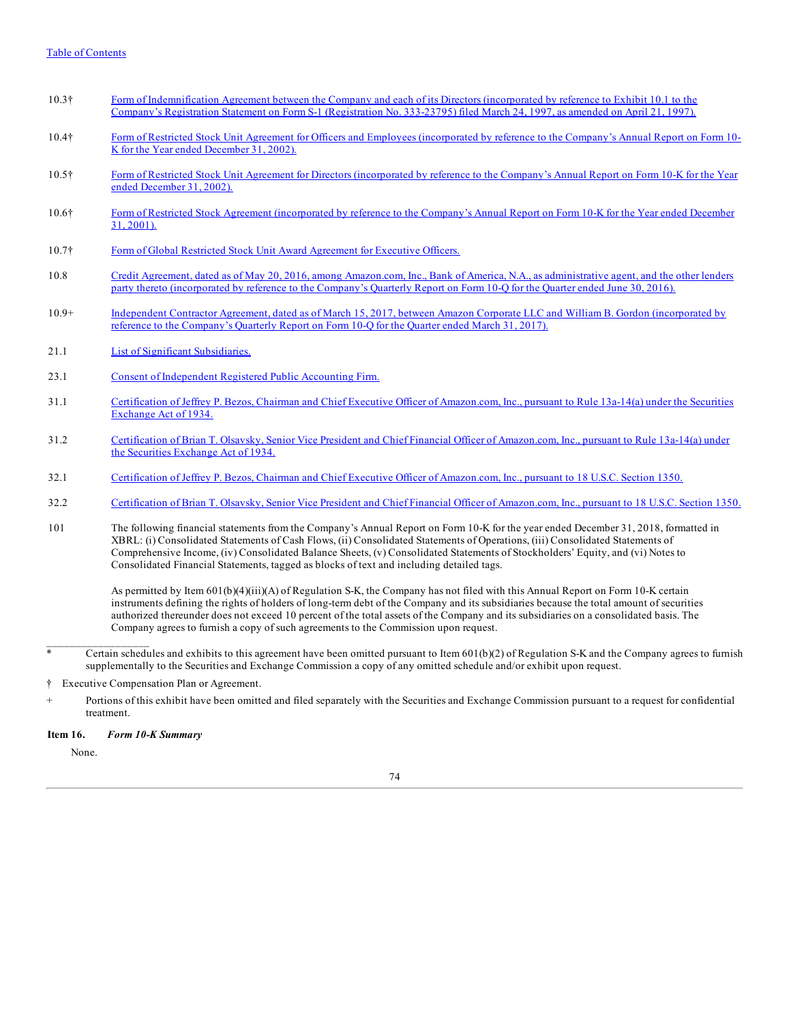- <span id="page-73-0"></span>10.3† Form of [Indemnification](http://www.sec.gov/Archives/edgar/data/1018724/0000891020-97-000603.txt) Agreement between the Company and each of its Directors (incorporated by reference to Exhibit 10.1 to the Company's Registration Statement on Form S-1 (Registration No. 333-23795) filed March 24, 1997, as amended on April 21, 1997).
- 10.4† Form of Restricted Stock Unit Agreement for Officers and Employees [\(incorporated](http://www.sec.gov/Archives/edgar/data/1018724/000095014903000355/v87419orexv10w12.htm) by reference to the Company's Annual Report on Form 10- K for the Year ended December 31, 2002).
- 10.5† Form of Restricted Stock Unit Agreement for Directors [\(incorporated](http://www.sec.gov/Archives/edgar/data/1018724/000095014903000355/v87419orexv10w13.htm) by reference to the Company's Annual Report on Form 10-K for the Year ended December 31, 2002).
- 10.6† Form of Restricted Stock Agreement [\(incorporated](http://www.sec.gov/Archives/edgar/data/1018724/000103221002000059/dex1016.htm) by reference to the Company's Annual Report on Form 10-K for the Year ended December 31, 2001).
- 10.7† Form of Global Restricted Stock Unit Award [Agreement](#page-75-0) for Executive Officers.
- 10.8 Credit Agreement, dated as of May 20, 2016, among Amazon.com, Inc., Bank of America, N.A., as [administrative](http://www.sec.gov/Archives/edgar/data/1018724/000101872416000286/amzn-20160630xex101.htm) agent, and the other lenders party thereto (incorporated by reference to the Company's Quarterly Report on Form 10-Q for the Quarter ended June 30, 2016).
- 10.9+ Independent Contractor Agreement, dated as of March 15, 2017, between Amazon Corporate LLC and William B. Gordon [\(incorporated](http://www.sec.gov/Archives/edgar/data/1018724/000101872417000051/amzn-20170331xex101.htm) by reference to the Company's Quarterly Report on Form 10-Q for the Quarter ended March 31, 2017).
- 21.1 List of Significant [Subsidiaries.](#page-83-0)
- 23.1 Consent of [Independent](#page-84-0) Registered Public Accounting Firm.
- 31.1 Certification of Jeffrey P. Bezos, Chairman and Chief Executive Officer of [Amazon.com,](#page-85-0) Inc., pursuant to Rule 13a-14(a) under the Securities Exchange Act of 1934.
- 31.2 Certification of Brian T. Olsavsky, Senior Vice President and Chief Financial Officer of [Amazon.com,](#page-86-0) Inc., pursuant to Rule 13a-14(a) under the Securities Exchange Act of 1934.
- 32.1 Certification of Jeffrey P. Bezos, Chairman and Chief Executive Officer of [Amazon.com,](#page-87-0) Inc., pursuant to 18 U.S.C. Section 1350.
- 32.2 Certification of Brian T. Olsavsky, Senior Vice President and Chief Financial Officer of [Amazon.com,](#page-88-0) Inc., pursuant to 18 U.S.C. Section 1350.
- 101 The following financial statements from the Company's Annual Report on Form 10-K for the year ended December 31, 2018, formatted in XBRL: (i) Consolidated Statements of Cash Flows, (ii) Consolidated Statements of Operations, (iii) Consolidated Statements of Comprehensive Income, (iv) Consolidated Balance Sheets, (v) Consolidated Statements of Stockholders' Equity, and (vi) Notes to Consolidated Financial Statements, tagged as blocks of text and including detailed tags.

As permitted by Item 601(b)(4)(iii)(A) of Regulation S-K, the Company has not filed with this Annual Report on Form 10-K certain instruments defining the rights of holders of long-term debt of the Company and its subsidiaries because the total amount of securities authorized thereunder does not exceed 10 percent of the total assets of the Company and its subsidiaries on a consolidated basis. The Company agrees to furnish a copy of such agreements to the Commission upon request.

- Certain schedules and exhibits to this agreement have been omitted pursuant to Item 601(b)(2) of Regulation S-K and the Company agrees to furnish supplementally to the Securities and Exchange Commission a copy of any omitted schedule and/or exhibit upon request.
- † Executive Compensation Plan or Agreement.
- Portions of this exhibit have been omitted and filed separately with the Securities and Exchange Commission pursuant to a request for confidential treatment.

#### **Item 16.** *Form 10-K Summary*

None.

74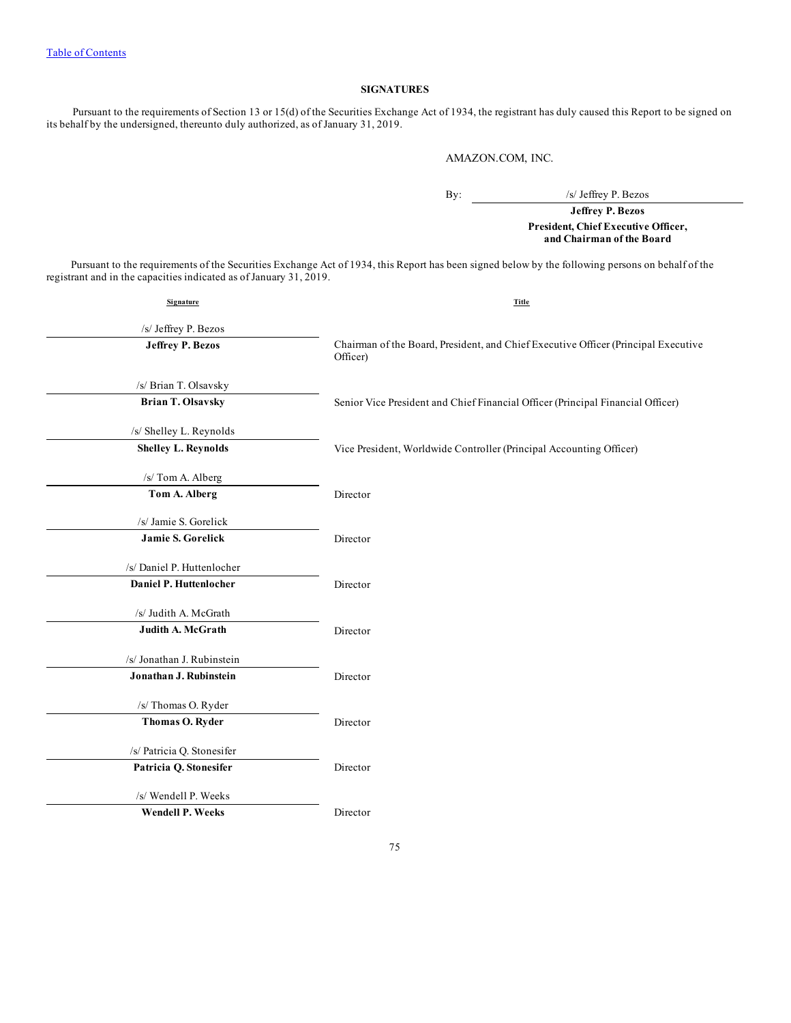### **SIGNATURES**

Pursuant to the requirements of Section 13 or 15(d) of the Securities Exchange Act of 1934, the registrant has duly caused this Report to be signed on its behalf by the undersigned, thereunto duly authorized, as of January 31, 2019.

AMAZON.COM, INC.

By:  $\frac{1}{s}$  Jeffrey P. Bezos

**Jeffrey P. Bezos President, Chief Executive Officer,**

**and Chairman of the Board**

Pursuant to the requirements of the Securities Exchange Act of 1934, this Report has been signed below by the following persons on behalf of the registrant and in the capacities indicated as of January 31, 2019.

| Signature                  | Title                                                                                          |  |  |
|----------------------------|------------------------------------------------------------------------------------------------|--|--|
| /s/ Jeffrey P. Bezos       |                                                                                                |  |  |
| <b>Jeffrey P. Bezos</b>    | Chairman of the Board, President, and Chief Executive Officer (Principal Executive<br>Officer) |  |  |
| /s/ Brian T. Olsavsky      |                                                                                                |  |  |
| <b>Brian T. Olsavsky</b>   | Senior Vice President and Chief Financial Officer (Principal Financial Officer)                |  |  |
| /s/ Shelley L. Reynolds    |                                                                                                |  |  |
| <b>Shelley L. Reynolds</b> | Vice President, Worldwide Controller (Principal Accounting Officer)                            |  |  |
| /s/ Tom A. Alberg          |                                                                                                |  |  |
| Tom A. Alberg              | Director                                                                                       |  |  |
| /s/ Jamie S. Gorelick      |                                                                                                |  |  |
| Jamie S. Gorelick          | Director                                                                                       |  |  |
| /s/ Daniel P. Huttenlocher |                                                                                                |  |  |
| Daniel P. Huttenlocher     | Director                                                                                       |  |  |
| /s/ Judith A. McGrath      |                                                                                                |  |  |
| Judith A. McGrath          | Director                                                                                       |  |  |
| /s/ Jonathan J. Rubinstein |                                                                                                |  |  |
| Jonathan J. Rubinstein     | Director                                                                                       |  |  |
| /s/ Thomas O. Ryder        |                                                                                                |  |  |
| Thomas O. Ryder            | Director                                                                                       |  |  |
| /s/ Patricia Q. Stonesifer |                                                                                                |  |  |
| Patricia Q. Stonesifer     | Director                                                                                       |  |  |
| /s/ Wendell P. Weeks       |                                                                                                |  |  |
| <b>Wendell P. Weeks</b>    | Director                                                                                       |  |  |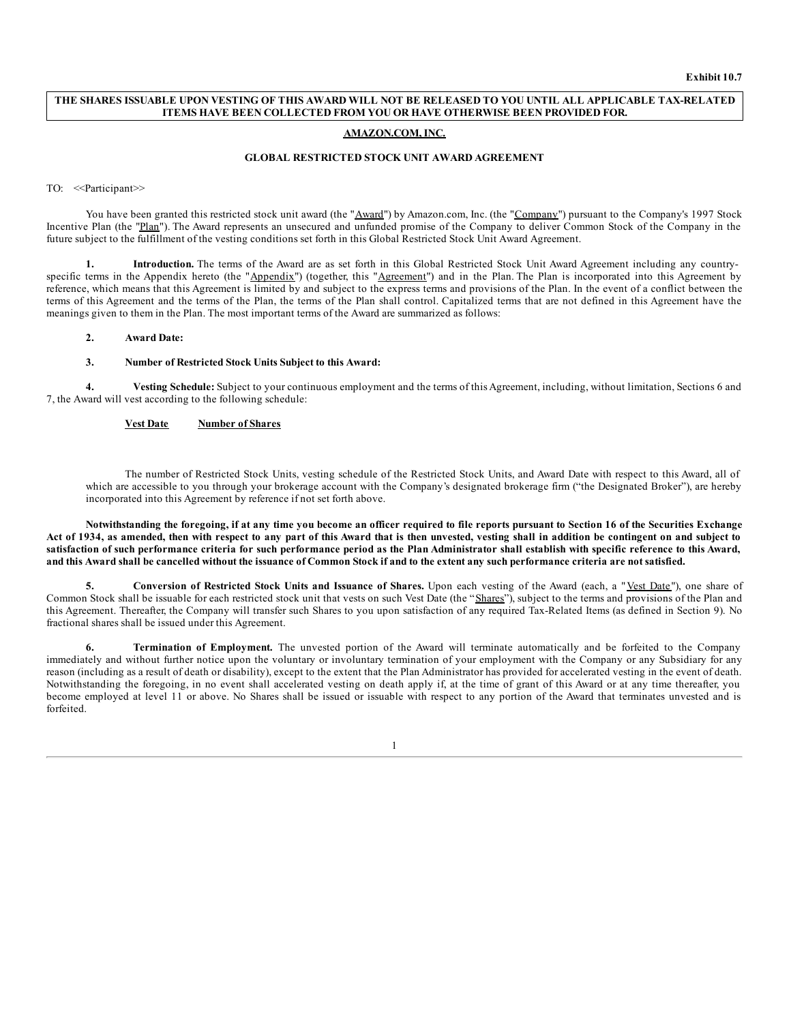## <span id="page-75-0"></span>THE SHARES ISSUABLE UPON VESTING OF THIS AWARD WILL NOT BE RELEASED TO YOU UNTIL ALL APPLICABLE TAX-RELATED **ITEMS HAVE BEEN COLLECTED FROM YOU OR HAVE OTHERWISE BEEN PROVIDED FOR.**

# **AMAZON.COM, INC.**

## **GLOBAL RESTRICTED STOCK UNIT AWARD AGREEMENT**

TO: << Participant>>

You have been granted this restricted stock unit award (the "Award") by Amazon.com, Inc. (the "Company") pursuant to the Company's 1997 Stock Incentive Plan (the "Plan"). The Award represents an unsecured and unfunded promise of the Company to deliver Common Stock of the Company in the future subject to the fulfillment of the vesting conditions set forth in this Global Restricted Stock Unit Award Agreement.

**1. Introduction.** The terms of the Award are as set forth in this Global Restricted Stock Unit Award Agreement including any countryspecific terms in the Appendix hereto (the "Appendix") (together, this "Agreement") and in the Plan. The Plan is incorporated into this Agreement by reference, which means that this Agreement is limited by and subject to the express terms and provisions of the Plan. In the event of a conflict between the terms of this Agreement and the terms of the Plan, the terms of the Plan shall control. Capitalized terms that are not defined in this Agreement have the meanings given to them in the Plan. The most important terms of the Award are summarized as follows:

#### **2. Award Date:**

## **3. Number of Restricted Stock Units Subject to this Award:**

**4. Vesting Schedule:** Subject to your continuous employment and the terms of this Agreement, including, without limitation, Sections 6 and 7, the Award will vest according to the following schedule:

## **Vest Date Number of Shares**

The number of Restricted Stock Units, vesting schedule of the Restricted Stock Units, and Award Date with respect to this Award, all of which are accessible to you through your brokerage account with the Company's designated brokerage firm ("the Designated Broker"), are hereby incorporated into this Agreement by reference if not set forth above.

Notwithstanding the foregoing, if at any time you become an officer required to file reports pursuant to Section 16 of the Securities Exchange Act of 1934, as amended, then with respect to any part of this Award that is then unvested, vesting shall in addition be contingent on and subject to satisfaction of such performance criteria for such performance period as the Plan Administrator shall establish with specific reference to this Award, and this Award shall be cancelled without the issuance of Common Stock if and to the extent any such performance criteria are not satisfied.

**5. Conversion of Restricted Stock Units and Issuance of Shares.** Upon each vesting of the Award (each, a "<u>Vest Date</u>"), one share of Common Stock shall be issuable for each restricted stock unit that vests on such Vest Date (the "Shares"), subject to the terms and provisions of the Plan and this Agreement. Thereafter, the Company will transfer such Shares to you upon satisfaction of any required Tax-Related Items (as defined in Section 9). No fractional shares shall be issued under this Agreement.

**6. Termination of Employment.** The unvested portion of the Award will terminate automatically and be forfeited to the Company immediately and without further notice upon the voluntary or involuntary termination of your employment with the Company or any Subsidiary for any reason (including as a result of death or disability), except to the extent that the Plan Administrator has provided for accelerated vesting in the event of death. Notwithstanding the foregoing, in no event shall accelerated vesting on death apply if, at the time of grant of this Award or at any time thereafter, you become employed at level 11 or above. No Shares shall be issued or issuable with respect to any portion of the Award that terminates unvested and is forfeited.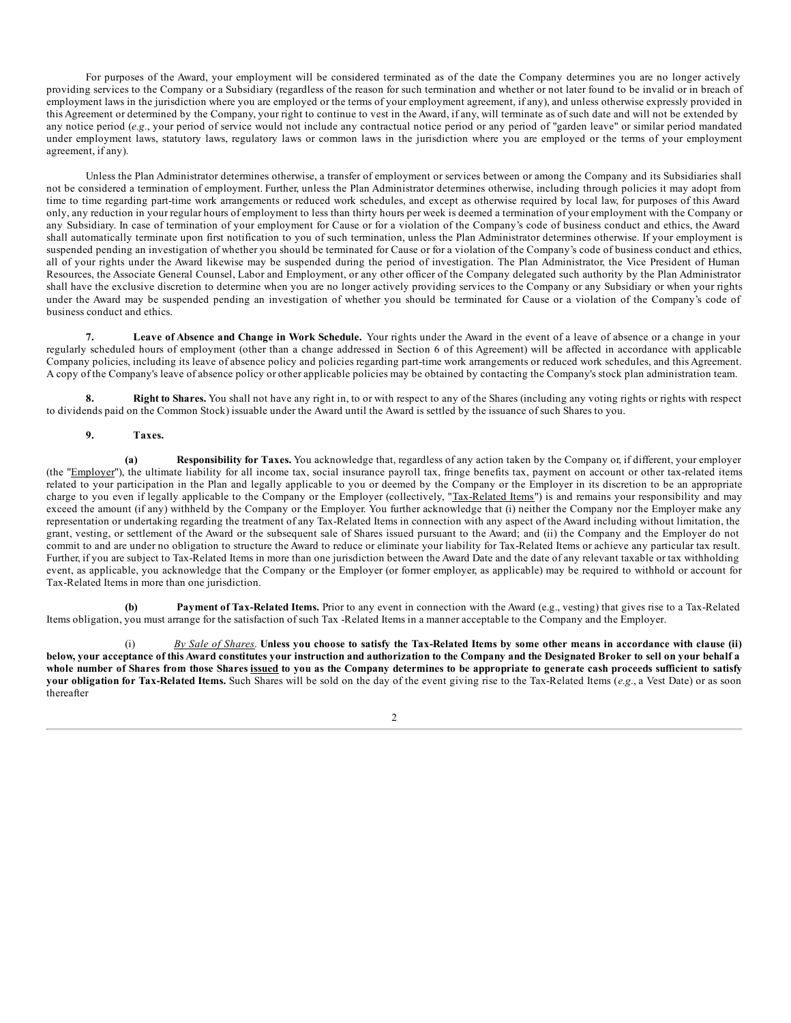For purposes of the Award, your employment will be considered terminated as of the date the Company determines you are no longer actively providing services to the Company or a Subsidiary (regardless of the reason for such termination and whether or not later found to be invalid or in breach of employment laws in the jurisdiction where you are employed or the terms of your employment agreement, if any), and unless otherwise expressly provided in this Agreement or determined by the Company, your right to continue to vest in the Award, if any, will terminate as of such date and will not be extended by any notice period (e.g., your period of service would not include any contractual notice period or any period of "garden leave" or similar period mandated under employment laws, statutory laws, regulatory laws or common laws in the jurisdiction where you are employed or the terms of your employment agreement, if any).

Unless the Plan Administrator determines otherwise, a transfer of employment or services between or among the Company and its Subsidiaries shall not be considered a termination of employment. Further, unless the Plan Administrator determines otherwise, including through policies it may adopt from time to time re[garding](#page-2-0) part-time work arrangements or reduced work schedules, and except as otherwise required by local law, for purposes of this Aw[ar](#page-2-0)d only, any reduction in [your](#page-5-0) regular hours of employment to less than thirty hours per week is deemed a termination of your employment with the Compan[y](#page-5-0) or any Subsidiary. In case of [termination](#page-13-0) of your employment for Cause or for a violation of the Company's code of business conduct and ethics, the A[war](#page-13-0)d shall automatically [termin](#page-13-0)ate upon first notification to you of such termination, unless the Plan Administrator determines otherwise. If your employm[ent](#page-13-0) is suspended pending an [investigatio](#page-14-0)n of whether you should be terminated for Cause or for a violation of the Company's code of business conduct and ethics, all of your rights under the Award likewise may be suspended during the period of investigation. The Plan Administrator, the Vice President of H[uma](#page-14-0)n Resources, the [Associate](#page-14-0) General Counsel, Labor and Employment, or any other officer of the Company delegated such authority by the Plan Administ[rato](#page-14-0)r shall have the exclusive discretion to determine when you are no longer actively providing services to the Company or any Subsidiary or when your rights under the Award may be suspended pending an investigation of whether you should be terminated for Cause or a violation of the Company's code of business conduct and ethics.

**7. Leave of [Absence](#page-15-0) and Change in Work Schedule.** Your rights under the Award in the event of a leave of absence or a change in [you](#page-15-0)r regularly scheduled hours of [employment](#page-16-0) (other than a change addressed in Section 6 of this Agreement) will be affected in accordance with applicable Company policies, including its leave of absence policy and policies regarding part-time work arrangements or reduced work schedules, and this Agree[men](#page-16-0)t. A copy of the Company's leave of absence policy or other [applicable](#page-29-0) policies may be obtained by contacting the Company's stock plan administration t[eam](#page-29-0).

**8. Right to [Shares.](#page-68-0)** You shall not have any right in, to or with respect to any of the Shares (including any voting rights or rights with re[spe](#page-68-0)ct to dividends paid on the [Common](#page-69-0) Stock) issuable under the Award until the Award is settled by the issuance of such Shares to you.

### **9. [Taxes.](#page-71-0)**

**(a) Responsibility for Taxes.** You acknowledge that, regardless of any action taken by the Company or, if different, your employer (the "Employer"), the ultimate liability for all income tax, social insurance payroll tax, fringe benefits tax, payment on account or other tax-related items related to your [participation](#page-71-0) in the Plan and legally applicable to you or deemed by the Company or the Employer in its discretion to be an appro[pria](#page-71-0)te charge to you even if legally [applicable](#page-71-0) to the Company or the Employer (collectively, "Tax-Related Items") is and re[ma](#page-71-0)ins your responsibility and may exceed the amount (if any) withheld by the Company or the Employer. You further acknowledge that (i) neither the Company nor the Employer make any representation or [undertaking](#page-71-0) regarding the treatment of any Tax-Related Items in connection with any aspect of the Award including without limitation, [th](#page-71-0)e grant, vesting, or settlement of the Award or the [subsequent](#page-71-0) sale of Shares issued pursuant to the Award; and (ii) the Company and the Employer do [no](#page-71-0)t commit to and are under no [obligation](#page-71-0) to structure the Award to reduce or eliminate your liability for Tax-Related Items or achieve any particular tax r[esul](#page-71-0)t. Further, if you are subject to Tax-Related Items in more than one jurisdiction between the Award Date and the date of any relevant taxable or tax withholding event, as applicable, you acknowledge that the Company or the Employer (or former employer, as applicable) may be required to withhold or account for Tax-Related Items in more than one jurisdiction.

**(b) [Paymen](#page-73-0)t of [Tax-Related](#page-72-0) Items.** Prior to any event in connection with the Award (e.g., vesting) that gives rise to a Tax-Re[late](#page-72-0)d [Items](#page-73-0) obligation, you must arrange for the satisfaction of such Tax -Related Items in a manner acceptable to the Company and the Employer.

By Sale of Shares. Unless you choose to satisfy the Tax-Related Items by some other means in accordance with clause (ii) below, your acceptance of this Award constitutes your instruction and authorization to the Company and the Designated Broker to sell on your behalf a whole number of Shares from those Shares issued to you as the Company determines to be appropriate to generate cash proceeds sufficient to satisfy **your obligation for Tax-Related Items.** Such Shares will be sold on the day of the event giving rise to the Tax-Related Items (*e.g.*, a Vest Date) or as soon thereafter

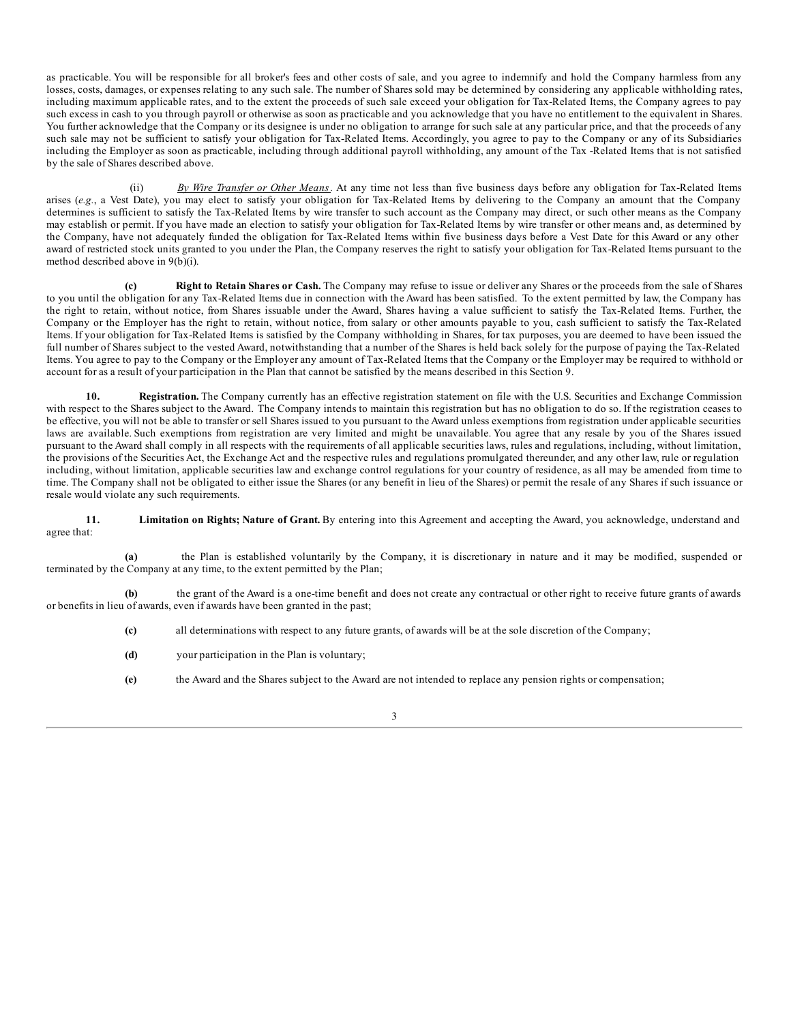as practicable. You will be responsible for all broker's fees and other costs of sale, and you agree to indemnify and hold the Company harmless from any losses, costs, damages, or expenses relating to any such sale. The number of Shares sold may be determined by considering any applicable withholding rates, including maximum applicable rates, and to the extent the proceeds of such sale exceed your obligation for Tax-Related Items, the Company agrees to pay such excess in cash to you through payroll or otherwise as soon as practicable and you acknowledge that you have no entitlement to the equivalent in Shares. You further acknowledge that the Company or its designee is under no obligation to arrange for such sale at any particular price, and that the proceeds of any such sale may not be sufficient to satisfy your obligation for Tax-Related Items. Accordingly, you agree to pay to the Company or any of its Subsidiaries including the Employer as soon as practicable, including through additional payroll withholding, any amount of the Tax -Related Items that is not satisfied by the sale of Shares described above.

(ii) *By Wire Transfer or Other Means.* At any time not less than five business days before any obligation for Tax-Related Items arises (e.g., a Vest Date), you may elect to satisfy your obligation for Tax-Related Items by delivering to the Company an amount that the Company determines is sufficient to satisfy the Tax-Related Items by wire transfer to such account as the Company may direct, or such other means as the Company may establish or permit. If you have made an election to satisfy your obligation for Tax-Related Items by wire transfer or other means and, as determined by the Company, have not adequately funded the obligation for Tax-Related Items within five business days before a Vest Date for this Award or any other award of restricted stock units granted to you under the Plan, the Company reserves the right to satisfy your obligation for Tax-Related Items pursuant to the method described above in 9(b)(i).

**(c) Right to Retain Shares or Cash.** The Company may refuse to issue or deliver any Shares or the proceeds from the sale of Shares to you until the obligation for any Tax-Related Items due in connection with the Award has been satisfied. To the extent permitted by law, the Company has the right to retain, without notice, from Shares issuable under the Award, Shares having a value sufficient to satisfy the Tax-Related Items. Further, the Company or the Employer has the right to retain, without notice, from salary or other amounts payable to you, cash sufficient to satisfy the Tax-Related Items. If your obligation for Tax-Related Items is satisfied by the Company withholding in Shares, for tax purposes, you are deemed to have been issued the full number of Shares subject to the vested Award, notwithstanding that a number of the Shares is held back solely for the purpose of paying the Tax-Related Items. You agree to pay to the Company or the Employer any amount of Tax-Related Items that the Company or the Employer may be required to withhold or account for as a result of your participation in the Plan that cannot be satisfied by the means described in this Section 9.

10. **Registration.** The Company currently has an effective registration statement on file with the U.S. Securities and Exchange Commission with respect to the Shares subject to the Award. The Company intends to maintain this registration but has no obligation to do so. If the registration ceases to be effective, you will not be able to transfer or sell Shares issued to you pursuant to the Award unless exemptions from registration under applicable securities laws are available. Such exemptions from registration are very limited and might be unavailable. You agree that any resale by you of the Shares issued pursuant to the Award shall comply in all respects with the requirements of all applicable securities laws, rules and regulations, including, without limitation, the provisions of the Securities Act, the Exchange Act and the respective rules and regulations promulgated thereunder, and any other law, rule or regulation including, without limitation, applicable securities law and exchange control regulations for your country of residence, as all may be amended from time to time. The Company shall not be obligated to either issue the Shares (or any benefit in lieu of the Shares) or permit the resale of any Shares if such issuance or resale would violate any such requirements.

**11. Limitation on Rights; Nature of Grant.** By entering into this Agreement and accepting the Award, you acknowledge, understand and agree that:

**(a)** the Plan is established voluntarily by the Company, it is discretionary in nature and it may be modified, suspended or terminated by the Company at any time, to the extent permitted by the Plan;

**(b)** the grant of the Award is a one-time benefit and does not create any contractual or other right to receive future grants of awards or benefits in lieu of awards, even if awards have been granted in the past;

- **(c)** all determinations with respect to any future grants, of awards will be at the sole discretion of the Company;
- **(d)** your participation in the Plan is voluntary;
- **(e)** the Award and the Shares subject to the Award are not intended to replace any pension rights or compensation;

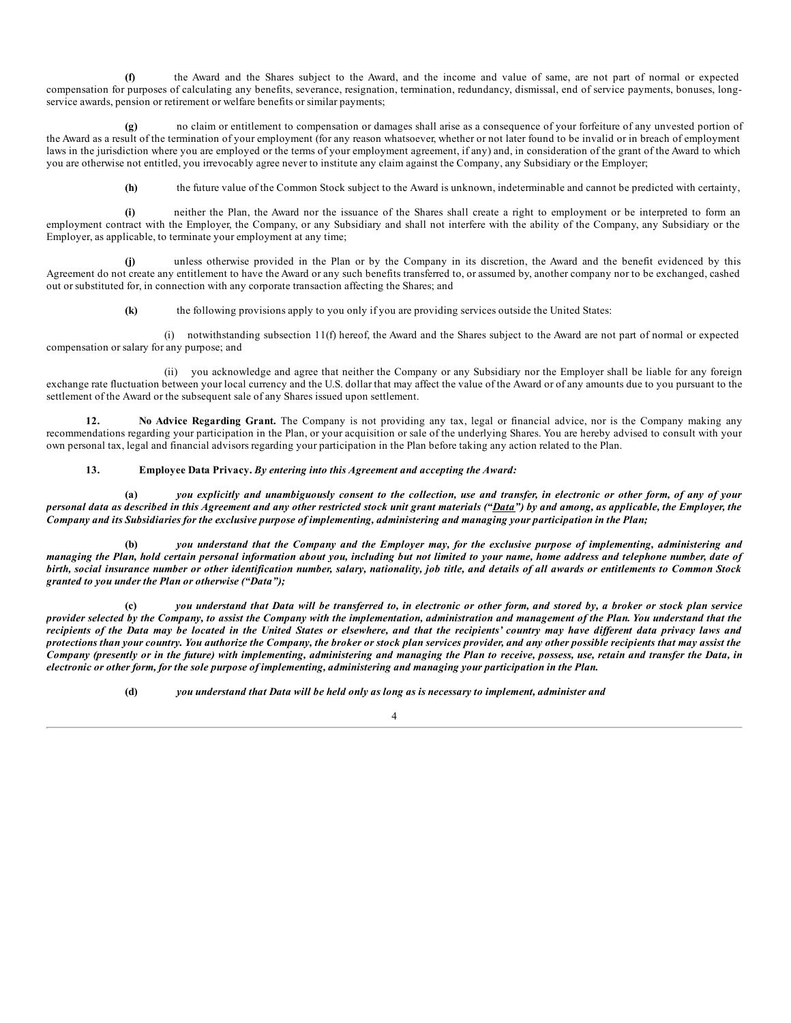**(f)** the Award and the Shares subject to the Award, and the income and value of same, are not part of normal or expected compensation for purposes of calculating any benefits, severance, resignation, termination, redundancy, dismissal, end of service payments, bonuses, longservice awards, pension or retirement or welfare benefits or similar payments;

**(g)** no claim or entitlement to compensation or damages shall arise as a consequence of your forfeiture of any unvested portion of the Award as a result of the termination of your employment (for any reason whatsoever, whether or not later found to be invalid or in breach of employment laws in the jurisdiction where you are employed or the terms of your employment agreement, if any) and, in consideration of the grant of the Award to which you are otherwise not entitled, you irrevocably agree never to institute any claim against the Company, any Subsidiary or the Employer;

**(h)** the future value of the Common Stock subject to the Award is unknown, indeterminable and cannot be predicted with certainty,

**(i)** neither the Plan, the Award nor the issuance of the Shares shall create a right to employment or be interpreted to form an employment contract with the Employer, the Company, or any Subsidiary and shall not interfere with the ability of the Company, any Subsidiary or the Employer, as applicable, to terminate your employment at any time;

**(j)** unless otherwise provided in the Plan or by the Company in its discretion, the Award and the benefit evidenced by this Agreement do not create any entitlement to have the Award or any such benefits transferred to, or assumed by, another company nor to be exchanged, cashed out or substituted for, in connection with any corporate transaction affecting the Shares; and

**(k)** the following provisions apply to you only if you are providing services outside the United States:

(i) notwithstanding subsection 11(f) hereof, the Award and the Shares subject to the Award are not part of normal or expected compensation or salary for any purpose; and

(ii) you acknowledge and agree that neither the Company or any Subsidiary nor the Employer shall be liable for any foreign exchange rate fluctuation between your local currency and the U.S. dollar that may affect the value of the Award or of any amounts due to you pursuant to the settlement of the Award or the subsequent sale of any Shares issued upon settlement.

**12. No Advice Regarding Grant.** The Company is not providing any tax, legal or financial advice, nor is the Company making any recommendations regarding your participation in the Plan, or your acquisition or sale of the underlying Shares. You are hereby advised to consult with your own personal tax, legal and financial advisors regarding your participation in the Plan before taking any action related to the Plan.

### **13. Employee Data Privacy.** *By entering into this Agreement and accepting the Award:*

(a) you explicitly and unambiguously consent to the collection, use and transfer, in electronic or other form, of any of your personal data as described in this Agreement and any other restricted stock unit grant materials ("Data") by and among, as applicable, the Employer, the Company and its Subsidiaries for the exclusive purpose of implementing, administering and managing your participation in the Plan;

you understand that the Company and the Employer may, for the exclusive purpose of implementing, administering and managing the Plan, hold certain personal information about you, including but not limited to your name, home address and telephone number, date of birth, social insurance number or other identification number, salary, nationality, job title, and details of all awards or entitlements to Common Stock *granted to you under the Plan or otherwise ("Data");*

you understand that Data will be transferred to, in electronic or other form, and stored by, a broker or stock plan service provider selected by the Company, to assist the Company with the implementation, administration and management of the Plan. You understand that the recipients of the Data may be located in the United States or elsewhere, and that the recipients' country may have different data privacy laws and protections than your country. You authorize the Company, the broker or stock plan services provider, and any other possible recipients that may assist the Company (presently or in the future) with implementing, administering and managing the Plan to receive, possess, use, retain and transfer the Data, in electronic or other form, for the sole purpose of implementing, administering and managing your participation in the Plan.

(d) you understand that Data will be held only as long as is necessary to implement, administer and

4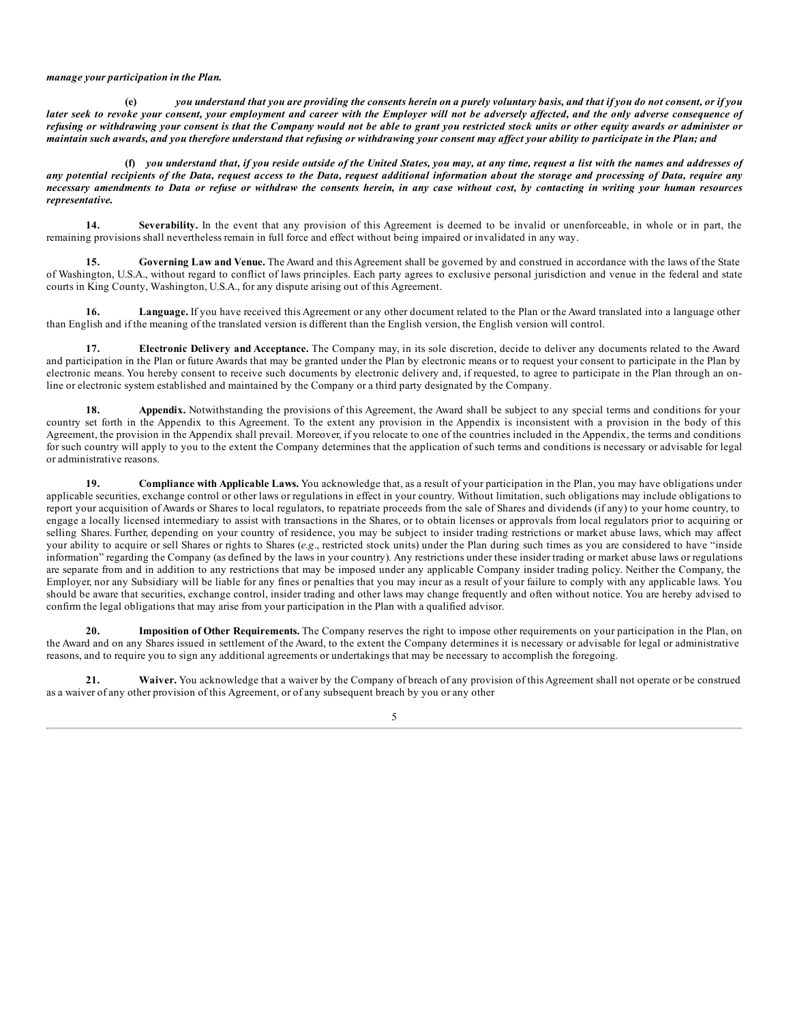#### *manage your participation in the Plan.*

(e) you understand that you are providing the consents herein on a purely voluntary basis, and that if you do not consent, or if you later seek to revoke your consent, your employment and career with the Employer will not be adversely affected, and the only adverse consequence of refusing or withdrawing your consent is that the Company would not be able to grant you restricted stock units or other equity awards or administer or maintain such awards, and you therefore understand that refusing or withdrawing your consent may affect your ability to participate in the Plan; and

(f) you understand that, if you reside outside of the United States, you may, at any time, request a list with the names and addresses of any potential recipients of the Data, request access to the Data, request additional information about the storage and processing of Data, require any necessary amendments to Data or refuse or withdraw the consents herein, in any case without cost, by contacting in writing your human resources *representative.*

**14. Severability.** In the event that any provision of this Agreement is deemed to be invalid or unenforceable, in whole or in part, the remaining provisions shall nevertheless remain in full force and effect without being impaired or invalidated in any way.

**15. Governing Law and Venue.** The Award and this Agreement shall be governed by and construed in accordance with the laws of the State of Washington, U.S.A., without regard to conflict of laws principles. Each party agrees to exclusive personal jurisdiction and venue in the federal and state courts in King County, Washington, U.S.A., for any dispute arising out of this Agreement.

**16. Language.** If you have received this Agreement or any other document related to the Plan or the Award translated into a language other than English and if the meaning of the translated version is different than the English version, the English version will control.

**17. Electronic Delivery and Acceptance.** The Company may, in its sole discretion, decide to deliver any documents related to the Award and participation in the Plan or future Awards that may be granted under the Plan by electronic means or to request your consent to participate in the Plan by electronic means. You hereby consent to receive such documents by electronic delivery and, if requested, to agree to participate in the Plan through an online or electronic system established and maintained by the Company or a third party designated by the Company.

**18. Appendix.** Notwithstanding the provisions of this Agreement, the Award shall be subject to any special terms and conditions for your country set forth in the Appendix to this Agreement. To the extent any provision in the Appendix is inconsistent with a provision in the body of this Agreement, the provision in the Appendix shall prevail. Moreover, if you relocate to one of the countries included in the Appendix, the terms and conditions for such country will apply to you to the extent the Company determines that the application of such terms and conditions is necessary or advisable for legal or administrative reasons.

**19. Compliance with Applicable Laws.** You acknowledge that, as a result of your participation in the Plan, you may have obligations under applicable securities, exchange control or other laws or regulations in effect in your country. Without limitation, such obligations may include obligations to report your acquisition of Awards or Shares to local regulators, to repatriate proceeds from the sale of Shares and dividends (if any) to your home country, to engage a locally licensed intermediary to assist with transactions in the Shares, or to obtain licenses or approvals from local regulators prior to acquiring or selling Shares. Further, depending on your country of residence, you may be subject to insider trading restrictions or market abuse laws, which may affect your ability to acquire or sell Shares or rights to Shares (e.g., restricted stock units) under the Plan during such times as you are considered to have "inside information" regarding the Company (as defined by the laws in your country). Any restrictions under these insider trading or market abuse laws or regulations are separate from and in addition to any restrictions that may be imposed under any applicable Company insider trading policy. Neither the Company, the Employer, nor any Subsidiary will be liable for any fines or penalties that you may incur as a result of your failure to comply with any applicable laws. You should be aware that securities, exchange control, insider trading and other laws may change frequently and often without notice. You are hereby advised to confirm the legal obligations that may arise from your participation in the Plan with a qualified advisor.

**20. Imposition of Other Requirements.** The Company reserves the right to impose other requirements on your participation in the Plan, on the Award and on any Shares issued in settlement of the Award, to the extent the Company determines it is necessary or advisable for legal or administrative reasons, and to require you to sign any additional agreements or undertakings that may be necessary to accomplish the foregoing.

**21. Waiver.** You acknowledge that a waiver by the Company of breach of any provision of this Agreement shall not operate or be construed as a waiver of any other provision of this Agreement, or of any subsequent breach by you or any other

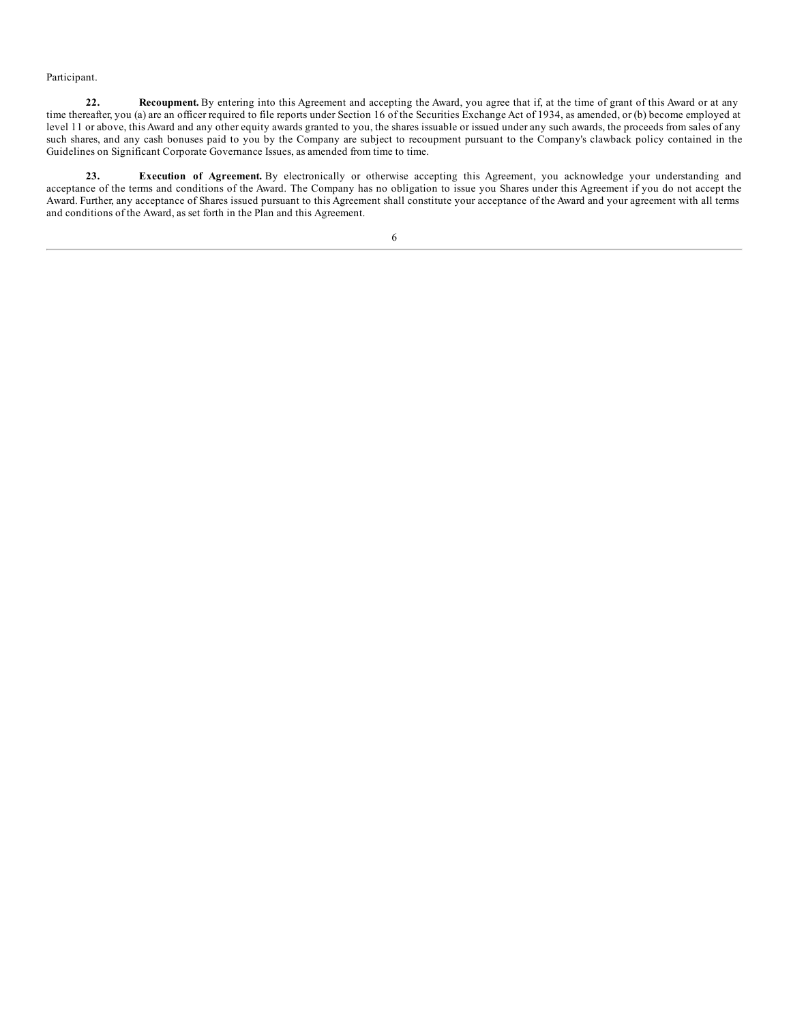Participant.

**22. Recoupment.** By entering into this Agreement and accepting the Award, you agree that if, at the time of grant of this Award or at any time thereafter, you (a) are an officer required to file reports under Section 16 of the Securities Exchange Act of 1934, as amended, or (b) become employed at level 11 or above, this Award and any other equity awards granted to you, the shares issuable or issued under any such awards, the proceeds from sales of any such shares, and any cash bonuses paid to you by the Company are subject to recoupment pursuant to the Company's clawback policy contained in the Guidelines on Significant Corporate Governance Issues, as amended from time to time.

**23. Execution of Agreement.** By electronically or otherwise accepting this Agreement, you acknowledge your understanding and acceptance of the terms and conditions of the Award. The Company has no obligation to issue you Shares under this Agreement if you do not accept the Award. Further, any acceptance of Shares issued pursuant to this Agreement shall constitute your acceptance of the Award and your agreement with all terms and conditions of the Award, as set forth in the Plan and this Agreement.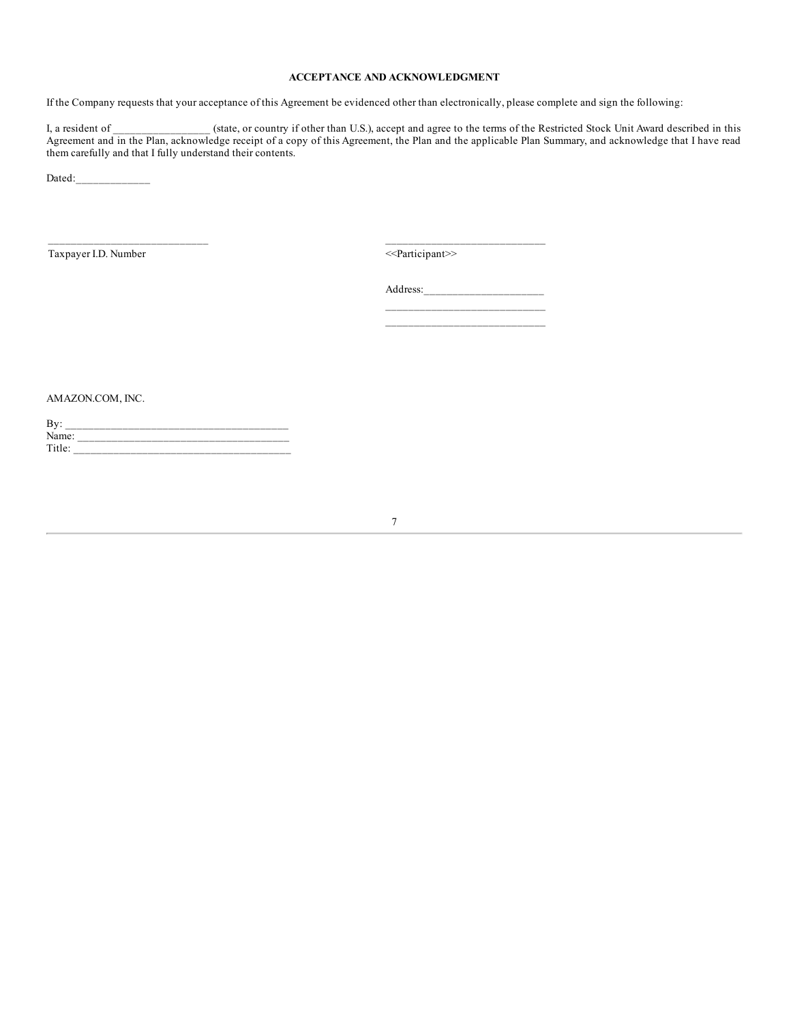## **ACCEPTANCE AND ACKNOWLEDGMENT**

If the Company requests that your acceptance of this Agreement be evidenced other than electronically, please complete and sign the following:

I, a resident of \_\_\_\_\_\_\_\_\_\_\_\_\_\_\_\_\_ (state, or country if other than U.S.), accept and agree to the terms of the Restricted Stock Unit Award described in this Agreement and in the Plan, acknowledge receipt of a copy of this Agreement, the Plan and the applicable Plan Summary, and acknowledge that I have read them carefully and that I fully understand their contents.

Dated:\_\_\_\_\_\_\_\_\_\_\_\_\_

Taxpayer I.D. Number <<Participant>>

Address:\_\_\_\_\_\_\_\_\_\_\_\_\_\_\_\_\_\_\_\_\_  $\overline{\phantom{a}}$  , where  $\overline{\phantom{a}}$  , where  $\overline{\phantom{a}}$  , where  $\overline{\phantom{a}}$ 

AMAZON.COM, INC.

| By:    |  |
|--------|--|
| Name:  |  |
| Title: |  |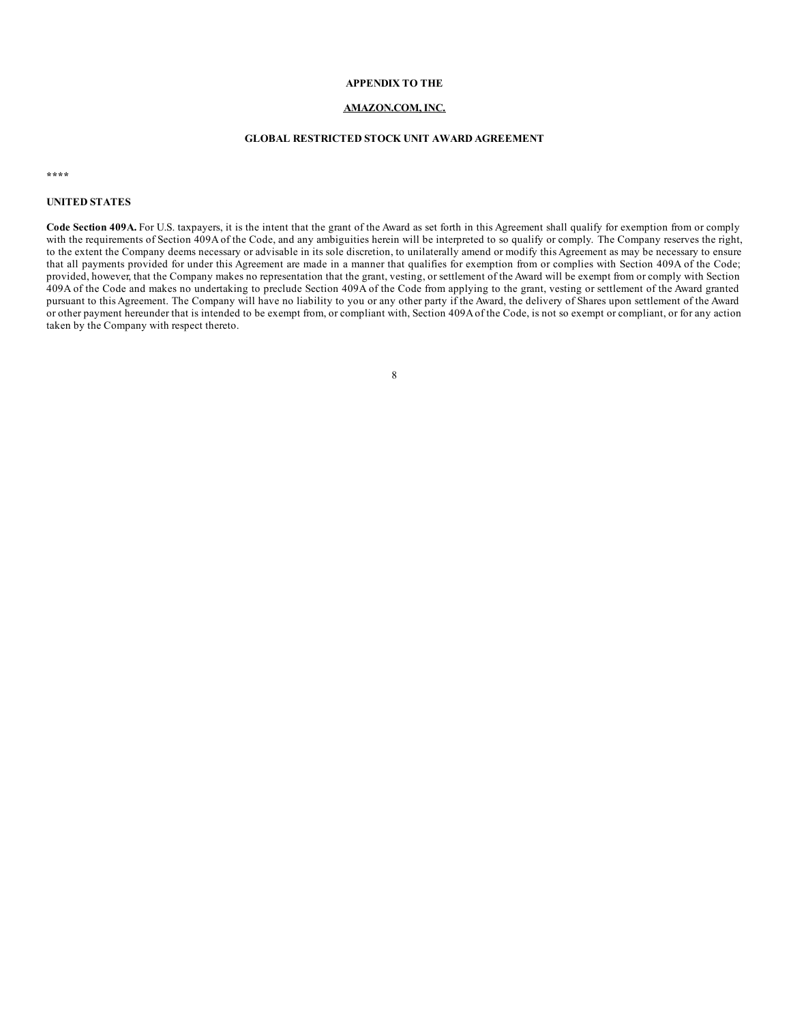## **APPENDIX TO THE**

#### **AMAZON.COM, INC.**

### **GLOBAL RESTRICTED STOCK UNIT AWARD AGREEMENT**

**\*\*\*\***

## **UNITED STATES**

**Code Section 409A.** For U.S. taxpayers, it is the intent that the grant of the Award as set forth in this Agreement shall qualify for exemption from or comply with the requirements of Section 409A of the Code, and any ambiguities herein will be interpreted to so qualify or comply. The Company reserves the right, to the extent the Company deems necessary or advisable in its sole discretion, to unilaterally amend or modify this Agreement as may be necessary to ensure that all payments provided for under this Agreement are made in a manner that qualifies for exemption from or complies with Section 409A of the Code; provided, however, that the Company makes no representation that the grant, vesting, or settlement of the Award will be exempt from or comply with Section 409A of the Code and makes no undertaking to preclude Section 409A of the Code from applying to the grant, vesting or settlement of the Award granted pursuant to this Agreement. The Company will have no liability to you or any other party if the Award, the delivery of Shares upon settlement of the Award or other payment hereunder that is intended to be exempt from, or compliant with, Section 409Aof the Code, is not so exempt or compliant, or for any action taken by the Company with respect thereto.

8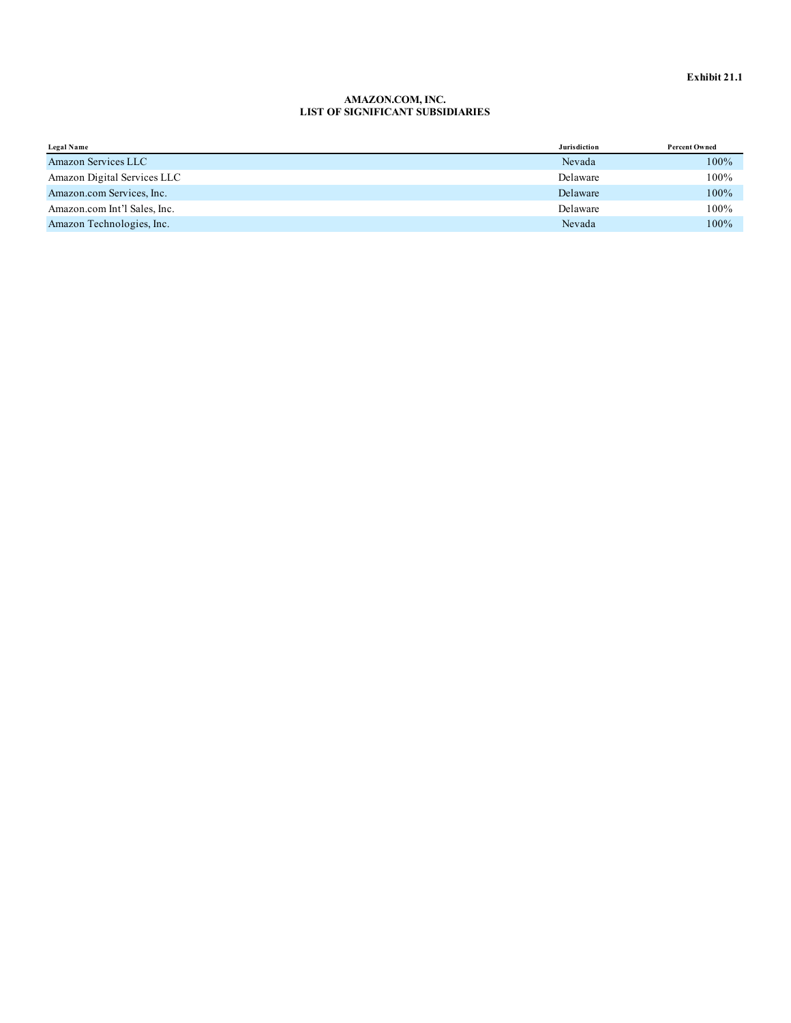# **AMAZON.COM, INC. LIST OF SIGNIFICANT SUBSIDIARIES**

<span id="page-83-0"></span>

| Legal Name                   | Jurisdiction | <b>Percent Owned</b> |
|------------------------------|--------------|----------------------|
| Amazon Services LLC          | Nevada       | 100%                 |
| Amazon Digital Services LLC  | Delaware     | 100%                 |
| Amazon.com Services, Inc.    | Delaware     | 100%                 |
| Amazon.com Int'l Sales, Inc. | Delaware     | 100%                 |
| Amazon Technologies, Inc.    | Nevada       | 100%                 |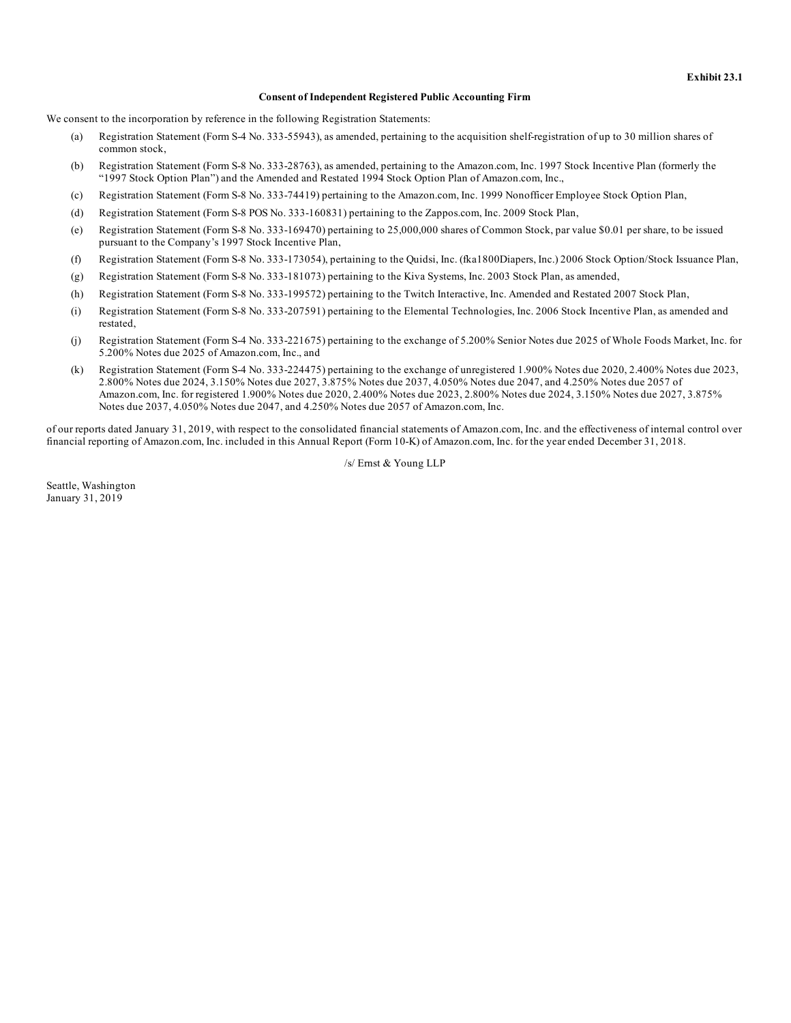### **Consent of Independent Registered Public Accounting Firm**

<span id="page-84-0"></span>We consent to the incorporation by reference in the following Registration Statements:

- (a) Registration Statement (Form S-4 No. 333-55943), as amended, pertaining to the acquisition shelf-registration of up to 30 million shares of common stock,
- (b) Registration Statement (Form S-8 No. 333-28763), as amended, pertaining to the Amazon.com, Inc. 1997 Stock Incentive Plan (formerly the "1997 Stock Option Plan") and the Amended and Restated 1994 Stock Option Plan of Amazon.com, Inc.,
- (c) Registration Statement (Form S-8 No. 333-74419) pertaining to the Amazon.com, Inc. 1999 Nonofficer Employee Stock Option Plan,
- (d) Registration Statement (Form S-8 POS No. 333-160831) pertaining to the Zappos.com, Inc. 2009 Stock Plan,
- (e) Registration Statement (Form S-8 No. 333-169470) pertaining to 25,000,000 shares of Common Stock, par value \$0.01 per share, to be issued pursuant to the Company's 1997 Stock Incentive Plan,
- (f) Registration Statement (Form S-8 No. 333-173054), pertaining to the Quidsi, Inc. (fka1800Diapers, Inc.) 2006 Stock Option/Stock Issuance Plan,
- (g) Registration Statement (Form S-8 No. 333-181073) pertaining to the Kiva Systems, Inc. 2003 Stock Plan, as amended,
- (h) Registration Statement (Form S-8 No. 333-199572) pertaining to the Twitch Interactive, Inc. Amended and Restated 2007 Stock Plan,
- (i) Registration Statement (Form S-8 No. 333-207591) pertaining to the Elemental Technologies, Inc. 2006 Stock Incentive Plan, as amended and restated,
- (j) Registration Statement (Form S-4 No. 333-221675) pertaining to the exchange of 5.200% Senior Notes due 2025 of Whole Foods Market, Inc. for 5.200% Notes due 2025 of Amazon.com, Inc., and
- (k) Registration Statement (Form S-4 No. 333-224475) pertaining to the exchange of unregistered 1.900% Notes due 2020, 2.400% Notes due 2023, 2.800% Notes due 2024, 3.150% Notes due 2027, 3.875% Notes due 2037, 4.050% Notes due 2047, and 4.250% Notes due 2057 of Amazon.com, Inc. for registered 1.900% Notes due 2020, 2.400% Notes due 2023, 2.800% Notes due 2024, 3.150% Notes due 2027, 3.875% Notes due 2037, 4.050% Notes due 2047, and 4.250% Notes due 2057 of Amazon.com, Inc.

of our reports dated January 31, 2019, with respect to the consolidated financial statements of Amazon.com, Inc. and the effectiveness of internal control over financial reporting of Amazon.com, Inc. included in this Annual Report (Form 10-K) of Amazon.com, Inc. for the year ended December 31, 2018.

/s/ Ernst & Young LLP

Seattle, Washington January 31, 2019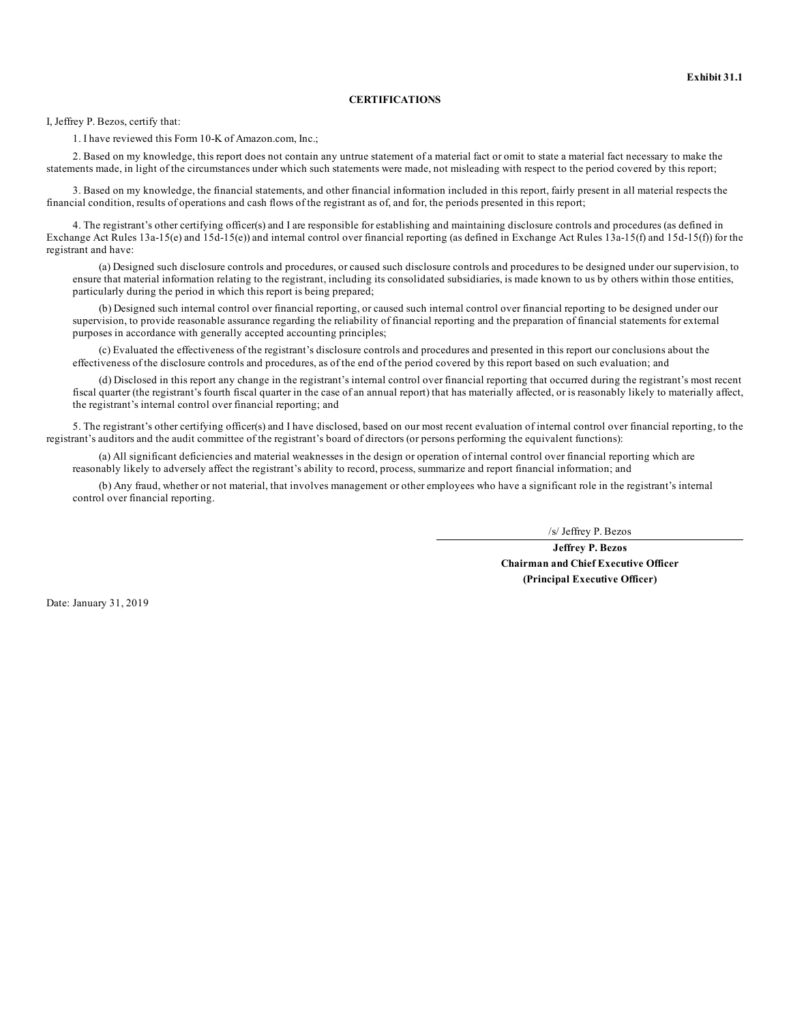## **CERTIFICATIONS**

<span id="page-85-0"></span>I, Jeffrey P. Bezos, certify that:

1. I have reviewed this Form 10-K of Amazon.com, Inc.;

2. Based on my knowledge, this report does not contain any untrue statement of a material fact or omit to state a material fact necessary to make the statements made, in light of the circumstances under which such statements were made, not misleading with respect to the period covered by this report;

3. Based on my knowledge, the financial statements, and other financial information included in this report, fairly present in all material respects the financial condition, results of operations and cash flows of the registrant as of, and for, the periods presented in this report;

4. The registrant's other certifying officer(s) and I are responsible for establishing and maintaining disclosure controls and procedures (as defined in Exchange Act Rules 13a-15(e) and 15d-15(e)) and internal control over financial reporting (as defined in Exchange Act Rules 13a-15(f) and 15d-15(f)) for the registrant and have:

(a) Designed such disclosure controls and procedures, or caused such disclosure controls and procedures to be designed under our supervision, to ensure that material information relating to the registrant, including its consolidated subsidiaries, is made known to us by others within those entities, particularly during the period in which this report is being prepared;

(b) Designed such internal control over financial reporting, or caused such internal control over financial reporting to be designed under our supervision, to provide reasonable assurance regarding the reliability of financial reporting and the preparation of financial statements for external purposes in accordance with generally accepted accounting principles;

(c) Evaluated the effectiveness of the registrant's disclosure controls and procedures and presented in this report our conclusions about the effectiveness of the disclosure controls and procedures, as of the end of the period covered by this report based on such evaluation; and

(d) Disclosed in this report any change in the registrant's internal control over financial reporting that occurred during the registrant's most recent fiscal quarter (the registrant's fourth fiscal quarter in the case of an annual report) that has materially affected, or is reasonably likely to materially affect, the registrant's internal control over financial reporting; and

5. The registrant's other certifying officer(s) and I have disclosed, based on our most recent evaluation of internal control over financial reporting, to the registrant's auditors and the audit committee of the registrant's board of directors (or persons performing the equivalent functions):

(a) All significant deficiencies and material weaknesses in the design or operation of internal control over financial reporting which are reasonably likely to adversely affect the registrant's ability to record, process, summarize and report financial information; and

(b) Any fraud, whether or not material, that involves management or other employees who have a significant role in the registrant's internal control over financial reporting.

/s/ Jeffrey P. Bezos

**Jeffrey P. Bezos Chairman and Chief Executive Officer (Principal Executive Officer)**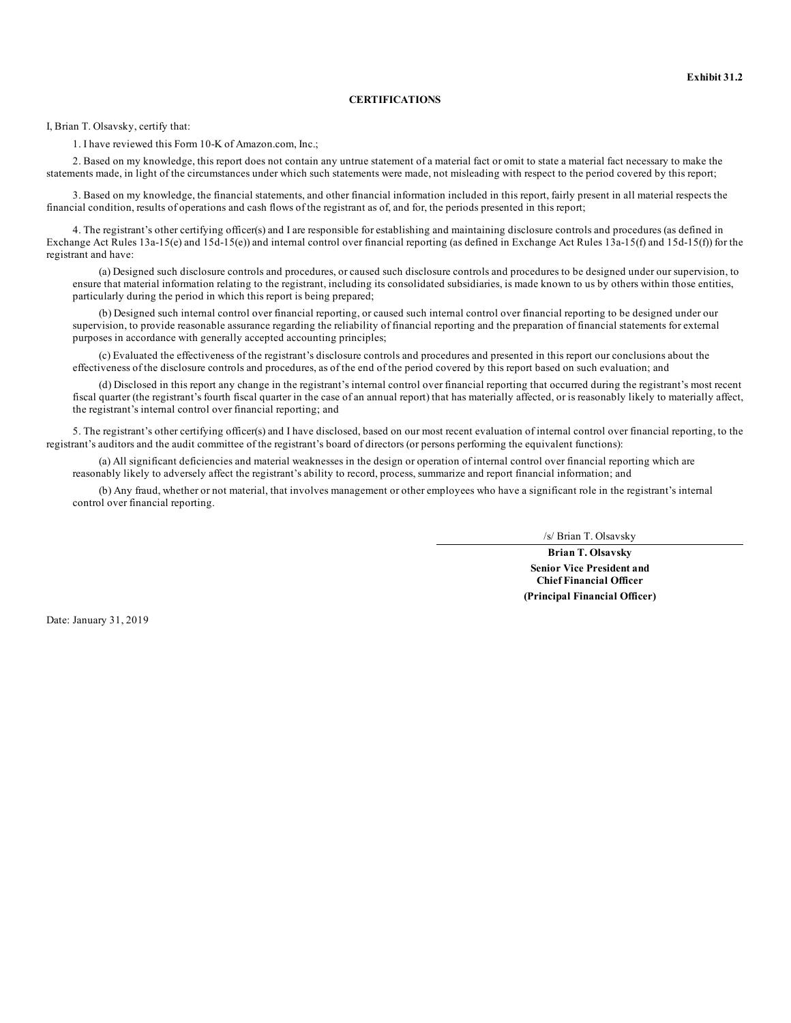## **CERTIFICATIONS**

<span id="page-86-0"></span>I, Brian T. Olsavsky, certify that:

1. I have reviewed this Form 10-K of Amazon.com, Inc.;

2. Based on my knowledge, this report does not contain any untrue statement of a material fact or omit to state a material fact necessary to make the statements made, in light of the circumstances under which such statements were made, not misleading with respect to the period covered by this report;

3. Based on my knowledge, the financial statements, and other financial information included in this report, fairly present in all material respects the financial condition, results of operations and cash flows of the registrant as of, and for, the periods presented in this report;

4. The registrant's other certifying officer(s) and I are responsible for establishing and maintaining disclosure controls and procedures (as defined in Exchange Act Rules 13a-15(e) and 15d-15(e)) and internal control over financial reporting (as defined in Exchange Act Rules 13a-15(f) and 15d-15(f)) for the registrant and have:

(a) Designed such disclosure controls and procedures, or caused such disclosure controls and procedures to be designed under our supervision, to ensure that material information relating to the registrant, including its consolidated subsidiaries, is made known to us by others within those entities, particularly during the period in which this report is being prepared;

(b) Designed such internal control over financial reporting, or caused such internal control over financial reporting to be designed under our supervision, to provide reasonable assurance regarding the reliability of financial reporting and the preparation of financial statements for external purposes in accordance with generally accepted accounting principles;

(c) Evaluated the effectiveness of the registrant's disclosure controls and procedures and presented in this report our conclusions about the effectiveness of the disclosure controls and procedures, as of the end of the period covered by this report based on such evaluation; and

(d) Disclosed in this report any change in the registrant's internal control over financial reporting that occurred during the registrant's most recent fiscal quarter (the registrant's fourth fiscal quarter in the case of an annual report) that has materially affected, or is reasonably likely to materially affect, the registrant's internal control over financial reporting; and

5. The registrant's other certifying officer(s) and I have disclosed, based on our most recent evaluation of internal control over financial reporting, to the registrant's auditors and the audit committee of the registrant's board of directors (or persons performing the equivalent functions):

(a) All significant deficiencies and material weaknesses in the design or operation of internal control over financial reporting which are reasonably likely to adversely affect the registrant's ability to record, process, summarize and report financial information; and

(b) Any fraud, whether or not material, that involves management or other employees who have a significant role in the registrant's internal control over financial reporting.

/s/ Brian T. Olsavsky

**Brian T. Olsavsky Senior Vice President and Chief Financial Officer (Principal Financial Officer)**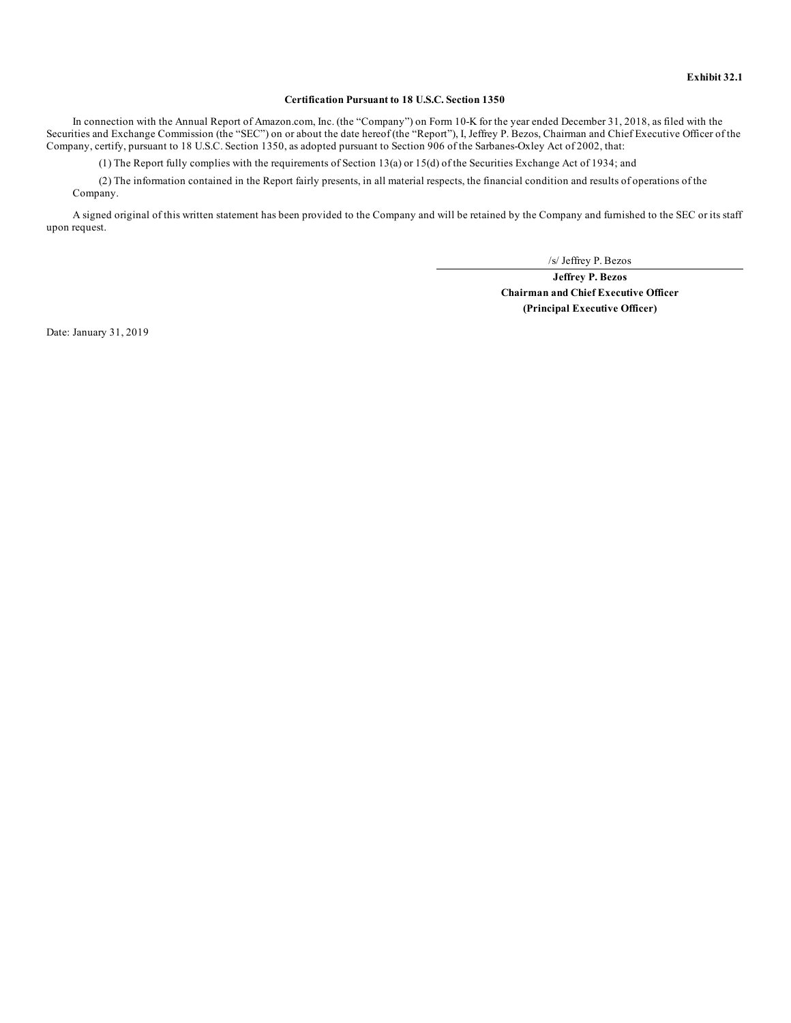### **Certification Pursuant to 18 U.S.C. Section 1350**

<span id="page-87-0"></span>In connection with the Annual Report of Amazon.com, Inc. (the "Company") on Form 10-K for the year ended December 31, 2018, as filed with the Securities and Exchange Commission (the "SEC") on or about the date hereof (the "Report"), I, Jeffrey P. Bezos, Chairman and Chief Executive Officer of the Company, certify, pursuant to 18 U.S.C. Section 1350, as adopted pursuant to Section 906 of the Sarbanes-Oxley Act of 2002, that:

(1) The Report fully complies with the requirements of Section 13(a) or 15(d) of the Securities Exchange Act of 1934; and

(2) The information contained in the Report fairly presents, in all material respects, the financial condition and results of operations of the Company.

A signed original of this written statement has been provided to the Company and will be retained by the Company and furnished to the SEC or its staff upon request.

/s/ Jeffrey P. Bezos

**Jeffrey P. Bezos Chairman and Chief Executive Officer (Principal Executive Officer)**